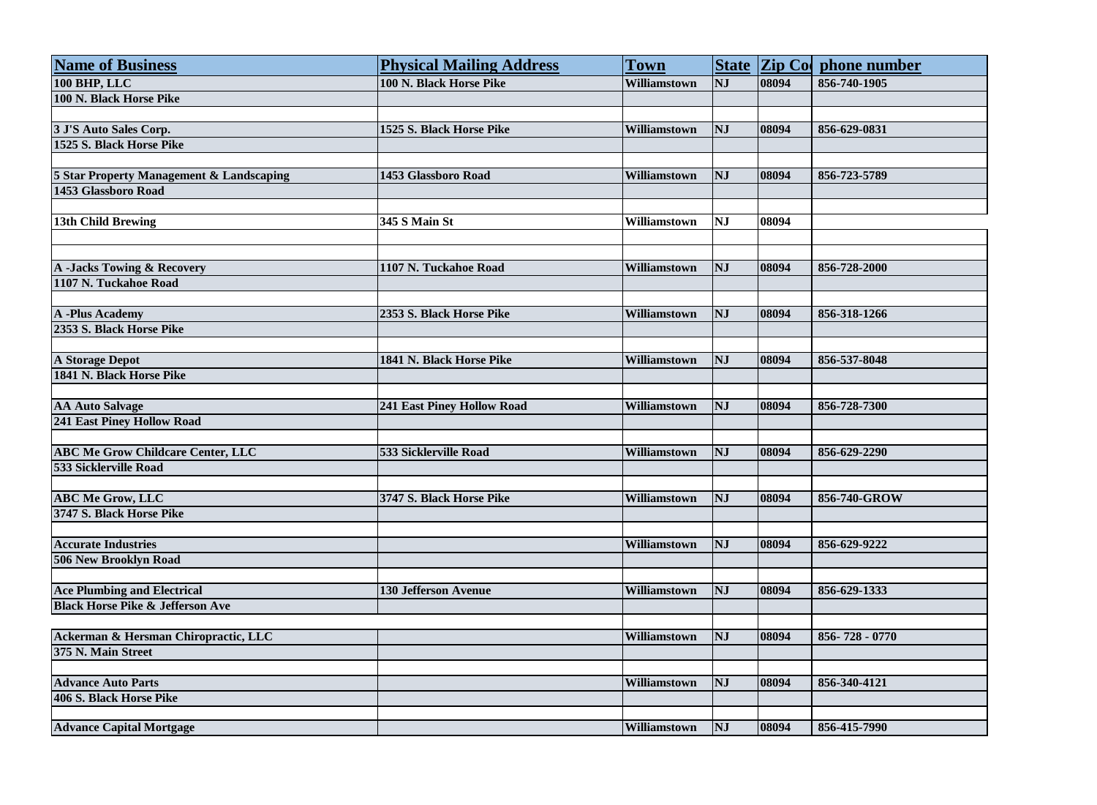| <b>Name of Business</b>                             | <b>Physical Mailing Address</b>   | <b>Town</b>         |                   | <b>State Zip Co</b> | phone number |
|-----------------------------------------------------|-----------------------------------|---------------------|-------------------|---------------------|--------------|
| <b>100 BHP, LLC</b>                                 | 100 N. Black Horse Pike           | Williamstown        | NJ                | 08094               | 856-740-1905 |
| 100 N. Black Horse Pike                             |                                   |                     |                   |                     |              |
|                                                     |                                   |                     |                   |                     |              |
| 3 J'S Auto Sales Corp.                              | 1525 S. Black Horse Pike          | Williamstown        | <b>NJ</b>         | 08094               | 856-629-0831 |
| 1525 S. Black Horse Pike                            |                                   |                     |                   |                     |              |
|                                                     |                                   |                     |                   |                     |              |
| <b>5 Star Property Management &amp; Landscaping</b> | 1453 Glassboro Road               | Williamstown        | <b>NJ</b>         | 08094               | 856-723-5789 |
| 1453 Glassboro Road                                 |                                   |                     |                   |                     |              |
|                                                     |                                   |                     |                   |                     |              |
| 13th Child Brewing                                  | <b>345 S Main St</b>              | Williamstown        | <b>NJ</b>         | 08094               |              |
|                                                     |                                   |                     |                   |                     |              |
|                                                     |                                   |                     |                   |                     |              |
| A -Jacks Towing & Recovery                          | 1107 N. Tuckahoe Road             | Williamstown        | <b>NJ</b>         | 08094               | 856-728-2000 |
| 1107 N. Tuckahoe Road                               |                                   |                     |                   |                     |              |
|                                                     |                                   |                     |                   |                     |              |
| A -Plus Academy                                     | 2353 S. Black Horse Pike          | Williamstown        | <b>NJ</b>         | 08094               | 856-318-1266 |
| 2353 S. Black Horse Pike                            |                                   |                     |                   |                     |              |
|                                                     |                                   |                     |                   |                     |              |
| <b>A Storage Depot</b>                              | 1841 N. Black Horse Pike          | Williamstown        | <b>NJ</b>         | 08094               | 856-537-8048 |
| 1841 N. Black Horse Pike                            |                                   |                     |                   |                     |              |
|                                                     |                                   |                     |                   |                     |              |
| <b>AA Auto Salvage</b>                              | <b>241 East Piney Hollow Road</b> | <b>Williamstown</b> | <b>NJ</b>         | 08094               | 856-728-7300 |
| <b>241 East Piney Hollow Road</b>                   |                                   |                     |                   |                     |              |
|                                                     |                                   |                     |                   |                     |              |
| <b>ABC Me Grow Childcare Center, LLC</b>            | <b>533 Sicklerville Road</b>      | <b>Williamstown</b> | <b>NJ</b>         | 08094               | 856-629-2290 |
| 533 Sicklerville Road                               |                                   |                     |                   |                     |              |
|                                                     |                                   |                     |                   |                     |              |
| <b>ABC Me Grow, LLC</b>                             | 3747 S. Black Horse Pike          | Williamstown        | <b>NJ</b>         | 08094               | 856-740-GROW |
| 3747 S. Black Horse Pike                            |                                   |                     |                   |                     |              |
|                                                     |                                   |                     |                   |                     |              |
| <b>Accurate Industries</b>                          |                                   | Williamstown        | <b>NJ</b>         | 08094               | 856-629-9222 |
| 506 New Brooklyn Road                               |                                   |                     |                   |                     |              |
|                                                     |                                   |                     |                   |                     |              |
| <b>Ace Plumbing and Electrical</b>                  | <b>130 Jefferson Avenue</b>       | Williamstown        | <b>NJ</b>         | 08094               | 856-629-1333 |
| <b>Black Horse Pike &amp; Jefferson Ave</b>         |                                   |                     |                   |                     |              |
|                                                     |                                   |                     | <b>NJ</b>         | 08094               |              |
| Ackerman & Hersman Chiropractic, LLC                |                                   | <b>Williamstown</b> |                   |                     | 856-728-0770 |
| 375 N. Main Street                                  |                                   |                     |                   |                     |              |
| <b>Advance Auto Parts</b>                           |                                   | <b>Williamstown</b> | <b>NJ</b>         | 08094               | 856-340-4121 |
| 406 S. Black Horse Pike                             |                                   |                     |                   |                     |              |
|                                                     |                                   |                     |                   |                     |              |
| <b>Advance Capital Mortgage</b>                     |                                   | Williamstown        | $\vert N_J \vert$ | 08094               | 856-415-7990 |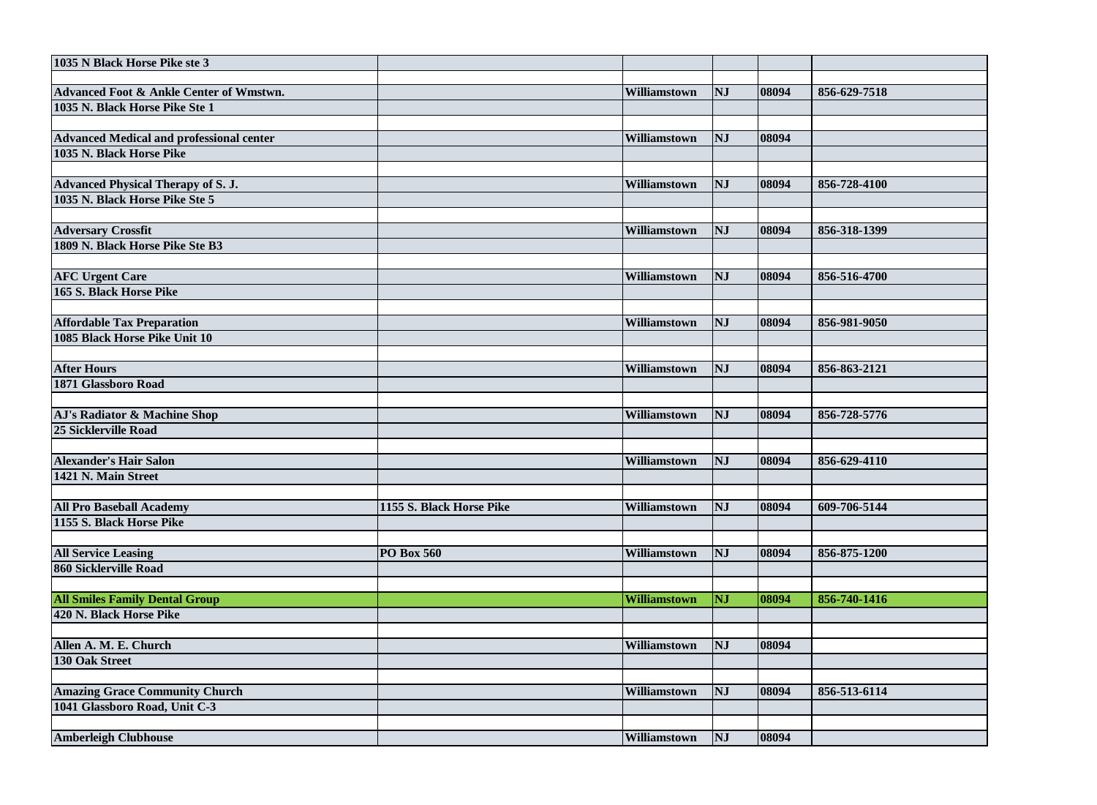| 1035 N Black Horse Pike ste 3                                   |                          |                     |           |       |              |
|-----------------------------------------------------------------|--------------------------|---------------------|-----------|-------|--------------|
|                                                                 |                          |                     |           |       |              |
| <b>Advanced Foot &amp; Ankle Center of Wmstwn.</b>              |                          | Williamstown        | <b>NJ</b> | 08094 | 856-629-7518 |
| 1035 N. Black Horse Pike Ste 1                                  |                          |                     |           |       |              |
|                                                                 |                          |                     |           |       |              |
| <b>Advanced Medical and professional center</b>                 |                          | Williamstown        | NJ        | 08094 |              |
| 1035 N. Black Horse Pike                                        |                          |                     |           |       |              |
|                                                                 |                          |                     |           |       |              |
| <b>Advanced Physical Therapy of S. J.</b>                       |                          | Williamstown        | <b>NJ</b> | 08094 | 856-728-4100 |
| 1035 N. Black Horse Pike Ste 5                                  |                          |                     |           |       |              |
|                                                                 |                          |                     |           |       |              |
| <b>Adversary Crossfit</b>                                       |                          | Williamstown        | <b>NJ</b> | 08094 | 856-318-1399 |
| 1809 N. Black Horse Pike Ste B3                                 |                          |                     |           |       |              |
|                                                                 |                          |                     |           |       |              |
| <b>AFC Urgent Care</b>                                          |                          | Williamstown        | NJ        | 08094 | 856-516-4700 |
| 165 S. Black Horse Pike                                         |                          |                     |           |       |              |
|                                                                 |                          |                     |           |       |              |
| <b>Affordable Tax Preparation</b>                               |                          | Williamstown        | NJ        | 08094 | 856-981-9050 |
| 1085 Black Horse Pike Unit 10                                   |                          |                     |           |       |              |
|                                                                 |                          |                     |           |       |              |
| <b>After Hours</b>                                              |                          | Williamstown        | NJ        | 08094 | 856-863-2121 |
| 1871 Glassboro Road                                             |                          |                     |           |       |              |
|                                                                 |                          |                     | <b>NJ</b> | 08094 |              |
| <b>AJ's Radiator &amp; Machine Shop</b><br>25 Sicklerville Road |                          | Williamstown        |           |       | 856-728-5776 |
|                                                                 |                          |                     |           |       |              |
| <b>Alexander's Hair Salon</b>                                   |                          | Williamstown        | NJ        | 08094 | 856-629-4110 |
| 1421 N. Main Street                                             |                          |                     |           |       |              |
|                                                                 |                          |                     |           |       |              |
| <b>All Pro Baseball Academy</b>                                 | 1155 S. Black Horse Pike | Williamstown        | <b>NJ</b> | 08094 | 609-706-5144 |
| 1155 S. Black Horse Pike                                        |                          |                     |           |       |              |
|                                                                 |                          |                     |           |       |              |
| <b>All Service Leasing</b>                                      | <b>PO Box 560</b>        | Williamstown        | <b>NJ</b> | 08094 | 856-875-1200 |
| 860 Sicklerville Road                                           |                          |                     |           |       |              |
|                                                                 |                          |                     |           |       |              |
| <b>All Smiles Family Dental Group</b>                           |                          | <b>Williamstown</b> | <b>NJ</b> | 08094 | 856-740-1416 |
| 420 N. Black Horse Pike                                         |                          |                     |           |       |              |
|                                                                 |                          |                     |           |       |              |
| Allen A. M. E. Church                                           |                          | Williamstown        | <b>NJ</b> | 08094 |              |
| 130 Oak Street                                                  |                          |                     |           |       |              |
|                                                                 |                          |                     |           |       |              |
| <b>Amazing Grace Community Church</b>                           |                          | Williamstown        | NJ        | 08094 | 856-513-6114 |
| 1041 Glassboro Road, Unit C-3                                   |                          |                     |           |       |              |
|                                                                 |                          |                     |           |       |              |
| <b>Amberleigh Clubhouse</b>                                     |                          | Williamstown        | NJ        | 08094 |              |
|                                                                 |                          |                     |           |       |              |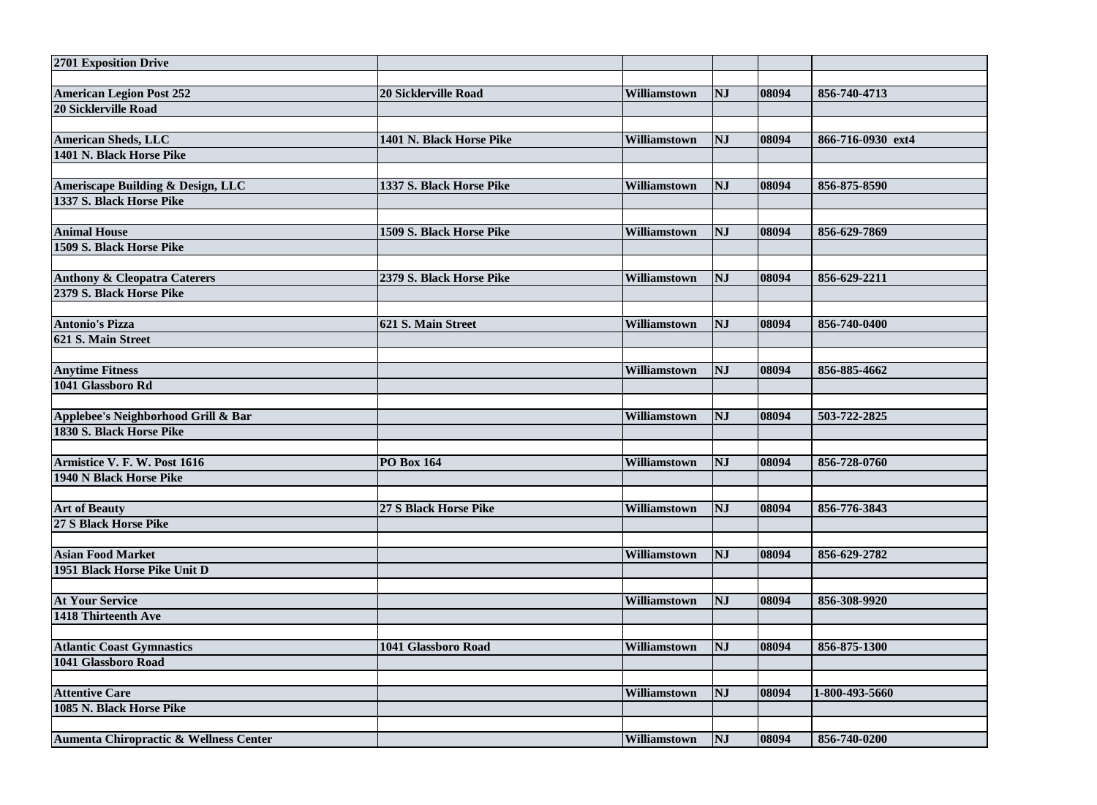| 2701 Exposition Drive                                   |                              |                     |           |       |                   |
|---------------------------------------------------------|------------------------------|---------------------|-----------|-------|-------------------|
|                                                         |                              |                     |           |       |                   |
| <b>American Legion Post 252</b>                         | <b>20 Sicklerville Road</b>  | <b>Williamstown</b> | <b>NJ</b> | 08094 | 856-740-4713      |
| <b>20 Sicklerville Road</b>                             |                              |                     |           |       |                   |
|                                                         |                              |                     |           |       |                   |
| <b>American Sheds, LLC</b>                              | 1401 N. Black Horse Pike     | <b>Williamstown</b> | <b>NJ</b> | 08094 | 866-716-0930 ext4 |
| 1401 N. Black Horse Pike                                |                              |                     |           |       |                   |
|                                                         |                              |                     |           |       |                   |
| <b>Ameriscape Building &amp; Design, LLC</b>            | 1337 S. Black Horse Pike     | Williamstown        | <b>NJ</b> | 08094 | 856-875-8590      |
| 1337 S. Black Horse Pike                                |                              |                     |           |       |                   |
|                                                         |                              |                     |           |       |                   |
| <b>Animal House</b>                                     | 1509 S. Black Horse Pike     | Williamstown        | <b>NJ</b> | 08094 | 856-629-7869      |
| 1509 S. Black Horse Pike                                |                              |                     |           |       |                   |
| <b>Anthony &amp; Cleopatra Caterers</b>                 | 2379 S. Black Horse Pike     | Williamstown        | <b>NJ</b> | 08094 | 856-629-2211      |
| 2379 S. Black Horse Pike                                |                              |                     |           |       |                   |
|                                                         |                              |                     |           |       |                   |
| <b>Antonio's Pizza</b>                                  | 621 S. Main Street           | Williamstown        | <b>NJ</b> | 08094 | 856-740-0400      |
| 621 S. Main Street                                      |                              |                     |           |       |                   |
|                                                         |                              |                     |           |       |                   |
| <b>Anytime Fitness</b>                                  |                              | Williamstown        | <b>NJ</b> | 08094 | 856-885-4662      |
| 1041 Glassboro Rd                                       |                              |                     |           |       |                   |
|                                                         |                              |                     |           |       |                   |
| Applebee's Neighborhood Grill & Bar                     |                              | Williamstown        | <b>NJ</b> | 08094 | 503-722-2825      |
| 1830 S. Black Horse Pike                                |                              |                     |           |       |                   |
|                                                         |                              |                     |           |       |                   |
| Armistice V. F. W. Post 1616                            | <b>PO Box 164</b>            | Williamstown        | <b>NJ</b> | 08094 | 856-728-0760      |
| 1940 N Black Horse Pike                                 |                              |                     |           |       |                   |
|                                                         |                              |                     |           |       |                   |
| <b>Art of Beauty</b>                                    | <b>27 S Black Horse Pike</b> | <b>Williamstown</b> | NJ        | 08094 | 856-776-3843      |
| <b>27 S Black Horse Pike</b>                            |                              |                     |           |       |                   |
|                                                         |                              |                     |           |       |                   |
| <b>Asian Food Market</b>                                |                              | <b>Williamstown</b> | <b>NJ</b> | 08094 | 856-629-2782      |
| 1951 Black Horse Pike Unit D                            |                              |                     |           |       |                   |
|                                                         |                              |                     |           |       |                   |
| <b>At Your Service</b>                                  |                              | Williamstown        | <b>NJ</b> | 08094 | 856-308-9920      |
| 1418 Thirteenth Ave                                     |                              |                     |           |       |                   |
|                                                         | 1041 Glassboro Road          |                     | <b>NJ</b> | 08094 | 856-875-1300      |
| <b>Atlantic Coast Gymnastics</b><br>1041 Glassboro Road |                              | <b>Williamstown</b> |           |       |                   |
|                                                         |                              |                     |           |       |                   |
| <b>Attentive Care</b>                                   |                              | <b>Williamstown</b> | <b>NJ</b> | 08094 | 1-800-493-5660    |
| 1085 N. Black Horse Pike                                |                              |                     |           |       |                   |
|                                                         |                              |                     |           |       |                   |
| Aumenta Chiropractic & Wellness Center                  |                              | Williamstown        | <b>NJ</b> | 08094 | 856-740-0200      |
|                                                         |                              |                     |           |       |                   |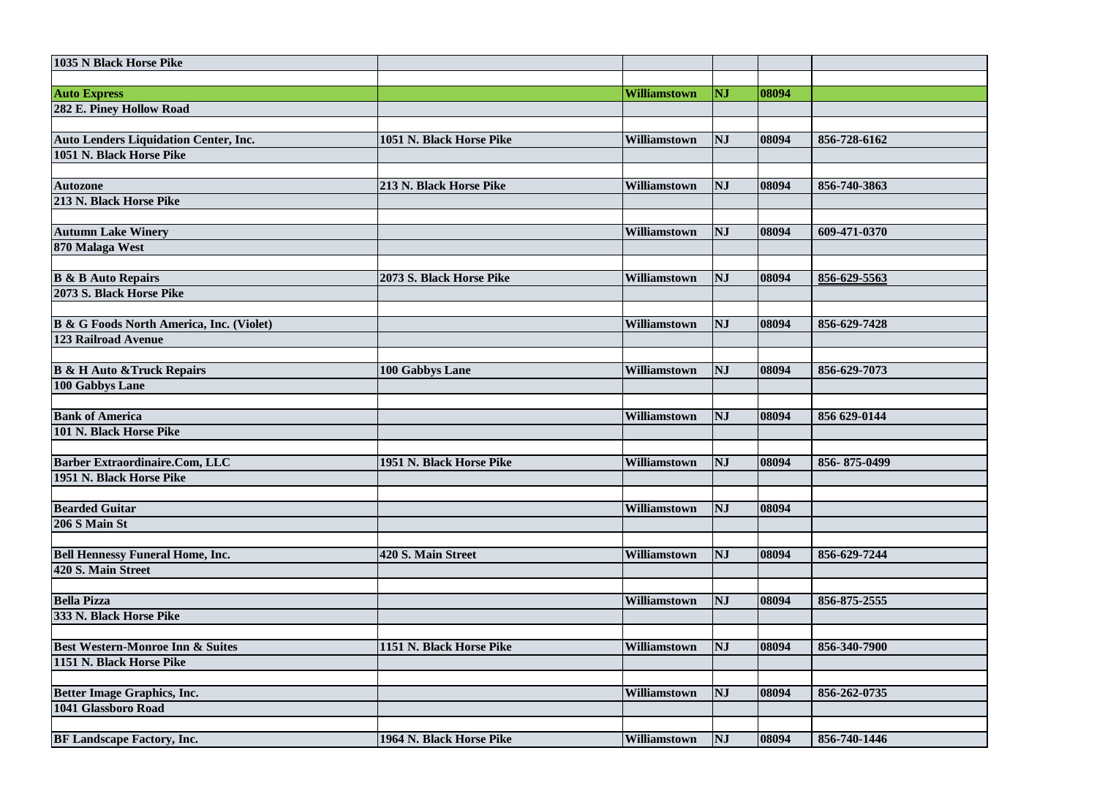| 1035 N Black Horse Pike                      |                          |                     |                   |       |              |
|----------------------------------------------|--------------------------|---------------------|-------------------|-------|--------------|
|                                              |                          |                     |                   |       |              |
| <b>Auto Express</b>                          |                          | <b>Williamstown</b> | $\mathbf{N}$      | 08094 |              |
| 282 E. Piney Hollow Road                     |                          |                     |                   |       |              |
|                                              |                          |                     |                   |       |              |
| <b>Auto Lenders Liquidation Center, Inc.</b> | 1051 N. Black Horse Pike | Williamstown        | <b>NJ</b>         | 08094 | 856-728-6162 |
| 1051 N. Black Horse Pike                     |                          |                     |                   |       |              |
|                                              |                          |                     |                   |       |              |
| <b>Autozone</b>                              | 213 N. Black Horse Pike  | Williamstown        | <b>NJ</b>         | 08094 | 856-740-3863 |
| 213 N. Black Horse Pike                      |                          |                     |                   |       |              |
|                                              |                          |                     |                   |       |              |
| <b>Autumn Lake Winery</b>                    |                          | Williamstown        | <b>NJ</b>         | 08094 | 609-471-0370 |
| 870 Malaga West                              |                          |                     |                   |       |              |
|                                              |                          |                     |                   |       |              |
| <b>B &amp; B Auto Repairs</b>                | 2073 S. Black Horse Pike | Williamstown        | <b>NJ</b>         | 08094 | 856-629-5563 |
| 2073 S. Black Horse Pike                     |                          |                     |                   |       |              |
|                                              |                          |                     |                   |       |              |
| B & G Foods North America, Inc. (Violet)     |                          | Williamstown        | <b>NJ</b>         | 08094 | 856-629-7428 |
| <b>123 Railroad Avenue</b>                   |                          |                     |                   |       |              |
|                                              |                          |                     |                   |       |              |
| <b>B &amp; H Auto &amp; Truck Repairs</b>    | 100 Gabbys Lane          | Williamstown        | <b>NJ</b>         | 08094 | 856-629-7073 |
| 100 Gabbys Lane                              |                          |                     |                   |       |              |
|                                              |                          |                     |                   |       |              |
| <b>Bank of America</b>                       |                          | Williamstown        | <b>NJ</b>         | 08094 | 856 629-0144 |
| 101 N. Black Horse Pike                      |                          |                     |                   |       |              |
|                                              |                          |                     |                   |       |              |
| <b>Barber Extraordinaire.Com, LLC</b>        | 1951 N. Black Horse Pike | Williamstown        | NJ                | 08094 | 856-875-0499 |
| 1951 N. Black Horse Pike                     |                          |                     |                   |       |              |
|                                              |                          |                     |                   |       |              |
| <b>Bearded Guitar</b>                        |                          | Williamstown        | $\vert NJ \vert$  | 08094 |              |
| 206 S Main St                                |                          |                     |                   |       |              |
|                                              |                          |                     |                   |       |              |
| <b>Bell Hennessy Funeral Home, Inc.</b>      | 420 S. Main Street       | Williamstown        | NJ                | 08094 | 856-629-7244 |
| 420 S. Main Street                           |                          |                     |                   |       |              |
| <b>Bella Pizza</b>                           |                          |                     |                   | 08094 | 856-875-2555 |
| 333 N. Black Horse Pike                      |                          | Williamstown        | NJ                |       |              |
|                                              |                          |                     |                   |       |              |
| <b>Best Western-Monroe Inn &amp; Suites</b>  | 1151 N. Black Horse Pike | Williamstown        | NJ                | 08094 | 856-340-7900 |
| 1151 N. Black Horse Pike                     |                          |                     |                   |       |              |
|                                              |                          |                     |                   |       |              |
| <b>Better Image Graphics, Inc.</b>           |                          | Williamstown        | NJ                | 08094 | 856-262-0735 |
| 1041 Glassboro Road                          |                          |                     |                   |       |              |
|                                              |                          |                     |                   |       |              |
| <b>BF Landscape Factory, Inc.</b>            | 1964 N. Black Horse Pike | <b>Williamstown</b> | $\vert N_J \vert$ | 08094 | 856-740-1446 |
|                                              |                          |                     |                   |       |              |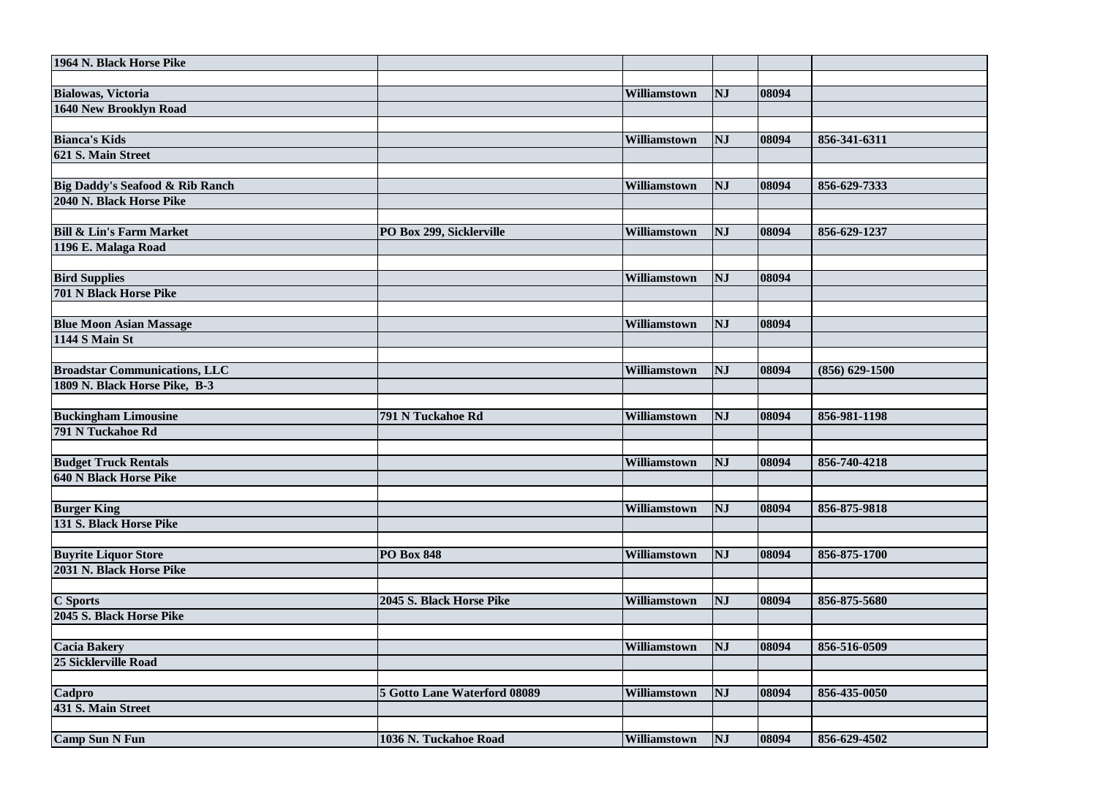| 1964 N. Black Horse Pike             |                              |              |                  |       |                    |
|--------------------------------------|------------------------------|--------------|------------------|-------|--------------------|
| <b>Bialowas, Victoria</b>            |                              | Williamstown | <b>NJ</b>        | 08094 |                    |
| 1640 New Brooklyn Road               |                              |              |                  |       |                    |
|                                      |                              |              |                  |       |                    |
| <b>Bianca's Kids</b>                 |                              | Williamstown | <b>NJ</b>        | 08094 | 856-341-6311       |
| 621 S. Main Street                   |                              |              |                  |       |                    |
|                                      |                              |              |                  |       |                    |
| Big Daddy's Seafood & Rib Ranch      |                              | Williamstown | <b>NJ</b>        | 08094 | 856-629-7333       |
| 2040 N. Black Horse Pike             |                              |              |                  |       |                    |
|                                      |                              |              |                  |       |                    |
| <b>Bill &amp; Lin's Farm Market</b>  | PO Box 299, Sicklerville     | Williamstown | <b>NJ</b>        | 08094 | 856-629-1237       |
| 1196 E. Malaga Road                  |                              |              |                  |       |                    |
|                                      |                              |              |                  |       |                    |
| <b>Bird Supplies</b>                 |                              | Williamstown | <b>NJ</b>        | 08094 |                    |
| <b>701 N Black Horse Pike</b>        |                              |              |                  |       |                    |
|                                      |                              |              |                  |       |                    |
| <b>Blue Moon Asian Massage</b>       |                              | Williamstown | <b>NJ</b>        | 08094 |                    |
| <b>1144 S Main St</b>                |                              |              |                  |       |                    |
|                                      |                              |              |                  |       |                    |
| <b>Broadstar Communications, LLC</b> |                              | Williamstown | <b>NJ</b>        | 08094 | $(856) 629 - 1500$ |
| 1809 N. Black Horse Pike, B-3        |                              |              |                  |       |                    |
|                                      |                              |              |                  |       |                    |
| <b>Buckingham Limousine</b>          | 791 N Tuckahoe Rd            | Williamstown | <b>NJ</b>        | 08094 | 856-981-1198       |
| 791 N Tuckahoe Rd                    |                              |              |                  |       |                    |
|                                      |                              |              |                  |       |                    |
| <b>Budget Truck Rentals</b>          |                              | Williamstown | NJ               | 08094 | 856-740-4218       |
| <b>640 N Black Horse Pike</b>        |                              |              |                  |       |                    |
|                                      |                              |              |                  |       |                    |
| <b>Burger King</b>                   |                              | Williamstown | $\vert NJ \vert$ | 08094 | 856-875-9818       |
| 131 S. Black Horse Pike              |                              |              |                  |       |                    |
|                                      |                              |              |                  |       |                    |
| <b>Buyrite Liquor Store</b>          | <b>PO Box 848</b>            | Williamstown | NJ               | 08094 | 856-875-1700       |
| 2031 N. Black Horse Pike             |                              |              |                  |       |                    |
|                                      |                              |              |                  |       |                    |
| C Sports                             | 2045 S. Black Horse Pike     | Williamstown | NJ               | 08094 | 856-875-5680       |
| 2045 S. Black Horse Pike             |                              |              |                  |       |                    |
|                                      |                              |              |                  |       |                    |
| <b>Cacia Bakery</b>                  |                              | Williamstown | NJ               | 08094 | 856-516-0509       |
| 25 Sicklerville Road                 |                              |              |                  |       |                    |
|                                      |                              |              |                  |       |                    |
| Cadpro                               | 5 Gotto Lane Waterford 08089 | Williamstown | NJ               | 08094 | 856-435-0050       |
| 431 S. Main Street                   |                              |              |                  |       |                    |
|                                      |                              |              |                  |       |                    |
| <b>Camp Sun N Fun</b>                | 1036 N. Tuckahoe Road        | Williamstown | NJ               | 08094 | 856-629-4502       |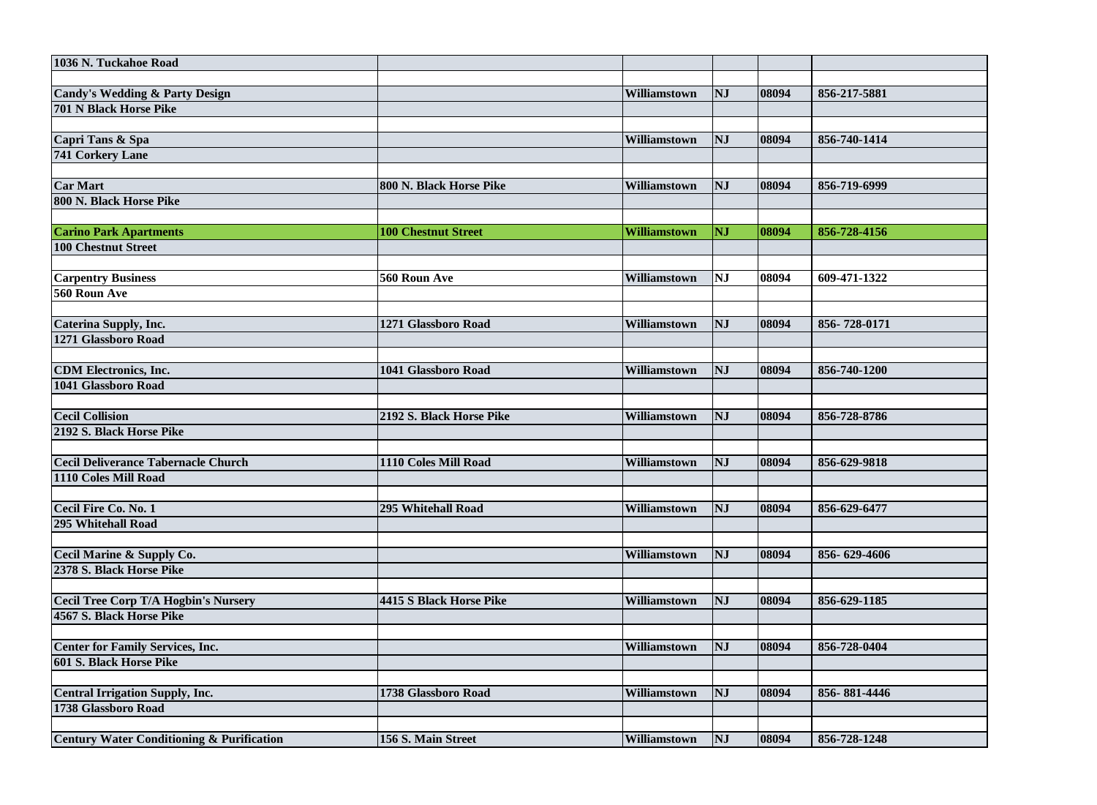| 1036 N. Tuckahoe Road                                            |                            |                     |           |       |              |
|------------------------------------------------------------------|----------------------------|---------------------|-----------|-------|--------------|
|                                                                  |                            |                     |           |       |              |
| <b>Candy's Wedding &amp; Party Design</b>                        |                            | Williamstown        | <b>NJ</b> | 08094 | 856-217-5881 |
| <b>701 N Black Horse Pike</b>                                    |                            |                     |           |       |              |
|                                                                  |                            |                     |           |       |              |
| Capri Tans & Spa                                                 |                            | Williamstown        | <b>NJ</b> | 08094 | 856-740-1414 |
| 741 Corkery Lane                                                 |                            |                     |           |       |              |
|                                                                  |                            |                     |           |       |              |
| <b>Car Mart</b>                                                  | 800 N. Black Horse Pike    | <b>Williamstown</b> | <b>NJ</b> | 08094 | 856-719-6999 |
| 800 N. Black Horse Pike                                          |                            |                     |           |       |              |
| <b>Carino Park Apartments</b>                                    | <b>100 Chestnut Street</b> | <b>Williamstown</b> | NJ        | 08094 | 856-728-4156 |
| 100 Chestnut Street                                              |                            |                     |           |       |              |
|                                                                  |                            |                     |           |       |              |
| <b>Carpentry Business</b>                                        | 560 Roun Ave               | Williamstown        | <b>NJ</b> | 08094 | 609-471-1322 |
| 560 Roun Ave                                                     |                            |                     |           |       |              |
|                                                                  |                            |                     |           |       |              |
| <b>Caterina Supply, Inc.</b>                                     | 1271 Glassboro Road        | Williamstown        | <b>NJ</b> | 08094 | 856-728-0171 |
| 1271 Glassboro Road                                              |                            |                     |           |       |              |
|                                                                  |                            |                     |           |       |              |
| <b>CDM Electronics, Inc.</b>                                     | 1041 Glassboro Road        | Williamstown        | <b>NJ</b> | 08094 | 856-740-1200 |
| 1041 Glassboro Road                                              |                            |                     |           |       |              |
|                                                                  |                            |                     |           |       |              |
| <b>Cecil Collision</b>                                           | 2192 S. Black Horse Pike   | Williamstown        | <b>NJ</b> | 08094 | 856-728-8786 |
| 2192 S. Black Horse Pike                                         |                            |                     |           |       |              |
|                                                                  |                            |                     |           |       |              |
| Cecil Deliverance Tabernacle Church                              | 1110 Coles Mill Road       | Williamstown        | <b>NJ</b> | 08094 | 856-629-9818 |
| 1110 Coles Mill Road                                             |                            |                     |           |       |              |
|                                                                  |                            |                     |           |       |              |
| Cecil Fire Co. No. 1                                             | 295 Whitehall Road         | <b>Williamstown</b> | NJ        | 08094 | 856-629-6477 |
| 295 Whitehall Road                                               |                            |                     |           |       |              |
|                                                                  |                            |                     |           |       |              |
| Cecil Marine & Supply Co.                                        |                            | <b>Williamstown</b> | NJ        | 08094 | 856-629-4606 |
| 2378 S. Black Horse Pike                                         |                            |                     |           |       |              |
|                                                                  |                            |                     |           |       |              |
| Cecil Tree Corp T/A Hogbin's Nursery<br>4567 S. Black Horse Pike | 4415 S Black Horse Pike    | Williamstown        | <b>NJ</b> | 08094 | 856-629-1185 |
|                                                                  |                            |                     |           |       |              |
| <b>Center for Family Services, Inc.</b>                          |                            | Williamstown        | <b>NJ</b> | 08094 | 856-728-0404 |
| <b>601 S. Black Horse Pike</b>                                   |                            |                     |           |       |              |
|                                                                  |                            |                     |           |       |              |
| <b>Central Irrigation Supply, Inc.</b>                           | 1738 Glassboro Road        | Williamstown        | <b>NJ</b> | 08094 | 856-881-4446 |
| 1738 Glassboro Road                                              |                            |                     |           |       |              |
|                                                                  |                            |                     |           |       |              |
| <b>Century Water Conditioning &amp; Purification</b>             | 156 S. Main Street         | Williamstown        | NJ        | 08094 | 856-728-1248 |
|                                                                  |                            |                     |           |       |              |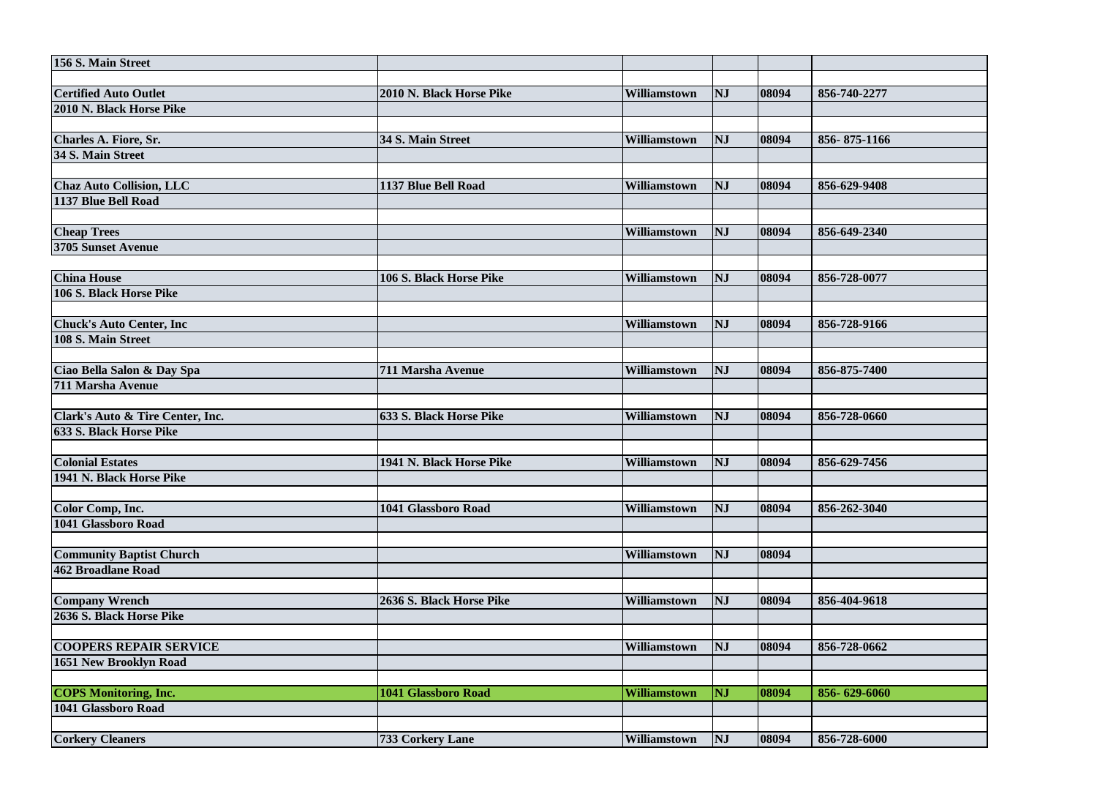| 156 S. Main Street                      |                                |                     |           |       |              |
|-----------------------------------------|--------------------------------|---------------------|-----------|-------|--------------|
|                                         |                                |                     |           |       |              |
| <b>Certified Auto Outlet</b>            | 2010 N. Black Horse Pike       | Williamstown        | <b>NJ</b> | 08094 | 856-740-2277 |
| 2010 N. Black Horse Pike                |                                |                     |           |       |              |
|                                         |                                |                     |           |       |              |
| Charles A. Fiore, Sr.                   | 34 S. Main Street              | <b>Williamstown</b> | <b>NJ</b> | 08094 | 856-875-1166 |
| 34 S. Main Street                       |                                |                     |           |       |              |
|                                         |                                |                     |           |       |              |
| <b>Chaz Auto Collision, LLC</b>         | 1137 Blue Bell Road            | <b>Williamstown</b> | <b>NJ</b> | 08094 | 856-629-9408 |
| 1137 Blue Bell Road                     |                                |                     |           |       |              |
| <b>Cheap Trees</b>                      |                                | Williamstown        | <b>NJ</b> | 08094 | 856-649-2340 |
| 3705 Sunset Avenue                      |                                |                     |           |       |              |
|                                         |                                |                     |           |       |              |
| <b>China House</b>                      | 106 S. Black Horse Pike        | Williamstown        | <b>NJ</b> | 08094 | 856-728-0077 |
| 106 S. Black Horse Pike                 |                                |                     |           |       |              |
|                                         |                                |                     |           |       |              |
| <b>Chuck's Auto Center, Inc.</b>        |                                | Williamstown        | <b>NJ</b> | 08094 | 856-728-9166 |
| 108 S. Main Street                      |                                |                     |           |       |              |
|                                         |                                |                     |           |       |              |
| Ciao Bella Salon & Day Spa              | 711 Marsha Avenue              | Williamstown        | <b>NJ</b> | 08094 | 856-875-7400 |
| 711 Marsha Avenue                       |                                |                     |           |       |              |
|                                         |                                |                     |           |       |              |
| Clark's Auto & Tire Center, Inc.        | <b>633 S. Black Horse Pike</b> | Williamstown        | <b>NJ</b> | 08094 | 856-728-0660 |
| <b>633 S. Black Horse Pike</b>          |                                |                     |           |       |              |
|                                         |                                |                     |           |       |              |
| <b>Colonial Estates</b>                 | 1941 N. Black Horse Pike       | Williamstown        | <b>NJ</b> | 08094 | 856-629-7456 |
| 1941 N. Black Horse Pike                |                                |                     |           |       |              |
|                                         |                                |                     |           |       |              |
| Color Comp, Inc.<br>1041 Glassboro Road | 1041 Glassboro Road            | <b>Williamstown</b> | NJ        | 08094 | 856-262-3040 |
|                                         |                                |                     |           |       |              |
| <b>Community Baptist Church</b>         |                                | Williamstown        | <b>NJ</b> | 08094 |              |
| 462 Broadlane Road                      |                                |                     |           |       |              |
|                                         |                                |                     |           |       |              |
| <b>Company Wrench</b>                   | 2636 S. Black Horse Pike       | <b>Williamstown</b> | NJ        | 08094 | 856-404-9618 |
| 2636 S. Black Horse Pike                |                                |                     |           |       |              |
|                                         |                                |                     |           |       |              |
| <b>COOPERS REPAIR SERVICE</b>           |                                | Williamstown        | NJ        | 08094 | 856-728-0662 |
| 1651 New Brooklyn Road                  |                                |                     |           |       |              |
|                                         |                                |                     |           |       |              |
| <b>COPS Monitoring, Inc.</b>            | <b>1041 Glassboro Road</b>     | <b>Williamstown</b> | NJ        | 08094 | 856-629-6060 |
| 1041 Glassboro Road                     |                                |                     |           |       |              |
|                                         |                                |                     |           |       |              |
| <b>Corkery Cleaners</b>                 | <b>733 Corkery Lane</b>        | Williamstown        | <b>NJ</b> | 08094 | 856-728-6000 |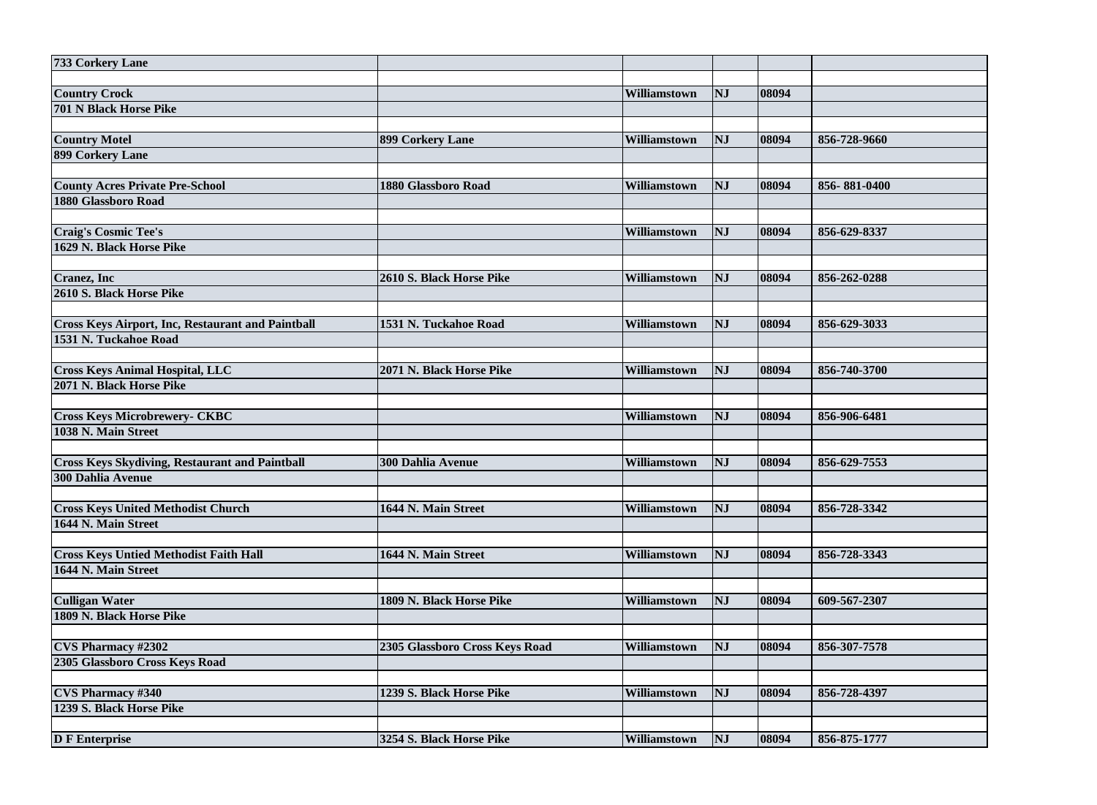| <b>733 Corkery Lane</b>                                              |                                |                     |           |       |              |
|----------------------------------------------------------------------|--------------------------------|---------------------|-----------|-------|--------------|
|                                                                      |                                | Williamstown        |           | 08094 |              |
| <b>Country Crock</b><br><b>701 N Black Horse Pike</b>                |                                |                     | <b>NJ</b> |       |              |
|                                                                      |                                |                     |           |       |              |
| <b>Country Motel</b>                                                 | 899 Corkery Lane               | Williamstown        | <b>NJ</b> | 08094 | 856-728-9660 |
| 899 Corkery Lane                                                     |                                |                     |           |       |              |
|                                                                      |                                |                     |           |       |              |
| <b>County Acres Private Pre-School</b>                               | 1880 Glassboro Road            | Williamstown        | <b>NJ</b> | 08094 | 856-881-0400 |
| 1880 Glassboro Road                                                  |                                |                     |           |       |              |
|                                                                      |                                |                     |           |       |              |
| <b>Craig's Cosmic Tee's</b>                                          |                                | Williamstown        | <b>NJ</b> | 08094 | 856-629-8337 |
| 1629 N. Black Horse Pike                                             |                                |                     |           |       |              |
|                                                                      |                                |                     |           |       |              |
| <b>Cranez</b> , Inc                                                  | 2610 S. Black Horse Pike       | Williamstown        | <b>NJ</b> | 08094 | 856-262-0288 |
| 2610 S. Black Horse Pike                                             |                                |                     |           |       |              |
|                                                                      |                                |                     |           |       |              |
| <b>Cross Keys Airport, Inc, Restaurant and Paintball</b>             | 1531 N. Tuckahoe Road          | <b>Williamstown</b> | <b>NJ</b> | 08094 | 856-629-3033 |
| 1531 N. Tuckahoe Road                                                |                                |                     |           |       |              |
|                                                                      |                                |                     |           |       |              |
| <b>Cross Keys Animal Hospital, LLC</b>                               | 2071 N. Black Horse Pike       | Williamstown        | <b>NJ</b> | 08094 | 856-740-3700 |
| 2071 N. Black Horse Pike                                             |                                |                     |           |       |              |
|                                                                      |                                |                     |           |       |              |
| <b>Cross Keys Microbrewery- CKBC</b>                                 |                                | Williamstown        | <b>NJ</b> | 08094 | 856-906-6481 |
| 1038 N. Main Street                                                  |                                |                     |           |       |              |
|                                                                      |                                |                     |           |       |              |
| <b>Cross Keys Skydiving, Restaurant and Paintball</b>                | <b>300 Dahlia Avenue</b>       | Williamstown        | <b>NJ</b> | 08094 | 856-629-7553 |
| 300 Dahlia Avenue                                                    |                                |                     |           |       |              |
|                                                                      |                                |                     |           |       |              |
| <b>Cross Keys United Methodist Church</b>                            | 1644 N. Main Street            | <b>Williamstown</b> | NJ        | 08094 | 856-728-3342 |
| 1644 N. Main Street                                                  |                                |                     |           |       |              |
|                                                                      | 1644 N. Main Street            | <b>Williamstown</b> | <b>NJ</b> | 08094 |              |
| <b>Cross Keys Untied Methodist Faith Hall</b><br>1644 N. Main Street |                                |                     |           |       | 856-728-3343 |
|                                                                      |                                |                     |           |       |              |
| <b>Culligan Water</b>                                                | 1809 N. Black Horse Pike       | Williamstown        | <b>NJ</b> | 08094 | 609-567-2307 |
| 1809 N. Black Horse Pike                                             |                                |                     |           |       |              |
|                                                                      |                                |                     |           |       |              |
| <b>CVS Pharmacy #2302</b>                                            | 2305 Glassboro Cross Keys Road | <b>Williamstown</b> | <b>NJ</b> | 08094 | 856-307-7578 |
| 2305 Glassboro Cross Keys Road                                       |                                |                     |           |       |              |
|                                                                      |                                |                     |           |       |              |
| <b>CVS Pharmacy #340</b>                                             | 1239 S. Black Horse Pike       | Williamstown        | <b>NJ</b> | 08094 | 856-728-4397 |
| 1239 S. Black Horse Pike                                             |                                |                     |           |       |              |
|                                                                      |                                |                     |           |       |              |
| <b>D</b> F Enterprise                                                | 3254 S. Black Horse Pike       | Williamstown        | NJ        | 08094 | 856-875-1777 |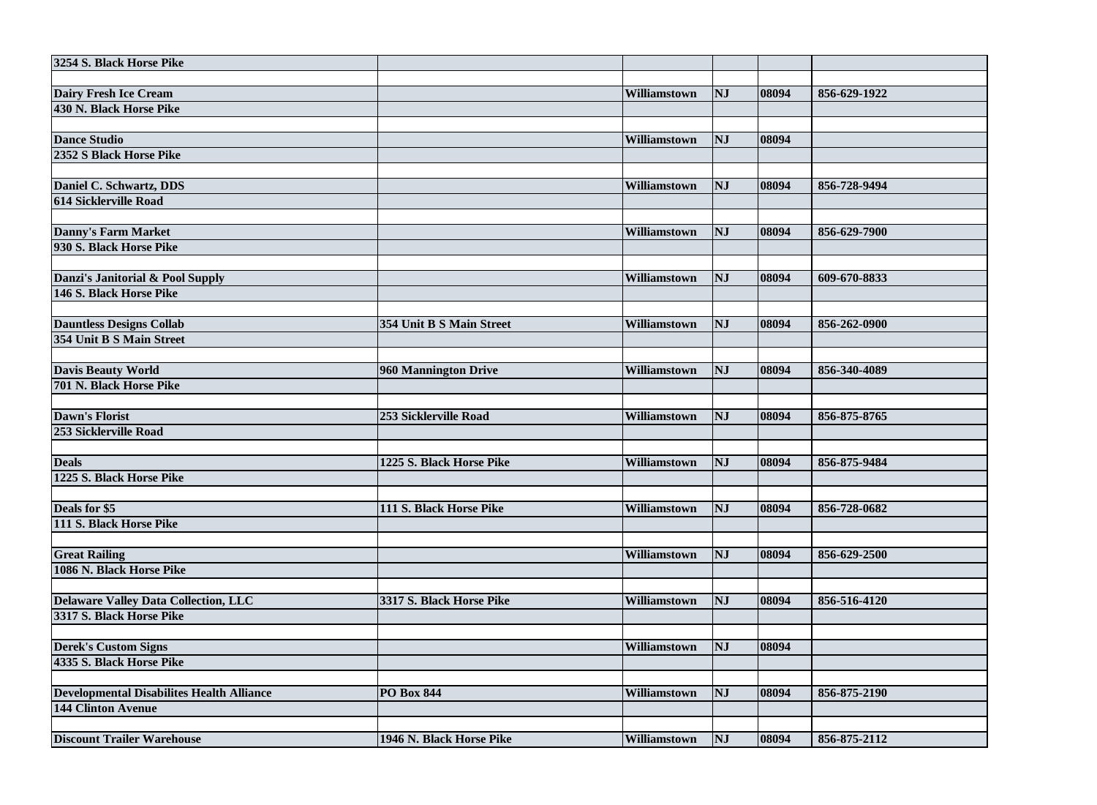| 3254 S. Black Horse Pike                             |                              |                     |                  |       |              |
|------------------------------------------------------|------------------------------|---------------------|------------------|-------|--------------|
| <b>Dairy Fresh Ice Cream</b>                         |                              | Williamstown        | <b>NJ</b>        | 08094 | 856-629-1922 |
| 430 N. Black Horse Pike                              |                              |                     |                  |       |              |
|                                                      |                              |                     |                  |       |              |
| <b>Dance Studio</b>                                  |                              | Williamstown        | <b>NJ</b>        | 08094 |              |
| 2352 S Black Horse Pike                              |                              |                     |                  |       |              |
|                                                      |                              |                     |                  |       |              |
| Daniel C. Schwartz, DDS                              |                              | Williamstown        | <b>NJ</b>        | 08094 | 856-728-9494 |
| <b>614 Sicklerville Road</b>                         |                              |                     |                  |       |              |
|                                                      |                              |                     |                  |       |              |
| <b>Danny's Farm Market</b>                           |                              | Williamstown        | <b>NJ</b>        | 08094 | 856-629-7900 |
| 930 S. Black Horse Pike                              |                              |                     |                  |       |              |
|                                                      |                              |                     |                  |       |              |
| Danzi's Janitorial & Pool Supply                     |                              | Williamstown        | <b>NJ</b>        | 08094 | 609-670-8833 |
| 146 S. Black Horse Pike                              |                              |                     |                  |       |              |
|                                                      |                              |                     |                  |       |              |
| <b>Dauntless Designs Collab</b>                      | 354 Unit B S Main Street     | Williamstown        | <b>NJ</b>        | 08094 | 856-262-0900 |
| 354 Unit B S Main Street                             |                              |                     |                  |       |              |
|                                                      |                              |                     |                  |       |              |
| <b>Davis Beauty World</b><br>701 N. Black Horse Pike | 960 Mannington Drive         | Williamstown        | <b>NJ</b>        | 08094 | 856-340-4089 |
|                                                      |                              |                     |                  |       |              |
| <b>Dawn's Florist</b>                                | <b>253 Sicklerville Road</b> | Williamstown        | <b>NJ</b>        | 08094 | 856-875-8765 |
| 253 Sicklerville Road                                |                              |                     |                  |       |              |
|                                                      |                              |                     |                  |       |              |
| <b>Deals</b>                                         | 1225 S. Black Horse Pike     | Williamstown        | NJ               | 08094 | 856-875-9484 |
| 1225 S. Black Horse Pike                             |                              |                     |                  |       |              |
|                                                      |                              |                     |                  |       |              |
| Deals for \$5                                        | 111 S. Black Horse Pike      | <b>Williamstown</b> | $\vert NJ \vert$ | 08094 | 856-728-0682 |
| 111 S. Black Horse Pike                              |                              |                     |                  |       |              |
|                                                      |                              |                     |                  |       |              |
| <b>Great Railing</b>                                 |                              | Williamstown        | NJ               | 08094 | 856-629-2500 |
| 1086 N. Black Horse Pike                             |                              |                     |                  |       |              |
|                                                      |                              |                     |                  |       |              |
| Delaware Valley Data Collection, LLC                 | 3317 S. Black Horse Pike     | Williamstown        | NJ               | 08094 | 856-516-4120 |
| 3317 S. Black Horse Pike                             |                              |                     |                  |       |              |
|                                                      |                              |                     |                  |       |              |
| <b>Derek's Custom Signs</b>                          |                              | Williamstown        | NJ               | 08094 |              |
| 4335 S. Black Horse Pike                             |                              |                     |                  |       |              |
|                                                      |                              |                     |                  |       |              |
| <b>Developmental Disabilites Health Alliance</b>     | <b>PO Box 844</b>            | Williamstown        | NJ               | 08094 | 856-875-2190 |
| <b>144 Clinton Avenue</b>                            |                              |                     |                  |       |              |
|                                                      |                              |                     |                  |       |              |
| <b>Discount Trailer Warehouse</b>                    | 1946 N. Black Horse Pike     | Williamstown        | NJ               | 08094 | 856-875-2112 |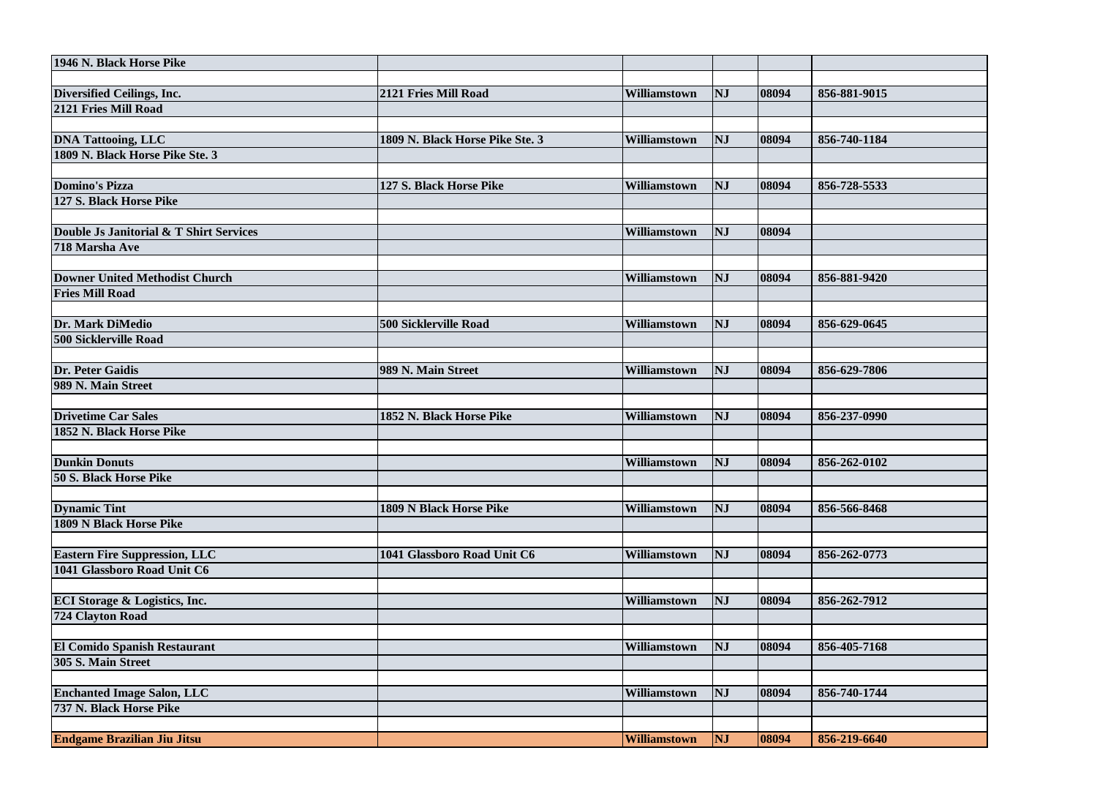| 1946 N. Black Horse Pike                                            |                                 |                     |                  |       |              |
|---------------------------------------------------------------------|---------------------------------|---------------------|------------------|-------|--------------|
|                                                                     | 2121 Fries Mill Road            | Williamstown        | <b>NJ</b>        | 08094 | 856-881-9015 |
| Diversified Ceilings, Inc.<br>2121 Fries Mill Road                  |                                 |                     |                  |       |              |
|                                                                     |                                 |                     |                  |       |              |
| <b>DNA Tattooing, LLC</b>                                           | 1809 N. Black Horse Pike Ste. 3 | <b>Williamstown</b> | <b>NJ</b>        | 08094 | 856-740-1184 |
| 1809 N. Black Horse Pike Ste. 3                                     |                                 |                     |                  |       |              |
|                                                                     |                                 |                     |                  |       |              |
| <b>Domino's Pizza</b>                                               | 127 S. Black Horse Pike         | <b>Williamstown</b> | <b>NJ</b>        | 08094 | 856-728-5533 |
| 127 S. Black Horse Pike                                             |                                 |                     |                  |       |              |
|                                                                     |                                 |                     |                  |       |              |
| Double Js Janitorial & T Shirt Services                             |                                 | Williamstown        | <b>NJ</b>        | 08094 |              |
| 718 Marsha Ave                                                      |                                 |                     |                  |       |              |
|                                                                     |                                 |                     |                  |       |              |
| Downer United Methodist Church                                      |                                 | Williamstown        | <b>NJ</b>        | 08094 | 856-881-9420 |
| <b>Fries Mill Road</b>                                              |                                 |                     |                  |       |              |
|                                                                     |                                 |                     |                  |       |              |
| <b>Dr. Mark DiMedio</b>                                             | <b>500 Sicklerville Road</b>    | Williamstown        | <b>NJ</b>        | 08094 | 856-629-0645 |
| <b>500 Sicklerville Road</b>                                        |                                 |                     |                  |       |              |
|                                                                     |                                 |                     |                  |       |              |
| <b>Dr. Peter Gaidis</b>                                             | 989 N. Main Street              | Williamstown        | <b>NJ</b>        | 08094 | 856-629-7806 |
| 989 N. Main Street                                                  |                                 |                     |                  |       |              |
|                                                                     |                                 |                     |                  |       |              |
| <b>Drivetime Car Sales</b>                                          | 1852 N. Black Horse Pike        | Williamstown        | <b>NJ</b>        | 08094 | 856-237-0990 |
| 1852 N. Black Horse Pike                                            |                                 |                     |                  |       |              |
|                                                                     |                                 |                     |                  |       |              |
| <b>Dunkin Donuts</b>                                                |                                 | Williamstown        | <b>NJ</b>        | 08094 | 856-262-0102 |
| 50 S. Black Horse Pike                                              |                                 |                     |                  |       |              |
|                                                                     |                                 |                     |                  |       |              |
| <b>Dynamic Tint</b>                                                 | <b>1809 N Black Horse Pike</b>  | <b>Williamstown</b> | $\vert NJ \vert$ | 08094 | 856-566-8468 |
| <b>1809 N Black Horse Pike</b>                                      |                                 |                     |                  |       |              |
|                                                                     |                                 |                     |                  |       |              |
| <b>Eastern Fire Suppression, LLC</b><br>1041 Glassboro Road Unit C6 | 1041 Glassboro Road Unit C6     | Williamstown        | <b>NJ</b>        | 08094 | 856-262-0773 |
|                                                                     |                                 |                     |                  |       |              |
| <b>ECI Storage &amp; Logistics, Inc.</b>                            |                                 | Williamstown        | NJ               | 08094 | 856-262-7912 |
| 724 Clayton Road                                                    |                                 |                     |                  |       |              |
|                                                                     |                                 |                     |                  |       |              |
| <b>El Comido Spanish Restaurant</b>                                 |                                 | Williamstown        | <b>NJ</b>        | 08094 | 856-405-7168 |
| 305 S. Main Street                                                  |                                 |                     |                  |       |              |
|                                                                     |                                 |                     |                  |       |              |
| <b>Enchanted Image Salon, LLC</b>                                   |                                 | Williamstown        | <b>NJ</b>        | 08094 | 856-740-1744 |
| 737 N. Black Horse Pike                                             |                                 |                     |                  |       |              |
|                                                                     |                                 |                     |                  |       |              |
| <b>Endgame Brazilian Jiu Jitsu</b>                                  |                                 | <b>Williamstown</b> | $\vert$ NJ       | 08094 | 856-219-6640 |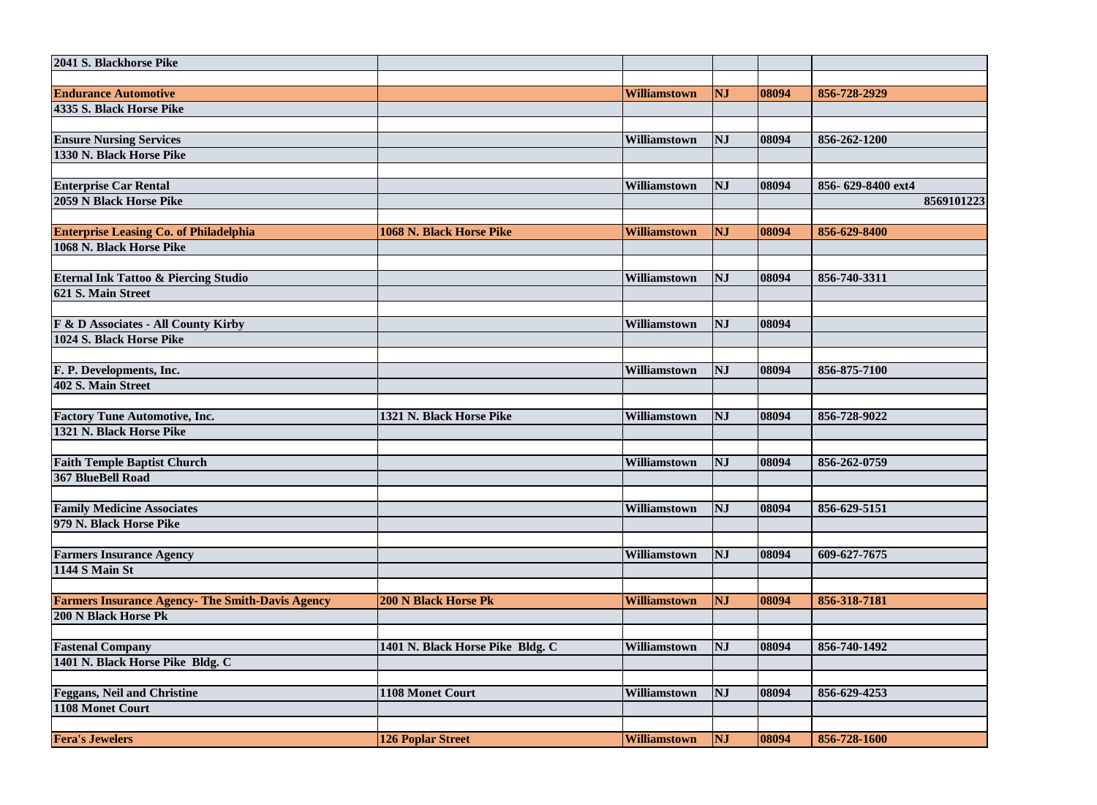| 2041 S. Blackhorse Pike                                      |                                  |                     |           |       |                                 |
|--------------------------------------------------------------|----------------------------------|---------------------|-----------|-------|---------------------------------|
|                                                              |                                  |                     |           |       |                                 |
| <b>Endurance Automotive</b>                                  |                                  | <b>Williamstown</b> | <b>NJ</b> | 08094 | 856-728-2929                    |
| 4335 S. Black Horse Pike                                     |                                  |                     |           |       |                                 |
|                                                              |                                  |                     |           |       |                                 |
| <b>Ensure Nursing Services</b>                               |                                  | Williamstown        | <b>NJ</b> | 08094 | 856-262-1200                    |
| 1330 N. Black Horse Pike                                     |                                  |                     |           |       |                                 |
|                                                              |                                  |                     | <b>NJ</b> |       |                                 |
| <b>Enterprise Car Rental</b><br>2059 N Black Horse Pike      |                                  | Williamstown        |           | 08094 | 856-629-8400 ext4<br>8569101223 |
|                                                              |                                  |                     |           |       |                                 |
| <b>Enterprise Leasing Co. of Philadelphia</b>                | <b>1068 N. Black Horse Pike</b>  | <b>Williamstown</b> | NJ        | 08094 | 856-629-8400                    |
| 1068 N. Black Horse Pike                                     |                                  |                     |           |       |                                 |
|                                                              |                                  |                     |           |       |                                 |
| <b>Eternal Ink Tattoo &amp; Piercing Studio</b>              |                                  | Williamstown        | <b>NJ</b> | 08094 | 856-740-3311                    |
| 621 S. Main Street                                           |                                  |                     |           |       |                                 |
|                                                              |                                  |                     |           |       |                                 |
| <b>F &amp; D Associates - All County Kirby</b>               |                                  | Williamstown        | <b>NJ</b> | 08094 |                                 |
| 1024 S. Black Horse Pike                                     |                                  |                     |           |       |                                 |
|                                                              |                                  |                     |           |       |                                 |
| F. P. Developments, Inc.                                     |                                  | Williamstown        | <b>NJ</b> | 08094 | 856-875-7100                    |
| 402 S. Main Street                                           |                                  |                     |           |       |                                 |
|                                                              |                                  |                     |           |       |                                 |
| <b>Factory Tune Automotive, Inc.</b>                         | 1321 N. Black Horse Pike         | Williamstown        | <b>NJ</b> | 08094 | 856-728-9022                    |
| 1321 N. Black Horse Pike                                     |                                  |                     |           |       |                                 |
|                                                              |                                  |                     |           |       |                                 |
| <b>Faith Temple Baptist Church</b>                           |                                  | Williamstown        | <b>NJ</b> | 08094 | 856-262-0759                    |
| 367 BlueBell Road                                            |                                  |                     |           |       |                                 |
|                                                              |                                  | Williamstown        | NJ        | 08094 | 856-629-5151                    |
| <b>Family Medicine Associates</b><br>979 N. Black Horse Pike |                                  |                     |           |       |                                 |
|                                                              |                                  |                     |           |       |                                 |
| <b>Farmers Insurance Agency</b>                              |                                  | Williamstown        | <b>NJ</b> | 08094 | 609-627-7675                    |
| <b>1144 S Main St</b>                                        |                                  |                     |           |       |                                 |
|                                                              |                                  |                     |           |       |                                 |
| <b>Farmers Insurance Agency- The Smith-Davis Agency</b>      | <b>200 N Black Horse Pk</b>      | <b>Williamstown</b> | NJ        | 08094 | 856-318-7181                    |
| <b>200 N Black Horse Pk</b>                                  |                                  |                     |           |       |                                 |
|                                                              |                                  |                     |           |       |                                 |
| <b>Fastenal Company</b>                                      | 1401 N. Black Horse Pike Bldg. C | Williamstown        | NJ        | 08094 | 856-740-1492                    |
| 1401 N. Black Horse Pike Bldg. C                             |                                  |                     |           |       |                                 |
|                                                              |                                  |                     |           |       |                                 |
| <b>Feggans, Neil and Christine</b>                           | 1108 Monet Court                 | Williamstown        | NJ        | 08094 | 856-629-4253                    |
| 1108 Monet Court                                             |                                  |                     |           |       |                                 |
|                                                              |                                  |                     |           |       |                                 |
| <b>Fera's Jewelers</b>                                       | <b>126 Poplar Street</b>         | <b>Williamstown</b> | <b>NJ</b> | 08094 | 856-728-1600                    |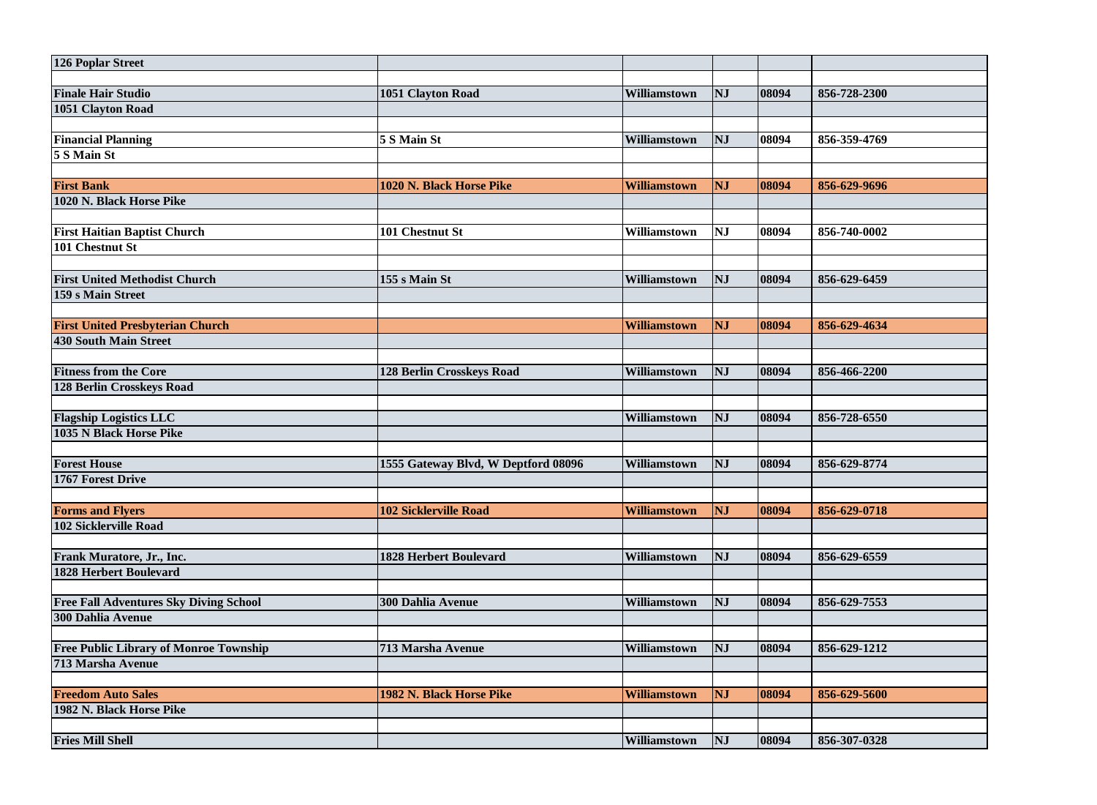| <b>126 Poplar Street</b>                                          |                                     |                     |                   |       |              |
|-------------------------------------------------------------------|-------------------------------------|---------------------|-------------------|-------|--------------|
|                                                                   |                                     |                     |                   |       |              |
| <b>Finale Hair Studio</b>                                         | 1051 Clayton Road                   | Williamstown        | <b>NJ</b>         | 08094 | 856-728-2300 |
| 1051 Clayton Road                                                 |                                     |                     |                   |       |              |
|                                                                   |                                     |                     |                   |       |              |
| <b>Financial Planning</b>                                         | 5 S Main St                         | Williamstown        | <b>NJ</b>         | 08094 | 856-359-4769 |
| 5 S Main St                                                       |                                     |                     |                   |       |              |
|                                                                   |                                     |                     |                   |       |              |
| <b>First Bank</b><br>1020 N. Black Horse Pike                     | 1020 N. Black Horse Pike            | <b>Williamstown</b> | NJ                | 08094 | 856-629-9696 |
|                                                                   |                                     |                     |                   |       |              |
| <b>First Haitian Baptist Church</b>                               | 101 Chestnut St                     | Williamstown        | <b>NJ</b>         | 08094 | 856-740-0002 |
| 101 Chestnut St                                                   |                                     |                     |                   |       |              |
|                                                                   |                                     |                     |                   |       |              |
| <b>First United Methodist Church</b>                              | 155 s Main St                       | Williamstown        | <b>NJ</b>         | 08094 | 856-629-6459 |
| 159 s Main Street                                                 |                                     |                     |                   |       |              |
|                                                                   |                                     |                     |                   |       |              |
| <b>First United Presbyterian Church</b>                           |                                     | <b>Williamstown</b> | NJ                | 08094 | 856-629-4634 |
| 430 South Main Street                                             |                                     |                     |                   |       |              |
|                                                                   |                                     |                     |                   |       |              |
| <b>Fitness from the Core</b>                                      | 128 Berlin Crosskeys Road           | Williamstown        | <b>NJ</b>         | 08094 | 856-466-2200 |
| 128 Berlin Crosskeys Road                                         |                                     |                     |                   |       |              |
|                                                                   |                                     |                     |                   |       |              |
| <b>Flagship Logistics LLC</b>                                     |                                     | Williamstown        | <b>NJ</b>         | 08094 | 856-728-6550 |
| 1035 N Black Horse Pike                                           |                                     |                     |                   |       |              |
|                                                                   |                                     |                     |                   |       |              |
| <b>Forest House</b>                                               | 1555 Gateway Blvd, W Deptford 08096 | Williamstown        | <b>NJ</b>         | 08094 | 856-629-8774 |
| 1767 Forest Drive                                                 |                                     |                     |                   |       |              |
|                                                                   |                                     |                     |                   |       |              |
| <b>Forms and Flyers</b>                                           | <b>102 Sicklerville Road</b>        | Williamstown        | $\vert N_J \vert$ | 08094 | 856-629-0718 |
| 102 Sicklerville Road                                             |                                     |                     |                   |       |              |
|                                                                   |                                     |                     |                   |       |              |
| <b>Frank Muratore, Jr., Inc.</b><br><b>1828 Herbert Boulevard</b> | <b>1828 Herbert Boulevard</b>       | <b>Williamstown</b> | <b>NJ</b>         | 08094 | 856-629-6559 |
|                                                                   |                                     |                     |                   |       |              |
| <b>Free Fall Adventures Sky Diving School</b>                     | <b>300 Dahlia Avenue</b>            | Williamstown        | <b>NJ</b>         | 08094 | 856-629-7553 |
| <b>300 Dahlia Avenue</b>                                          |                                     |                     |                   |       |              |
|                                                                   |                                     |                     |                   |       |              |
| <b>Free Public Library of Monroe Township</b>                     | <b>713 Marsha Avenue</b>            | <b>Williamstown</b> | NJ                | 08094 | 856-629-1212 |
| 713 Marsha Avenue                                                 |                                     |                     |                   |       |              |
|                                                                   |                                     |                     |                   |       |              |
| <b>Freedom Auto Sales</b>                                         | 1982 N. Black Horse Pike            | <b>Williamstown</b> | <b>NJ</b>         | 08094 | 856-629-5600 |
| 1982 N. Black Horse Pike                                          |                                     |                     |                   |       |              |
|                                                                   |                                     |                     |                   |       |              |
| <b>Fries Mill Shell</b>                                           |                                     | Williamstown        | $\vert N J \vert$ | 08094 | 856-307-0328 |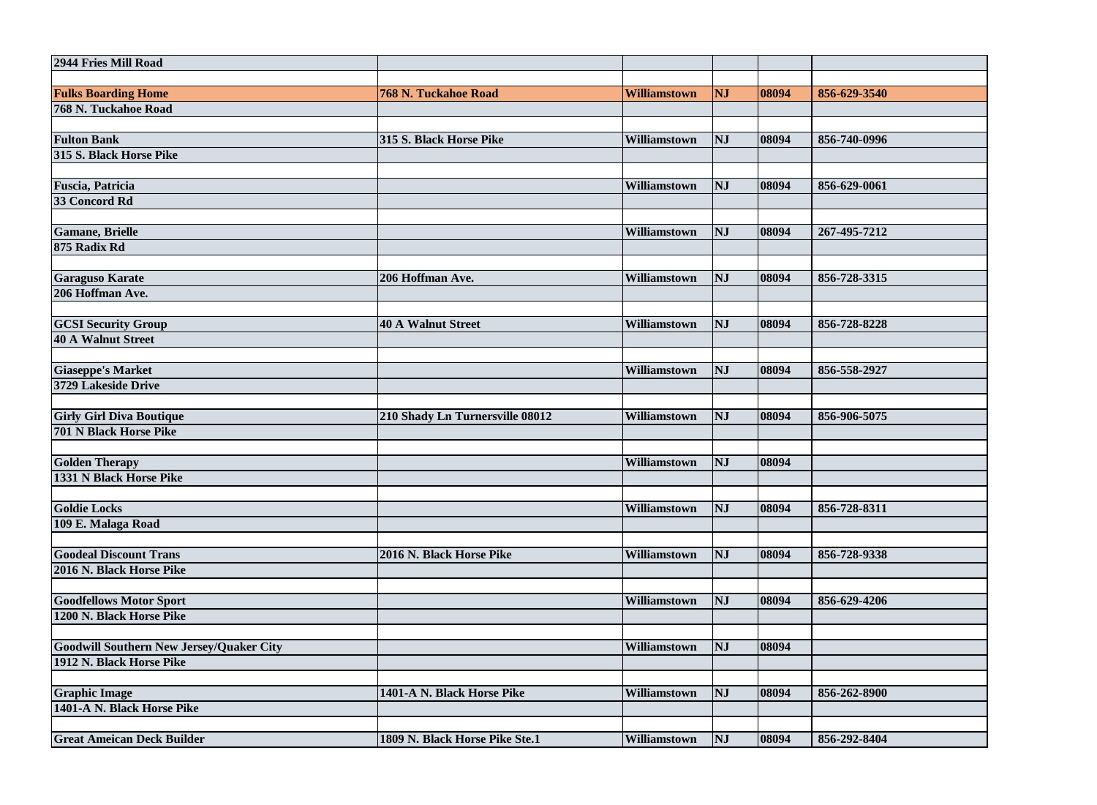| <b>2944 Fries Mill Road</b>                               |                                 |                     |                     |       |              |
|-----------------------------------------------------------|---------------------------------|---------------------|---------------------|-------|--------------|
|                                                           |                                 |                     |                     |       |              |
| <b>Fulks Boarding Home</b>                                | <b>768 N. Tuckahoe Road</b>     | <b>Williamstown</b> | <b>NJ</b>           | 08094 | 856-629-3540 |
| 768 N. Tuckahoe Road                                      |                                 |                     |                     |       |              |
|                                                           |                                 |                     |                     |       |              |
| <b>Fulton Bank</b>                                        | 315 S. Black Horse Pike         | <b>Williamstown</b> | <b>NJ</b>           | 08094 | 856-740-0996 |
| 315 S. Black Horse Pike                                   |                                 |                     |                     |       |              |
|                                                           |                                 | <b>Williamstown</b> | <b>NJ</b>           | 08094 | 856-629-0061 |
| <b>Fuscia</b> , Patricia<br>33 Concord Rd                 |                                 |                     |                     |       |              |
|                                                           |                                 |                     |                     |       |              |
| <b>Gamane</b> , Brielle                                   |                                 | Williamstown        | <b>NJ</b>           | 08094 | 267-495-7212 |
| 875 Radix Rd                                              |                                 |                     |                     |       |              |
|                                                           |                                 |                     |                     |       |              |
| <b>Garaguso Karate</b>                                    | 206 Hoffman Ave.                | Williamstown        | <b>NJ</b>           | 08094 | 856-728-3315 |
| 206 Hoffman Ave.                                          |                                 |                     |                     |       |              |
|                                                           |                                 |                     |                     |       |              |
| <b>GCSI Security Group</b>                                | 40 A Walnut Street              | Williamstown        | <b>NJ</b>           | 08094 | 856-728-8228 |
| 40 A Walnut Street                                        |                                 |                     |                     |       |              |
|                                                           |                                 |                     |                     |       |              |
| <b>Giaseppe's Market</b>                                  |                                 | <b>Williamstown</b> | <b>NJ</b>           | 08094 | 856-558-2927 |
| 3729 Lakeside Drive                                       |                                 |                     |                     |       |              |
|                                                           |                                 |                     |                     |       |              |
| <b>Girly Girl Diva Boutique</b>                           | 210 Shady Ln Turnersville 08012 | Williamstown        | <b>NJ</b>           | 08094 | 856-906-5075 |
| <b>701 N Black Horse Pike</b>                             |                                 |                     |                     |       |              |
|                                                           |                                 |                     |                     |       |              |
| <b>Golden Therapy</b>                                     |                                 | Williamstown        | <b>NJ</b>           | 08094 |              |
| 1331 N Black Horse Pike                                   |                                 |                     |                     |       |              |
|                                                           |                                 |                     |                     |       |              |
| <b>Goldie Locks</b>                                       |                                 | Williamstown        | NJ                  | 08094 | 856-728-8311 |
| 109 E. Malaga Road                                        |                                 |                     |                     |       |              |
|                                                           |                                 |                     |                     |       |              |
| <b>Goodeal Discount Trans</b><br>2016 N. Black Horse Pike | 2016 N. Black Horse Pike        | <b>Williamstown</b> | <b>NJ</b>           | 08094 | 856-728-9338 |
|                                                           |                                 |                     |                     |       |              |
| <b>Goodfellows Motor Sport</b>                            |                                 | Williamstown        | NJ                  | 08094 | 856-629-4206 |
| 1200 N. Black Horse Pike                                  |                                 |                     |                     |       |              |
|                                                           |                                 |                     |                     |       |              |
| <b>Goodwill Southern New Jersey/Quaker City</b>           |                                 | Williamstown        | <b>NJ</b>           | 08094 |              |
| 1912 N. Black Horse Pike                                  |                                 |                     |                     |       |              |
|                                                           |                                 |                     |                     |       |              |
| <b>Graphic Image</b>                                      | 1401-A N. Black Horse Pike      | Williamstown        | <b>NJ</b>           | 08094 | 856-262-8900 |
| 1401-A N. Black Horse Pike                                |                                 |                     |                     |       |              |
|                                                           |                                 |                     |                     |       |              |
| <b>Great Ameican Deck Builder</b>                         | 1809 N. Black Horse Pike Ste.1  | Williamstown        | $\overline{\bf NJ}$ | 08094 | 856-292-8404 |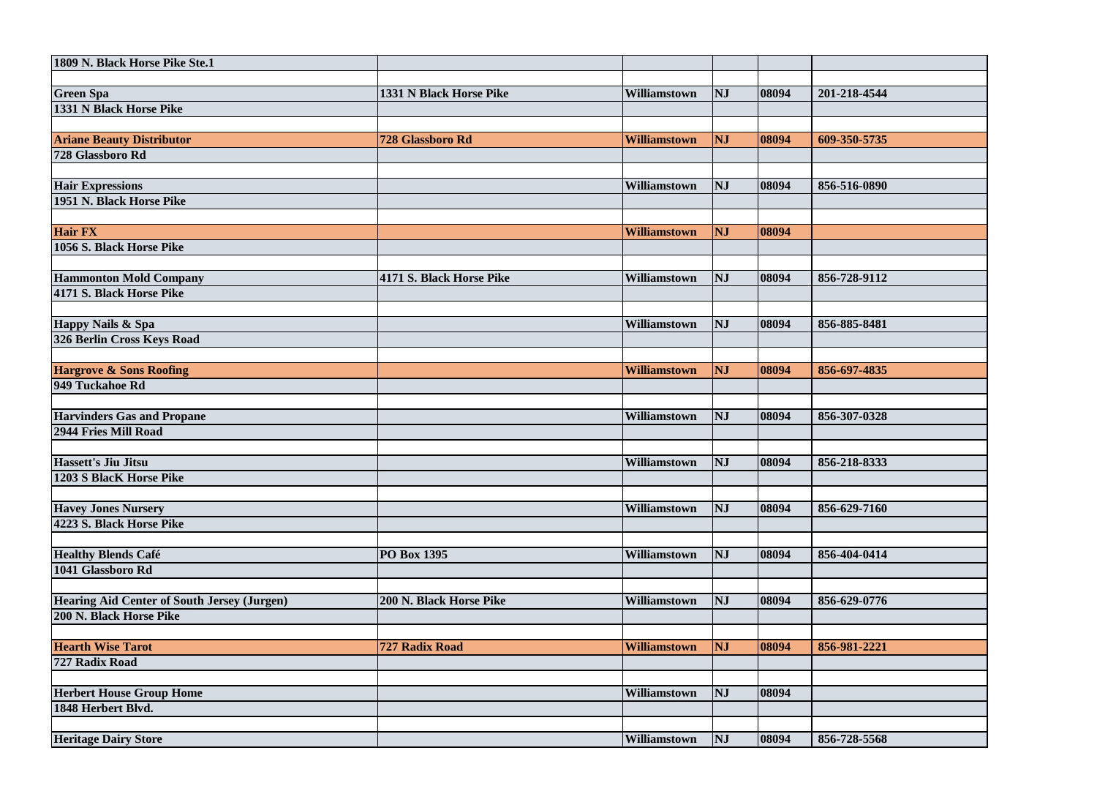| 1809 N. Black Horse Pike Ste.1                     |                          |                     |                   |       |              |
|----------------------------------------------------|--------------------------|---------------------|-------------------|-------|--------------|
|                                                    |                          |                     |                   |       |              |
| <b>Green Spa</b>                                   | 1331 N Black Horse Pike  | Williamstown        | <b>NJ</b>         | 08094 | 201-218-4544 |
| 1331 N Black Horse Pike                            |                          |                     |                   |       |              |
|                                                    |                          |                     |                   |       |              |
| <b>Ariane Beauty Distributor</b>                   | <b>728 Glassboro Rd</b>  | Williamstown        | <b>NJ</b>         | 08094 | 609-350-5735 |
| 728 Glassboro Rd                                   |                          |                     |                   |       |              |
|                                                    |                          |                     |                   |       |              |
| <b>Hair Expressions</b>                            |                          | Williamstown        | <b>NJ</b>         | 08094 | 856-516-0890 |
| 1951 N. Black Horse Pike                           |                          |                     |                   |       |              |
|                                                    |                          |                     |                   |       |              |
| <b>Hair FX</b>                                     |                          | <b>Williamstown</b> | <b>NJ</b>         | 08094 |              |
| 1056 S. Black Horse Pike                           |                          |                     |                   |       |              |
|                                                    |                          |                     |                   |       |              |
| <b>Hammonton Mold Company</b>                      | 4171 S. Black Horse Pike | Williamstown        | <b>NJ</b>         | 08094 | 856-728-9112 |
| 4171 S. Black Horse Pike                           |                          |                     |                   |       |              |
|                                                    |                          |                     |                   |       |              |
| Happy Nails & Spa                                  |                          | Williamstown        | <b>NJ</b>         | 08094 | 856-885-8481 |
| 326 Berlin Cross Keys Road                         |                          |                     |                   |       |              |
|                                                    |                          |                     |                   |       |              |
| <b>Hargrove &amp; Sons Roofing</b>                 |                          | <b>Williamstown</b> | <b>NJ</b>         | 08094 | 856-697-4835 |
| 949 Tuckahoe Rd                                    |                          |                     |                   |       |              |
|                                                    |                          |                     |                   |       |              |
| <b>Harvinders Gas and Propane</b>                  |                          | Williamstown        | <b>NJ</b>         | 08094 | 856-307-0328 |
| 2944 Fries Mill Road                               |                          |                     |                   |       |              |
|                                                    |                          |                     |                   |       |              |
| <b>Hassett's Jiu Jitsu</b>                         |                          | Williamstown        | NJ                | 08094 | 856-218-8333 |
| <b>1203 S BlacK Horse Pike</b>                     |                          |                     |                   |       |              |
|                                                    |                          |                     |                   |       |              |
| <b>Havey Jones Nursery</b>                         |                          | <b>Williamstown</b> | $\vert NJ \vert$  | 08094 | 856-629-7160 |
| 4223 S. Black Horse Pike                           |                          |                     |                   |       |              |
|                                                    |                          |                     |                   |       |              |
| <b>Healthy Blends Café</b>                         | PO Box 1395              | Williamstown        | NJ                | 08094 | 856-404-0414 |
| 1041 Glassboro Rd                                  |                          |                     |                   |       |              |
|                                                    |                          |                     |                   |       |              |
| <b>Hearing Aid Center of South Jersey (Jurgen)</b> | 200 N. Black Horse Pike  | Williamstown        | NJ                | 08094 | 856-629-0776 |
| 200 N. Black Horse Pike                            |                          |                     |                   |       |              |
|                                                    |                          |                     |                   |       |              |
| <b>Hearth Wise Tarot</b>                           | <b>727 Radix Road</b>    | Williamstown        | NJ                | 08094 | 856-981-2221 |
| 727 Radix Road                                     |                          |                     |                   |       |              |
|                                                    |                          |                     |                   |       |              |
| <b>Herbert House Group Home</b>                    |                          | Williamstown        | NJ                | 08094 |              |
| 1848 Herbert Blvd.                                 |                          |                     |                   |       |              |
|                                                    |                          |                     |                   |       |              |
| Heritage Dairy Store                               |                          | Williamstown        | $\vert N_J \vert$ | 08094 | 856-728-5568 |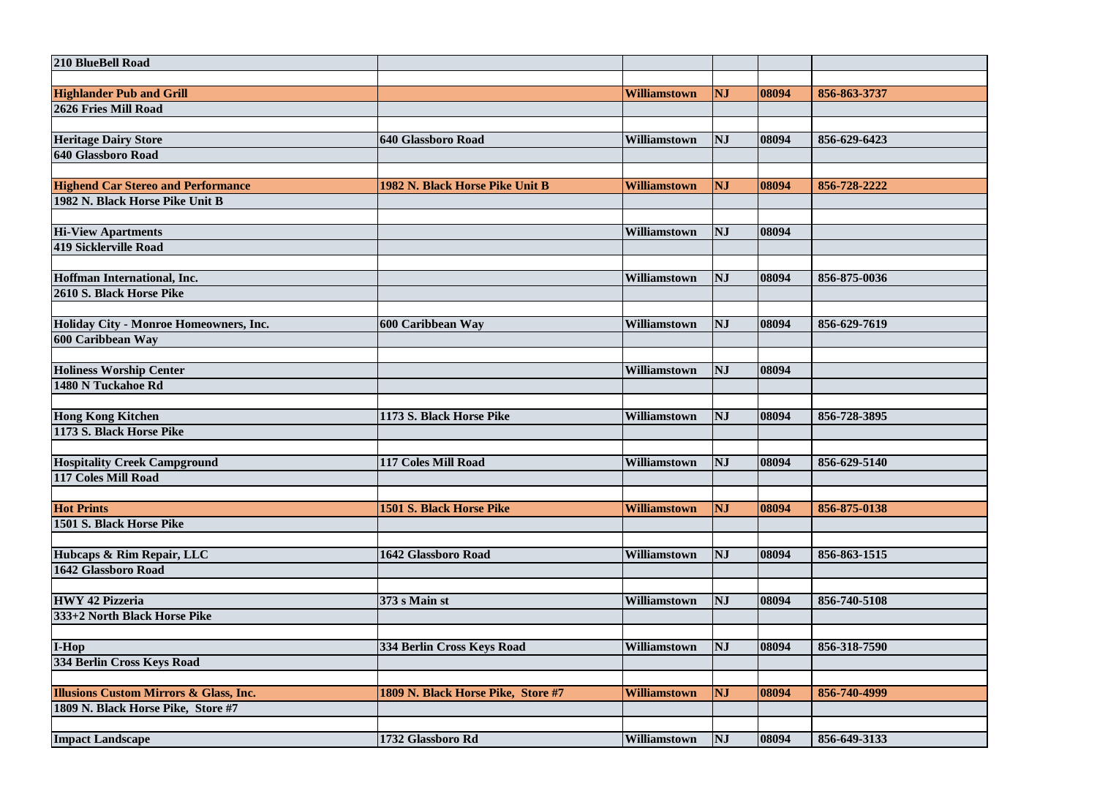| <b>210 BlueBell Road</b>                          |                                    |                     |                  |       |              |
|---------------------------------------------------|------------------------------------|---------------------|------------------|-------|--------------|
|                                                   |                                    |                     |                  |       |              |
| <b>Highlander Pub and Grill</b>                   |                                    | <b>Williamstown</b> | <b>NJ</b>        | 08094 | 856-863-3737 |
| <b>2626 Fries Mill Road</b>                       |                                    |                     |                  |       |              |
|                                                   |                                    |                     |                  |       |              |
| <b>Heritage Dairy Store</b>                       | <b>640 Glassboro Road</b>          | <b>Williamstown</b> | <b>NJ</b>        | 08094 | 856-629-6423 |
| <b>640 Glassboro Road</b>                         |                                    |                     |                  |       |              |
|                                                   |                                    |                     |                  |       |              |
| <b>Highend Car Stereo and Performance</b>         | 1982 N. Black Horse Pike Unit B    | <b>Williamstown</b> | <b>NJ</b>        | 08094 | 856-728-2222 |
| 1982 N. Black Horse Pike Unit B                   |                                    |                     |                  |       |              |
|                                                   |                                    |                     |                  |       |              |
| <b>Hi-View Apartments</b>                         |                                    | Williamstown        | <b>NJ</b>        | 08094 |              |
| 419 Sicklerville Road                             |                                    |                     |                  |       |              |
|                                                   |                                    |                     |                  |       |              |
| Hoffman International, Inc.                       |                                    | Williamstown        | <b>NJ</b>        | 08094 | 856-875-0036 |
| 2610 S. Black Horse Pike                          |                                    |                     |                  |       |              |
|                                                   |                                    |                     |                  |       |              |
| Holiday City - Monroe Homeowners, Inc.            | 600 Caribbean Way                  | Williamstown        | <b>NJ</b>        | 08094 | 856-629-7619 |
| 600 Caribbean Way                                 |                                    |                     |                  |       |              |
|                                                   |                                    |                     |                  |       |              |
| <b>Holiness Worship Center</b>                    |                                    | Williamstown        | <b>NJ</b>        | 08094 |              |
| 1480 N Tuckahoe Rd                                |                                    |                     |                  |       |              |
|                                                   |                                    |                     |                  |       |              |
| <b>Hong Kong Kitchen</b>                          | 1173 S. Black Horse Pike           | Williamstown        | <b>NJ</b>        | 08094 | 856-728-3895 |
| 1173 S. Black Horse Pike                          |                                    |                     |                  |       |              |
|                                                   |                                    |                     |                  |       |              |
| <b>Hospitality Creek Campground</b>               | 117 Coles Mill Road                | Williamstown        | <b>NJ</b>        | 08094 | 856-629-5140 |
| 117 Coles Mill Road                               |                                    |                     |                  |       |              |
|                                                   |                                    |                     |                  |       |              |
| <b>Hot Prints</b>                                 | 1501 S. Black Horse Pike           | <b>Williamstown</b> | $\vert NJ \vert$ | 08094 | 856-875-0138 |
| 1501 S. Black Horse Pike                          |                                    |                     |                  |       |              |
|                                                   |                                    |                     |                  |       |              |
| Hubcaps & Rim Repair, LLC                         | 1642 Glassboro Road                | Williamstown        | <b>NJ</b>        | 08094 | 856-863-1515 |
| 1642 Glassboro Road                               |                                    |                     |                  |       |              |
|                                                   |                                    |                     |                  |       |              |
| <b>HWY 42 Pizzeria</b>                            | 373 s Main st                      | <b>Williamstown</b> | <b>NJ</b>        | 08094 | 856-740-5108 |
| 333+2 North Black Horse Pike                      |                                    |                     |                  |       |              |
|                                                   |                                    |                     |                  |       |              |
| I-Hop                                             | 334 Berlin Cross Keys Road         | <b>Williamstown</b> | <b>NJ</b>        | 08094 | 856-318-7590 |
| 334 Berlin Cross Keys Road                        |                                    |                     |                  |       |              |
|                                                   |                                    |                     |                  |       |              |
| <b>Illusions Custom Mirrors &amp; Glass, Inc.</b> | 1809 N. Black Horse Pike, Store #7 | <b>Williamstown</b> | <b>NJ</b>        | 08094 | 856-740-4999 |
| 1809 N. Black Horse Pike, Store #7                |                                    |                     |                  |       |              |
|                                                   |                                    |                     |                  |       |              |
| <b>Impact Landscape</b>                           | 1732 Glassboro Rd                  | Williamstown        | <b>NJ</b>        | 08094 | 856-649-3133 |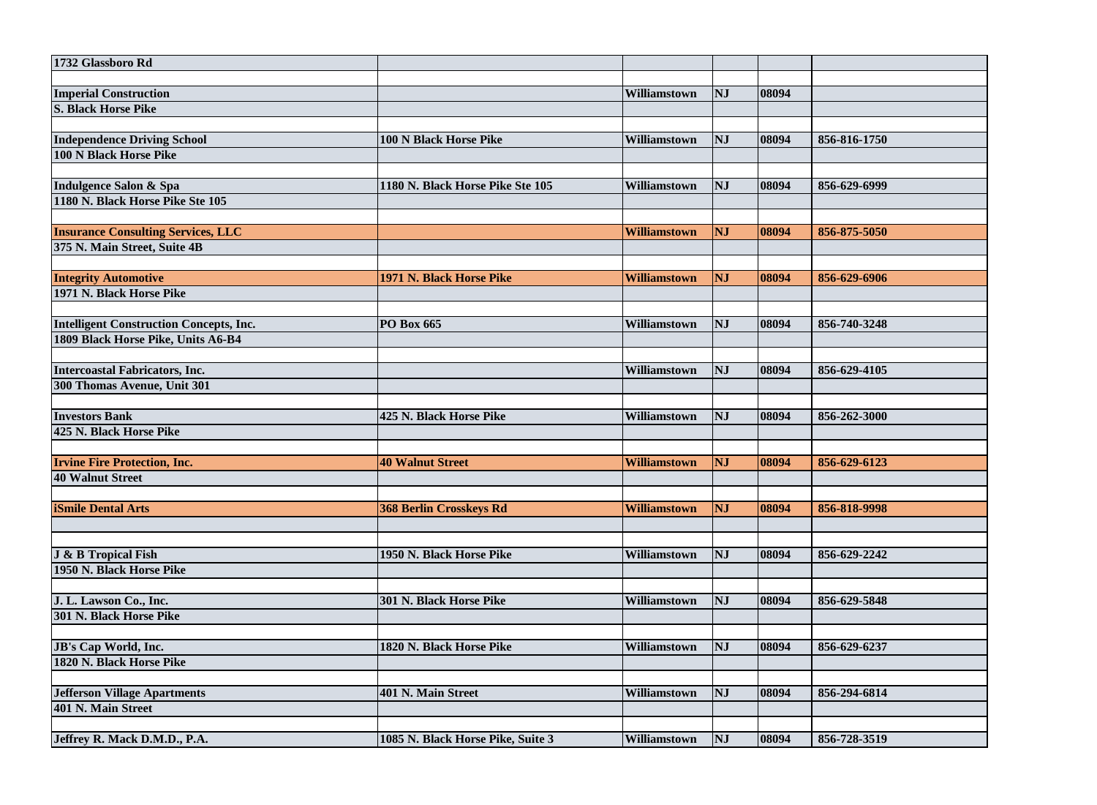| 1732 Glassboro Rd                              |                                   |                     |                  |       |              |
|------------------------------------------------|-----------------------------------|---------------------|------------------|-------|--------------|
|                                                |                                   |                     |                  |       |              |
| <b>Imperial Construction</b>                   |                                   | Williamstown        | <b>NJ</b>        | 08094 |              |
| <b>S. Black Horse Pike</b>                     |                                   |                     |                  |       |              |
|                                                |                                   |                     |                  |       |              |
| <b>Independence Driving School</b>             | <b>100 N Black Horse Pike</b>     | Williamstown        | <b>NJ</b>        | 08094 | 856-816-1750 |
| <b>100 N Black Horse Pike</b>                  |                                   |                     |                  |       |              |
|                                                |                                   |                     |                  |       |              |
| Indulgence Salon & Spa                         | 1180 N. Black Horse Pike Ste 105  | Williamstown        | <b>NJ</b>        | 08094 | 856-629-6999 |
| 1180 N. Black Horse Pike Ste 105               |                                   |                     |                  |       |              |
|                                                |                                   |                     |                  |       |              |
| <b>Insurance Consulting Services, LLC</b>      |                                   | <b>Williamstown</b> | <b>NJ</b>        | 08094 | 856-875-5050 |
| 375 N. Main Street, Suite 4B                   |                                   |                     |                  |       |              |
|                                                |                                   |                     |                  |       |              |
| <b>Integrity Automotive</b>                    | 1971 N. Black Horse Pike          | <b>Williamstown</b> | NJ               | 08094 | 856-629-6906 |
| 1971 N. Black Horse Pike                       |                                   |                     |                  |       |              |
| <b>Intelligent Construction Concepts, Inc.</b> | PO Box 665                        | Williamstown        | <b>NJ</b>        | 08094 | 856-740-3248 |
| 1809 Black Horse Pike, Units A6-B4             |                                   |                     |                  |       |              |
|                                                |                                   |                     |                  |       |              |
| Intercoastal Fabricators, Inc.                 |                                   | Williamstown        | <b>NJ</b>        | 08094 | 856-629-4105 |
| 300 Thomas Avenue, Unit 301                    |                                   |                     |                  |       |              |
|                                                |                                   |                     |                  |       |              |
| <b>Investors Bank</b>                          | 425 N. Black Horse Pike           | Williamstown        | <b>NJ</b>        | 08094 | 856-262-3000 |
| 425 N. Black Horse Pike                        |                                   |                     |                  |       |              |
|                                                |                                   |                     |                  |       |              |
| <b>Irvine Fire Protection, Inc.</b>            | <b>40 Walnut Street</b>           | <b>Williamstown</b> | NJ               | 08094 | 856-629-6123 |
| 40 Walnut Street                               |                                   |                     |                  |       |              |
|                                                |                                   |                     |                  |       |              |
| <b>iSmile Dental Arts</b>                      | <b>368 Berlin Crosskeys Rd</b>    | <b>Williamstown</b> | $\vert NJ \vert$ | 08094 | 856-818-9998 |
|                                                |                                   |                     |                  |       |              |
|                                                |                                   |                     |                  |       |              |
| J & B Tropical Fish                            | 1950 N. Black Horse Pike          | Williamstown        | <b>NJ</b>        | 08094 | 856-629-2242 |
| 1950 N. Black Horse Pike                       |                                   |                     |                  |       |              |
|                                                |                                   |                     |                  |       |              |
| J. L. Lawson Co., Inc.                         | 301 N. Black Horse Pike           | Williamstown        | <b>NJ</b>        | 08094 | 856-629-5848 |
| 301 N. Black Horse Pike                        |                                   |                     |                  |       |              |
|                                                |                                   |                     |                  |       |              |
| JB's Cap World, Inc.                           | 1820 N. Black Horse Pike          | <b>Williamstown</b> | <b>NJ</b>        | 08094 | 856-629-6237 |
| 1820 N. Black Horse Pike                       |                                   |                     |                  |       |              |
|                                                |                                   |                     |                  |       |              |
| <b>Jefferson Village Apartments</b>            | 401 N. Main Street                | <b>Williamstown</b> | <b>NJ</b>        | 08094 | 856-294-6814 |
| 401 N. Main Street                             |                                   |                     |                  |       |              |
|                                                |                                   |                     |                  |       |              |
| Jeffrey R. Mack D.M.D., P.A.                   | 1085 N. Black Horse Pike, Suite 3 | Williamstown        | <b>NJ</b>        | 08094 | 856-728-3519 |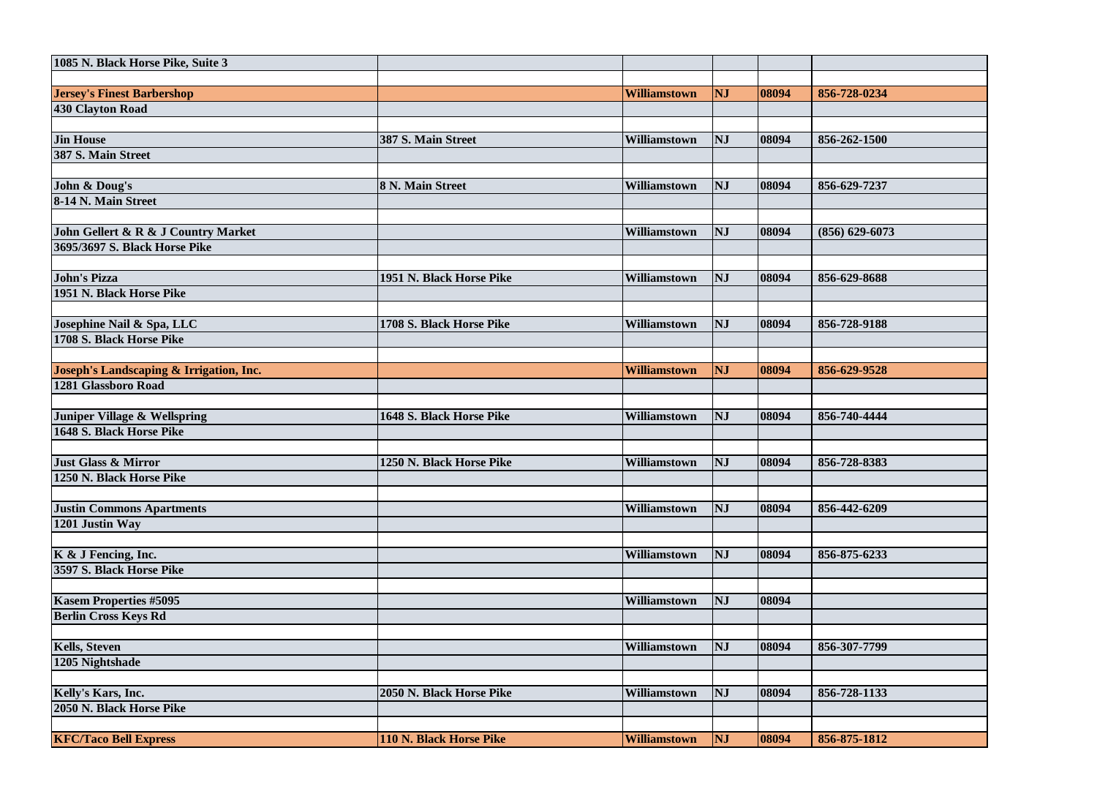| 1085 N. Black Horse Pike, Suite 3       |                          |                     |                  |       |                    |
|-----------------------------------------|--------------------------|---------------------|------------------|-------|--------------------|
|                                         |                          |                     |                  |       |                    |
| <b>Jersey's Finest Barbershop</b>       |                          | <b>Williamstown</b> | <b>NJ</b>        | 08094 | 856-728-0234       |
| 430 Clayton Road                        |                          |                     |                  |       |                    |
|                                         |                          |                     |                  |       |                    |
| <b>Jin House</b>                        | 387 S. Main Street       | Williamstown        | <b>NJ</b>        | 08094 | 856-262-1500       |
| 387 S. Main Street                      |                          |                     |                  |       |                    |
|                                         |                          |                     |                  |       |                    |
| John & Doug's                           | 8 N. Main Street         | Williamstown        | <b>NJ</b>        | 08094 | 856-629-7237       |
| 8-14 N. Main Street                     |                          |                     |                  |       |                    |
|                                         |                          |                     |                  |       |                    |
| John Gellert & R & J Country Market     |                          | Williamstown        | <b>NJ</b>        | 08094 | $(856) 629 - 6073$ |
| 3695/3697 S. Black Horse Pike           |                          |                     |                  |       |                    |
|                                         |                          |                     |                  |       |                    |
| John's Pizza                            | 1951 N. Black Horse Pike | Williamstown        | <b>NJ</b>        | 08094 | 856-629-8688       |
| 1951 N. Black Horse Pike                |                          |                     |                  |       |                    |
|                                         |                          |                     |                  |       |                    |
| Josephine Nail & Spa, LLC               | 1708 S. Black Horse Pike | <b>Williamstown</b> | <b>NJ</b>        | 08094 | 856-728-9188       |
| 1708 S. Black Horse Pike                |                          |                     |                  |       |                    |
|                                         |                          |                     |                  |       |                    |
| Joseph's Landscaping & Irrigation, Inc. |                          | <b>Williamstown</b> | <b>NJ</b>        | 08094 | 856-629-9528       |
| 1281 Glassboro Road                     |                          |                     |                  |       |                    |
|                                         |                          |                     |                  |       |                    |
| Juniper Village & Wellspring            | 1648 S. Black Horse Pike | Williamstown        | <b>NJ</b>        | 08094 | 856-740-4444       |
| 1648 S. Black Horse Pike                |                          |                     |                  |       |                    |
|                                         |                          |                     |                  |       |                    |
| <b>Just Glass &amp; Mirror</b>          | 1250 N. Black Horse Pike | Williamstown        | NJ               | 08094 | 856-728-8383       |
| 1250 N. Black Horse Pike                |                          |                     |                  |       |                    |
|                                         |                          |                     |                  |       |                    |
| <b>Justin Commons Apartments</b>        |                          | Williamstown        | $\vert NJ \vert$ | 08094 | 856-442-6209       |
| 1201 Justin Way                         |                          |                     |                  |       |                    |
|                                         |                          |                     |                  |       |                    |
| K & J Fencing, Inc.                     |                          | Williamstown        | NJ               | 08094 | 856-875-6233       |
| 3597 S. Black Horse Pike                |                          |                     |                  |       |                    |
|                                         |                          |                     |                  |       |                    |
| <b>Kasem Properties #5095</b>           |                          | Williamstown        | NJ               | 08094 |                    |
| <b>Berlin Cross Keys Rd</b>             |                          |                     |                  |       |                    |
|                                         |                          |                     |                  |       |                    |
| <b>Kells, Steven</b>                    |                          | Williamstown        | NJ               | 08094 | 856-307-7799       |
| 1205 Nightshade                         |                          |                     |                  |       |                    |
|                                         |                          |                     |                  |       |                    |
| Kelly's Kars, Inc.                      | 2050 N. Black Horse Pike | Williamstown        | NJ               | 08094 | 856-728-1133       |
| 2050 N. Black Horse Pike                |                          |                     |                  |       |                    |
|                                         |                          |                     |                  |       |                    |
| <b>KFC/Taco Bell Express</b>            | 110 N. Black Horse Pike  | <b>Williamstown</b> | NJ               | 08094 | 856-875-1812       |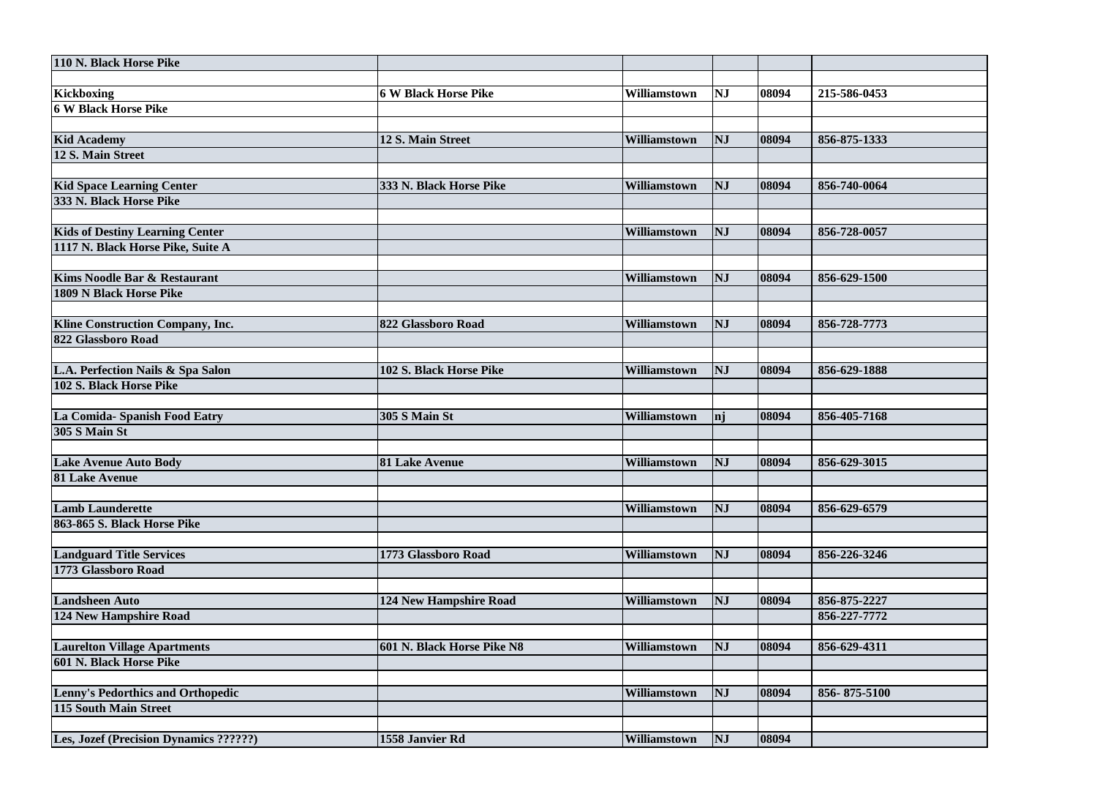| 110 N. Black Horse Pike                  |                             |                     |           |       |              |
|------------------------------------------|-----------------------------|---------------------|-----------|-------|--------------|
|                                          |                             |                     |           |       |              |
| Kickboxing                               | <b>6 W Black Horse Pike</b> | Williamstown        | <b>NJ</b> | 08094 | 215-586-0453 |
| <b>6 W Black Horse Pike</b>              |                             |                     |           |       |              |
|                                          |                             |                     |           |       |              |
| <b>Kid Academy</b>                       | 12 S. Main Street           | <b>Williamstown</b> | <b>NJ</b> | 08094 | 856-875-1333 |
| 12 S. Main Street                        |                             |                     |           |       |              |
|                                          |                             |                     |           |       |              |
| <b>Kid Space Learning Center</b>         | 333 N. Black Horse Pike     | Williamstown        | <b>NJ</b> | 08094 | 856-740-0064 |
| 333 N. Black Horse Pike                  |                             |                     |           |       |              |
|                                          |                             |                     |           |       |              |
| <b>Kids of Destiny Learning Center</b>   |                             | Williamstown        | <b>NJ</b> | 08094 | 856-728-0057 |
| 1117 N. Black Horse Pike, Suite A        |                             |                     |           |       |              |
|                                          |                             |                     |           |       |              |
| <b>Kims Noodle Bar &amp; Restaurant</b>  |                             | Williamstown        | <b>NJ</b> | 08094 | 856-629-1500 |
| 1809 N Black Horse Pike                  |                             |                     |           |       |              |
| <b>Kline Construction Company, Inc.</b>  | <b>822 Glassboro Road</b>   | Williamstown        | <b>NJ</b> | 08094 | 856-728-7773 |
| 822 Glassboro Road                       |                             |                     |           |       |              |
|                                          |                             |                     |           |       |              |
| L.A. Perfection Nails & Spa Salon        | 102 S. Black Horse Pike     | Williamstown        | <b>NJ</b> | 08094 | 856-629-1888 |
| 102 S. Black Horse Pike                  |                             |                     |           |       |              |
|                                          |                             |                     |           |       |              |
| La Comida-Spanish Food Eatry             | <b>305 S Main St</b>        | <b>Williamstown</b> | nj        | 08094 | 856-405-7168 |
| <b>305 S Main St</b>                     |                             |                     |           |       |              |
|                                          |                             |                     |           |       |              |
| <b>Lake Avenue Auto Body</b>             | <b>81 Lake Avenue</b>       | Williamstown        | <b>NJ</b> | 08094 | 856-629-3015 |
| 81 Lake Avenue                           |                             |                     |           |       |              |
|                                          |                             |                     |           |       |              |
| <b>Lamb Launderette</b>                  |                             | Williamstown        | NJ        | 08094 | 856-629-6579 |
| 863-865 S. Black Horse Pike              |                             |                     |           |       |              |
|                                          |                             |                     |           |       |              |
| <b>Landguard Title Services</b>          | 1773 Glassboro Road         | Williamstown        | <b>NJ</b> | 08094 | 856-226-3246 |
| 1773 Glassboro Road                      |                             |                     |           |       |              |
|                                          |                             |                     |           |       |              |
| <b>Landsheen Auto</b>                    | 124 New Hampshire Road      | Williamstown        | <b>NJ</b> | 08094 | 856-875-2227 |
| 124 New Hampshire Road                   |                             |                     |           |       | 856-227-7772 |
|                                          |                             |                     |           |       |              |
| <b>Laurelton Village Apartments</b>      | 601 N. Black Horse Pike N8  | Williamstown        | <b>NJ</b> | 08094 | 856-629-4311 |
| 601 N. Black Horse Pike                  |                             |                     |           |       |              |
|                                          |                             |                     |           |       |              |
| <b>Lenny's Pedorthics and Orthopedic</b> |                             | Williamstown        | <b>NJ</b> | 08094 | 856-875-5100 |
| <b>115 South Main Street</b>             |                             |                     |           |       |              |
|                                          |                             |                     |           |       |              |
| Les, Jozef (Precision Dynamics ??????)   | 1558 Janvier Rd             | Williamstown        | NJ        | 08094 |              |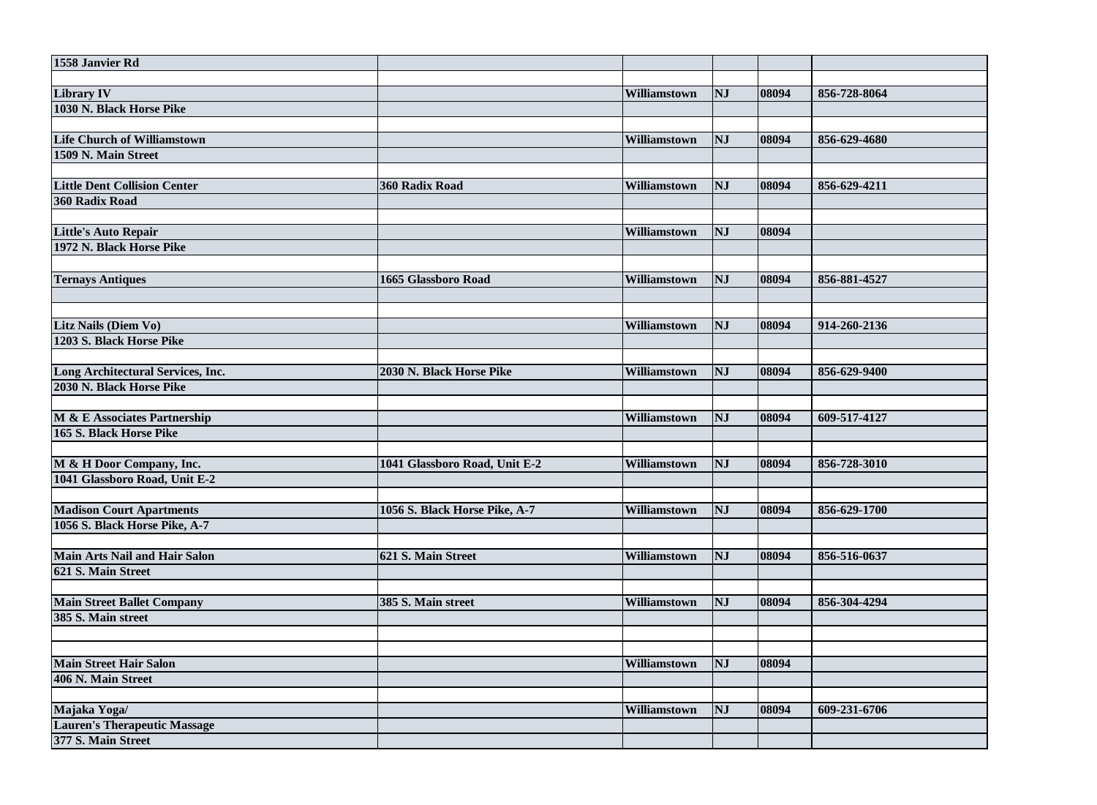| 1558 Janvier Rd                      |                               |              |                         |       |              |
|--------------------------------------|-------------------------------|--------------|-------------------------|-------|--------------|
|                                      |                               |              |                         |       |              |
| <b>Library IV</b>                    |                               | Williamstown | NJ                      | 08094 | 856-728-8064 |
| 1030 N. Black Horse Pike             |                               |              |                         |       |              |
|                                      |                               |              |                         |       |              |
| <b>Life Church of Williamstown</b>   |                               | Williamstown | <b>NJ</b>               | 08094 | 856-629-4680 |
| 1509 N. Main Street                  |                               |              |                         |       |              |
|                                      |                               |              |                         |       |              |
| <b>Little Dent Collision Center</b>  | <b>360 Radix Road</b>         | Williamstown | <b>NJ</b>               | 08094 | 856-629-4211 |
| 360 Radix Road                       |                               |              |                         |       |              |
| <b>Little's Auto Repair</b>          |                               | Williamstown | <b>NJ</b>               | 08094 |              |
| 1972 N. Black Horse Pike             |                               |              |                         |       |              |
|                                      |                               |              |                         |       |              |
| <b>Ternays Antiques</b>              | 1665 Glassboro Road           | Williamstown | <b>NJ</b>               | 08094 | 856-881-4527 |
|                                      |                               |              |                         |       |              |
|                                      |                               |              |                         |       |              |
| Litz Nails (Diem Vo)                 |                               | Williamstown | <b>NJ</b>               | 08094 | 914-260-2136 |
| 1203 S. Black Horse Pike             |                               |              |                         |       |              |
|                                      |                               |              |                         |       |              |
| Long Architectural Services, Inc.    | 2030 N. Black Horse Pike      | Williamstown | <b>NJ</b>               | 08094 | 856-629-9400 |
| 2030 N. Black Horse Pike             |                               |              |                         |       |              |
|                                      |                               |              |                         |       |              |
| M & E Associates Partnership         |                               | Williamstown | <b>NJ</b>               | 08094 | 609-517-4127 |
| 165 S. Black Horse Pike              |                               |              |                         |       |              |
|                                      |                               |              |                         |       |              |
| M & H Door Company, Inc.             | 1041 Glassboro Road, Unit E-2 | Williamstown | <b>NJ</b>               | 08094 | 856-728-3010 |
| 1041 Glassboro Road, Unit E-2        |                               |              |                         |       |              |
|                                      |                               |              |                         |       |              |
| <b>Madison Court Apartments</b>      | 1056 S. Black Horse Pike, A-7 | Williamstown | $\vert N_J \vert$       | 08094 | 856-629-1700 |
| 1056 S. Black Horse Pike, A-7        |                               |              |                         |       |              |
| <b>Main Arts Nail and Hair Salon</b> | 621 S. Main Street            | Williamstown | <b>NJ</b>               | 08094 | 856-516-0637 |
| 621 S. Main Street                   |                               |              |                         |       |              |
|                                      |                               |              |                         |       |              |
| <b>Main Street Ballet Company</b>    | 385 S. Main street            | Williamstown | <b>NJ</b>               | 08094 | 856-304-4294 |
| 385 S. Main street                   |                               |              |                         |       |              |
|                                      |                               |              |                         |       |              |
|                                      |                               |              |                         |       |              |
| <b>Main Street Hair Salon</b>        |                               | Williamstown | <b>NJ</b>               | 08094 |              |
| 406 N. Main Street                   |                               |              |                         |       |              |
|                                      |                               |              |                         |       |              |
| Majaka Yoga/                         |                               | Williamstown | $\overline{\textbf{N}}$ | 08094 | 609-231-6706 |
| <b>Lauren's Therapeutic Massage</b>  |                               |              |                         |       |              |
| 377 S. Main Street                   |                               |              |                         |       |              |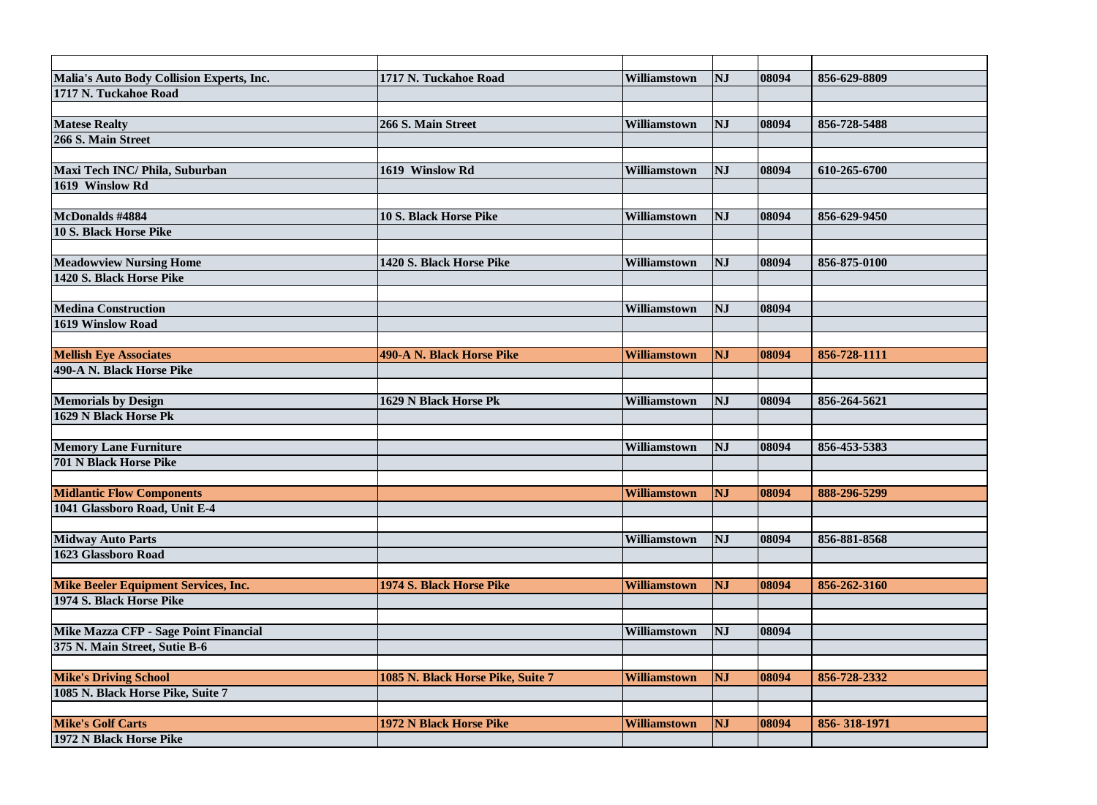| Malia's Auto Body Collision Experts, Inc. | 1717 N. Tuckahoe Road             | <b>Williamstown</b> | NJ        | 08094 | 856-629-8809 |
|-------------------------------------------|-----------------------------------|---------------------|-----------|-------|--------------|
| 1717 N. Tuckahoe Road                     |                                   |                     |           |       |              |
|                                           |                                   |                     |           |       |              |
| <b>Matese Realty</b>                      | 266 S. Main Street                | <b>Williamstown</b> | <b>NJ</b> | 08094 | 856-728-5488 |
| 266 S. Main Street                        |                                   |                     |           |       |              |
|                                           |                                   |                     |           |       |              |
| Maxi Tech INC/ Phila, Suburban            | 1619 Winslow Rd                   | <b>Williamstown</b> | <b>NJ</b> | 08094 | 610-265-6700 |
| 1619 Winslow Rd                           |                                   |                     |           |       |              |
|                                           |                                   |                     |           |       |              |
| <b>McDonalds #4884</b>                    | <b>10 S. Black Horse Pike</b>     | Williamstown        | <b>NJ</b> | 08094 | 856-629-9450 |
| <b>10 S. Black Horse Pike</b>             |                                   |                     |           |       |              |
|                                           |                                   |                     |           |       |              |
| <b>Meadowview Nursing Home</b>            | 1420 S. Black Horse Pike          | Williamstown        | <b>NJ</b> | 08094 | 856-875-0100 |
| 1420 S. Black Horse Pike                  |                                   |                     |           |       |              |
| <b>Medina Construction</b>                |                                   |                     |           | 08094 |              |
|                                           |                                   | <b>Williamstown</b> | <b>NJ</b> |       |              |
| 1619 Winslow Road                         |                                   |                     |           |       |              |
| <b>Mellish Eye Associates</b>             | 490-A N. Black Horse Pike         | <b>Williamstown</b> | <b>NJ</b> | 08094 | 856-728-1111 |
| 490-A N. Black Horse Pike                 |                                   |                     |           |       |              |
|                                           |                                   |                     |           |       |              |
| <b>Memorials by Design</b>                | 1629 N Black Horse Pk             | Williamstown        | <b>NJ</b> | 08094 | 856-264-5621 |
| 1629 N Black Horse Pk                     |                                   |                     |           |       |              |
|                                           |                                   |                     |           |       |              |
| <b>Memory Lane Furniture</b>              |                                   | Williamstown        | <b>NJ</b> | 08094 | 856-453-5383 |
| <b>701 N Black Horse Pike</b>             |                                   |                     |           |       |              |
|                                           |                                   |                     |           |       |              |
| <b>Midlantic Flow Components</b>          |                                   | <b>Williamstown</b> | <b>NJ</b> | 08094 | 888-296-5299 |
| 1041 Glassboro Road, Unit E-4             |                                   |                     |           |       |              |
|                                           |                                   |                     |           |       |              |
| <b>Midway Auto Parts</b>                  |                                   | <b>Williamstown</b> | NJ        | 08094 | 856-881-8568 |
| 1623 Glassboro Road                       |                                   |                     |           |       |              |
|                                           |                                   |                     |           |       |              |
| Mike Beeler Equipment Services, Inc.      | 1974 S. Black Horse Pike          | <b>Williamstown</b> | <b>NJ</b> | 08094 | 856-262-3160 |
| 1974 S. Black Horse Pike                  |                                   |                     |           |       |              |
|                                           |                                   |                     |           |       |              |
| Mike Mazza CFP - Sage Point Financial     |                                   | Williamstown        | NJ        | 08094 |              |
| 375 N. Main Street, Sutie B-6             |                                   |                     |           |       |              |
|                                           |                                   |                     |           |       |              |
| <b>Mike's Driving School</b>              | 1085 N. Black Horse Pike, Suite 7 | <b>Williamstown</b> | <b>NJ</b> | 08094 | 856-728-2332 |
| 1085 N. Black Horse Pike, Suite 7         |                                   |                     |           |       |              |
|                                           |                                   |                     |           |       |              |
| <b>Mike's Golf Carts</b>                  | <b>1972 N Black Horse Pike</b>    | <b>Williamstown</b> | NJ        | 08094 | 856-318-1971 |
| 1972 N Black Horse Pike                   |                                   |                     |           |       |              |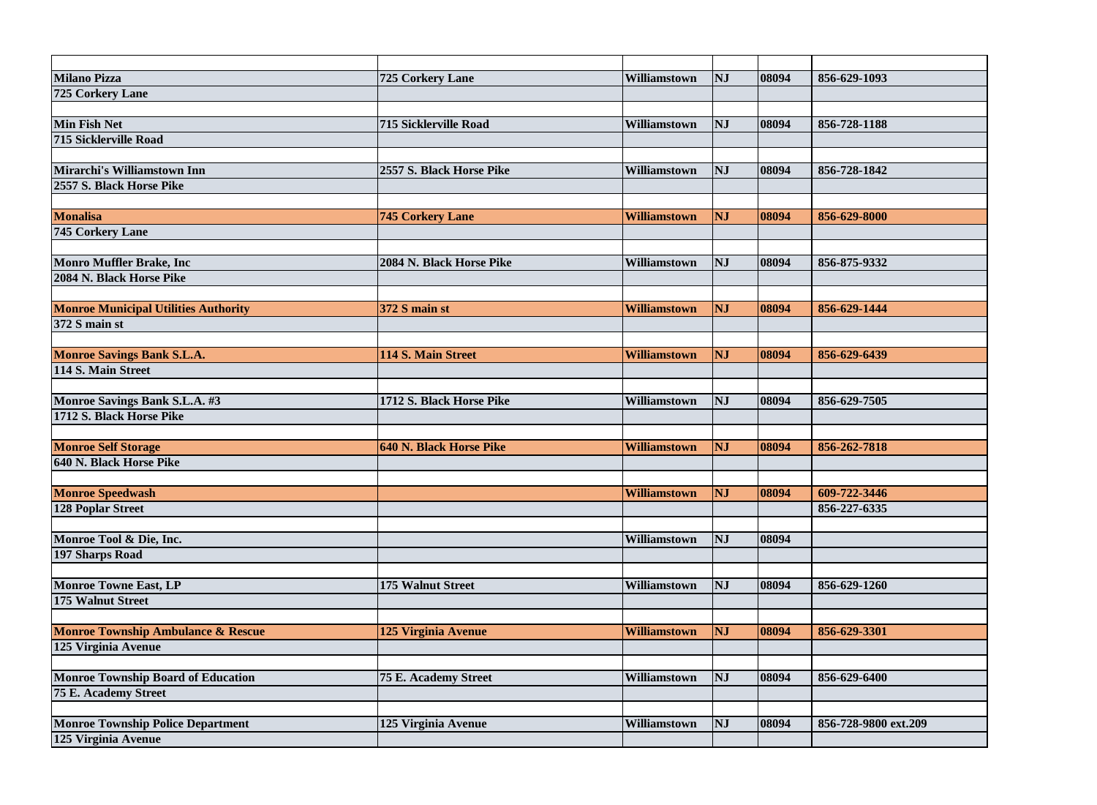| <b>Milano Pizza</b>                                     | <b>725 Corkery Lane</b>        | Williamstown        | <b>NJ</b> | 08094 | 856-629-1093         |
|---------------------------------------------------------|--------------------------------|---------------------|-----------|-------|----------------------|
| <b>725 Corkery Lane</b>                                 |                                |                     |           |       |                      |
|                                                         |                                |                     |           |       |                      |
| <b>Min Fish Net</b>                                     | <b>715 Sicklerville Road</b>   | Williamstown        | <b>NJ</b> | 08094 | 856-728-1188         |
| <b>715 Sicklerville Road</b>                            |                                |                     |           |       |                      |
|                                                         |                                |                     |           |       |                      |
| Mirarchi's Williamstown Inn                             | 2557 S. Black Horse Pike       | Williamstown        | <b>NJ</b> | 08094 | 856-728-1842         |
| 2557 S. Black Horse Pike                                |                                |                     |           |       |                      |
|                                                         |                                |                     |           |       |                      |
| <b>Monalisa</b>                                         | <b>745 Corkery Lane</b>        | <b>Williamstown</b> | <b>NJ</b> | 08094 | 856-629-8000         |
| 745 Corkery Lane                                        |                                |                     |           |       |                      |
|                                                         |                                |                     |           |       |                      |
| <b>Monro Muffler Brake, Inc</b>                         | 2084 N. Black Horse Pike       | Williamstown        | <b>NJ</b> | 08094 | 856-875-9332         |
| 2084 N. Black Horse Pike                                |                                |                     |           |       |                      |
|                                                         |                                |                     |           |       |                      |
| <b>Monroe Municipal Utilities Authority</b>             | 372 S main st                  | <b>Williamstown</b> | <b>NJ</b> | 08094 | 856-629-1444         |
| 372 S main st                                           |                                |                     |           |       |                      |
|                                                         | 114 S. Main Street             | <b>Williamstown</b> | <b>NJ</b> | 08094 | 856-629-6439         |
| <b>Monroe Savings Bank S.L.A.</b><br>114 S. Main Street |                                |                     |           |       |                      |
|                                                         |                                |                     |           |       |                      |
| Monroe Savings Bank S.L.A. #3                           | 1712 S. Black Horse Pike       | Williamstown        | <b>NJ</b> | 08094 | 856-629-7505         |
| 1712 S. Black Horse Pike                                |                                |                     |           |       |                      |
|                                                         |                                |                     |           |       |                      |
| <b>Monroe Self Storage</b>                              | <b>640 N. Black Horse Pike</b> | <b>Williamstown</b> | <b>NJ</b> | 08094 | 856-262-7818         |
| 640 N. Black Horse Pike                                 |                                |                     |           |       |                      |
|                                                         |                                |                     |           |       |                      |
| <b>Monroe Speedwash</b>                                 |                                | Williamstown        | <b>NJ</b> | 08094 | 609-722-3446         |
| <b>128 Poplar Street</b>                                |                                |                     |           |       | 856-227-6335         |
|                                                         |                                |                     |           |       |                      |
| Monroe Tool & Die, Inc.                                 |                                | Williamstown        | NJ        | 08094 |                      |
| 197 Sharps Road                                         |                                |                     |           |       |                      |
|                                                         |                                |                     |           |       |                      |
| <b>Monroe Towne East, LP</b>                            | 175 Walnut Street              | Williamstown        | <b>NJ</b> | 08094 | 856-629-1260         |
| <b>175 Walnut Street</b>                                |                                |                     |           |       |                      |
|                                                         |                                |                     |           |       |                      |
| <b>Monroe Township Ambulance &amp; Rescue</b>           | 125 Virginia Avenue            | Williamstown        | NJ        | 08094 | 856-629-3301         |
| 125 Virginia Avenue                                     |                                |                     |           |       |                      |
|                                                         |                                |                     |           |       |                      |
| <b>Monroe Township Board of Education</b>               | <b>75 E. Academy Street</b>    | Williamstown        | <b>NJ</b> | 08094 | 856-629-6400         |
| 75 E. Academy Street                                    |                                |                     |           |       |                      |
|                                                         |                                |                     |           |       |                      |
| <b>Monroe Township Police Department</b>                | 125 Virginia Avenue            | Williamstown        | NJ        | 08094 | 856-728-9800 ext.209 |
| 125 Virginia Avenue                                     |                                |                     |           |       |                      |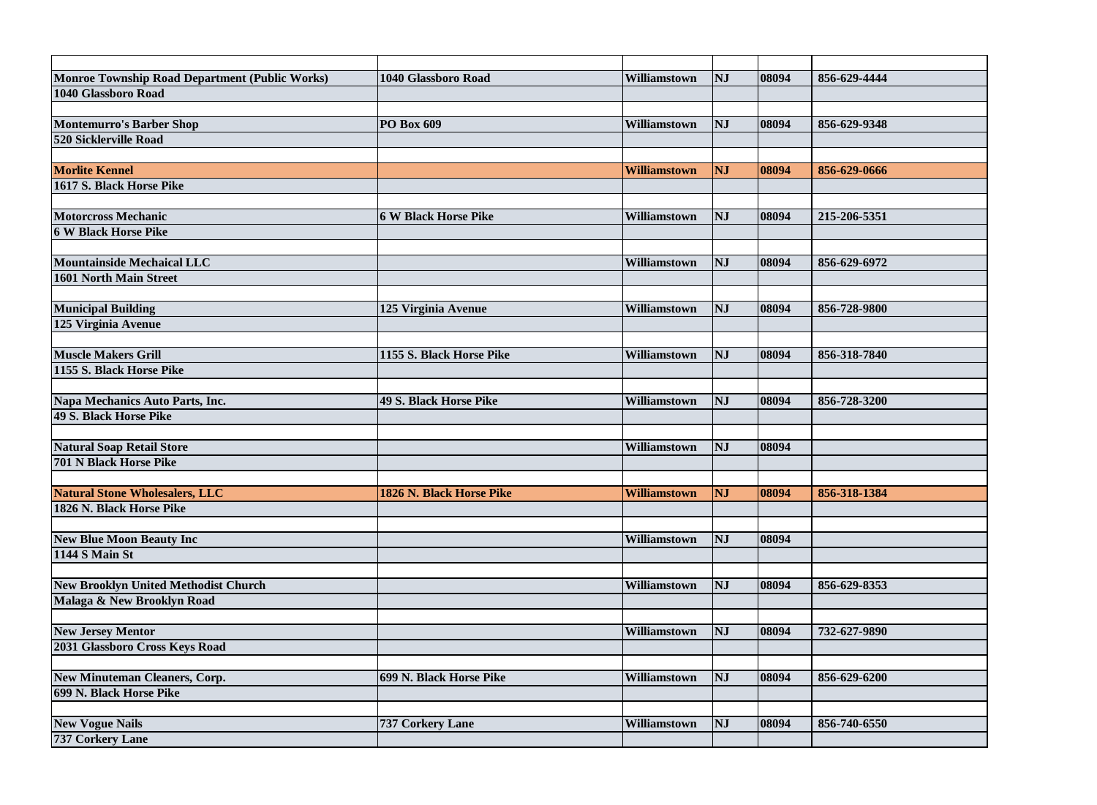| <b>Monroe Township Road Department (Public Works)</b> | 1040 Glassboro Road           | <b>Williamstown</b> | <b>NJ</b> | 08094 | 856-629-4444 |
|-------------------------------------------------------|-------------------------------|---------------------|-----------|-------|--------------|
| 1040 Glassboro Road                                   |                               |                     |           |       |              |
|                                                       |                               |                     |           |       |              |
| <b>Montemurro's Barber Shop</b>                       | PO Box 609                    | <b>Williamstown</b> | NJ        | 08094 | 856-629-9348 |
| 520 Sicklerville Road                                 |                               |                     |           |       |              |
|                                                       |                               |                     |           |       |              |
| <b>Morlite Kennel</b>                                 |                               | Williamstown        | NJ        | 08094 | 856-629-0666 |
| 1617 S. Black Horse Pike                              |                               |                     |           |       |              |
|                                                       |                               |                     |           |       |              |
| <b>Motorcross Mechanic</b>                            | <b>6 W Black Horse Pike</b>   | Williamstown        | <b>NJ</b> | 08094 | 215-206-5351 |
| <b>6 W Black Horse Pike</b>                           |                               |                     |           |       |              |
|                                                       |                               |                     |           |       |              |
| <b>Mountainside Mechaical LLC</b>                     |                               | Williamstown        | <b>NJ</b> | 08094 | 856-629-6972 |
| <b>1601 North Main Street</b>                         |                               |                     |           |       |              |
|                                                       |                               |                     |           |       |              |
| <b>Municipal Building</b>                             | 125 Virginia Avenue           | Williamstown        | <b>NJ</b> | 08094 | 856-728-9800 |
| 125 Virginia Avenue                                   |                               |                     |           |       |              |
|                                                       |                               |                     |           |       |              |
| <b>Muscle Makers Grill</b>                            | 1155 S. Black Horse Pike      | <b>Williamstown</b> | NJ        | 08094 | 856-318-7840 |
| 1155 S. Black Horse Pike                              |                               |                     |           |       |              |
|                                                       |                               |                     |           |       |              |
| Napa Mechanics Auto Parts, Inc.                       | <b>49 S. Black Horse Pike</b> | <b>Williamstown</b> | <b>NJ</b> | 08094 | 856-728-3200 |
| 49 S. Black Horse Pike                                |                               |                     |           |       |              |
|                                                       |                               |                     |           |       |              |
| <b>Natural Soap Retail Store</b>                      |                               | <b>Williamstown</b> | NJ        | 08094 |              |
| <b>701 N Black Horse Pike</b>                         |                               |                     |           |       |              |
|                                                       |                               |                     |           |       |              |
| <b>Natural Stone Wholesalers, LLC</b>                 | 1826 N. Black Horse Pike      | <b>Williamstown</b> | NJ        | 08094 | 856-318-1384 |
| 1826 N. Black Horse Pike                              |                               |                     |           |       |              |
|                                                       |                               |                     |           |       |              |
| <b>New Blue Moon Beauty Inc</b>                       |                               | Williamstown        | <b>NJ</b> | 08094 |              |
| <b>1144 S Main St</b>                                 |                               |                     |           |       |              |
|                                                       |                               |                     |           |       |              |
| <b>New Brooklyn United Methodist Church</b>           |                               | Williamstown        | <b>NJ</b> | 08094 | 856-629-8353 |
| Malaga & New Brooklyn Road                            |                               |                     |           |       |              |
|                                                       |                               |                     |           |       |              |
| <b>New Jersey Mentor</b>                              |                               | Williamstown        | <b>NJ</b> | 08094 | 732-627-9890 |
| 2031 Glassboro Cross Keys Road                        |                               |                     |           |       |              |
|                                                       |                               |                     |           |       |              |
| <b>New Minuteman Cleaners, Corp.</b>                  | 699 N. Black Horse Pike       | Williamstown        | <b>NJ</b> | 08094 | 856-629-6200 |
| 699 N. Black Horse Pike                               |                               |                     |           |       |              |
|                                                       |                               |                     |           |       |              |
| <b>New Vogue Nails</b>                                | <b>737 Corkery Lane</b>       | Williamstown        | <b>NJ</b> | 08094 | 856-740-6550 |
|                                                       |                               |                     |           |       |              |
| <b>737 Corkery Lane</b>                               |                               |                     |           |       |              |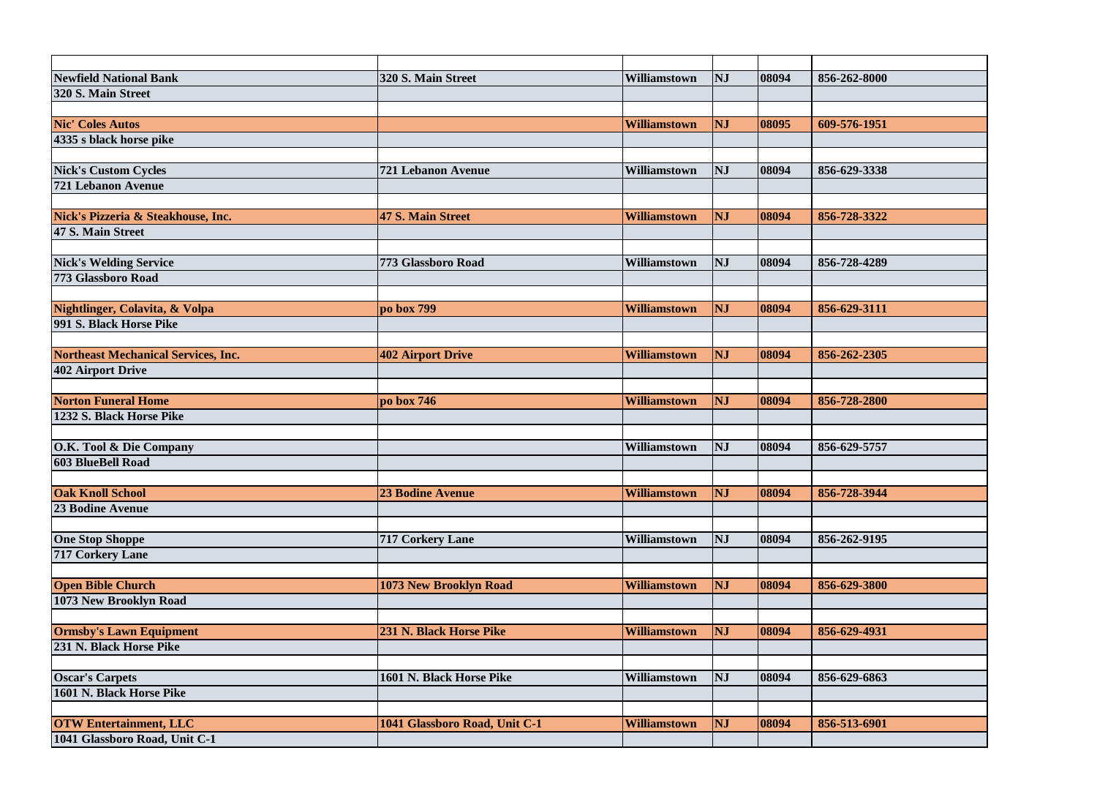| <b>Newfield National Bank</b>              | 320 S. Main Street            | Williamstown        | <b>NJ</b> | 08094 | 856-262-8000 |
|--------------------------------------------|-------------------------------|---------------------|-----------|-------|--------------|
| 320 S. Main Street                         |                               |                     |           |       |              |
|                                            |                               |                     |           |       |              |
| <b>Nic' Coles Autos</b>                    |                               | <b>Williamstown</b> | <b>NJ</b> | 08095 | 609-576-1951 |
| 4335 s black horse pike                    |                               |                     |           |       |              |
|                                            |                               |                     |           |       |              |
| <b>Nick's Custom Cycles</b>                | <b>721 Lebanon Avenue</b>     | <b>Williamstown</b> | <b>NJ</b> | 08094 | 856-629-3338 |
| <b>721 Lebanon Avenue</b>                  |                               |                     |           |       |              |
|                                            |                               |                     |           |       |              |
| Nick's Pizzeria & Steakhouse, Inc.         | <b>47 S. Main Street</b>      | <b>Williamstown</b> | <b>NJ</b> | 08094 | 856-728-3322 |
| 47 S. Main Street                          |                               |                     |           |       |              |
|                                            |                               |                     |           |       |              |
| <b>Nick's Welding Service</b>              | 773 Glassboro Road            | Williamstown        | <b>NJ</b> | 08094 | 856-728-4289 |
| 773 Glassboro Road                         |                               |                     |           |       |              |
|                                            |                               |                     |           |       |              |
| Nightlinger, Colavita, & Volpa             | po box 799                    | <b>Williamstown</b> | NJ        | 08094 | 856-629-3111 |
| 991 S. Black Horse Pike                    |                               |                     |           |       |              |
|                                            |                               |                     |           |       |              |
| <b>Northeast Mechanical Services, Inc.</b> | <b>402 Airport Drive</b>      | <b>Williamstown</b> | <b>NJ</b> | 08094 | 856-262-2305 |
| 402 Airport Drive                          |                               |                     |           |       |              |
|                                            |                               |                     |           |       |              |
| <b>Norton Funeral Home</b>                 | po box 746                    | <b>Williamstown</b> | <b>NJ</b> | 08094 | 856-728-2800 |
| 1232 S. Black Horse Pike                   |                               |                     |           |       |              |
|                                            |                               |                     |           |       |              |
| O.K. Tool & Die Company                    |                               | Williamstown        | <b>NJ</b> | 08094 | 856-629-5757 |
| <b>603 BlueBell Road</b>                   |                               |                     |           |       |              |
|                                            |                               |                     |           |       |              |
| <b>Oak Knoll School</b>                    | <b>23 Bodine Avenue</b>       | <b>Williamstown</b> | NJ        | 08094 | 856-728-3944 |
| <b>23 Bodine Avenue</b>                    |                               |                     |           |       |              |
|                                            |                               |                     |           |       |              |
| <b>One Stop Shoppe</b>                     | <b>717 Corkery Lane</b>       | Williamstown        | <b>NJ</b> | 08094 | 856-262-9195 |
| 717 Corkery Lane                           |                               |                     |           |       |              |
|                                            |                               |                     |           |       |              |
| <b>Open Bible Church</b>                   | <b>1073 New Brooklyn Road</b> | <b>Williamstown</b> | <b>NJ</b> | 08094 | 856-629-3800 |
| 1073 New Brooklyn Road                     |                               |                     |           |       |              |
|                                            |                               |                     |           |       |              |
| <b>Ormsby's Lawn Equipment</b>             | 231 N. Black Horse Pike       | <b>Williamstown</b> | NJ        | 08094 | 856-629-4931 |
| 231 N. Black Horse Pike                    |                               |                     |           |       |              |
|                                            |                               |                     |           |       |              |
| <b>Oscar's Carpets</b>                     | 1601 N. Black Horse Pike      | Williamstown        | <b>NJ</b> | 08094 | 856-629-6863 |
| 1601 N. Black Horse Pike                   |                               |                     |           |       |              |
|                                            |                               |                     |           |       |              |
| <b>OTW Entertainment, LLC</b>              | 1041 Glassboro Road, Unit C-1 | <b>Williamstown</b> | NJ        | 08094 | 856-513-6901 |
| 1041 Glassboro Road, Unit C-1              |                               |                     |           |       |              |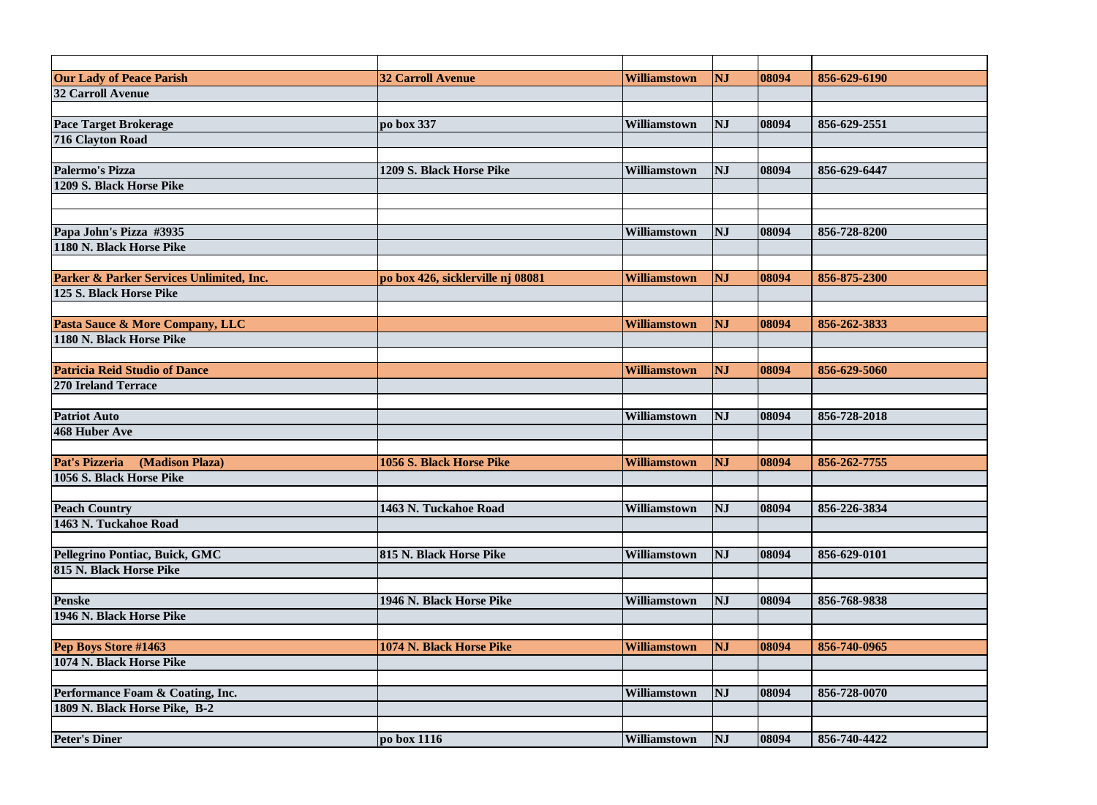| <b>Our Lady of Peace Parish</b>          | <b>32 Carroll Avenue</b>          | <b>Williamstown</b> | <b>NJ</b> | 08094 | 856-629-6190 |
|------------------------------------------|-----------------------------------|---------------------|-----------|-------|--------------|
| <b>32 Carroll Avenue</b>                 |                                   |                     |           |       |              |
|                                          |                                   |                     |           |       |              |
| <b>Pace Target Brokerage</b>             | po box 337                        | Williamstown        | <b>NJ</b> | 08094 | 856-629-2551 |
| <b>716 Clayton Road</b>                  |                                   |                     |           |       |              |
|                                          |                                   |                     |           |       |              |
| <b>Palermo's Pizza</b>                   | 1209 S. Black Horse Pike          | Williamstown        | NJ        | 08094 | 856-629-6447 |
| 1209 S. Black Horse Pike                 |                                   |                     |           |       |              |
|                                          |                                   |                     |           |       |              |
|                                          |                                   |                     |           |       |              |
| Papa John's Pizza #3935                  |                                   | Williamstown        | <b>NJ</b> | 08094 | 856-728-8200 |
| 1180 N. Black Horse Pike                 |                                   |                     |           |       |              |
|                                          |                                   |                     |           |       |              |
| Parker & Parker Services Unlimited, Inc. | po box 426, sicklerville nj 08081 | <b>Williamstown</b> | <b>NJ</b> | 08094 | 856-875-2300 |
| 125 S. Black Horse Pike                  |                                   |                     |           |       |              |
|                                          |                                   |                     |           |       |              |
| Pasta Sauce & More Company, LLC          |                                   | <b>Williamstown</b> | <b>NJ</b> | 08094 | 856-262-3833 |
| 1180 N. Black Horse Pike                 |                                   |                     |           |       |              |
|                                          |                                   |                     |           |       |              |
| <b>Patricia Reid Studio of Dance</b>     |                                   | <b>Williamstown</b> | <b>NJ</b> | 08094 | 856-629-5060 |
| 270 Ireland Terrace                      |                                   |                     |           |       |              |
|                                          |                                   |                     |           |       |              |
| <b>Patriot Auto</b>                      |                                   | Williamstown        | <b>NJ</b> | 08094 | 856-728-2018 |
| 468 Huber Ave                            |                                   |                     |           |       |              |
|                                          |                                   |                     |           |       |              |
| Pat's Pizzeria (Madison Plaza)           | 1056 S. Black Horse Pike          | <b>Williamstown</b> | <b>NJ</b> | 08094 | 856-262-7755 |
| 1056 S. Black Horse Pike                 |                                   |                     |           |       |              |
|                                          |                                   |                     |           |       |              |
| <b>Peach Country</b>                     | 1463 N. Tuckahoe Road             | <b>Williamstown</b> | <b>NJ</b> | 08094 | 856-226-3834 |
| 1463 N. Tuckahoe Road                    |                                   |                     |           |       |              |
|                                          |                                   |                     |           |       |              |
| Pellegrino Pontiac, Buick, GMC           | 815 N. Black Horse Pike           | Williamstown        | <b>NJ</b> | 08094 | 856-629-0101 |
| 815 N. Black Horse Pike                  |                                   |                     |           |       |              |
|                                          |                                   |                     |           |       |              |
| <b>Penske</b>                            | 1946 N. Black Horse Pike          | Williamstown        | NJ        | 08094 | 856-768-9838 |
| 1946 N. Black Horse Pike                 |                                   |                     |           |       |              |
|                                          |                                   |                     |           |       |              |
| Pep Boys Store #1463                     | 1074 N. Black Horse Pike          | <b>Williamstown</b> | NJ        | 08094 | 856-740-0965 |
| 1074 N. Black Horse Pike                 |                                   |                     |           |       |              |
|                                          |                                   |                     |           |       |              |
|                                          |                                   |                     |           |       |              |
| Performance Foam & Coating, Inc.         |                                   | <b>Williamstown</b> | NJ        | 08094 | 856-728-0070 |
| 1809 N. Black Horse Pike, B-2            |                                   |                     |           |       |              |
|                                          |                                   |                     |           |       |              |
| <b>Peter's Diner</b>                     | po box 1116                       | Williamstown        | <b>NJ</b> | 08094 | 856-740-4422 |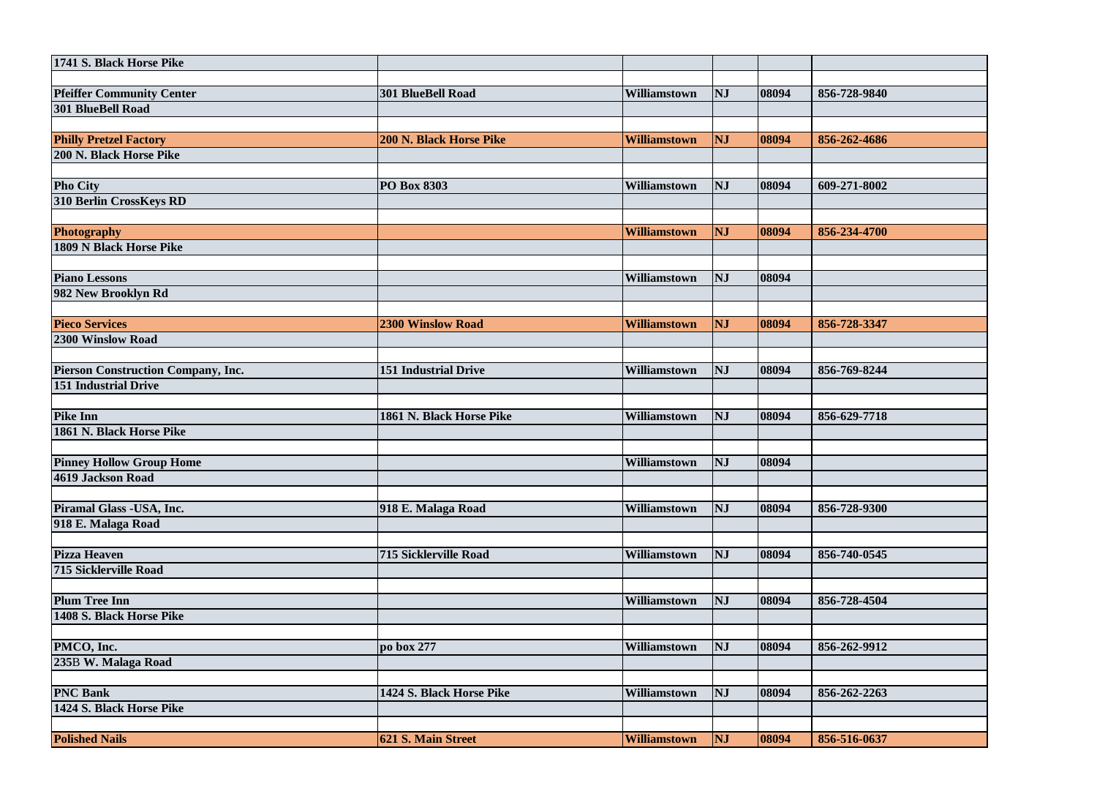| 1741 S. Black Horse Pike                  |                                |                     |           |       |              |
|-------------------------------------------|--------------------------------|---------------------|-----------|-------|--------------|
| <b>Pfeiffer Community Center</b>          | <b>301 BlueBell Road</b>       | Williamstown        | <b>NJ</b> | 08094 | 856-728-9840 |
| <b>301 BlueBell Road</b>                  |                                |                     |           |       |              |
|                                           |                                |                     |           |       |              |
| <b>Philly Pretzel Factory</b>             | <b>200 N. Black Horse Pike</b> | <b>Williamstown</b> | <b>NJ</b> | 08094 | 856-262-4686 |
| 200 N. Black Horse Pike                   |                                |                     |           |       |              |
|                                           |                                |                     |           |       |              |
| <b>Pho City</b>                           | PO Box 8303                    | <b>Williamstown</b> | <b>NJ</b> | 08094 | 609-271-8002 |
| 310 Berlin CrossKeys RD                   |                                |                     |           |       |              |
|                                           |                                |                     |           |       |              |
| Photography                               |                                | <b>Williamstown</b> | <b>NJ</b> | 08094 | 856-234-4700 |
| <b>1809 N Black Horse Pike</b>            |                                |                     |           |       |              |
|                                           |                                |                     |           |       |              |
| <b>Piano Lessons</b>                      |                                | Williamstown        | <b>NJ</b> | 08094 |              |
| 982 New Brooklyn Rd                       |                                |                     |           |       |              |
|                                           |                                |                     |           |       |              |
| <b>Pieco Services</b>                     | <b>2300 Winslow Road</b>       | <b>Williamstown</b> | <b>NJ</b> | 08094 | 856-728-3347 |
| 2300 Winslow Road                         |                                |                     |           |       |              |
|                                           |                                |                     |           |       |              |
| <b>Pierson Construction Company, Inc.</b> | <b>151 Industrial Drive</b>    | Williamstown        | <b>NJ</b> | 08094 | 856-769-8244 |
| <b>151 Industrial Drive</b>               |                                |                     |           |       |              |
|                                           |                                |                     |           |       |              |
| <b>Pike Inn</b>                           | 1861 N. Black Horse Pike       | Williamstown        | <b>NJ</b> | 08094 | 856-629-7718 |
| 1861 N. Black Horse Pike                  |                                |                     |           |       |              |
|                                           |                                |                     |           |       |              |
| <b>Pinney Hollow Group Home</b>           |                                | Williamstown        | <b>NJ</b> | 08094 |              |
| 4619 Jackson Road                         |                                |                     |           |       |              |
|                                           |                                |                     |           |       |              |
| Piramal Glass - USA, Inc.                 | 918 E. Malaga Road             | <b>Williamstown</b> | NJ        | 08094 | 856-728-9300 |
| 918 E. Malaga Road                        |                                |                     |           |       |              |
|                                           |                                |                     |           |       |              |
| <b>Pizza Heaven</b>                       | <b>715 Sicklerville Road</b>   | <b>Williamstown</b> | <b>NJ</b> | 08094 | 856-740-0545 |
| <b>715 Sicklerville Road</b>              |                                |                     |           |       |              |
|                                           |                                |                     |           |       |              |
| <b>Plum Tree Inn</b>                      |                                | Williamstown        | <b>NJ</b> | 08094 | 856-728-4504 |
| 1408 S. Black Horse Pike                  |                                |                     |           |       |              |
|                                           |                                |                     |           |       |              |
| PMCO, Inc.<br>235B W. Malaga Road         | po box 277                     | <b>Williamstown</b> | <b>NJ</b> | 08094 | 856-262-9912 |
|                                           |                                |                     |           |       |              |
| <b>PNC Bank</b>                           | 1424 S. Black Horse Pike       | <b>Williamstown</b> | <b>NJ</b> | 08094 | 856-262-2263 |
| 1424 S. Black Horse Pike                  |                                |                     |           |       |              |
|                                           |                                |                     |           |       |              |
| <b>Polished Nails</b>                     | <b>621 S. Main Street</b>      |                     | NJ        | 08094 | 856-516-0637 |
|                                           |                                | <b>Williamstown</b> |           |       |              |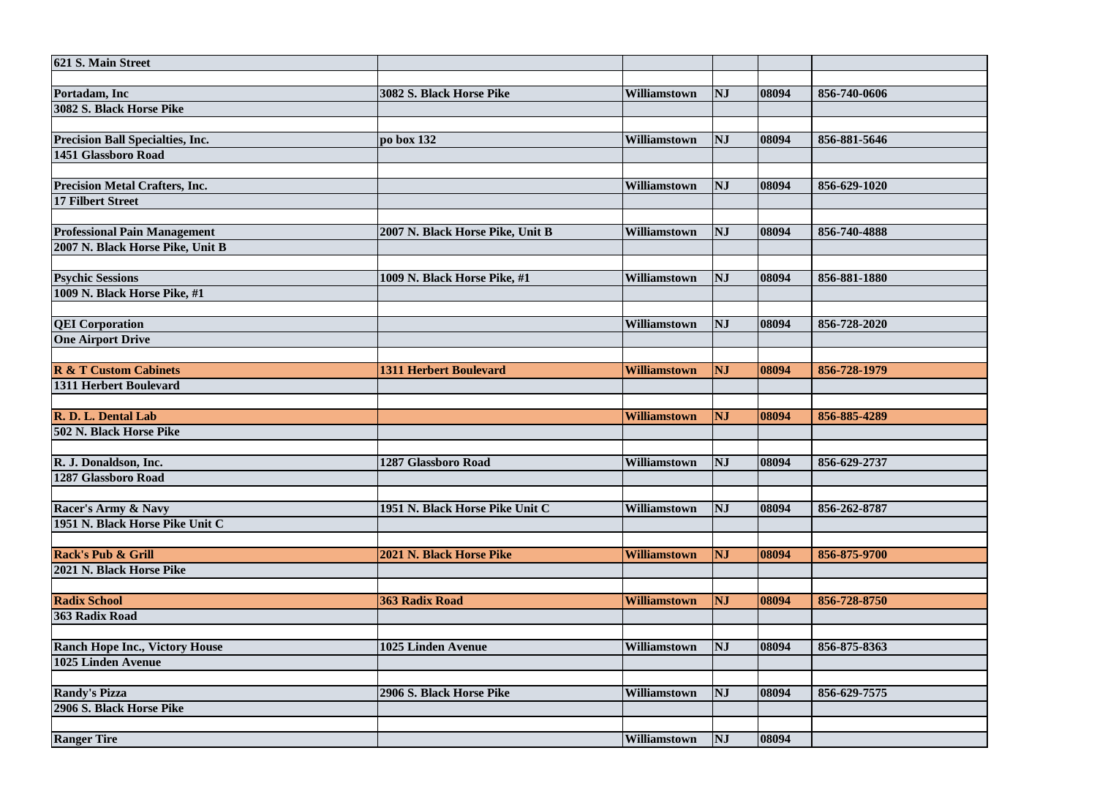| 621 S. Main Street                                                |                                  |                     |           |       |              |
|-------------------------------------------------------------------|----------------------------------|---------------------|-----------|-------|--------------|
|                                                                   |                                  |                     |           |       |              |
| Portadam, Inc                                                     | 3082 S. Black Horse Pike         | Williamstown        | <b>NJ</b> | 08094 | 856-740-0606 |
| 3082 S. Black Horse Pike                                          |                                  |                     |           |       |              |
|                                                                   |                                  |                     |           |       |              |
| <b>Precision Ball Specialties, Inc.</b>                           | po box 132                       | <b>Williamstown</b> | <b>NJ</b> | 08094 | 856-881-5646 |
| 1451 Glassboro Road                                               |                                  |                     |           |       |              |
| <b>Precision Metal Crafters, Inc.</b>                             |                                  | <b>Williamstown</b> | <b>NJ</b> | 08094 | 856-629-1020 |
| <b>17 Filbert Street</b>                                          |                                  |                     |           |       |              |
|                                                                   |                                  |                     |           |       |              |
| <b>Professional Pain Management</b>                               | 2007 N. Black Horse Pike, Unit B | <b>Williamstown</b> | <b>NJ</b> | 08094 | 856-740-4888 |
| 2007 N. Black Horse Pike, Unit B                                  |                                  |                     |           |       |              |
|                                                                   |                                  |                     |           |       |              |
| <b>Psychic Sessions</b>                                           | 1009 N. Black Horse Pike, #1     | Williamstown        | <b>NJ</b> | 08094 | 856-881-1880 |
| 1009 N. Black Horse Pike, #1                                      |                                  |                     |           |       |              |
|                                                                   |                                  |                     |           |       |              |
| <b>QEI</b> Corporation                                            |                                  | Williamstown        | <b>NJ</b> | 08094 | 856-728-2020 |
| <b>One Airport Drive</b>                                          |                                  |                     |           |       |              |
|                                                                   |                                  |                     |           |       |              |
| <b>R &amp; T Custom Cabinets</b>                                  | <b>1311 Herbert Boulevard</b>    | <b>Williamstown</b> | <b>NJ</b> | 08094 | 856-728-1979 |
| 1311 Herbert Boulevard                                            |                                  |                     |           |       |              |
|                                                                   |                                  |                     |           |       |              |
| R. D. L. Dental Lab                                               |                                  | <b>Williamstown</b> | <b>NJ</b> | 08094 | 856-885-4289 |
| 502 N. Black Horse Pike                                           |                                  |                     |           |       |              |
|                                                                   |                                  |                     |           |       |              |
| R. J. Donaldson, Inc.                                             | 1287 Glassboro Road              | Williamstown        | <b>NJ</b> | 08094 | 856-629-2737 |
| 1287 Glassboro Road                                               |                                  |                     |           |       |              |
|                                                                   |                                  |                     |           |       |              |
| <b>Racer's Army &amp; Navy</b><br>1951 N. Black Horse Pike Unit C | 1951 N. Black Horse Pike Unit C  | Williamstown        | NJ        | 08094 | 856-262-8787 |
|                                                                   |                                  |                     |           |       |              |
| <b>Rack's Pub &amp; Grill</b>                                     | 2021 N. Black Horse Pike         | <b>Williamstown</b> | <b>NJ</b> | 08094 | 856-875-9700 |
| 2021 N. Black Horse Pike                                          |                                  |                     |           |       |              |
|                                                                   |                                  |                     |           |       |              |
| <b>Radix School</b>                                               | <b>363 Radix Road</b>            | <b>Williamstown</b> | NJ        | 08094 | 856-728-8750 |
| 363 Radix Road                                                    |                                  |                     |           |       |              |
|                                                                   |                                  |                     |           |       |              |
| <b>Ranch Hope Inc., Victory House</b>                             | 1025 Linden Avenue               | Williamstown        | <b>NJ</b> | 08094 | 856-875-8363 |
| 1025 Linden Avenue                                                |                                  |                     |           |       |              |
|                                                                   |                                  |                     |           |       |              |
| <b>Randy's Pizza</b>                                              | 2906 S. Black Horse Pike         | Williamstown        | <b>NJ</b> | 08094 | 856-629-7575 |
| 2906 S. Black Horse Pike                                          |                                  |                     |           |       |              |
|                                                                   |                                  |                     |           |       |              |
| <b>Ranger Tire</b>                                                |                                  | Williamstown        | NJ        | 08094 |              |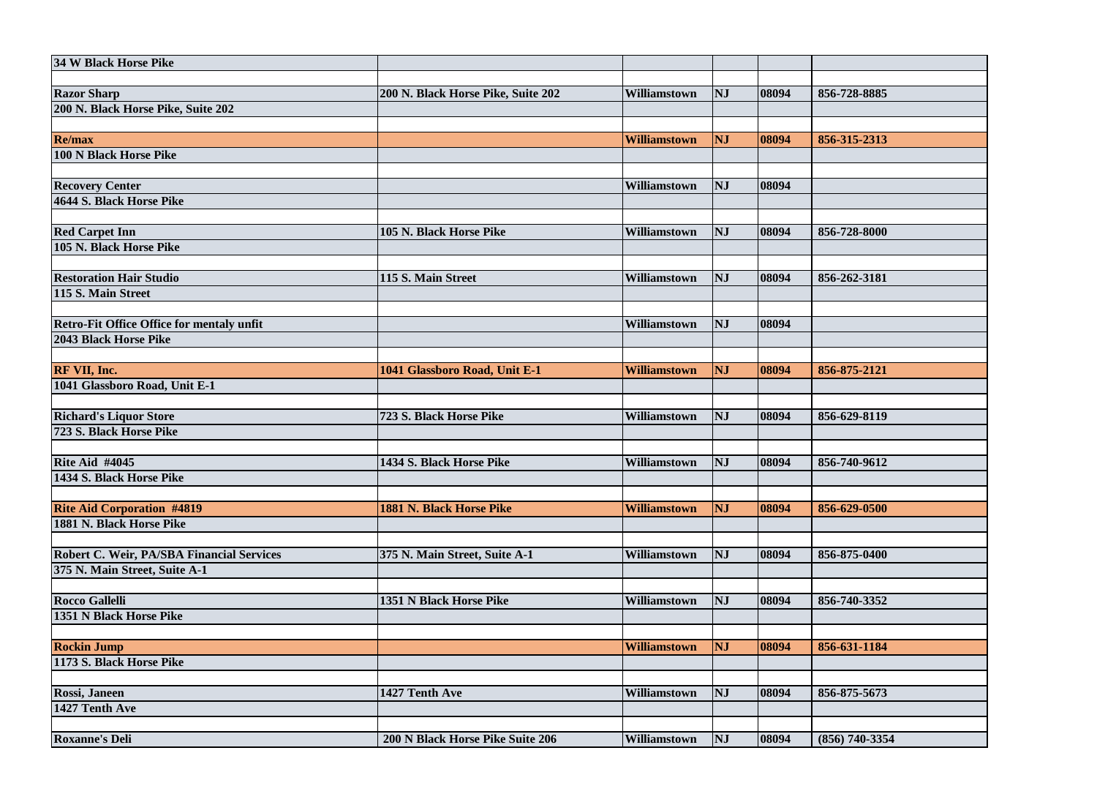| 34 W Black Horse Pike                                                     |                                    |                     |                  |       |                  |
|---------------------------------------------------------------------------|------------------------------------|---------------------|------------------|-------|------------------|
|                                                                           |                                    |                     |                  |       |                  |
| <b>Razor Sharp</b>                                                        | 200 N. Black Horse Pike, Suite 202 | Williamstown        | <b>NJ</b>        | 08094 | 856-728-8885     |
| 200 N. Black Horse Pike, Suite 202                                        |                                    |                     |                  |       |                  |
|                                                                           |                                    |                     |                  |       |                  |
| <b>Re/max</b>                                                             |                                    | <b>Williamstown</b> | <b>NJ</b>        | 08094 | 856-315-2313     |
| <b>100 N Black Horse Pike</b>                                             |                                    |                     |                  |       |                  |
|                                                                           |                                    |                     |                  |       |                  |
| <b>Recovery Center</b>                                                    |                                    | Williamstown        | <b>NJ</b>        | 08094 |                  |
| 4644 S. Black Horse Pike                                                  |                                    |                     |                  |       |                  |
|                                                                           |                                    |                     |                  |       |                  |
| <b>Red Carpet Inn</b>                                                     | 105 N. Black Horse Pike            | Williamstown        | <b>NJ</b>        | 08094 | 856-728-8000     |
| 105 N. Black Horse Pike                                                   |                                    |                     |                  |       |                  |
|                                                                           |                                    |                     |                  |       |                  |
| <b>Restoration Hair Studio</b>                                            | 115 S. Main Street                 | <b>Williamstown</b> | <b>NJ</b>        | 08094 | 856-262-3181     |
| 115 S. Main Street                                                        |                                    |                     |                  |       |                  |
|                                                                           |                                    |                     | <b>NJ</b>        | 08094 |                  |
| <b>Retro-Fit Office Office for mentaly unfit</b><br>2043 Black Horse Pike |                                    | Williamstown        |                  |       |                  |
|                                                                           |                                    |                     |                  |       |                  |
| RF VII, Inc.                                                              | 1041 Glassboro Road, Unit E-1      | <b>Williamstown</b> | <b>NJ</b>        | 08094 | 856-875-2121     |
| 1041 Glassboro Road, Unit E-1                                             |                                    |                     |                  |       |                  |
|                                                                           |                                    |                     |                  |       |                  |
| <b>Richard's Liquor Store</b>                                             | 723 S. Black Horse Pike            | Williamstown        | <b>NJ</b>        | 08094 | 856-629-8119     |
| 723 S. Black Horse Pike                                                   |                                    |                     |                  |       |                  |
|                                                                           |                                    |                     |                  |       |                  |
| Rite Aid #4045                                                            | 1434 S. Black Horse Pike           | Williamstown        | <b>NJ</b>        | 08094 | 856-740-9612     |
| 1434 S. Black Horse Pike                                                  |                                    |                     |                  |       |                  |
|                                                                           |                                    |                     |                  |       |                  |
| <b>Rite Aid Corporation #4819</b>                                         | 1881 N. Black Horse Pike           | <b>Williamstown</b> | $\vert NJ \vert$ | 08094 | 856-629-0500     |
| 1881 N. Black Horse Pike                                                  |                                    |                     |                  |       |                  |
|                                                                           |                                    |                     |                  |       |                  |
| <b>Robert C. Weir, PA/SBA Financial Services</b>                          | 375 N. Main Street, Suite A-1      | <b>Williamstown</b> | <b>NJ</b>        | 08094 | 856-875-0400     |
| 375 N. Main Street, Suite A-1                                             |                                    |                     |                  |       |                  |
|                                                                           |                                    |                     |                  |       |                  |
| <b>Rocco Gallelli</b>                                                     | 1351 N Black Horse Pike            | Williamstown        | <b>NJ</b>        | 08094 | 856-740-3352     |
| 1351 N Black Horse Pike                                                   |                                    |                     |                  |       |                  |
|                                                                           |                                    |                     |                  |       |                  |
| <b>Rockin Jump</b>                                                        |                                    | <b>Williamstown</b> | <b>NJ</b>        | 08094 | 856-631-1184     |
| 1173 S. Black Horse Pike                                                  |                                    |                     |                  |       |                  |
|                                                                           |                                    |                     |                  |       |                  |
| Rossi, Janeen                                                             | 1427 Tenth Ave                     | Williamstown        | <b>NJ</b>        | 08094 | 856-875-5673     |
| 1427 Tenth Ave                                                            |                                    |                     |                  |       |                  |
|                                                                           |                                    |                     |                  |       |                  |
| <b>Roxanne's Deli</b>                                                     | 200 N Black Horse Pike Suite 206   | <b>Williamstown</b> | <b>NJ</b>        | 08094 | $(856)$ 740-3354 |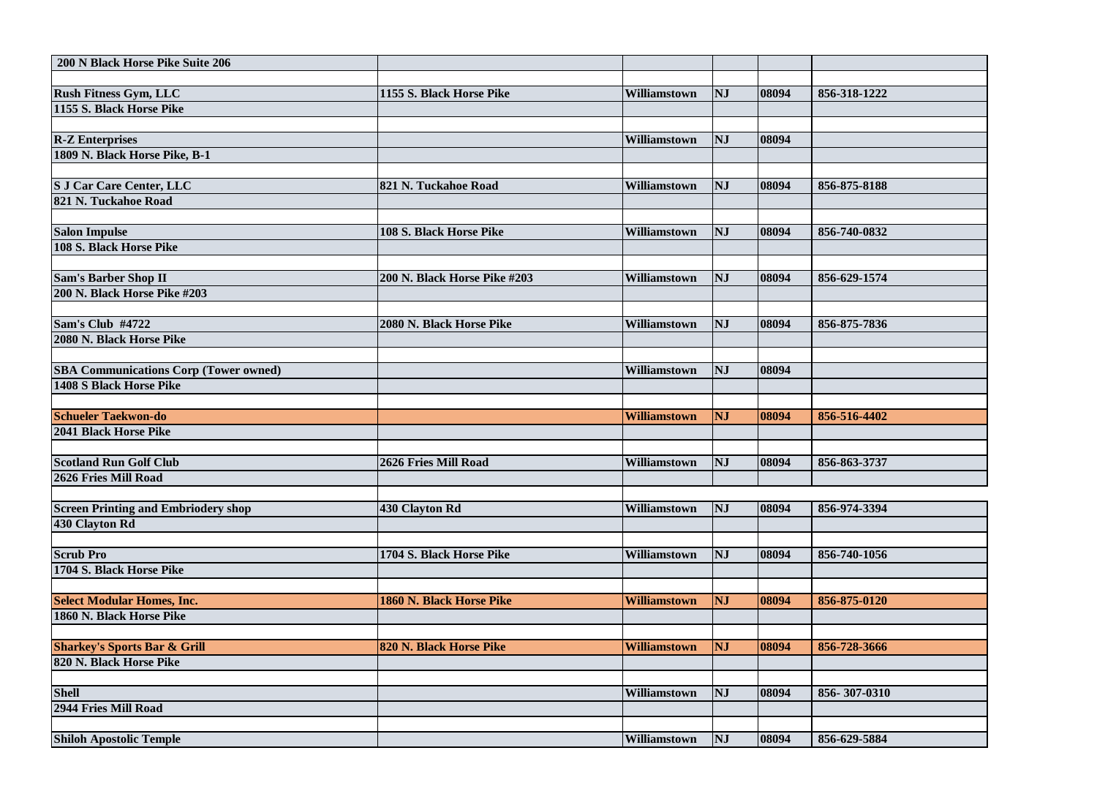| 200 N Black Horse Pike Suite 206             |                              |                     |                   |       |              |
|----------------------------------------------|------------------------------|---------------------|-------------------|-------|--------------|
|                                              |                              |                     |                   |       |              |
| <b>Rush Fitness Gym, LLC</b>                 | 1155 S. Black Horse Pike     | Williamstown        | <b>NJ</b>         | 08094 | 856-318-1222 |
| 1155 S. Black Horse Pike                     |                              |                     |                   |       |              |
|                                              |                              |                     |                   |       |              |
| <b>R-Z Enterprises</b>                       |                              | Williamstown        | <b>NJ</b>         | 08094 |              |
| 1809 N. Black Horse Pike, B-1                |                              |                     |                   |       |              |
|                                              |                              |                     |                   |       |              |
| <b>S J Car Care Center, LLC</b>              | 821 N. Tuckahoe Road         | Williamstown        | <b>NJ</b>         | 08094 | 856-875-8188 |
| 821 N. Tuckahoe Road                         |                              |                     |                   |       |              |
|                                              |                              |                     |                   |       |              |
| <b>Salon Impulse</b>                         | 108 S. Black Horse Pike      | Williamstown        | <b>NJ</b>         | 08094 | 856-740-0832 |
| <b>108 S. Black Horse Pike</b>               |                              |                     |                   |       |              |
|                                              |                              |                     |                   |       |              |
| <b>Sam's Barber Shop II</b>                  | 200 N. Black Horse Pike #203 | Williamstown        | <b>NJ</b>         | 08094 | 856-629-1574 |
| 200 N. Black Horse Pike #203                 |                              |                     |                   |       |              |
|                                              |                              |                     |                   |       |              |
| Sam's Club #4722                             | 2080 N. Black Horse Pike     | Williamstown        | <b>NJ</b>         | 08094 | 856-875-7836 |
| 2080 N. Black Horse Pike                     |                              |                     |                   |       |              |
|                                              |                              |                     |                   |       |              |
| <b>SBA Communications Corp (Tower owned)</b> |                              | Williamstown        | <b>NJ</b>         | 08094 |              |
| <b>1408 S Black Horse Pike</b>               |                              |                     |                   |       |              |
|                                              |                              |                     |                   |       |              |
| <b>Schueler Taekwon-do</b>                   |                              | <b>Williamstown</b> | <b>NJ</b>         | 08094 | 856-516-4402 |
| 2041 Black Horse Pike                        |                              |                     |                   |       |              |
|                                              |                              |                     |                   |       |              |
| <b>Scotland Run Golf Club</b>                | 2626 Fries Mill Road         | Williamstown        | NJ                | 08094 | 856-863-3737 |
| 2626 Fries Mill Road                         |                              |                     |                   |       |              |
|                                              |                              |                     |                   |       |              |
| <b>Screen Printing and Embriodery shop</b>   | 430 Clayton Rd               | <b>Williamstown</b> | $\vert NJ \vert$  | 08094 | 856-974-3394 |
| 430 Clayton Rd                               |                              |                     |                   |       |              |
|                                              |                              |                     |                   |       |              |
| <b>Scrub Pro</b>                             | 1704 S. Black Horse Pike     | Williamstown        | NJ                | 08094 | 856-740-1056 |
| 1704 S. Black Horse Pike                     |                              |                     |                   |       |              |
|                                              |                              |                     |                   |       |              |
| <b>Select Modular Homes, Inc.</b>            | 1860 N. Black Horse Pike     | <b>Williamstown</b> | <b>NJ</b>         | 08094 | 856-875-0120 |
| 1860 N. Black Horse Pike                     |                              |                     |                   |       |              |
|                                              |                              |                     |                   |       |              |
| <b>Sharkey's Sports Bar &amp; Grill</b>      | 820 N. Black Horse Pike      | <b>Williamstown</b> | <b>NJ</b>         | 08094 | 856-728-3666 |
| 820 N. Black Horse Pike                      |                              |                     |                   |       |              |
|                                              |                              |                     |                   |       |              |
| <b>Shell</b>                                 |                              | Williamstown        | <b>NJ</b>         | 08094 | 856-307-0310 |
| 2944 Fries Mill Road                         |                              |                     |                   |       |              |
|                                              |                              |                     |                   |       |              |
| <b>Shiloh Apostolic Temple</b>               |                              | Williamstown        | $\vert N_J \vert$ | 08094 | 856-629-5884 |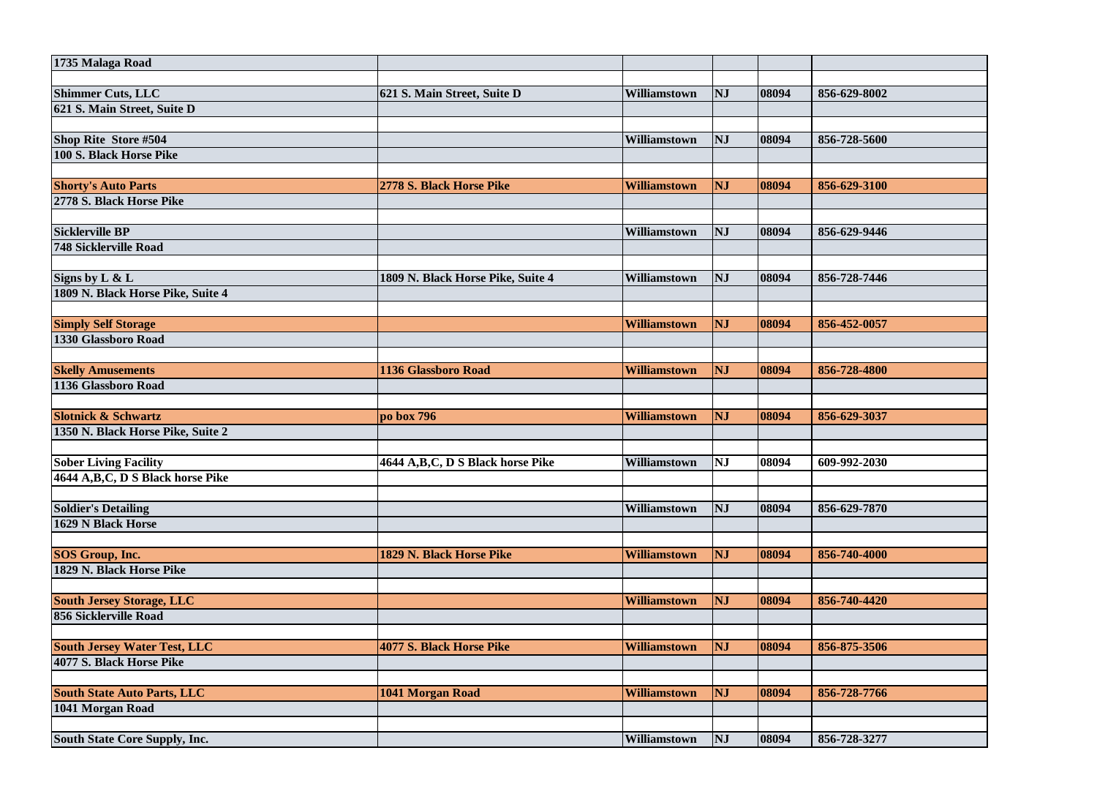| 1735 Malaga Road                                                 |                                   |                     |                         |       |              |
|------------------------------------------------------------------|-----------------------------------|---------------------|-------------------------|-------|--------------|
| <b>Shimmer Cuts, LLC</b>                                         | 621 S. Main Street, Suite D       | Williamstown        | <b>NJ</b>               | 08094 | 856-629-8002 |
| 621 S. Main Street, Suite D                                      |                                   |                     |                         |       |              |
|                                                                  |                                   |                     |                         |       |              |
| Shop Rite Store #504                                             |                                   | Williamstown        | <b>NJ</b>               | 08094 | 856-728-5600 |
| 100 S. Black Horse Pike                                          |                                   |                     |                         |       |              |
|                                                                  |                                   |                     |                         |       |              |
| <b>Shorty's Auto Parts</b>                                       | 2778 S. Black Horse Pike          | <b>Williamstown</b> | <b>NJ</b>               | 08094 | 856-629-3100 |
| 2778 S. Black Horse Pike                                         |                                   |                     |                         |       |              |
|                                                                  |                                   |                     |                         |       |              |
| <b>Sicklerville BP</b>                                           |                                   | Williamstown        | <b>NJ</b>               | 08094 | 856-629-9446 |
| <b>748 Sicklerville Road</b>                                     |                                   |                     |                         |       |              |
|                                                                  |                                   |                     |                         |       |              |
| Signs by L & L                                                   | 1809 N. Black Horse Pike, Suite 4 | Williamstown        | <b>NJ</b>               | 08094 | 856-728-7446 |
| 1809 N. Black Horse Pike, Suite 4                                |                                   |                     |                         |       |              |
|                                                                  |                                   |                     |                         |       |              |
| <b>Simply Self Storage</b>                                       |                                   | Williamstown        | <b>NJ</b>               | 08094 | 856-452-0057 |
| 1330 Glassboro Road                                              |                                   |                     |                         |       |              |
|                                                                  |                                   |                     |                         |       |              |
| <b>Skelly Amusements</b>                                         | 1136 Glassboro Road               | Williamstown        | <b>NJ</b>               | 08094 | 856-728-4800 |
| 1136 Glassboro Road                                              |                                   |                     |                         |       |              |
|                                                                  |                                   |                     |                         |       |              |
| <b>Slotnick &amp; Schwartz</b>                                   | po box 796                        | <b>Williamstown</b> | <b>NJ</b>               | 08094 | 856-629-3037 |
| 1350 N. Black Horse Pike, Suite 2                                |                                   |                     |                         |       |              |
|                                                                  | 4644 A,B,C, D S Black horse Pike  | Williamstown        | NJ                      | 08094 | 609-992-2030 |
| <b>Sober Living Facility</b><br>4644 A,B,C, D S Black horse Pike |                                   |                     |                         |       |              |
|                                                                  |                                   |                     |                         |       |              |
| <b>Soldier's Detailing</b>                                       |                                   | <b>Williamstown</b> | $\vert NJ \vert$        | 08094 | 856-629-7870 |
| 1629 N Black Horse                                               |                                   |                     |                         |       |              |
|                                                                  |                                   |                     |                         |       |              |
| <b>SOS Group, Inc.</b>                                           | 1829 N. Black Horse Pike          | <b>Williamstown</b> | NJ                      | 08094 | 856-740-4000 |
| 1829 N. Black Horse Pike                                         |                                   |                     |                         |       |              |
|                                                                  |                                   |                     |                         |       |              |
| <b>South Jersey Storage, LLC</b>                                 |                                   | Williamstown        | NJ                      | 08094 | 856-740-4420 |
| 856 Sicklerville Road                                            |                                   |                     |                         |       |              |
|                                                                  |                                   |                     |                         |       |              |
| <b>South Jersey Water Test, LLC</b>                              | <b>4077 S. Black Horse Pike</b>   | Williamstown        | <b>NJ</b>               | 08094 | 856-875-3506 |
| 4077 S. Black Horse Pike                                         |                                   |                     |                         |       |              |
|                                                                  |                                   |                     |                         |       |              |
| <b>South State Auto Parts, LLC</b>                               | 1041 Morgan Road                  | Williamstown        | <b>NJ</b>               | 08094 | 856-728-7766 |
| 1041 Morgan Road                                                 |                                   |                     |                         |       |              |
|                                                                  |                                   |                     |                         |       |              |
| <b>South State Core Supply, Inc.</b>                             |                                   | Williamstown        | $\overline{\textbf{N}}$ | 08094 | 856-728-3277 |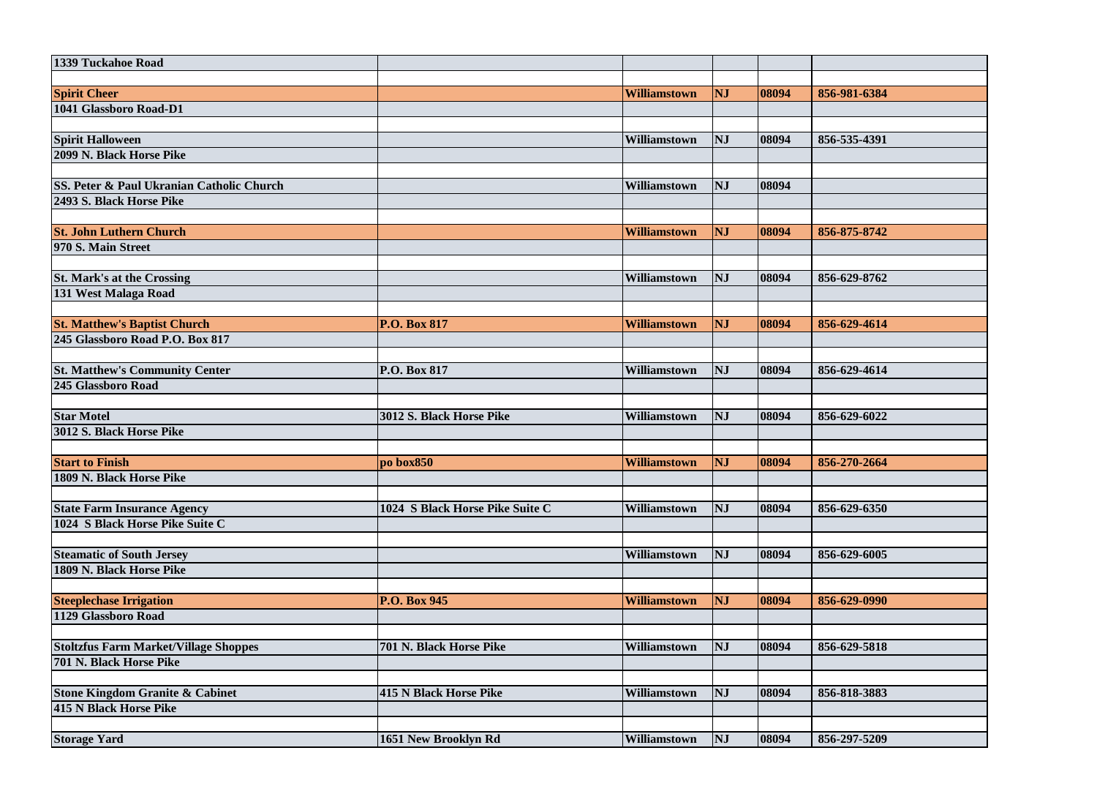| <b>1339 Tuckahoe Road</b>                                    |                                 |                     |                  |       |              |
|--------------------------------------------------------------|---------------------------------|---------------------|------------------|-------|--------------|
|                                                              |                                 |                     |                  |       |              |
| <b>Spirit Cheer</b>                                          |                                 | <b>Williamstown</b> | <b>NJ</b>        | 08094 | 856-981-6384 |
| 1041 Glassboro Road-D1                                       |                                 |                     |                  |       |              |
|                                                              |                                 |                     |                  |       |              |
| <b>Spirit Halloween</b>                                      |                                 | Williamstown        | <b>NJ</b>        | 08094 | 856-535-4391 |
| 2099 N. Black Horse Pike                                     |                                 |                     |                  |       |              |
| <b>SS. Peter &amp; Paul Ukranian Catholic Church</b>         |                                 | Williamstown        | <b>NJ</b>        | 08094 |              |
| 2493 S. Black Horse Pike                                     |                                 |                     |                  |       |              |
|                                                              |                                 |                     |                  |       |              |
| <b>St. John Luthern Church</b>                               |                                 | <b>Williamstown</b> | <b>NJ</b>        | 08094 | 856-875-8742 |
| 970 S. Main Street                                           |                                 |                     |                  |       |              |
|                                                              |                                 |                     |                  |       |              |
| <b>St. Mark's at the Crossing</b>                            |                                 | Williamstown        | <b>NJ</b>        | 08094 | 856-629-8762 |
| 131 West Malaga Road                                         |                                 |                     |                  |       |              |
|                                                              |                                 |                     |                  |       |              |
| <b>St. Matthew's Baptist Church</b>                          | <b>P.O. Box 817</b>             | <b>Williamstown</b> | <b>NJ</b>        | 08094 | 856-629-4614 |
| 245 Glassboro Road P.O. Box 817                              |                                 |                     |                  |       |              |
|                                                              |                                 |                     |                  |       |              |
| <b>St. Matthew's Community Center</b>                        | P.O. Box 817                    | Williamstown        | <b>NJ</b>        | 08094 | 856-629-4614 |
| 245 Glassboro Road                                           |                                 |                     |                  |       |              |
|                                                              |                                 |                     |                  |       |              |
| <b>Star Motel</b>                                            | 3012 S. Black Horse Pike        | Williamstown        | <b>NJ</b>        | 08094 | 856-629-6022 |
| 3012 S. Black Horse Pike                                     |                                 |                     |                  |       |              |
|                                                              |                                 |                     |                  |       |              |
| <b>Start to Finish</b>                                       | po box850                       | <b>Williamstown</b> | <b>NJ</b>        | 08094 | 856-270-2664 |
| 1809 N. Black Horse Pike                                     |                                 |                     |                  |       |              |
|                                                              |                                 |                     |                  |       |              |
| <b>State Farm Insurance Agency</b>                           | 1024 S Black Horse Pike Suite C | <b>Williamstown</b> | $\vert NJ \vert$ | 08094 | 856-629-6350 |
| 1024 S Black Horse Pike Suite C                              |                                 |                     |                  |       |              |
|                                                              |                                 |                     |                  |       |              |
| <b>Steamatic of South Jersey</b><br>1809 N. Black Horse Pike |                                 | Williamstown        | NJ               | 08094 | 856-629-6005 |
|                                                              |                                 |                     |                  |       |              |
| <b>Steeplechase Irrigation</b>                               | <b>P.O. Box 945</b>             | <b>Williamstown</b> | <b>NJ</b>        | 08094 | 856-629-0990 |
| 1129 Glassboro Road                                          |                                 |                     |                  |       |              |
|                                                              |                                 |                     |                  |       |              |
| <b>Stoltzfus Farm Market/Village Shoppes</b>                 | 701 N. Black Horse Pike         | Williamstown        | NJ               | 08094 | 856-629-5818 |
| 701 N. Black Horse Pike                                      |                                 |                     |                  |       |              |
|                                                              |                                 |                     |                  |       |              |
| <b>Stone Kingdom Granite &amp; Cabinet</b>                   | 415 N Black Horse Pike          | Williamstown        | NJ               | 08094 | 856-818-3883 |
| 415 N Black Horse Pike                                       |                                 |                     |                  |       |              |
|                                                              |                                 |                     |                  |       |              |
| <b>Storage Yard</b>                                          | 1651 New Brooklyn Rd            | Williamstown        | NJ               | 08094 | 856-297-5209 |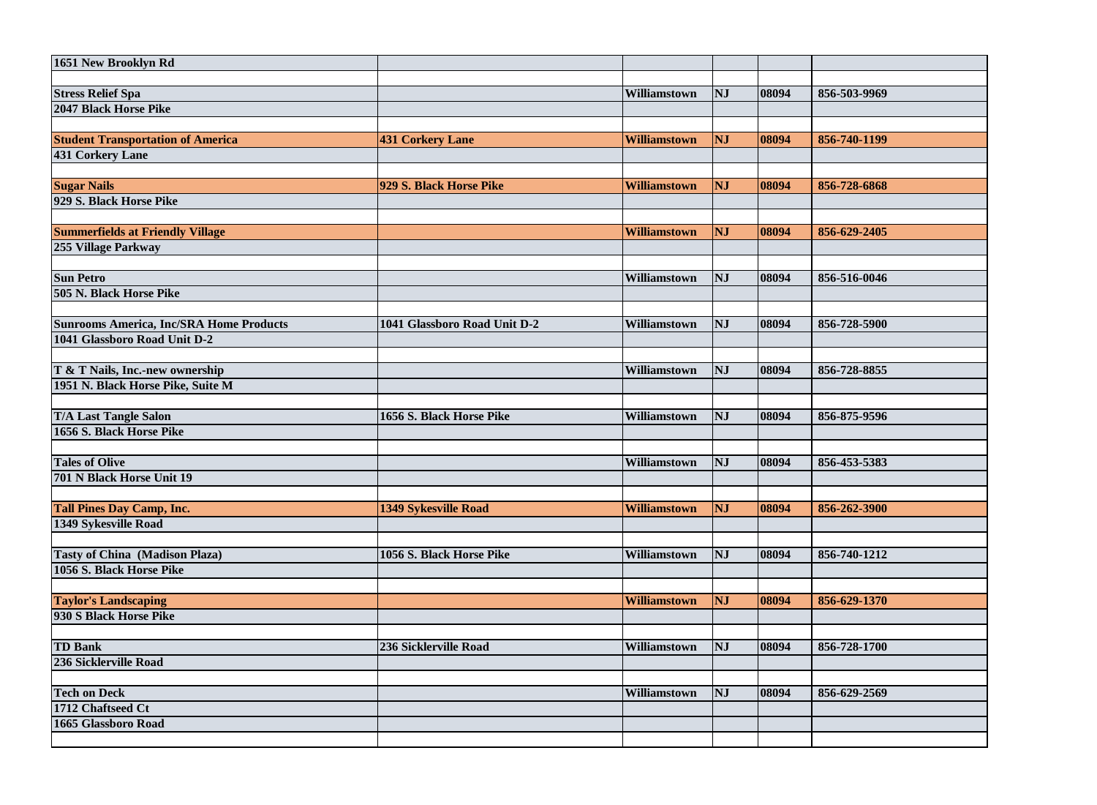| <b>NJ</b><br><b>Stress Relief Spa</b><br>Williamstown<br>08094<br>856-503-9969<br>2047 Black Horse Pike<br><b>Student Transportation of America</b><br><b>NJ</b><br>08094<br><b>431 Corkery Lane</b><br><b>Williamstown</b><br>856-740-1199<br>431 Corkery Lane<br><b>NJ</b><br>08094<br><b>Sugar Nails</b><br>929 S. Black Horse Pike<br>856-728-6868<br><b>Williamstown</b><br>929 S. Black Horse Pike<br><b>NJ</b><br>08094<br><b>Summerfields at Friendly Village</b><br><b>Williamstown</b><br>856-629-2405<br>255 Village Parkway<br><b>Sun Petro</b><br><b>NJ</b><br>08094<br>Williamstown<br>856-516-0046<br>505 N. Black Horse Pike<br><b>NJ</b><br><b>Sunrooms America, Inc/SRA Home Products</b><br>1041 Glassboro Road Unit D-2<br><b>Williamstown</b><br>08094<br>856-728-5900<br>1041 Glassboro Road Unit D-2<br><b>NJ</b><br>08094<br>T & T Nails, Inc.-new ownership<br><b>Williamstown</b><br>856-728-8855<br>1951 N. Black Horse Pike, Suite M<br><b>NJ</b><br><b>T/A Last Tangle Salon</b><br>1656 S. Black Horse Pike<br><b>Williamstown</b><br>08094<br>856-875-9596 |
|-------------------------------------------------------------------------------------------------------------------------------------------------------------------------------------------------------------------------------------------------------------------------------------------------------------------------------------------------------------------------------------------------------------------------------------------------------------------------------------------------------------------------------------------------------------------------------------------------------------------------------------------------------------------------------------------------------------------------------------------------------------------------------------------------------------------------------------------------------------------------------------------------------------------------------------------------------------------------------------------------------------------------------------------------------------------------------------------|
|                                                                                                                                                                                                                                                                                                                                                                                                                                                                                                                                                                                                                                                                                                                                                                                                                                                                                                                                                                                                                                                                                           |
|                                                                                                                                                                                                                                                                                                                                                                                                                                                                                                                                                                                                                                                                                                                                                                                                                                                                                                                                                                                                                                                                                           |
|                                                                                                                                                                                                                                                                                                                                                                                                                                                                                                                                                                                                                                                                                                                                                                                                                                                                                                                                                                                                                                                                                           |
|                                                                                                                                                                                                                                                                                                                                                                                                                                                                                                                                                                                                                                                                                                                                                                                                                                                                                                                                                                                                                                                                                           |
|                                                                                                                                                                                                                                                                                                                                                                                                                                                                                                                                                                                                                                                                                                                                                                                                                                                                                                                                                                                                                                                                                           |
|                                                                                                                                                                                                                                                                                                                                                                                                                                                                                                                                                                                                                                                                                                                                                                                                                                                                                                                                                                                                                                                                                           |
|                                                                                                                                                                                                                                                                                                                                                                                                                                                                                                                                                                                                                                                                                                                                                                                                                                                                                                                                                                                                                                                                                           |
|                                                                                                                                                                                                                                                                                                                                                                                                                                                                                                                                                                                                                                                                                                                                                                                                                                                                                                                                                                                                                                                                                           |
|                                                                                                                                                                                                                                                                                                                                                                                                                                                                                                                                                                                                                                                                                                                                                                                                                                                                                                                                                                                                                                                                                           |
|                                                                                                                                                                                                                                                                                                                                                                                                                                                                                                                                                                                                                                                                                                                                                                                                                                                                                                                                                                                                                                                                                           |
|                                                                                                                                                                                                                                                                                                                                                                                                                                                                                                                                                                                                                                                                                                                                                                                                                                                                                                                                                                                                                                                                                           |
|                                                                                                                                                                                                                                                                                                                                                                                                                                                                                                                                                                                                                                                                                                                                                                                                                                                                                                                                                                                                                                                                                           |
|                                                                                                                                                                                                                                                                                                                                                                                                                                                                                                                                                                                                                                                                                                                                                                                                                                                                                                                                                                                                                                                                                           |
|                                                                                                                                                                                                                                                                                                                                                                                                                                                                                                                                                                                                                                                                                                                                                                                                                                                                                                                                                                                                                                                                                           |
|                                                                                                                                                                                                                                                                                                                                                                                                                                                                                                                                                                                                                                                                                                                                                                                                                                                                                                                                                                                                                                                                                           |
|                                                                                                                                                                                                                                                                                                                                                                                                                                                                                                                                                                                                                                                                                                                                                                                                                                                                                                                                                                                                                                                                                           |
|                                                                                                                                                                                                                                                                                                                                                                                                                                                                                                                                                                                                                                                                                                                                                                                                                                                                                                                                                                                                                                                                                           |
|                                                                                                                                                                                                                                                                                                                                                                                                                                                                                                                                                                                                                                                                                                                                                                                                                                                                                                                                                                                                                                                                                           |
|                                                                                                                                                                                                                                                                                                                                                                                                                                                                                                                                                                                                                                                                                                                                                                                                                                                                                                                                                                                                                                                                                           |
|                                                                                                                                                                                                                                                                                                                                                                                                                                                                                                                                                                                                                                                                                                                                                                                                                                                                                                                                                                                                                                                                                           |
|                                                                                                                                                                                                                                                                                                                                                                                                                                                                                                                                                                                                                                                                                                                                                                                                                                                                                                                                                                                                                                                                                           |
|                                                                                                                                                                                                                                                                                                                                                                                                                                                                                                                                                                                                                                                                                                                                                                                                                                                                                                                                                                                                                                                                                           |
|                                                                                                                                                                                                                                                                                                                                                                                                                                                                                                                                                                                                                                                                                                                                                                                                                                                                                                                                                                                                                                                                                           |
| 1656 S. Black Horse Pike                                                                                                                                                                                                                                                                                                                                                                                                                                                                                                                                                                                                                                                                                                                                                                                                                                                                                                                                                                                                                                                                  |
|                                                                                                                                                                                                                                                                                                                                                                                                                                                                                                                                                                                                                                                                                                                                                                                                                                                                                                                                                                                                                                                                                           |
| <b>NJ</b><br>08094<br><b>Tales of Olive</b><br>856-453-5383<br>Williamstown                                                                                                                                                                                                                                                                                                                                                                                                                                                                                                                                                                                                                                                                                                                                                                                                                                                                                                                                                                                                               |
| 701 N Black Horse Unit 19                                                                                                                                                                                                                                                                                                                                                                                                                                                                                                                                                                                                                                                                                                                                                                                                                                                                                                                                                                                                                                                                 |
|                                                                                                                                                                                                                                                                                                                                                                                                                                                                                                                                                                                                                                                                                                                                                                                                                                                                                                                                                                                                                                                                                           |
| NJ<br> 08094 <br><b>Tall Pines Day Camp, Inc.</b><br>1349 Sykesville Road<br><b>Williamstown</b><br>856-262-3900                                                                                                                                                                                                                                                                                                                                                                                                                                                                                                                                                                                                                                                                                                                                                                                                                                                                                                                                                                          |
| 1349 Sykesville Road                                                                                                                                                                                                                                                                                                                                                                                                                                                                                                                                                                                                                                                                                                                                                                                                                                                                                                                                                                                                                                                                      |
|                                                                                                                                                                                                                                                                                                                                                                                                                                                                                                                                                                                                                                                                                                                                                                                                                                                                                                                                                                                                                                                                                           |
| <b>NJ</b><br>1056 S. Black Horse Pike<br>08094<br><b>Tasty of China</b> (Madison Plaza)<br>Williamstown<br>856-740-1212                                                                                                                                                                                                                                                                                                                                                                                                                                                                                                                                                                                                                                                                                                                                                                                                                                                                                                                                                                   |
| 1056 S. Black Horse Pike                                                                                                                                                                                                                                                                                                                                                                                                                                                                                                                                                                                                                                                                                                                                                                                                                                                                                                                                                                                                                                                                  |
|                                                                                                                                                                                                                                                                                                                                                                                                                                                                                                                                                                                                                                                                                                                                                                                                                                                                                                                                                                                                                                                                                           |
| NJ<br>08094<br>856-629-1370<br><b>Taylor's Landscaping</b><br><b>Williamstown</b>                                                                                                                                                                                                                                                                                                                                                                                                                                                                                                                                                                                                                                                                                                                                                                                                                                                                                                                                                                                                         |
| 930 S Black Horse Pike                                                                                                                                                                                                                                                                                                                                                                                                                                                                                                                                                                                                                                                                                                                                                                                                                                                                                                                                                                                                                                                                    |
|                                                                                                                                                                                                                                                                                                                                                                                                                                                                                                                                                                                                                                                                                                                                                                                                                                                                                                                                                                                                                                                                                           |
| <b>NJ</b><br><b>TD Bank</b><br>236 Sicklerville Road<br>08094<br>Williamstown<br>856-728-1700                                                                                                                                                                                                                                                                                                                                                                                                                                                                                                                                                                                                                                                                                                                                                                                                                                                                                                                                                                                             |
| 236 Sicklerville Road                                                                                                                                                                                                                                                                                                                                                                                                                                                                                                                                                                                                                                                                                                                                                                                                                                                                                                                                                                                                                                                                     |
|                                                                                                                                                                                                                                                                                                                                                                                                                                                                                                                                                                                                                                                                                                                                                                                                                                                                                                                                                                                                                                                                                           |
| <b>NJ</b><br><b>Tech on Deck</b><br><b>Williamstown</b><br>08094<br>856-629-2569                                                                                                                                                                                                                                                                                                                                                                                                                                                                                                                                                                                                                                                                                                                                                                                                                                                                                                                                                                                                          |
| 1712 Chaftseed Ct                                                                                                                                                                                                                                                                                                                                                                                                                                                                                                                                                                                                                                                                                                                                                                                                                                                                                                                                                                                                                                                                         |
| 1665 Glassboro Road                                                                                                                                                                                                                                                                                                                                                                                                                                                                                                                                                                                                                                                                                                                                                                                                                                                                                                                                                                                                                                                                       |
|                                                                                                                                                                                                                                                                                                                                                                                                                                                                                                                                                                                                                                                                                                                                                                                                                                                                                                                                                                                                                                                                                           |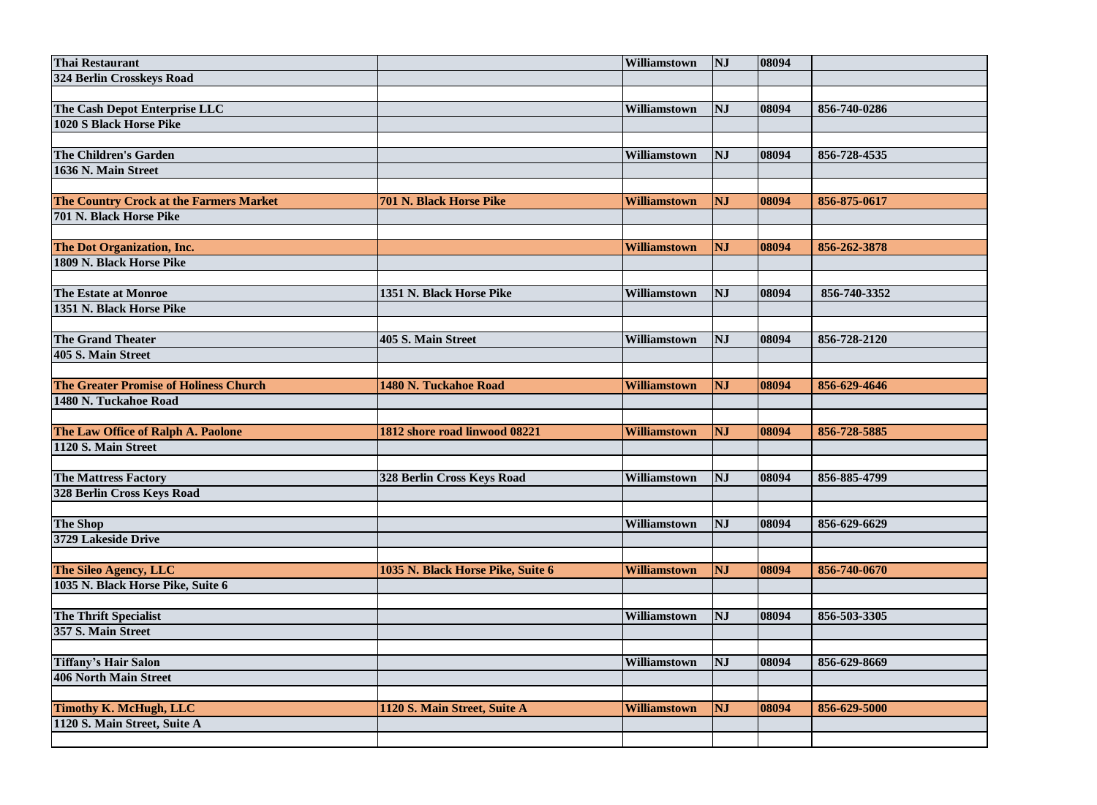| 324 Berlin Crosskeys Road<br><b>NJ</b><br>The Cash Depot Enterprise LLC<br>08094<br>Williamstown<br>856-740-0286                 |  |
|----------------------------------------------------------------------------------------------------------------------------------|--|
|                                                                                                                                  |  |
|                                                                                                                                  |  |
|                                                                                                                                  |  |
| 1020 S Black Horse Pike                                                                                                          |  |
|                                                                                                                                  |  |
| 08094<br><b>The Children's Garden</b><br>Williamstown<br><b>NJ</b><br>856-728-4535                                               |  |
| 1636 N. Main Street                                                                                                              |  |
|                                                                                                                                  |  |
| The Country Crock at the Farmers Market<br>NJ<br>08094<br>701 N. Black Horse Pike<br>856-875-0617<br><b>Williamstown</b>         |  |
| 701 N. Black Horse Pike                                                                                                          |  |
|                                                                                                                                  |  |
| NJ<br>08094<br>The Dot Organization, Inc.<br><b>Williamstown</b><br>856-262-3878                                                 |  |
| 1809 N. Black Horse Pike                                                                                                         |  |
|                                                                                                                                  |  |
| <b>NJ</b><br>08094<br><b>The Estate at Monroe</b><br>1351 N. Black Horse Pike<br>Williamstown<br>856-740-3352                    |  |
| 1351 N. Black Horse Pike                                                                                                         |  |
|                                                                                                                                  |  |
| NJ<br>08094<br><b>The Grand Theater</b><br>405 S. Main Street<br>856-728-2120<br>Williamstown                                    |  |
| 405 S. Main Street                                                                                                               |  |
|                                                                                                                                  |  |
| <b>The Greater Promise of Holiness Church</b><br>1480 N. Tuckahoe Road<br>NJ<br>08094<br><b>Williamstown</b><br>856-629-4646     |  |
| 1480 N. Tuckahoe Road                                                                                                            |  |
|                                                                                                                                  |  |
| The Law Office of Ralph A. Paolone<br>1812 shore road linwood 08221<br><b>NJ</b><br>08094<br>856-728-5885<br><b>Williamstown</b> |  |
| 1120 S. Main Street                                                                                                              |  |
|                                                                                                                                  |  |
| 08094<br><b>The Mattress Factory</b><br>328 Berlin Cross Keys Road<br>Williamstown<br><b>NJ</b><br>856-885-4799                  |  |
| 328 Berlin Cross Keys Road                                                                                                       |  |
|                                                                                                                                  |  |
| 08094<br><b>The Shop</b><br><b>NJ</b><br>Williamstown<br>856-629-6629                                                            |  |
| 3729 Lakeside Drive                                                                                                              |  |
|                                                                                                                                  |  |
| 08094<br>The Sileo Agency, LLC<br><b>Williamstown</b><br><b>NJ</b><br>1035 N. Black Horse Pike, Suite 6<br>856-740-0670          |  |
| 1035 N. Black Horse Pike, Suite 6                                                                                                |  |
|                                                                                                                                  |  |
| <b>NJ</b><br>08094<br><b>The Thrift Specialist</b><br>Williamstown<br>856-503-3305                                               |  |
| 357 S. Main Street                                                                                                               |  |
|                                                                                                                                  |  |
| <b>NJ</b><br>08094<br><b>Tiffany's Hair Salon</b><br>856-629-8669<br><b>Williamstown</b>                                         |  |
| 406 North Main Street                                                                                                            |  |
|                                                                                                                                  |  |
| <b>NJ</b><br>08094<br>Timothy K. McHugh, LLC<br>1120 S. Main Street, Suite A<br><b>Williamstown</b><br>856-629-5000              |  |
| 1120 S. Main Street, Suite A                                                                                                     |  |
|                                                                                                                                  |  |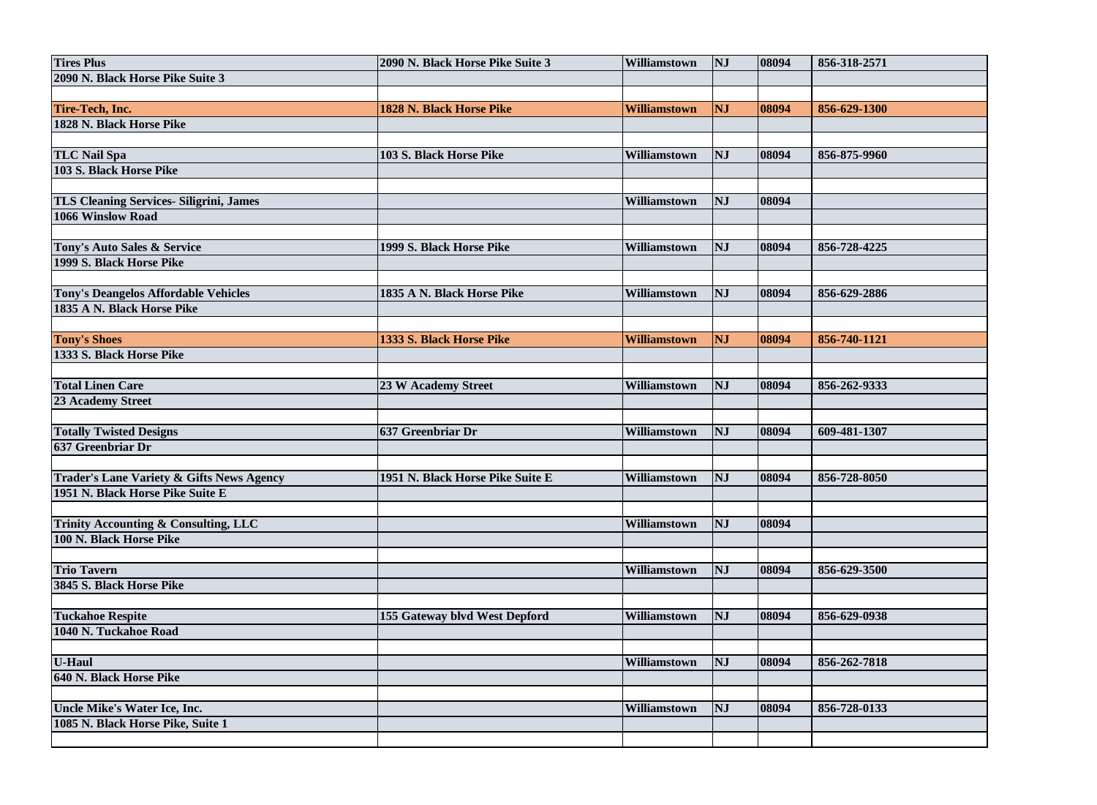| <b>Tires Plus</b>                                                             | 2090 N. Black Horse Pike Suite 3 | Williamstown        | <b>NJ</b> | 08094 | 856-318-2571 |
|-------------------------------------------------------------------------------|----------------------------------|---------------------|-----------|-------|--------------|
| 2090 N. Black Horse Pike Suite 3                                              |                                  |                     |           |       |              |
|                                                                               |                                  |                     |           |       |              |
| Tire-Tech, Inc.                                                               | 1828 N. Black Horse Pike         | <b>Williamstown</b> | <b>NJ</b> | 08094 | 856-629-1300 |
| 1828 N. Black Horse Pike                                                      |                                  |                     |           |       |              |
|                                                                               |                                  |                     |           |       |              |
| <b>TLC Nail Spa</b>                                                           | 103 S. Black Horse Pike          | Williamstown        | <b>NJ</b> | 08094 | 856-875-9960 |
| 103 S. Black Horse Pike                                                       |                                  |                     |           |       |              |
|                                                                               |                                  |                     |           |       |              |
| <b>TLS Cleaning Services- Siligrini, James</b>                                |                                  | <b>Williamstown</b> | <b>NJ</b> | 08094 |              |
| 1066 Winslow Road                                                             |                                  |                     |           |       |              |
|                                                                               |                                  |                     |           |       |              |
| <b>Tony's Auto Sales &amp; Service</b>                                        | 1999 S. Black Horse Pike         | <b>Williamstown</b> | <b>NJ</b> | 08094 | 856-728-4225 |
| 1999 S. Black Horse Pike                                                      |                                  |                     |           |       |              |
|                                                                               |                                  |                     |           |       |              |
| Tony's Deangelos Affordable Vehicles                                          | 1835 A N. Black Horse Pike       | Williamstown        | <b>NJ</b> | 08094 | 856-629-2886 |
| 1835 A N. Black Horse Pike                                                    |                                  |                     |           |       |              |
|                                                                               |                                  |                     |           |       |              |
| <b>Tony's Shoes</b>                                                           | 1333 S. Black Horse Pike         | <b>Williamstown</b> | <b>NJ</b> | 08094 | 856-740-1121 |
| 1333 S. Black Horse Pike                                                      |                                  |                     |           |       |              |
|                                                                               |                                  |                     |           |       |              |
| <b>Total Linen Care</b>                                                       | 23 W Academy Street              | Williamstown        | <b>NJ</b> | 08094 | 856-262-9333 |
| <b>23 Academy Street</b>                                                      |                                  |                     |           |       |              |
|                                                                               |                                  |                     |           |       |              |
| <b>Totally Twisted Designs</b>                                                | <b>637 Greenbriar Dr</b>         | <b>Williamstown</b> | <b>NJ</b> | 08094 | 609-481-1307 |
| <b>637 Greenbriar Dr</b>                                                      |                                  |                     |           |       |              |
|                                                                               |                                  |                     |           |       |              |
|                                                                               | 1951 N. Black Horse Pike Suite E | <b>Williamstown</b> | <b>NJ</b> | 08094 | 856-728-8050 |
| Trader's Lane Variety & Gifts News Agency<br>1951 N. Black Horse Pike Suite E |                                  |                     |           |       |              |
|                                                                               |                                  |                     |           |       |              |
|                                                                               |                                  |                     |           |       |              |
| Trinity Accounting & Consulting, LLC                                          |                                  | <b>Williamstown</b> | <b>NJ</b> | 08094 |              |
| 100 N. Black Horse Pike                                                       |                                  |                     |           |       |              |
|                                                                               |                                  |                     |           |       |              |
| <b>Trio Tavern</b>                                                            |                                  | <b>Williamstown</b> | <b>NJ</b> | 08094 | 856-629-3500 |
| 3845 S. Black Horse Pike                                                      |                                  |                     |           |       |              |
|                                                                               |                                  |                     |           |       |              |
| <b>Tuckahoe Respite</b>                                                       | 155 Gateway blvd West Depford    | <b>Williamstown</b> | <b>NJ</b> | 08094 | 856-629-0938 |
| 1040 N. Tuckahoe Road                                                         |                                  |                     |           |       |              |
|                                                                               |                                  |                     |           |       |              |
| <b>U-Haul</b>                                                                 |                                  | <b>Williamstown</b> | <b>NJ</b> | 08094 | 856-262-7818 |
| 640 N. Black Horse Pike                                                       |                                  |                     |           |       |              |
|                                                                               |                                  |                     |           |       |              |
| Uncle Mike's Water Ice, Inc.                                                  |                                  | Williamstown        | <b>NJ</b> | 08094 | 856-728-0133 |
| 1085 N. Black Horse Pike, Suite 1                                             |                                  |                     |           |       |              |
|                                                                               |                                  |                     |           |       |              |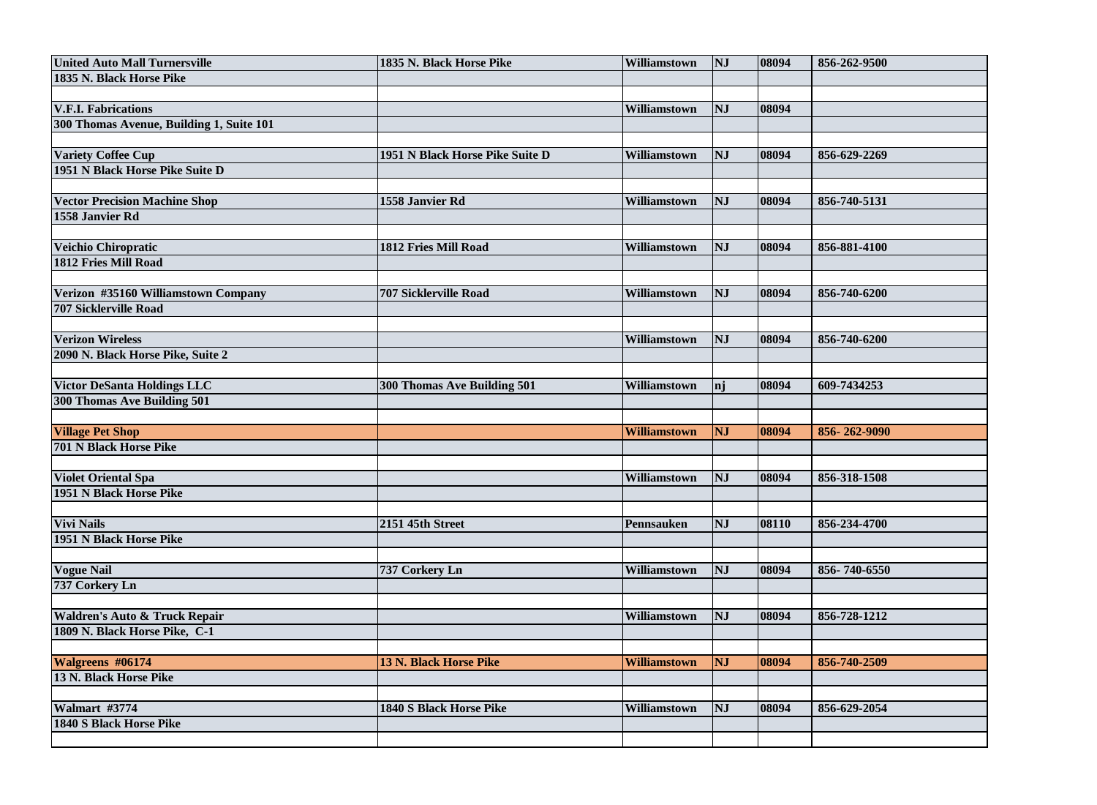| <b>United Auto Mall Turnersville</b>     | 1835 N. Black Horse Pike        | <b>Williamstown</b> | <b>NJ</b> | 08094 | 856-262-9500 |
|------------------------------------------|---------------------------------|---------------------|-----------|-------|--------------|
| 1835 N. Black Horse Pike                 |                                 |                     |           |       |              |
|                                          |                                 |                     |           |       |              |
| <b>V.F.I. Fabrications</b>               |                                 | <b>Williamstown</b> | <b>NJ</b> | 08094 |              |
| 300 Thomas Avenue, Building 1, Suite 101 |                                 |                     |           |       |              |
|                                          |                                 |                     |           |       |              |
| <b>Variety Coffee Cup</b>                | 1951 N Black Horse Pike Suite D | <b>Williamstown</b> | <b>NJ</b> | 08094 | 856-629-2269 |
| 1951 N Black Horse Pike Suite D          |                                 |                     |           |       |              |
|                                          |                                 |                     |           |       |              |
| <b>Vector Precision Machine Shop</b>     | 1558 Janvier Rd                 | <b>Williamstown</b> | <b>NJ</b> | 08094 | 856-740-5131 |
| 1558 Janvier Rd                          |                                 |                     |           |       |              |
|                                          |                                 |                     |           |       |              |
| Veichio Chiropratic                      | <b>1812 Fries Mill Road</b>     | <b>Williamstown</b> | <b>NJ</b> | 08094 | 856-881-4100 |
| <b>1812 Fries Mill Road</b>              |                                 |                     |           |       |              |
|                                          |                                 |                     |           |       |              |
| Verizon #35160 Williamstown Company      | <b>707 Sicklerville Road</b>    | <b>Williamstown</b> | <b>NJ</b> | 08094 | 856-740-6200 |
| <b>707 Sicklerville Road</b>             |                                 |                     |           |       |              |
|                                          |                                 |                     |           |       |              |
| <b>Verizon Wireless</b>                  |                                 | Williamstown        | <b>NJ</b> | 08094 | 856-740-6200 |
| 2090 N. Black Horse Pike, Suite 2        |                                 |                     |           |       |              |
|                                          |                                 |                     |           |       |              |
|                                          | 300 Thomas Ave Building 501     | <b>Williamstown</b> | nj        | 08094 | 609-7434253  |
| <b>Victor DeSanta Holdings LLC</b>       |                                 |                     |           |       |              |
| 300 Thomas Ave Building 501              |                                 |                     |           |       |              |
|                                          |                                 |                     |           | 08094 |              |
| <b>Village Pet Shop</b>                  |                                 | Williamstown        | <b>NJ</b> |       | 856-262-9090 |
| <b>701 N Black Horse Pike</b>            |                                 |                     |           |       |              |
|                                          |                                 |                     |           |       |              |
| <b>Violet Oriental Spa</b>               |                                 | <b>Williamstown</b> | <b>NJ</b> | 08094 | 856-318-1508 |
| 1951 N Black Horse Pike                  |                                 |                     |           |       |              |
|                                          |                                 |                     |           |       |              |
| <b>Vivi Nails</b>                        | 2151 45th Street                | Pennsauken          | <b>NJ</b> | 08110 | 856-234-4700 |
| 1951 N Black Horse Pike                  |                                 |                     |           |       |              |
|                                          |                                 |                     |           |       |              |
| <b>Vogue Nail</b>                        | 737 Corkery Ln                  | <b>Williamstown</b> | <b>NJ</b> | 08094 | 856-740-6550 |
| 737 Corkery Ln                           |                                 |                     |           |       |              |
|                                          |                                 |                     |           |       |              |
| <b>Waldren's Auto &amp; Truck Repair</b> |                                 | <b>Williamstown</b> | <b>NJ</b> | 08094 | 856-728-1212 |
| 1809 N. Black Horse Pike, C-1            |                                 |                     |           |       |              |
|                                          |                                 |                     |           |       |              |
| <b>Walgreens #06174</b>                  | <b>13 N. Black Horse Pike</b>   | <b>Williamstown</b> | <b>NJ</b> | 08094 | 856-740-2509 |
| 13 N. Black Horse Pike                   |                                 |                     |           |       |              |
|                                          |                                 |                     |           |       |              |
| Walmart #3774                            | <b>1840 S Black Horse Pike</b>  | <b>Williamstown</b> | <b>NJ</b> | 08094 | 856-629-2054 |
| <b>1840 S Black Horse Pike</b>           |                                 |                     |           |       |              |
|                                          |                                 |                     |           |       |              |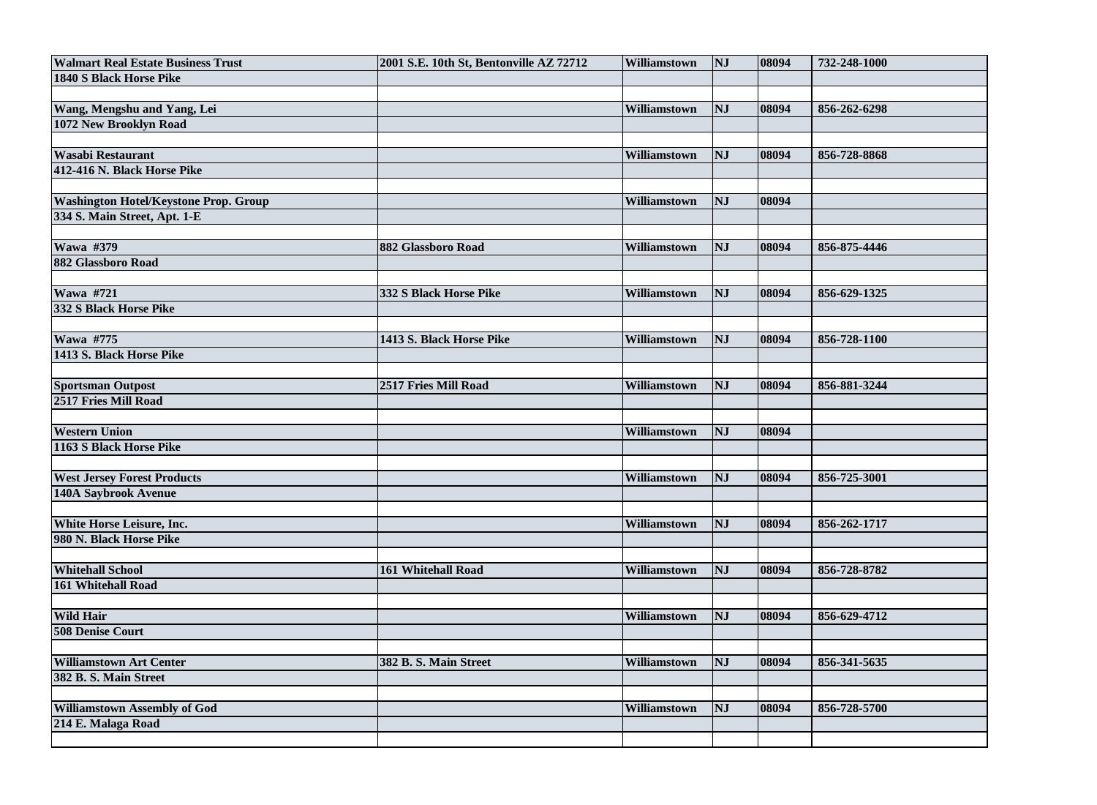| <b>Walmart Real Estate Business Trust</b> | 2001 S.E. 10th St, Bentonville AZ 72712 | <b>Williamstown</b> | <b>NJ</b> | 08094 | 732-248-1000 |
|-------------------------------------------|-----------------------------------------|---------------------|-----------|-------|--------------|
| <b>1840 S Black Horse Pike</b>            |                                         |                     |           |       |              |
|                                           |                                         |                     |           |       |              |
| Wang, Mengshu and Yang, Lei               |                                         | Williamstown        | <b>NJ</b> | 08094 | 856-262-6298 |
| 1072 New Brooklyn Road                    |                                         |                     |           |       |              |
|                                           |                                         |                     |           |       |              |
| <b>Wasabi Restaurant</b>                  |                                         | <b>Williamstown</b> | <b>NJ</b> | 08094 | 856-728-8868 |
| 412-416 N. Black Horse Pike               |                                         |                     |           |       |              |
|                                           |                                         |                     |           |       |              |
| Washington Hotel/Keystone Prop. Group     |                                         | Williamstown        | <b>NJ</b> | 08094 |              |
| 334 S. Main Street, Apt. 1-E              |                                         |                     |           |       |              |
|                                           |                                         |                     |           |       |              |
| Wawa #379                                 | 882 Glassboro Road                      | <b>Williamstown</b> | <b>NJ</b> | 08094 | 856-875-4446 |
| 882 Glassboro Road                        |                                         |                     |           |       |              |
|                                           |                                         |                     |           |       |              |
| Wawa #721                                 | 332 S Black Horse Pike                  | <b>Williamstown</b> | <b>NJ</b> | 08094 | 856-629-1325 |
| <b>332 S Black Horse Pike</b>             |                                         |                     |           |       |              |
|                                           |                                         |                     |           |       |              |
| Wawa #775                                 | 1413 S. Black Horse Pike                | Williamstown        | <b>NJ</b> | 08094 | 856-728-1100 |
| 1413 S. Black Horse Pike                  |                                         |                     |           |       |              |
|                                           |                                         |                     |           |       |              |
| <b>Sportsman Outpost</b>                  | 2517 Fries Mill Road                    | Williamstown        | <b>NJ</b> | 08094 | 856-881-3244 |
| 2517 Fries Mill Road                      |                                         |                     |           |       |              |
|                                           |                                         |                     |           |       |              |
| <b>Western Union</b>                      |                                         | Williamstown        | <b>NJ</b> | 08094 |              |
| 1163 S Black Horse Pike                   |                                         |                     |           |       |              |
|                                           |                                         |                     |           |       |              |
| <b>West Jersey Forest Products</b>        |                                         | Williamstown        | <b>NJ</b> | 08094 | 856-725-3001 |
| 140A Saybrook Avenue                      |                                         |                     |           |       |              |
|                                           |                                         |                     |           |       |              |
| White Horse Leisure, Inc.                 |                                         | Williamstown        | <b>NJ</b> | 08094 | 856-262-1717 |
| 980 N. Black Horse Pike                   |                                         |                     |           |       |              |
|                                           |                                         |                     |           |       |              |
| <b>Whitehall School</b>                   | 161 Whitehall Road                      | Williamstown        | <b>NJ</b> | 08094 | 856-728-8782 |
| <b>161 Whitehall Road</b>                 |                                         |                     |           |       |              |
|                                           |                                         |                     |           |       |              |
| <b>Wild Hair</b>                          |                                         | Williamstown        | <b>NJ</b> | 08094 | 856-629-4712 |
| <b>508 Denise Court</b>                   |                                         |                     |           |       |              |
|                                           |                                         |                     |           |       |              |
| <b>Williamstown Art Center</b>            | 382 B.S. Main Street                    | Williamstown        | <b>NJ</b> | 08094 | 856-341-5635 |
| 382 B.S. Main Street                      |                                         |                     |           |       |              |
|                                           |                                         |                     |           |       |              |
| <b>Williamstown Assembly of God</b>       |                                         | <b>Williamstown</b> | <b>NJ</b> | 08094 | 856-728-5700 |
| 214 E. Malaga Road                        |                                         |                     |           |       |              |
|                                           |                                         |                     |           |       |              |
|                                           |                                         |                     |           |       |              |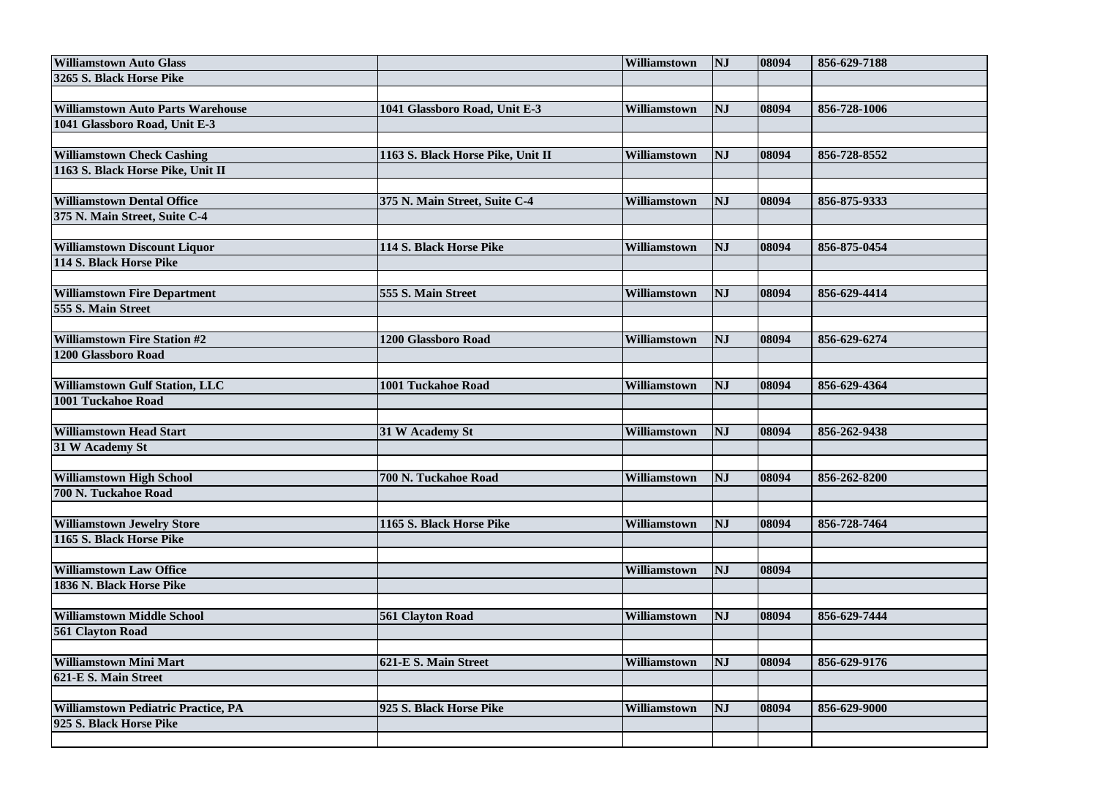| <b>Williamstown Auto Glass</b>                          |                                   | <b>Williamstown</b> | <b>NJ</b> | 08094 | 856-629-7188 |
|---------------------------------------------------------|-----------------------------------|---------------------|-----------|-------|--------------|
| 3265 S. Black Horse Pike                                |                                   |                     |           |       |              |
|                                                         |                                   |                     |           |       |              |
| <b>Williamstown Auto Parts Warehouse</b>                | 1041 Glassboro Road, Unit E-3     | <b>Williamstown</b> | <b>NJ</b> | 08094 | 856-728-1006 |
| 1041 Glassboro Road, Unit E-3                           |                                   |                     |           |       |              |
|                                                         |                                   |                     |           |       |              |
| <b>Williamstown Check Cashing</b>                       | 1163 S. Black Horse Pike, Unit II | <b>Williamstown</b> | <b>NJ</b> | 08094 | 856-728-8552 |
| 1163 S. Black Horse Pike, Unit II                       |                                   |                     |           |       |              |
|                                                         |                                   |                     |           |       |              |
| <b>Williamstown Dental Office</b>                       | 375 N. Main Street, Suite C-4     | <b>Williamstown</b> | <b>NJ</b> | 08094 | 856-875-9333 |
| 375 N. Main Street, Suite C-4                           |                                   |                     |           |       |              |
|                                                         |                                   |                     |           |       |              |
| <b>Williamstown Discount Liquor</b>                     | 114 S. Black Horse Pike           | <b>Williamstown</b> | <b>NJ</b> | 08094 | 856-875-0454 |
| 114 S. Black Horse Pike                                 |                                   |                     |           |       |              |
|                                                         |                                   |                     |           |       |              |
| <b>Williamstown Fire Department</b>                     | 555 S. Main Street                | <b>Williamstown</b> | <b>NJ</b> | 08094 | 856-629-4414 |
| 555 S. Main Street                                      |                                   |                     |           |       |              |
|                                                         |                                   |                     |           |       |              |
| <b>Williamstown Fire Station #2</b>                     | 1200 Glassboro Road               | Williamstown        | <b>NJ</b> | 08094 | 856-629-6274 |
| 1200 Glassboro Road                                     |                                   |                     |           |       |              |
|                                                         |                                   |                     |           |       |              |
| <b>Williamstown Gulf Station, LLC</b>                   | <b>1001 Tuckahoe Road</b>         | <b>Williamstown</b> | <b>NJ</b> | 08094 | 856-629-4364 |
| <b>1001 Tuckahoe Road</b>                               |                                   |                     |           |       |              |
|                                                         |                                   |                     |           |       |              |
| <b>Williamstown Head Start</b>                          | 31 W Academy St                   | <b>Williamstown</b> | <b>NJ</b> | 08094 | 856-262-9438 |
|                                                         |                                   |                     |           |       |              |
| 31 W Academy St                                         |                                   |                     |           |       |              |
|                                                         | 700 N. Tuckahoe Road              |                     | <b>NJ</b> | 08094 |              |
| <b>Williamstown High School</b><br>700 N. Tuckahoe Road |                                   | <b>Williamstown</b> |           |       | 856-262-8200 |
|                                                         |                                   |                     |           |       |              |
|                                                         |                                   |                     |           |       |              |
| <b>Williamstown Jewelry Store</b>                       | 1165 S. Black Horse Pike          | <b>Williamstown</b> | <b>NJ</b> | 08094 | 856-728-7464 |
| 1165 S. Black Horse Pike                                |                                   |                     |           |       |              |
|                                                         |                                   |                     |           |       |              |
| <b>Williamstown Law Office</b>                          |                                   | <b>Williamstown</b> | <b>NJ</b> | 08094 |              |
| 1836 N. Black Horse Pike                                |                                   |                     |           |       |              |
|                                                         |                                   |                     |           |       |              |
| <b>Williamstown Middle School</b>                       | <b>561 Clayton Road</b>           | <b>Williamstown</b> | <b>NJ</b> | 08094 | 856-629-7444 |
| 561 Clayton Road                                        |                                   |                     |           |       |              |
|                                                         |                                   |                     |           |       |              |
| <b>Williamstown Mini Mart</b>                           | 621-E S. Main Street              | Williamstown        | <b>NJ</b> | 08094 | 856-629-9176 |
| 621-E S. Main Street                                    |                                   |                     |           |       |              |
|                                                         |                                   |                     |           |       |              |
| <b>Williamstown Pediatric Practice, PA</b>              | 925 S. Black Horse Pike           | <b>Williamstown</b> | <b>NJ</b> | 08094 | 856-629-9000 |
| 925 S. Black Horse Pike                                 |                                   |                     |           |       |              |
|                                                         |                                   |                     |           |       |              |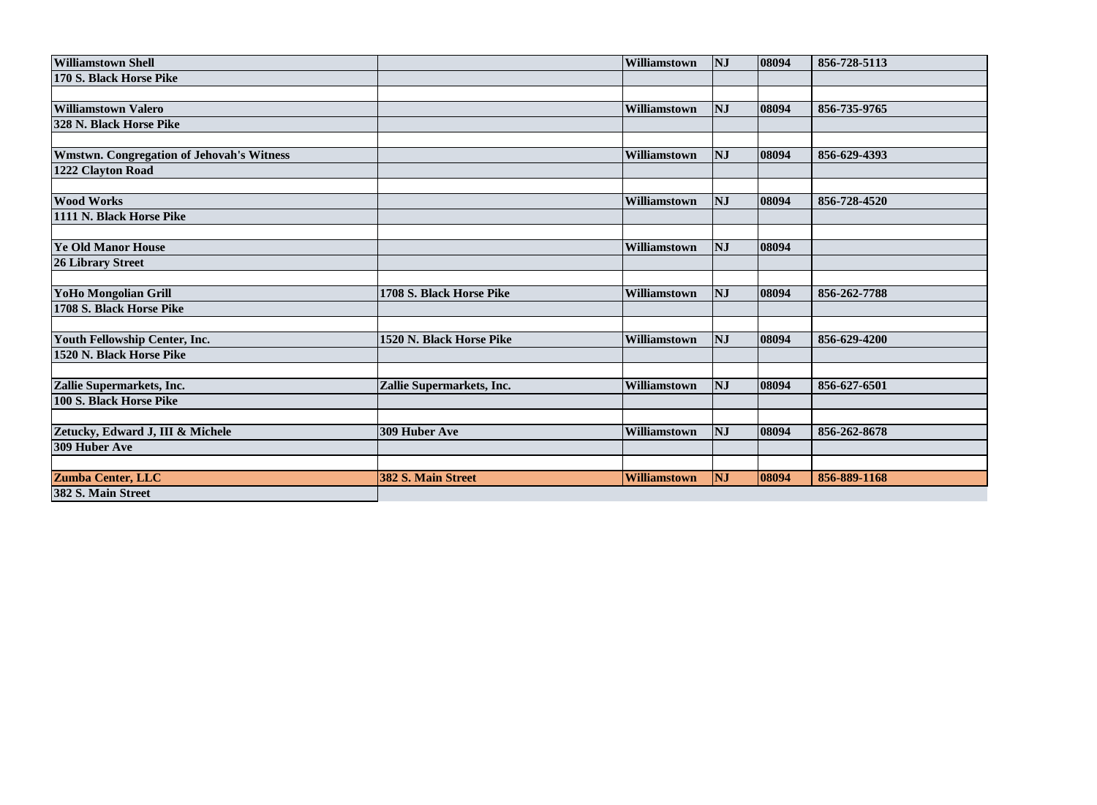| <b>Williamstown Shell</b>                        |                           | Williamstown        | <b>NJ</b> | 08094 | 856-728-5113 |
|--------------------------------------------------|---------------------------|---------------------|-----------|-------|--------------|
| 170 S. Black Horse Pike                          |                           |                     |           |       |              |
|                                                  |                           |                     |           |       |              |
| <b>Williamstown Valero</b>                       |                           | Williamstown        | <b>NJ</b> | 08094 | 856-735-9765 |
| 328 N. Black Horse Pike                          |                           |                     |           |       |              |
|                                                  |                           |                     |           |       |              |
| <b>Wmstwn. Congregation of Jehovah's Witness</b> |                           | <b>Williamstown</b> | <b>NJ</b> | 08094 | 856-629-4393 |
| 1222 Clayton Road                                |                           |                     |           |       |              |
|                                                  |                           |                     |           |       |              |
| <b>Wood Works</b>                                |                           | Williamstown        | <b>NJ</b> | 08094 | 856-728-4520 |
| 1111 N. Black Horse Pike                         |                           |                     |           |       |              |
|                                                  |                           |                     |           |       |              |
| <b>Ye Old Manor House</b>                        |                           | Williamstown        | <b>NJ</b> | 08094 |              |
| <b>26 Library Street</b>                         |                           |                     |           |       |              |
|                                                  |                           |                     |           |       |              |
| YoHo Mongolian Grill                             | 1708 S. Black Horse Pike  | Williamstown        | <b>NJ</b> | 08094 | 856-262-7788 |
| 1708 S. Black Horse Pike                         |                           |                     |           |       |              |
|                                                  |                           |                     |           |       |              |
| Youth Fellowship Center, Inc.                    | 1520 N. Black Horse Pike  | Williamstown        | <b>NJ</b> | 08094 | 856-629-4200 |
| 1520 N. Black Horse Pike                         |                           |                     |           |       |              |
|                                                  |                           |                     |           |       |              |
| Zallie Supermarkets, Inc.                        | Zallie Supermarkets, Inc. | Williamstown        | <b>NJ</b> | 08094 | 856-627-6501 |
| 100 S. Black Horse Pike                          |                           |                     |           |       |              |
|                                                  |                           |                     |           |       |              |
| Zetucky, Edward J, III & Michele                 | 309 Huber Ave             | Williamstown        | <b>NJ</b> | 08094 | 856-262-8678 |
| <b>309 Huber Ave</b>                             |                           |                     |           |       |              |
|                                                  |                           |                     |           |       |              |
| <b>Zumba Center, LLC</b>                         | 382 S. Main Street        | <b>Williamstown</b> | <b>NJ</b> | 08094 | 856-889-1168 |
| 382 S. Main Street                               |                           |                     |           |       |              |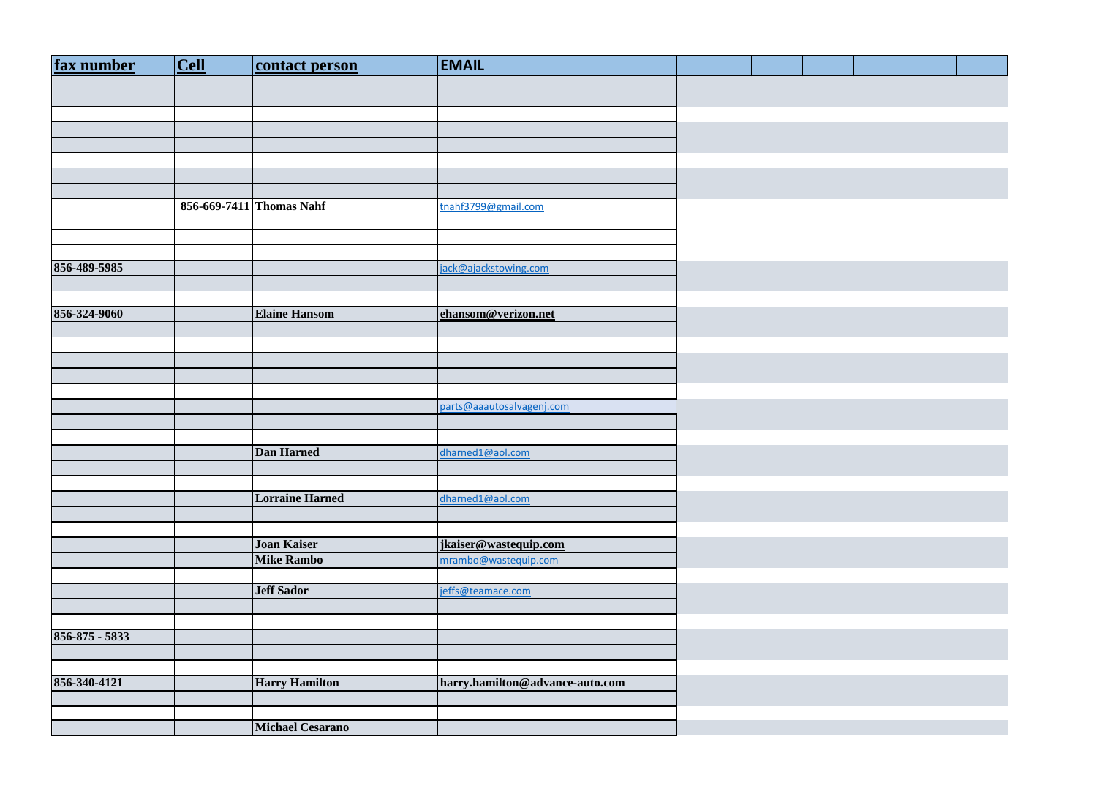| fax number     | <b>Cell</b> | contact person           | <b>EMAIL</b>                    |  |  |  |
|----------------|-------------|--------------------------|---------------------------------|--|--|--|
|                |             |                          |                                 |  |  |  |
|                |             |                          |                                 |  |  |  |
|                |             |                          |                                 |  |  |  |
|                |             |                          |                                 |  |  |  |
|                |             |                          |                                 |  |  |  |
|                |             |                          |                                 |  |  |  |
|                |             |                          |                                 |  |  |  |
|                |             | 856-669-7411 Thomas Nahf | tnahf3799@gmail.com             |  |  |  |
|                |             |                          |                                 |  |  |  |
|                |             |                          |                                 |  |  |  |
| 856-489-5985   |             |                          | jack@ajackstowing.com           |  |  |  |
|                |             |                          |                                 |  |  |  |
|                |             |                          |                                 |  |  |  |
| 856-324-9060   |             | <b>Elaine Hansom</b>     | ehansom@verizon.net             |  |  |  |
|                |             |                          |                                 |  |  |  |
|                |             |                          |                                 |  |  |  |
|                |             |                          |                                 |  |  |  |
|                |             |                          |                                 |  |  |  |
|                |             |                          | parts@aaautosalvagenj.com       |  |  |  |
|                |             |                          |                                 |  |  |  |
|                |             | <b>Dan Harned</b>        | dharned1@aol.com                |  |  |  |
|                |             |                          |                                 |  |  |  |
|                |             |                          |                                 |  |  |  |
|                |             | <b>Lorraine Harned</b>   | dharned1@aol.com                |  |  |  |
|                |             |                          |                                 |  |  |  |
|                |             | Joan Kaiser              | jkaiser@wastequip.com           |  |  |  |
|                |             | <b>Mike Rambo</b>        | mrambo@wastequip.com            |  |  |  |
|                |             |                          |                                 |  |  |  |
|                |             | <b>Jeff Sador</b>        | jeffs@teamace.com               |  |  |  |
|                |             |                          |                                 |  |  |  |
| 856-875 - 5833 |             |                          |                                 |  |  |  |
|                |             |                          |                                 |  |  |  |
|                |             |                          |                                 |  |  |  |
| 856-340-4121   |             | <b>Harry Hamilton</b>    | harry.hamilton@advance-auto.com |  |  |  |
|                |             |                          |                                 |  |  |  |
|                |             | <b>Michael Cesarano</b>  |                                 |  |  |  |
|                |             |                          |                                 |  |  |  |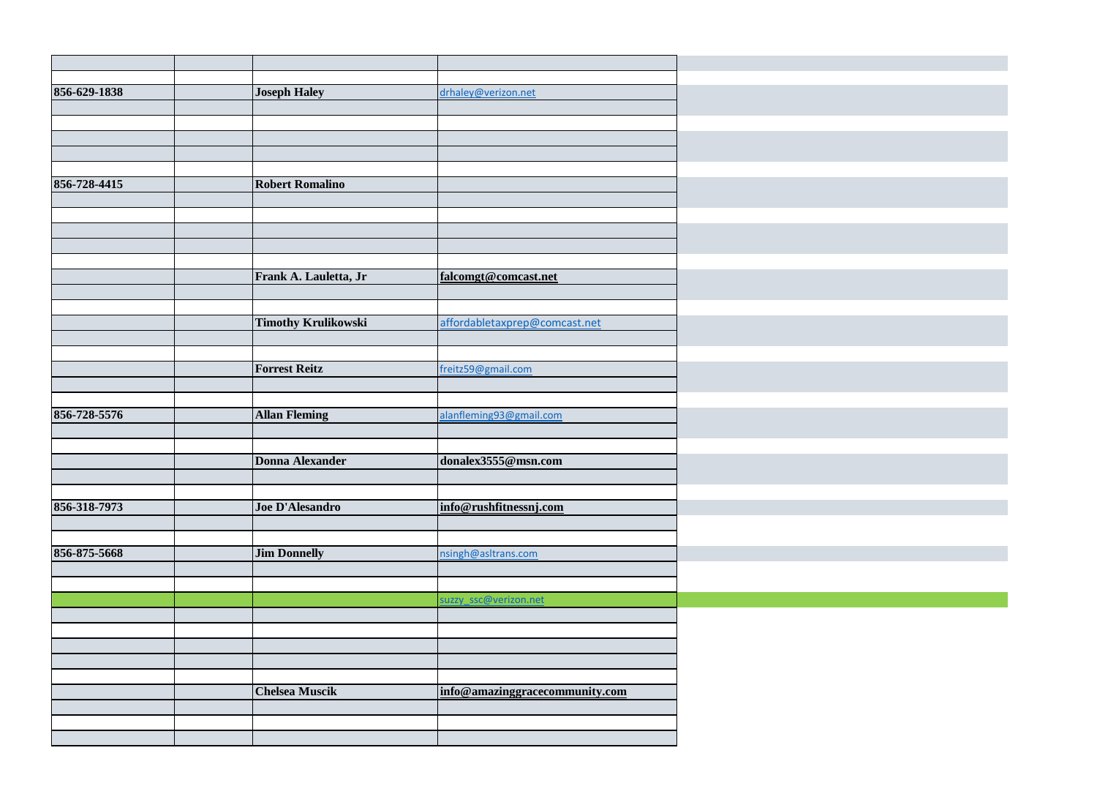| 856-629-1838 | <b>Joseph Haley</b>        | drhaley@verizon.net            |
|--------------|----------------------------|--------------------------------|
|              |                            |                                |
|              |                            |                                |
|              |                            |                                |
| 856-728-4415 | <b>Robert Romalino</b>     |                                |
|              |                            |                                |
|              |                            |                                |
|              |                            |                                |
|              |                            |                                |
|              | Frank A. Lauletta, Jr      | falcomgt@comcast.net           |
|              |                            |                                |
|              | <b>Timothy Krulikowski</b> | affordabletaxprep@comcast.net  |
|              |                            |                                |
|              | <b>Forrest Reitz</b>       | freitz59@gmail.com             |
|              |                            |                                |
| 856-728-5576 | <b>Allan Fleming</b>       |                                |
|              |                            | alanfleming93@gmail.com        |
|              |                            |                                |
|              | <b>Donna Alexander</b>     | donalex3555@msn.com            |
|              |                            |                                |
| 856-318-7973 | Joe D'Alesandro            | $\ln$ fo@rushfitnessni.com     |
|              |                            |                                |
| 856-875-5668 | <b>Jim Donnelly</b>        | nsingh@asltrans.com            |
|              |                            |                                |
|              |                            | suzzy_ssc@verizon.net          |
|              |                            |                                |
|              |                            |                                |
|              |                            |                                |
|              |                            |                                |
|              | <b>Chelsea Muscik</b>      | info@amazinggracecommunity.com |
|              |                            |                                |
|              |                            |                                |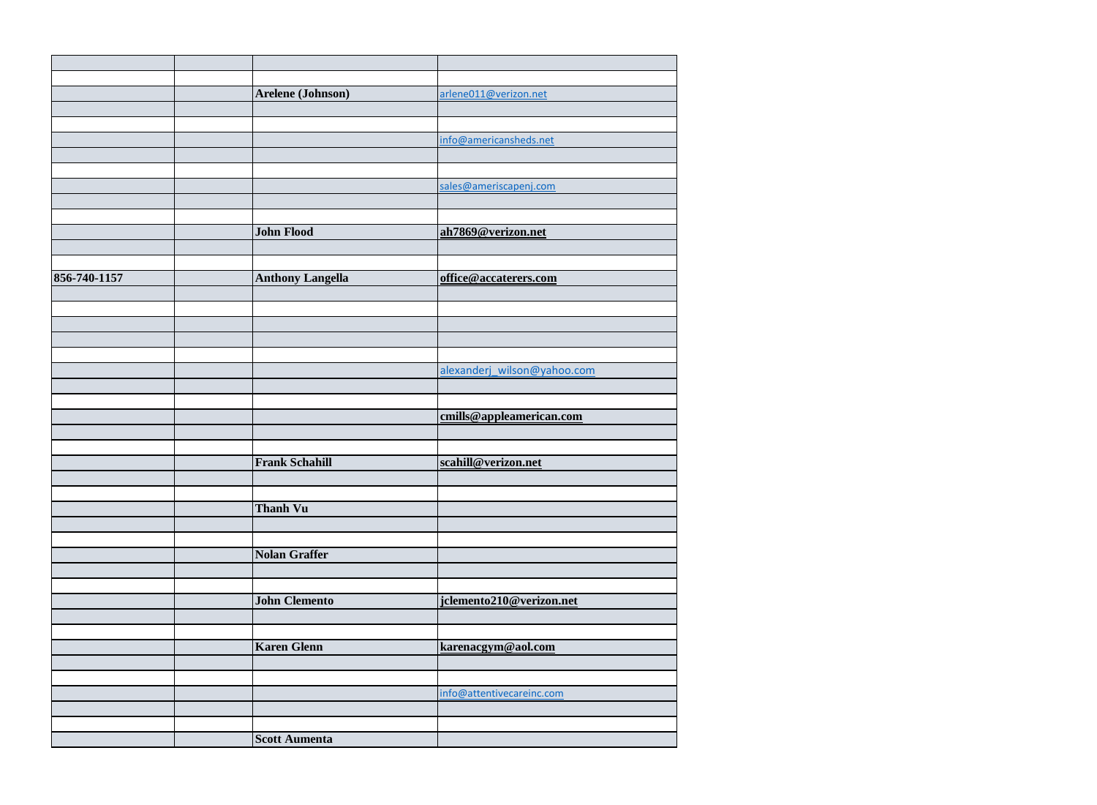|              | Arelene (Johnson)       | arlene011@verizon.net       |
|--------------|-------------------------|-----------------------------|
|              |                         |                             |
|              |                         |                             |
|              |                         |                             |
|              |                         | info@americansheds.net      |
|              |                         |                             |
|              |                         |                             |
|              |                         | sales@ameriscapenj.com      |
|              |                         |                             |
|              |                         |                             |
|              | <b>John Flood</b>       | ah7869@verizon.net          |
|              |                         |                             |
|              |                         |                             |
|              |                         |                             |
| 856-740-1157 | <b>Anthony Langella</b> | office@accaterers.com       |
|              |                         |                             |
|              |                         |                             |
|              |                         |                             |
|              |                         |                             |
|              |                         |                             |
|              |                         | alexanderj wilson@yahoo.com |
|              |                         |                             |
|              |                         |                             |
|              |                         |                             |
|              |                         | cmills@appleamerican.com    |
|              |                         |                             |
|              |                         |                             |
|              | <b>Frank Schahill</b>   | scahill@verizon.net         |
|              |                         |                             |
|              |                         |                             |
|              | <b>Thanh Vu</b>         |                             |
|              |                         |                             |
|              |                         |                             |
|              |                         |                             |
|              | <b>Nolan Graffer</b>    |                             |
|              |                         |                             |
|              |                         |                             |
|              | <b>John Clemento</b>    | jclemento210@verizon.net    |
|              |                         |                             |
|              |                         |                             |
|              | <b>Karen Glenn</b>      | karenacgym@aol.com          |
|              |                         |                             |
|              |                         |                             |
|              |                         |                             |
|              |                         | info@attentivecareinc.com   |
|              |                         |                             |
|              |                         |                             |
|              | <b>Scott Aumenta</b>    |                             |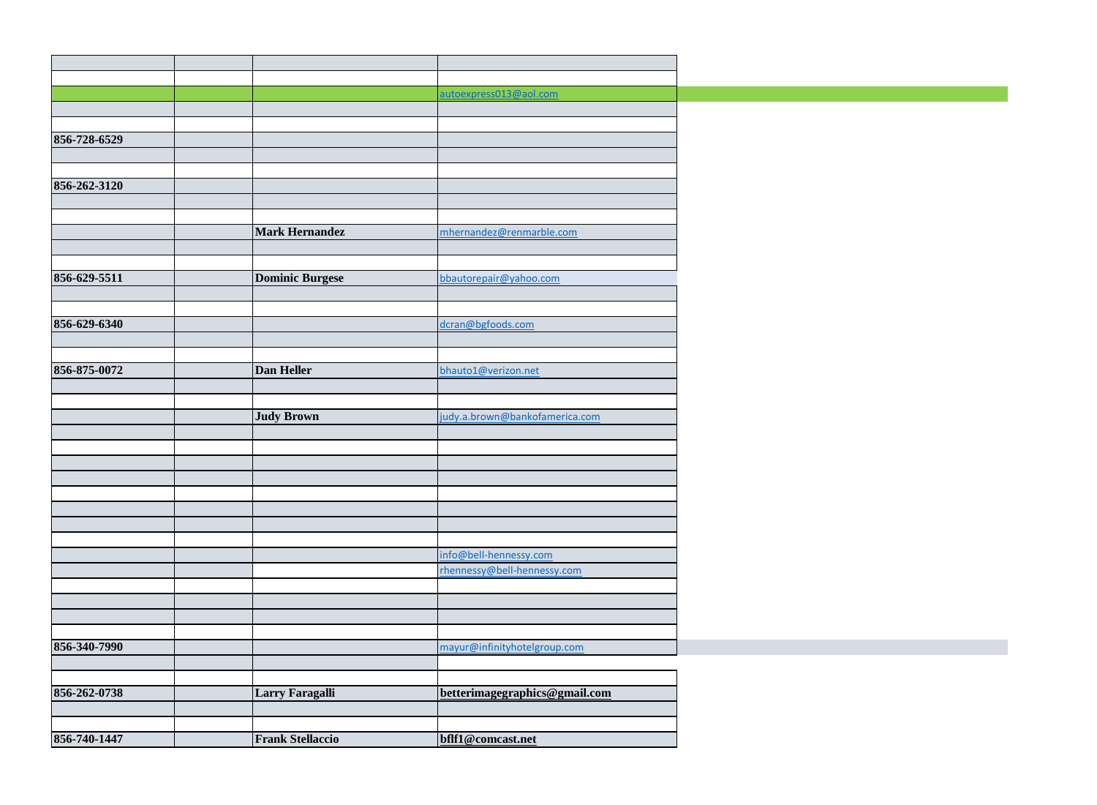|              |                         | autoexpress013@aol.com         |
|--------------|-------------------------|--------------------------------|
|              |                         |                                |
|              |                         |                                |
| 856-728-6529 |                         |                                |
|              |                         |                                |
|              |                         |                                |
| 856-262-3120 |                         |                                |
|              |                         |                                |
|              |                         |                                |
|              | <b>Mark Hernandez</b>   | mhernandez@renmarble.com       |
|              |                         |                                |
|              |                         |                                |
| 856-629-5511 | <b>Dominic Burgese</b>  | bbautorepair@yahoo.com         |
|              |                         |                                |
|              |                         |                                |
| 856-629-6340 |                         | dcran@bgfoods.com              |
|              |                         |                                |
|              |                         |                                |
| 856-875-0072 | <b>Dan Heller</b>       | bhauto1@verizon.net            |
|              |                         |                                |
|              |                         |                                |
|              | <b>Judy Brown</b>       | judy.a.brown@bankofamerica.com |
|              |                         |                                |
|              |                         |                                |
|              |                         |                                |
|              |                         |                                |
|              |                         |                                |
|              |                         |                                |
|              |                         |                                |
|              |                         |                                |
|              |                         | info@bell-hennessy.com         |
|              |                         | rhennessy@bell-hennessy.com    |
|              |                         |                                |
|              |                         |                                |
|              |                         |                                |
|              |                         |                                |
| 856-340-7990 |                         | mayur@infinityhotelgroup.com   |
|              |                         |                                |
|              |                         |                                |
| 856-262-0738 | Larry Faragalli         | betterimagegraphics@gmail.com  |
|              |                         |                                |
|              |                         |                                |
| 856-740-1447 | <b>Frank Stellaccio</b> | bflf1@comcast.net              |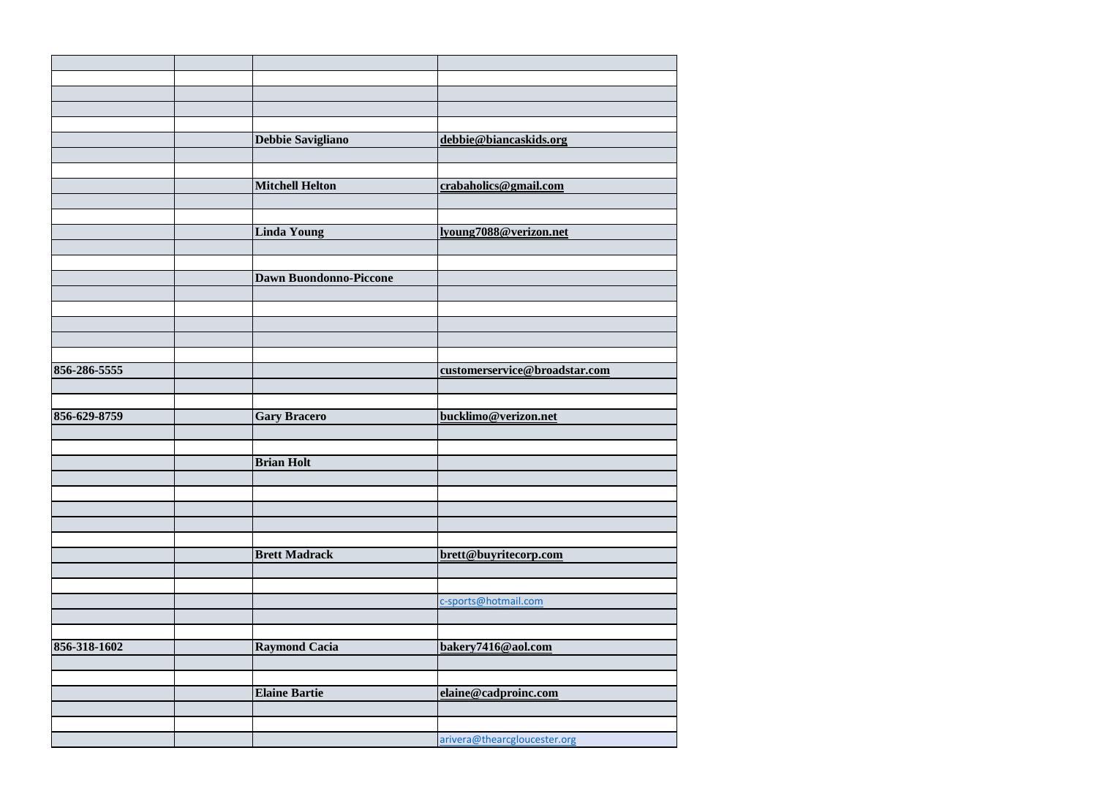|              | <b>Debbie Savigliano</b>      | debbie@biancaskids.org        |
|--------------|-------------------------------|-------------------------------|
|              |                               |                               |
|              |                               |                               |
|              | <b>Mitchell Helton</b>        | crabaholics@gmail.com         |
|              |                               |                               |
|              |                               |                               |
|              | <b>Linda Young</b>            | lyoung7088@verizon.net        |
|              |                               |                               |
|              |                               |                               |
|              | <b>Dawn Buondonno-Piccone</b> |                               |
|              |                               |                               |
|              |                               |                               |
|              |                               |                               |
|              |                               |                               |
|              |                               |                               |
|              |                               |                               |
| 856-286-5555 |                               | customerservice@broadstar.com |
|              |                               |                               |
|              |                               |                               |
| 856-629-8759 | <b>Gary Bracero</b>           | bucklimo@verizon.net          |
|              |                               |                               |
|              |                               |                               |
|              | <b>Brian Holt</b>             |                               |
|              |                               |                               |
|              |                               |                               |
|              |                               |                               |
|              |                               |                               |
|              |                               |                               |
|              |                               |                               |
|              | <b>Brett Madrack</b>          | brett@buyritecorp.com         |
|              |                               |                               |
|              |                               |                               |
|              |                               | c-sports@hotmail.com          |
|              |                               |                               |
|              |                               |                               |
| 856-318-1602 | <b>Raymond Cacia</b>          | bakery7416@aol.com            |
|              |                               |                               |
|              |                               |                               |
|              | <b>Elaine Bartie</b>          | elaine@cadproinc.com          |
|              |                               |                               |
|              |                               |                               |
|              |                               |                               |
|              |                               | arivera@thearcgloucester.org  |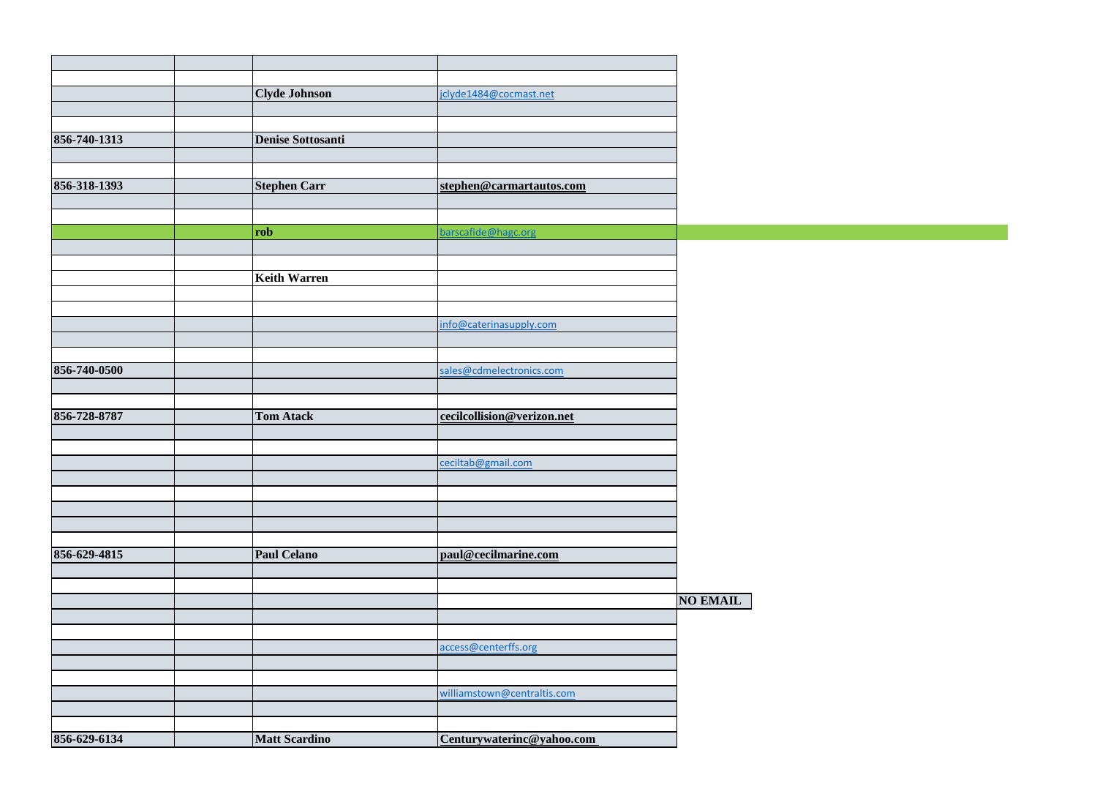|              | <b>Clyde Johnson</b>     | jclyde1484@cocmast.net      |                 |
|--------------|--------------------------|-----------------------------|-----------------|
|              |                          |                             |                 |
|              |                          |                             |                 |
| 856-740-1313 | <b>Denise Sottosanti</b> |                             |                 |
|              |                          |                             |                 |
| 856-318-1393 | <b>Stephen Carr</b>      | stephen@carmartautos.com    |                 |
|              |                          |                             |                 |
|              | rob                      | parscafide@hagc.org         |                 |
|              |                          |                             |                 |
|              | <b>Keith Warren</b>      |                             |                 |
|              |                          |                             |                 |
|              |                          |                             |                 |
|              |                          | info@caterinasupply.com     |                 |
|              |                          |                             |                 |
| 856-740-0500 |                          | sales@cdmelectronics.com    |                 |
|              |                          |                             |                 |
| 856-728-8787 | <b>Tom Atack</b>         | cecilcollision@verizon.net  |                 |
|              |                          |                             |                 |
|              |                          | ceciltab@gmail.com          |                 |
|              |                          |                             |                 |
|              |                          |                             |                 |
|              |                          |                             |                 |
|              |                          |                             |                 |
| 856-629-4815 | <b>Paul Celano</b>       | paul@cecilmarine.com        |                 |
|              |                          |                             |                 |
|              |                          |                             | <b>NO EMAIL</b> |
|              |                          |                             |                 |
|              |                          | access@centerffs.org        |                 |
|              |                          |                             |                 |
|              |                          |                             |                 |
|              |                          | williamstown@centraltis.com |                 |
|              |                          |                             |                 |
| 856-629-6134 | <b>Matt Scardino</b>     | Centurywaterinc@yahoo.com   |                 |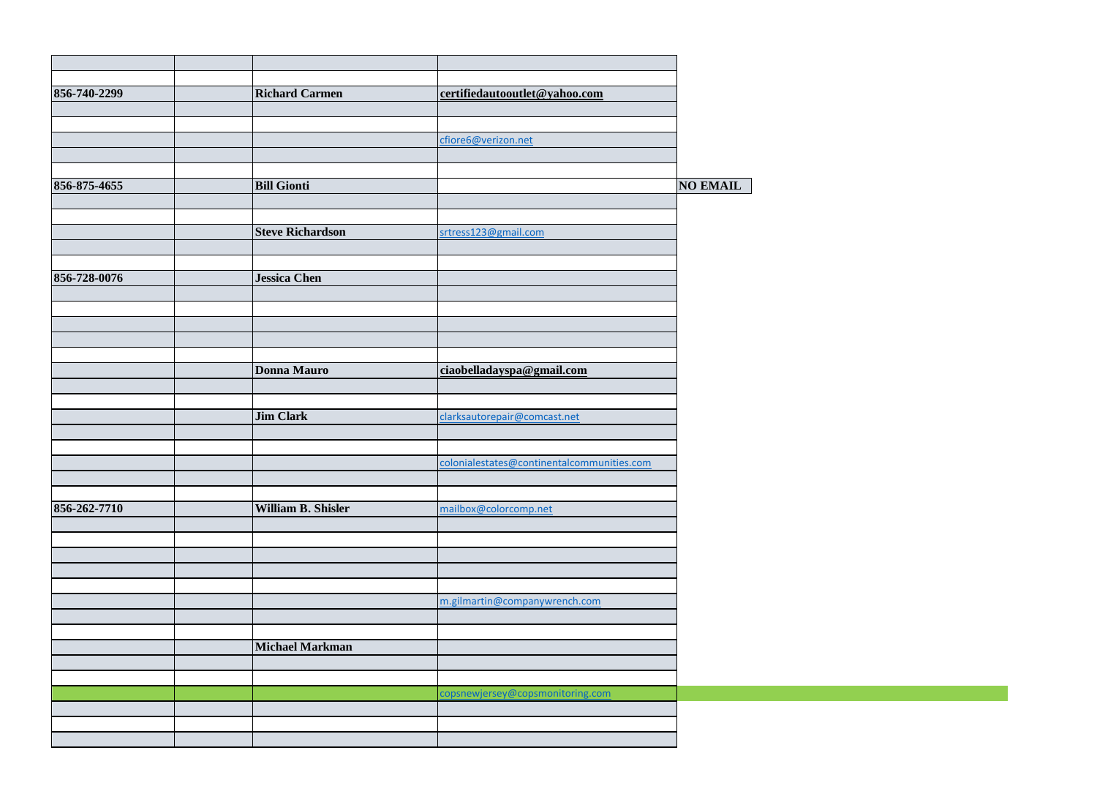| 856-740-2299 | <b>Richard Carmen</b>     | certifiedautooutlet@yahoo.com              |
|--------------|---------------------------|--------------------------------------------|
|              |                           |                                            |
|              |                           | cfiore6@verizon.net                        |
|              |                           |                                            |
| 856-875-4655 | <b>Bill Gionti</b>        |                                            |
|              |                           |                                            |
|              | <b>Steve Richardson</b>   | srtress123@gmail.com                       |
|              |                           |                                            |
| 856-728-0076 | <b>Jessica Chen</b>       |                                            |
|              |                           |                                            |
|              |                           |                                            |
|              |                           |                                            |
|              | <b>Donna Mauro</b>        | ciaobelladayspa@gmail.com                  |
|              |                           |                                            |
|              | <b>Jim Clark</b>          | clarksautorepair@comcast.net               |
|              |                           |                                            |
|              |                           | colonialestates@continentalcommunities.com |
|              |                           |                                            |
| 856-262-7710 | <b>William B. Shisler</b> | mailbox@colorcomp.net                      |
|              |                           |                                            |
|              |                           |                                            |
|              |                           |                                            |
|              |                           |                                            |
|              |                           | m.gilmartin@companywrench.com              |
|              |                           |                                            |
|              | <b>Michael Markman</b>    |                                            |
|              |                           |                                            |
|              |                           | copsnewjersey@copsmonitoring.com           |
|              |                           |                                            |
|              |                           |                                            |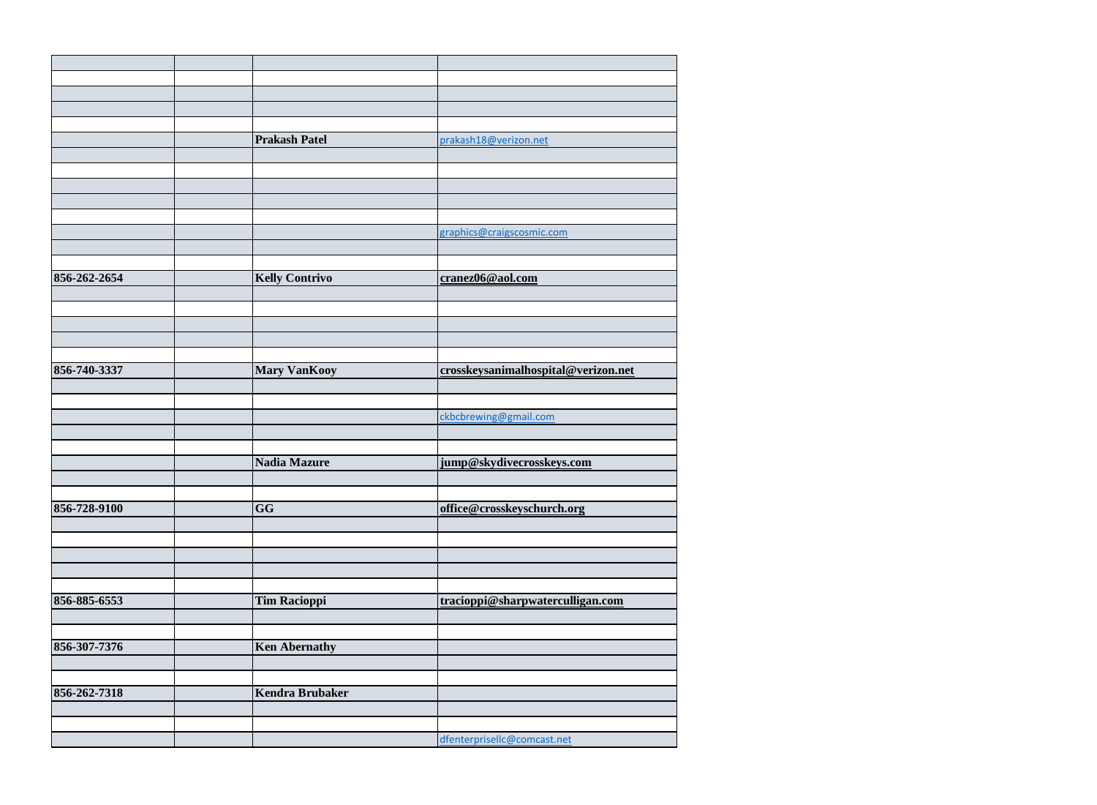|              | <b>Prakash Patel</b>  | prakash18@verizon.net               |
|--------------|-----------------------|-------------------------------------|
|              |                       |                                     |
|              |                       |                                     |
|              |                       |                                     |
|              |                       |                                     |
|              |                       |                                     |
|              |                       |                                     |
|              |                       | graphics@craigscosmic.com           |
|              |                       |                                     |
|              |                       |                                     |
| 856-262-2654 | <b>Kelly Contrivo</b> | cranez06@aol.com                    |
|              |                       |                                     |
|              |                       |                                     |
|              |                       |                                     |
|              |                       |                                     |
|              |                       |                                     |
|              |                       |                                     |
| 856-740-3337 | <b>Mary VanKooy</b>   | crosskeysanimalhospital@verizon.net |
|              |                       |                                     |
|              |                       |                                     |
|              |                       | ckbcbrewing@gmail.com               |
|              |                       |                                     |
|              |                       |                                     |
|              | Nadia Mazure          | jump@skydivecrosskeys.com           |
|              |                       |                                     |
|              |                       |                                     |
| 856-728-9100 | GG                    | office@crosskeyschurch.org          |
|              |                       |                                     |
|              |                       |                                     |
|              |                       |                                     |
|              |                       |                                     |
|              |                       |                                     |
|              |                       |                                     |
| 856-885-6553 | <b>Tim Racioppi</b>   | tracioppi@sharpwaterculligan.com    |
|              |                       |                                     |
|              |                       |                                     |
| 856-307-7376 | <b>Ken Abernathy</b>  |                                     |
|              |                       |                                     |
|              |                       |                                     |
| 856-262-7318 | Kendra Brubaker       |                                     |
|              |                       |                                     |
|              |                       |                                     |
|              |                       |                                     |
|              |                       | dfenterprisellc@comcast.net         |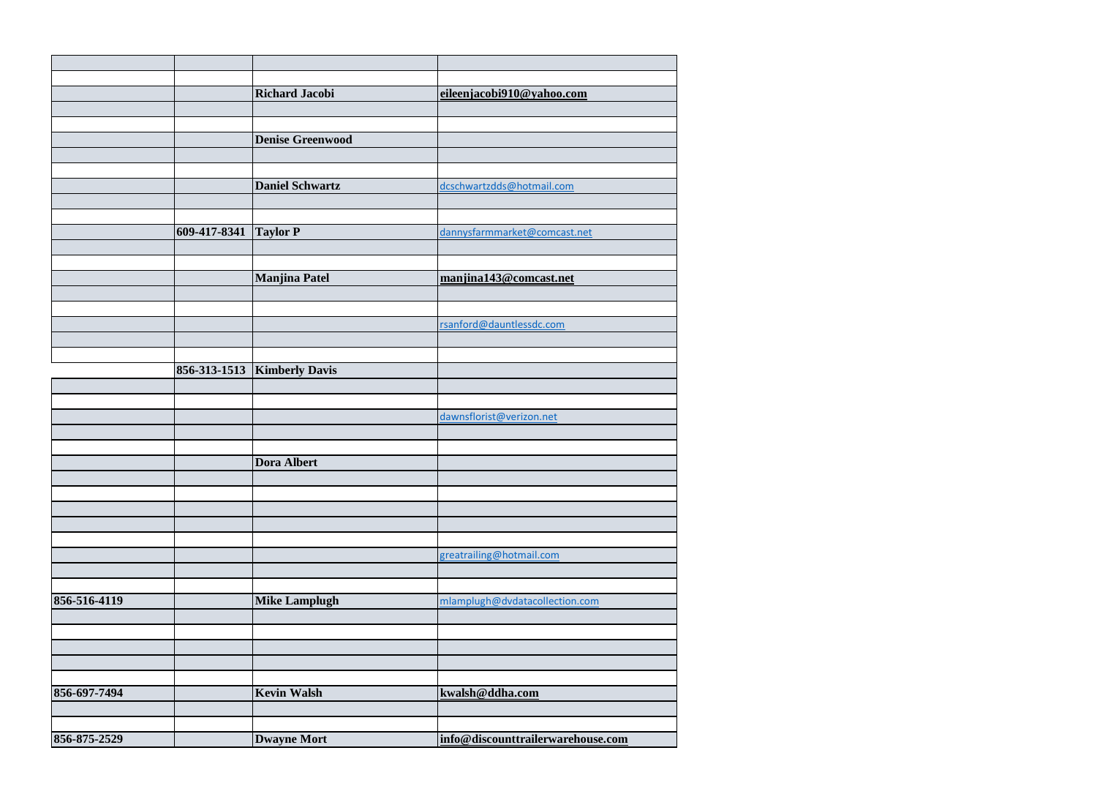|              |              | <b>Richard Jacobi</b>       | eileenjacobi910@yahoo.com         |
|--------------|--------------|-----------------------------|-----------------------------------|
|              |              |                             |                                   |
|              |              |                             |                                   |
|              |              | <b>Denise Greenwood</b>     |                                   |
|              |              |                             |                                   |
|              |              | <b>Daniel Schwartz</b>      | dcschwartzdds@hotmail.com         |
|              |              |                             |                                   |
|              | 609-417-8341 | <b>Taylor P</b>             | dannysfarmmarket@comcast.net      |
|              |              |                             |                                   |
|              |              |                             |                                   |
|              |              | <b>Manjina Patel</b>        | manjina143@comcast.net            |
|              |              |                             |                                   |
|              |              |                             | rsanford@dauntlessdc.com          |
|              |              |                             |                                   |
|              |              |                             |                                   |
|              |              | 856-313-1513 Kimberly Davis |                                   |
|              |              |                             |                                   |
|              |              |                             | dawnsflorist@verizon.net          |
|              |              |                             |                                   |
|              |              | <b>Dora Albert</b>          |                                   |
|              |              |                             |                                   |
|              |              |                             |                                   |
|              |              |                             |                                   |
|              |              |                             |                                   |
|              |              |                             | greatrailing@hotmail.com          |
|              |              |                             |                                   |
| 856-516-4119 |              | <b>Mike Lamplugh</b>        | mlamplugh@dvdatacollection.com    |
|              |              |                             |                                   |
|              |              |                             |                                   |
|              |              |                             |                                   |
|              |              |                             |                                   |
| 856-697-7494 |              | <b>Kevin Walsh</b>          | kwalsh@ddha.com                   |
|              |              |                             |                                   |
| 856-875-2529 |              | <b>Dwayne Mort</b>          | info@discounttrailerwarehouse.com |
|              |              |                             |                                   |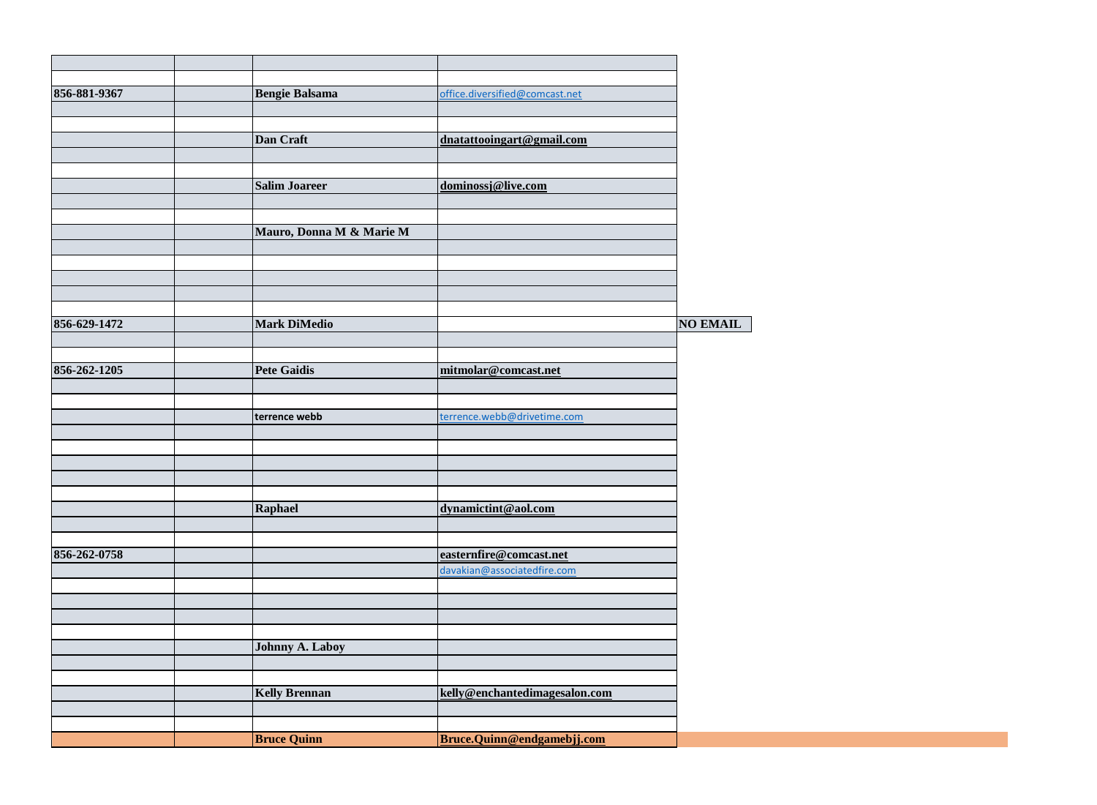| 856-881-9367 | <b>Bengie Balsama</b>    | office.diversified@comcast.net |                 |
|--------------|--------------------------|--------------------------------|-----------------|
|              | Dan Craft                | dnatattooingart@gmail.com      |                 |
|              |                          |                                |                 |
|              | <b>Salim Joareer</b>     | dominossi@live.com             |                 |
|              | Mauro, Donna M & Marie M |                                |                 |
|              |                          |                                |                 |
| 856-629-1472 | <b>Mark DiMedio</b>      |                                | <b>NO EMAIL</b> |
| 856-262-1205 | <b>Pete Gaidis</b>       | mitmolar@comcast.net           |                 |
|              | terrence webb            | terrence.webb@drivetime.com    |                 |
|              |                          |                                |                 |
|              | Raphael                  | dynamictint@aol.com            |                 |
| 856-262-0758 |                          | easternfire@comcast.net        |                 |
|              |                          | davakian@associatedfire.com    |                 |
|              |                          |                                |                 |
|              | Johnny A. Laboy          |                                |                 |
|              | <b>Kelly Brennan</b>     | kelly@enchantedimagesalon.com  |                 |
|              | <b>Bruce Quinn</b>       | Bruce.Quinn@endgamebjj.com     |                 |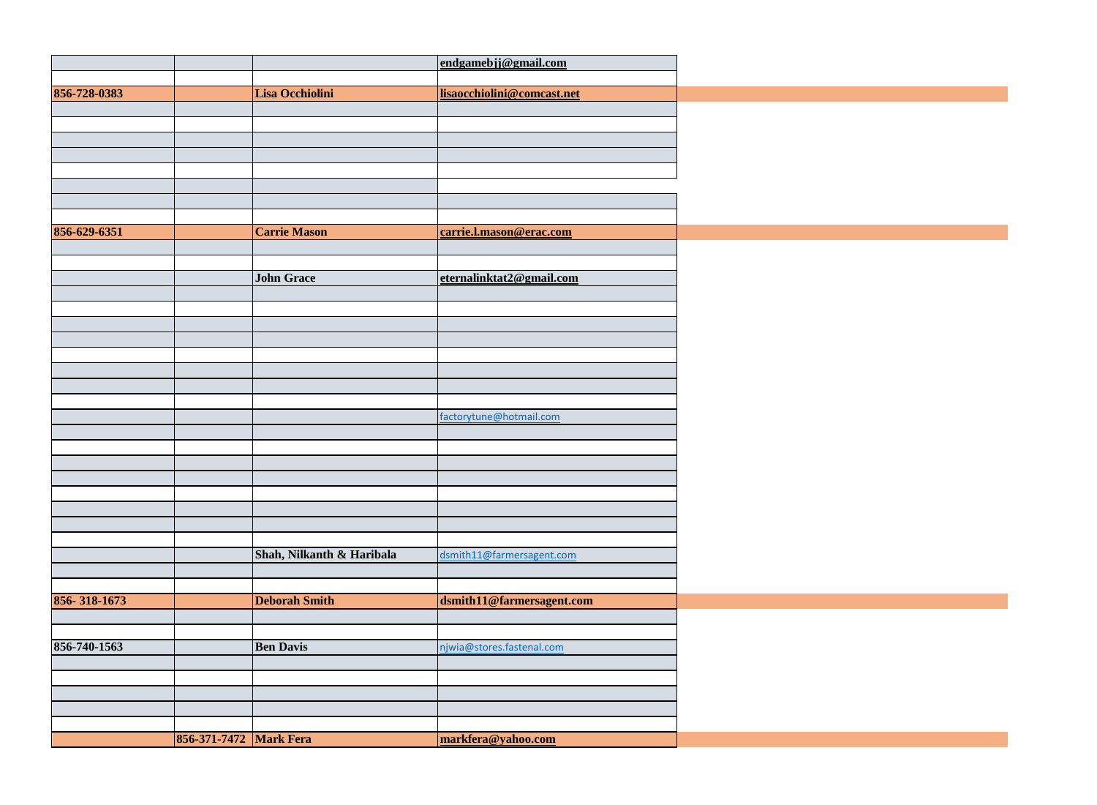|              |                        |                           | endgamebjj@gmail.com       |
|--------------|------------------------|---------------------------|----------------------------|
|              |                        |                           |                            |
| 856-728-0383 |                        | Lisa Occhiolini           | lisaocchiolini@comcast.net |
|              |                        |                           |                            |
|              |                        |                           |                            |
|              |                        |                           |                            |
|              |                        |                           |                            |
|              |                        |                           |                            |
|              |                        |                           |                            |
|              |                        |                           |                            |
| 856-629-6351 |                        | <b>Carrie Mason</b>       | carrie.l.mason@erac.com    |
|              |                        |                           |                            |
|              |                        | <b>John Grace</b>         | eternalinktat2@gmail.com   |
|              |                        |                           |                            |
|              |                        |                           |                            |
|              |                        |                           |                            |
|              |                        |                           |                            |
|              |                        |                           |                            |
|              |                        |                           |                            |
|              |                        |                           |                            |
|              |                        |                           | factorytune@hotmail.com    |
|              |                        |                           |                            |
|              |                        |                           |                            |
|              |                        |                           |                            |
|              |                        |                           |                            |
|              |                        |                           |                            |
|              |                        |                           |                            |
|              |                        |                           |                            |
|              |                        | Shah, Nilkanth & Haribala | dsmith11@farmersagent.com  |
|              |                        |                           |                            |
|              |                        |                           |                            |
| 856-318-1673 |                        | <b>Deborah Smith</b>      | dsmith11@farmersagent.com  |
|              |                        |                           |                            |
|              |                        | <b>Ben Davis</b>          |                            |
| 856-740-1563 |                        |                           | njwia@stores.fastenal.com  |
|              |                        |                           |                            |
|              |                        |                           |                            |
|              |                        |                           |                            |
|              |                        |                           |                            |
|              | 856-371-7472 Mark Fera |                           | markfera@yahoo.com         |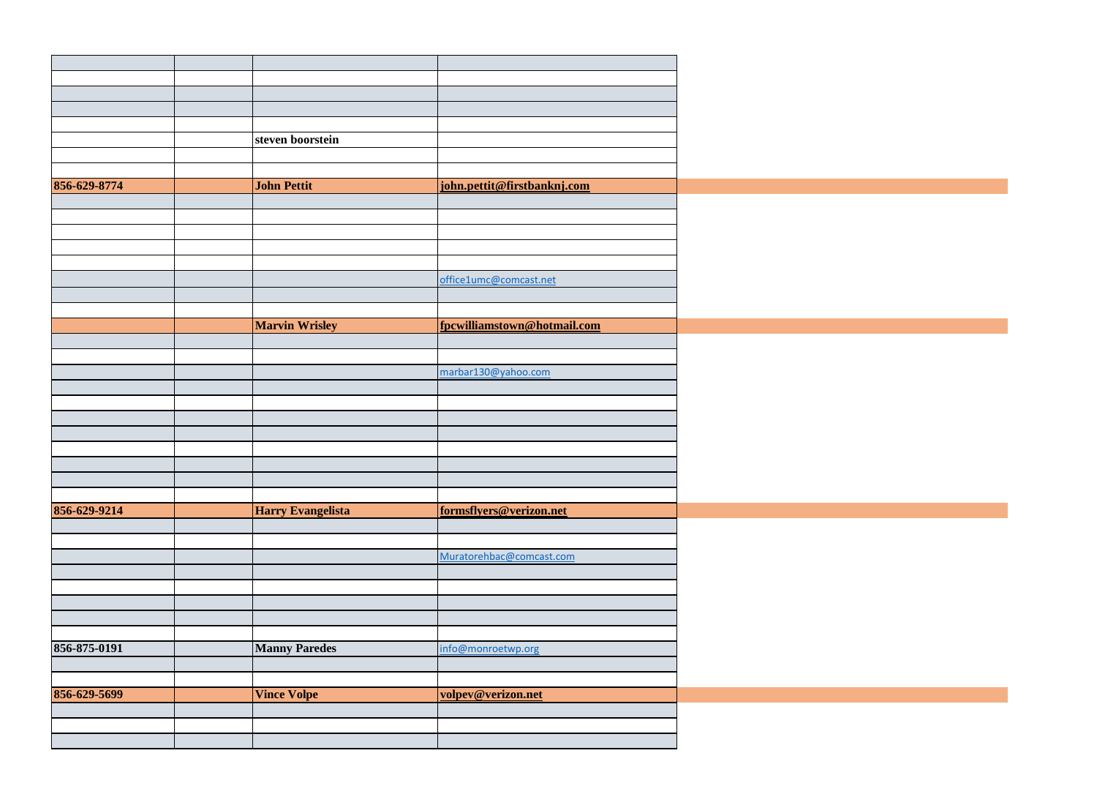|              | steven boorstein         |                             |
|--------------|--------------------------|-----------------------------|
|              |                          |                             |
| 856-629-8774 | <b>John Pettit</b>       | john.pettit@firstbanknj.com |
|              |                          |                             |
|              |                          |                             |
|              |                          |                             |
|              |                          |                             |
|              |                          |                             |
|              |                          | office1umc@comcast.net      |
|              |                          |                             |
|              |                          |                             |
|              | <b>Marvin Wrisley</b>    | fpcwilliamstown@hotmail.com |
|              |                          |                             |
|              |                          |                             |
|              |                          | marbar130@yahoo.com         |
|              |                          |                             |
|              |                          |                             |
|              |                          |                             |
|              |                          |                             |
|              |                          |                             |
|              |                          |                             |
|              |                          |                             |
| 856-629-9214 | <b>Harry Evangelista</b> | formsflyers@verizon.net     |
|              |                          |                             |
|              |                          |                             |
|              |                          | Muratorehbac@comcast.com    |
|              |                          |                             |
|              |                          |                             |
|              |                          |                             |
|              |                          |                             |
| 856-875-0191 | <b>Manny Paredes</b>     | info@monroetwp.org          |
|              |                          |                             |
|              |                          |                             |
| 856-629-5699 | <b>Vince Volpe</b>       | volpev@verizon.net          |
|              |                          |                             |
|              |                          |                             |
|              |                          |                             |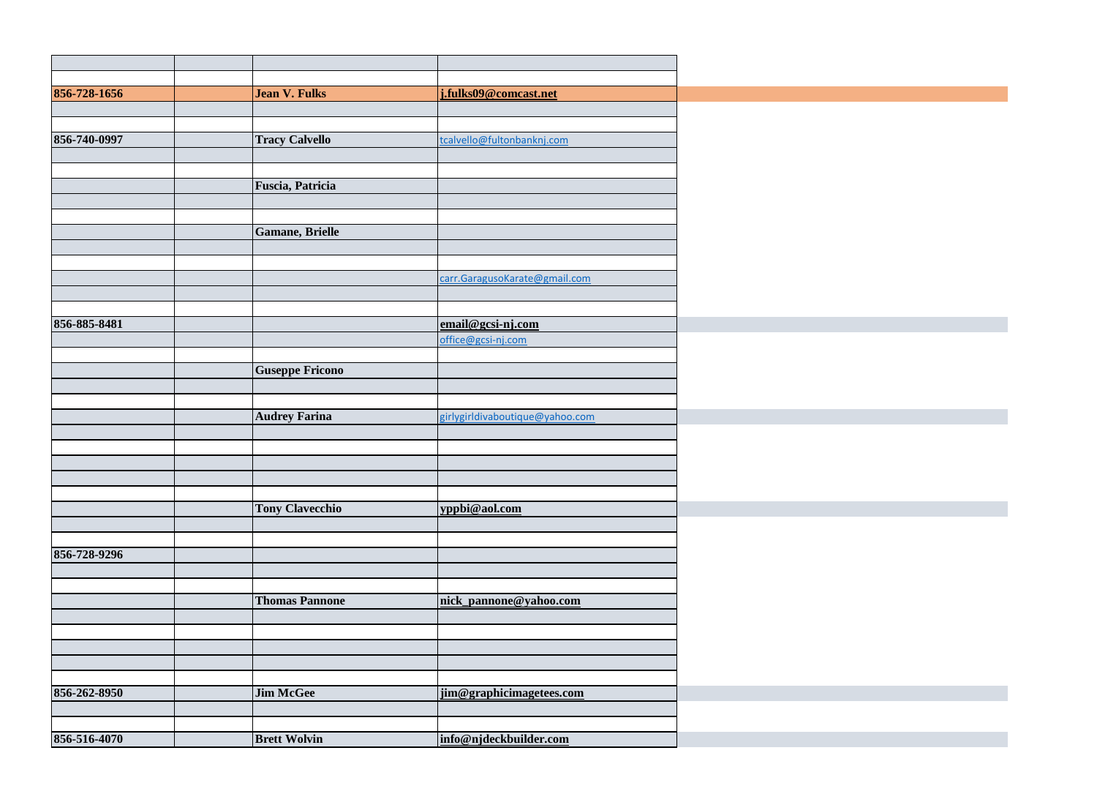|              | Jean V. Fulks          |                                         |
|--------------|------------------------|-----------------------------------------|
| 856-728-1656 |                        | j.fulks09@comcast.net                   |
|              |                        |                                         |
| 856-740-0997 | <b>Tracy Calvello</b>  | tcalvello@fultonbanknj.com              |
|              |                        |                                         |
|              |                        |                                         |
|              | Fuscia, Patricia       |                                         |
|              |                        |                                         |
|              | Gamane, Brielle        |                                         |
|              |                        |                                         |
|              |                        |                                         |
|              |                        | carr.GaragusoKarate@gmail.com           |
|              |                        |                                         |
|              |                        |                                         |
| 856-885-8481 |                        | email@gcsi-nj.com<br>office@gcsi-nj.com |
|              |                        |                                         |
|              | <b>Guseppe Fricono</b> |                                         |
|              |                        |                                         |
|              |                        |                                         |
|              | <b>Audrey Farina</b>   | girlygirldivaboutique@yahoo.com         |
|              |                        |                                         |
|              |                        |                                         |
|              |                        |                                         |
|              |                        |                                         |
|              | <b>Tony Clavecchio</b> | yppbi@aol.com                           |
|              |                        |                                         |
|              |                        |                                         |
| 856-728-9296 |                        |                                         |
|              |                        |                                         |
|              |                        |                                         |
|              | <b>Thomas Pannone</b>  | nick_pannone@yahoo.com                  |
|              |                        |                                         |
|              |                        |                                         |
|              |                        |                                         |
|              |                        |                                         |
| 856-262-8950 | <b>Jim McGee</b>       | jim@graphicimagetees.com                |
|              |                        |                                         |
|              |                        |                                         |
| 856-516-4070 | <b>Brett Wolvin</b>    | info@njdeckbuilder.com                  |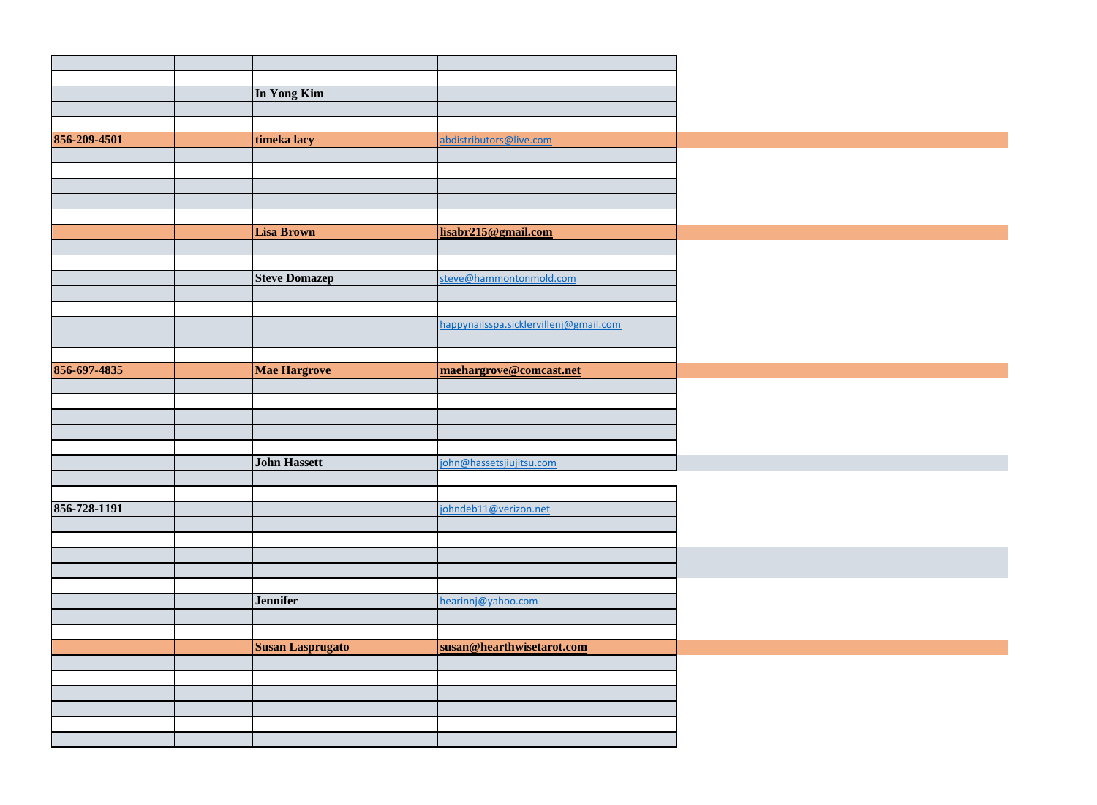|              | In Yong Kim             |                                        |
|--------------|-------------------------|----------------------------------------|
|              |                         |                                        |
| 856-209-4501 | timeka lacy             | abdistributors@live.com                |
|              |                         |                                        |
|              |                         |                                        |
|              |                         |                                        |
|              |                         |                                        |
|              |                         |                                        |
|              | <b>Lisa Brown</b>       | lisabr215@gmail.com                    |
|              |                         |                                        |
|              |                         |                                        |
|              | <b>Steve Domazep</b>    | steve@hammontonmold.com                |
|              |                         |                                        |
|              |                         | happynailsspa.sicklervillenj@gmail.com |
|              |                         |                                        |
|              |                         |                                        |
| 856-697-4835 | <b>Mae Hargrove</b>     | maehargrove@comcast.net                |
|              |                         |                                        |
|              |                         |                                        |
|              |                         |                                        |
|              |                         |                                        |
|              | <b>John Hassett</b>     | john@hassetsjiujitsu.com               |
|              |                         |                                        |
|              |                         |                                        |
| 856-728-1191 |                         | johndeb11@verizon.net                  |
|              |                         |                                        |
|              |                         |                                        |
|              |                         |                                        |
|              |                         |                                        |
|              |                         |                                        |
|              | Jennifer                | hearinnj@yahoo.com                     |
|              |                         |                                        |
|              | <b>Susan Lasprugato</b> | susan@hearthwisetarot.com              |
|              |                         |                                        |
|              |                         |                                        |
|              |                         |                                        |
|              |                         |                                        |
|              |                         |                                        |
|              |                         |                                        |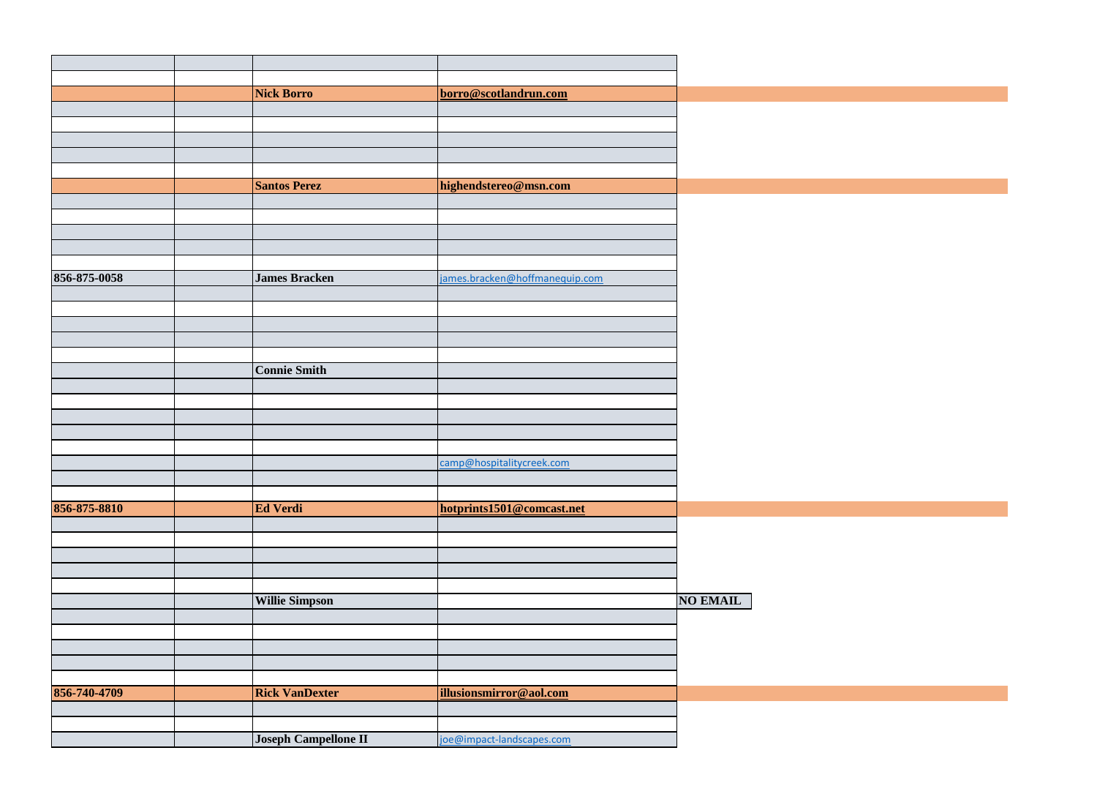|              | <b>Nick Borro</b>     | borro@scotlandrun.com          |          |
|--------------|-----------------------|--------------------------------|----------|
|              |                       |                                |          |
|              |                       |                                |          |
|              |                       |                                |          |
|              |                       |                                |          |
|              |                       |                                |          |
|              | <b>Santos Perez</b>   | highendstereo@msn.com          |          |
|              |                       |                                |          |
|              |                       |                                |          |
|              |                       |                                |          |
|              |                       |                                |          |
|              |                       |                                |          |
| 856-875-0058 | <b>James Bracken</b>  | james.bracken@hoffmanequip.com |          |
|              |                       |                                |          |
|              |                       |                                |          |
|              |                       |                                |          |
|              |                       |                                |          |
|              |                       |                                |          |
|              | <b>Connie Smith</b>   |                                |          |
|              |                       |                                |          |
|              |                       |                                |          |
|              |                       |                                |          |
|              |                       |                                |          |
|              |                       |                                |          |
|              |                       | camp@hospitalitycreek.com      |          |
|              |                       |                                |          |
|              |                       |                                |          |
| 856-875-8810 | Ed Verdi              | hotprints1501@comcast.net      |          |
|              |                       |                                |          |
|              |                       |                                |          |
|              |                       |                                |          |
|              |                       |                                |          |
|              |                       |                                | NO EMAIL |
|              | <b>Willie Simpson</b> |                                |          |
|              |                       |                                |          |
|              |                       |                                |          |
|              |                       |                                |          |
|              |                       |                                |          |
|              | <b>Rick VanDexter</b> | illusionsmirror@aol.com        |          |
| 856-740-4709 |                       |                                |          |
|              |                       |                                |          |
|              |                       |                                |          |
|              | Joseph Campellone II  | joe@impact-landscapes.com      |          |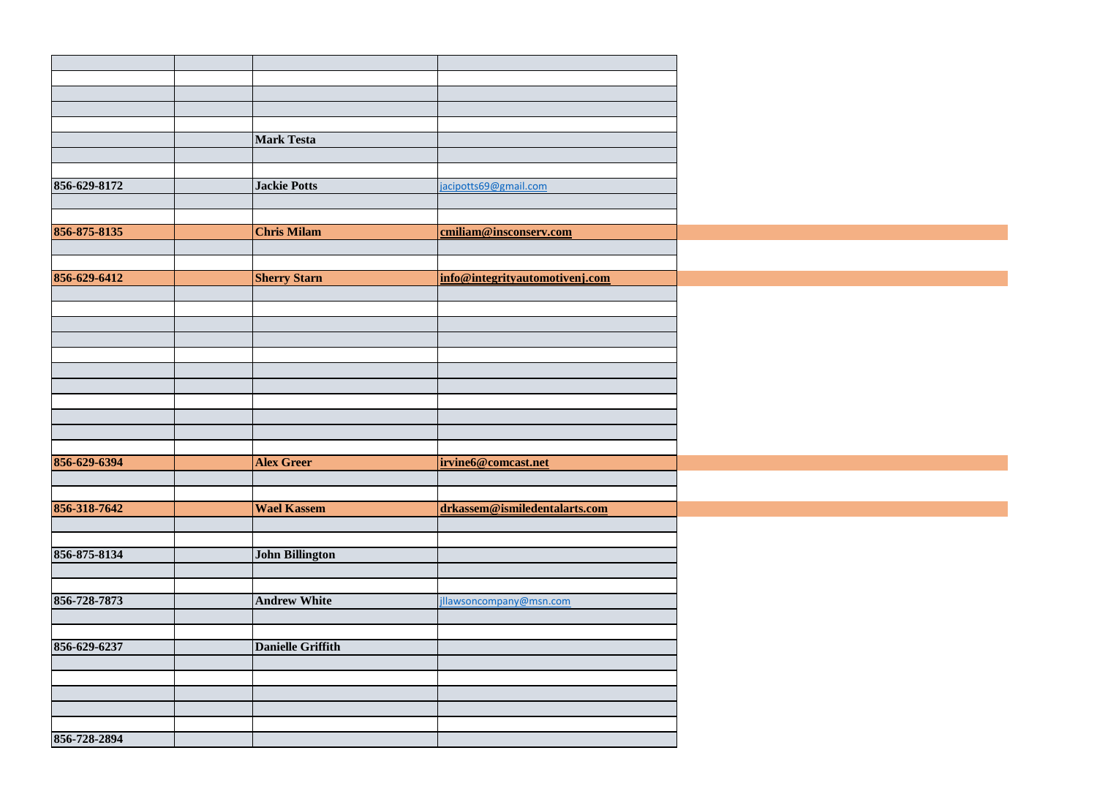|              | <b>Mark Testa</b>        |                                |
|--------------|--------------------------|--------------------------------|
|              |                          |                                |
|              |                          |                                |
| 856-629-8172 | <b>Jackie Potts</b>      | jacipotts69@gmail.com          |
|              |                          |                                |
|              |                          |                                |
| 856-875-8135 | <b>Chris Milam</b>       | cmiliam@insconserv.com         |
|              |                          |                                |
| 856-629-6412 | <b>Sherry Starn</b>      | info@integrityautomotivenj.com |
|              |                          |                                |
|              |                          |                                |
|              |                          |                                |
|              |                          |                                |
|              |                          |                                |
|              |                          |                                |
|              |                          |                                |
|              |                          |                                |
|              |                          |                                |
|              |                          |                                |
| 856-629-6394 | <b>Alex Greer</b>        | irvine6@comcast.net            |
|              |                          |                                |
|              |                          |                                |
| 856-318-7642 | <b>Wael Kassem</b>       | drkassem@ismiledentalarts.com  |
|              |                          |                                |
| 856-875-8134 | <b>John Billington</b>   |                                |
|              |                          |                                |
|              |                          |                                |
| 856-728-7873 | <b>Andrew White</b>      | jllawsoncompany@msn.com        |
|              |                          |                                |
|              |                          |                                |
| 856-629-6237 | <b>Danielle Griffith</b> |                                |
|              |                          |                                |
|              |                          |                                |
|              |                          |                                |
|              |                          |                                |
| 856-728-2894 |                          |                                |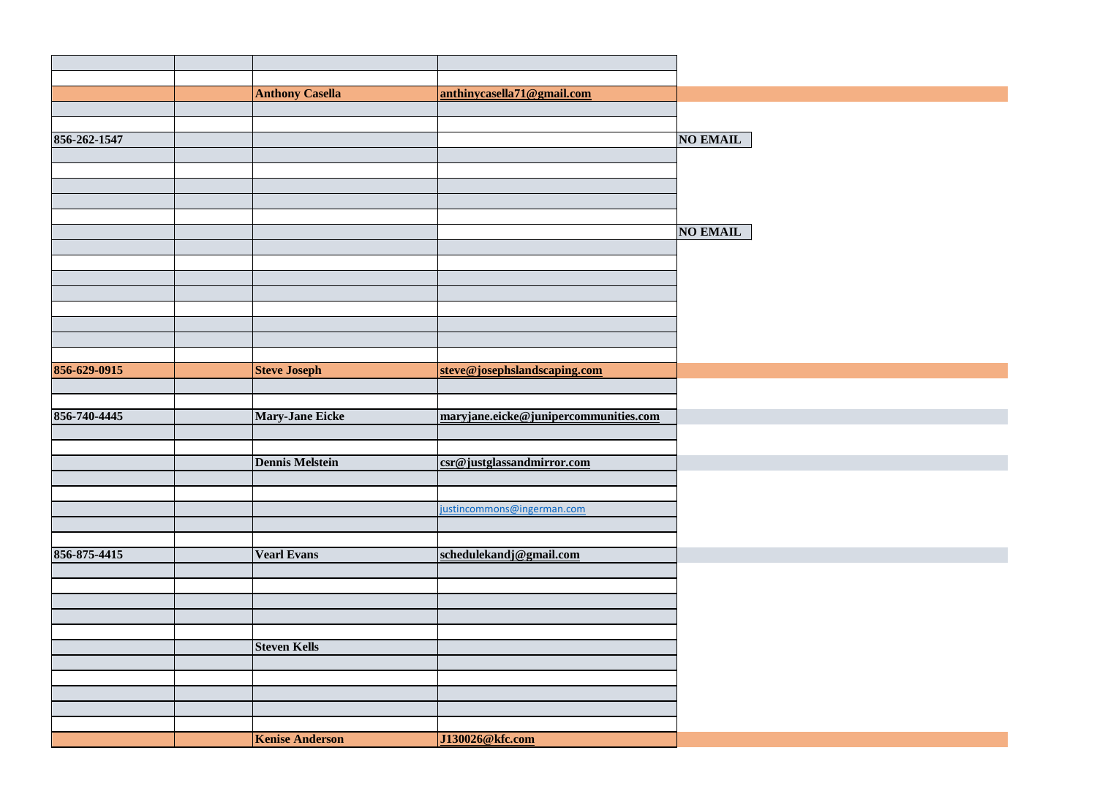|              | <b>Anthony Casella</b> | anthinycasella71@gmail.com            |
|--------------|------------------------|---------------------------------------|
|              |                        |                                       |
| 856-262-1547 |                        |                                       |
|              |                        |                                       |
|              |                        |                                       |
|              |                        |                                       |
|              |                        |                                       |
|              |                        |                                       |
|              |                        |                                       |
|              |                        |                                       |
|              |                        |                                       |
|              |                        |                                       |
|              |                        |                                       |
|              |                        |                                       |
| 856-629-0915 | <b>Steve Joseph</b>    | steve@josephslandscaping.com          |
|              |                        |                                       |
| 856-740-4445 | <b>Mary-Jane Eicke</b> | marviane.eicke@junipercommunities.com |
|              |                        |                                       |
|              | <b>Dennis Melstein</b> | csr@justglassandmirror.com            |
|              |                        |                                       |
|              |                        |                                       |
|              |                        | justincommons@ingerman.com            |
|              |                        |                                       |
| 856-875-4415 | <b>Vearl Evans</b>     | schedulekandj@gmail.com               |
|              |                        |                                       |
|              |                        |                                       |
|              |                        |                                       |
|              | <b>Steven Kells</b>    |                                       |
|              |                        |                                       |
|              |                        |                                       |
|              |                        |                                       |
|              |                        |                                       |
|              | <b>Kenise Anderson</b> | J130026@kfc.com                       |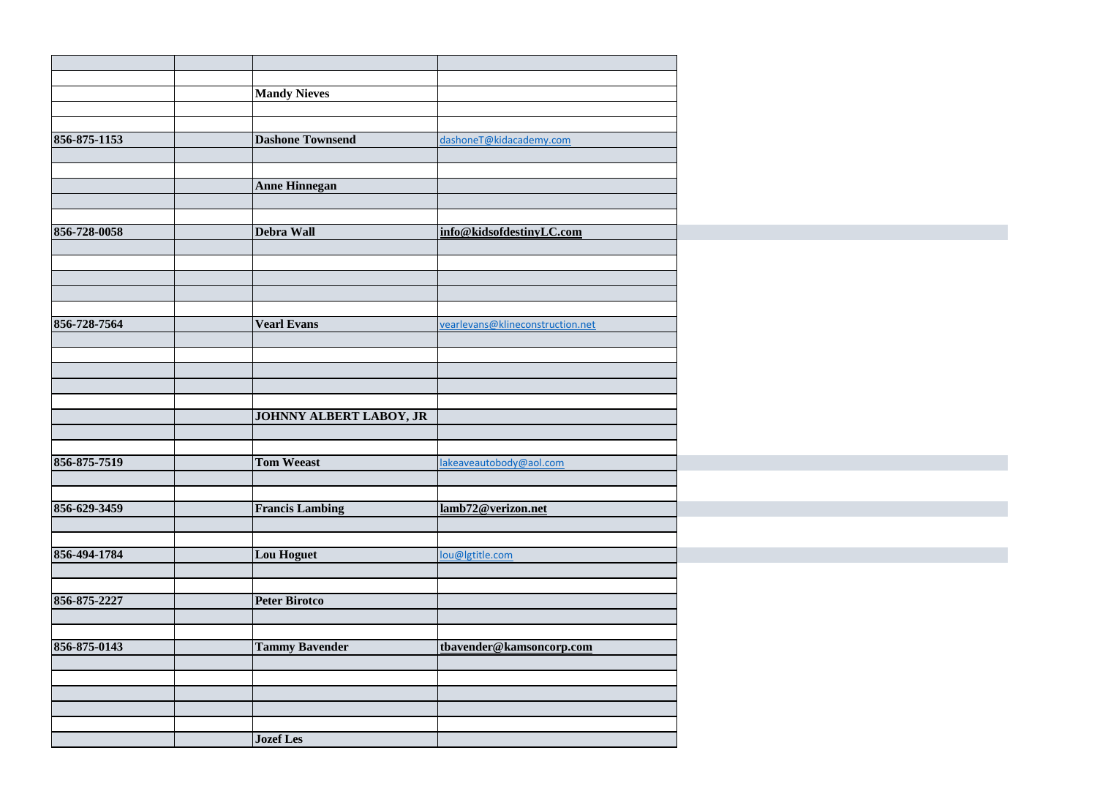|              | <b>Mandy Nieves</b>     |                                  |
|--------------|-------------------------|----------------------------------|
|              |                         |                                  |
| 856-875-1153 | <b>Dashone Townsend</b> | dashoneT@kidacademy.com          |
|              |                         |                                  |
|              |                         |                                  |
|              | <b>Anne Hinnegan</b>    |                                  |
|              |                         |                                  |
| 856-728-0058 | Debra Wall              | info@kidsofdestinyLC.com         |
|              |                         |                                  |
|              |                         |                                  |
|              |                         |                                  |
|              |                         |                                  |
| 856-728-7564 | <b>Vearl Evans</b>      | vearlevans@klineconstruction.net |
|              |                         |                                  |
|              |                         |                                  |
|              |                         |                                  |
|              |                         |                                  |
|              |                         |                                  |
|              | JOHNNY ALBERT LABOY, JR |                                  |
|              |                         |                                  |
| 856-875-7519 | <b>Tom Weeast</b>       | lakeaveautobody@aol.com          |
|              |                         |                                  |
|              |                         |                                  |
| 856-629-3459 | <b>Francis Lambing</b>  | lamb72@verizon.net               |
|              |                         |                                  |
| 856-494-1784 | <b>Lou Hoguet</b>       | lou@lgtitle.com                  |
|              |                         |                                  |
|              |                         |                                  |
| 856-875-2227 | <b>Peter Birotco</b>    |                                  |
|              |                         |                                  |
| 856-875-0143 | <b>Tammy Bavender</b>   | tbavender@kamsoncorp.com         |
|              |                         |                                  |
|              |                         |                                  |
|              |                         |                                  |
|              |                         |                                  |
|              | <b>Jozef Les</b>        |                                  |
|              |                         |                                  |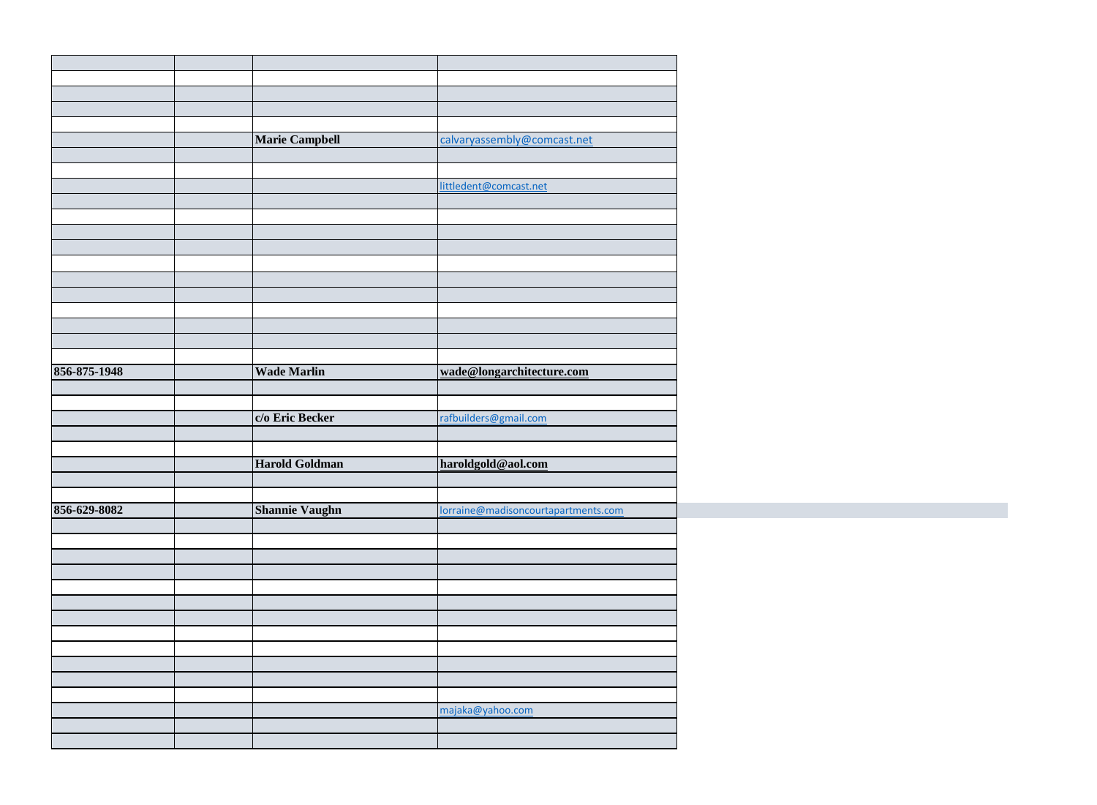|              | <b>Marie Campbell</b> | calvaryassembly@comcast.net         |
|--------------|-----------------------|-------------------------------------|
|              |                       |                                     |
|              |                       |                                     |
|              |                       | littledent@comcast.net              |
|              |                       |                                     |
|              |                       |                                     |
|              |                       |                                     |
|              |                       |                                     |
|              |                       |                                     |
|              |                       |                                     |
|              |                       |                                     |
|              |                       |                                     |
|              |                       |                                     |
|              |                       |                                     |
|              |                       |                                     |
|              |                       |                                     |
| 856-875-1948 | <b>Wade Marlin</b>    | wade@longarchitecture.com           |
|              |                       |                                     |
|              |                       |                                     |
|              |                       |                                     |
|              | c/o Eric Becker       | rafbuilders@gmail.com               |
|              |                       |                                     |
|              |                       |                                     |
|              | <b>Harold Goldman</b> |                                     |
|              |                       | haroldgold@aol.com                  |
|              |                       |                                     |
|              |                       |                                     |
|              | <b>Shannie Vaughn</b> | lorraine@madisoncourtapartments.com |
|              |                       |                                     |
|              |                       |                                     |
|              |                       |                                     |
|              |                       |                                     |
|              |                       |                                     |
| 856-629-8082 |                       |                                     |
|              |                       |                                     |
|              |                       |                                     |
|              |                       |                                     |
|              |                       |                                     |
|              |                       |                                     |
|              |                       |                                     |
|              |                       |                                     |
|              |                       | majaka@yahoo.com                    |
|              |                       |                                     |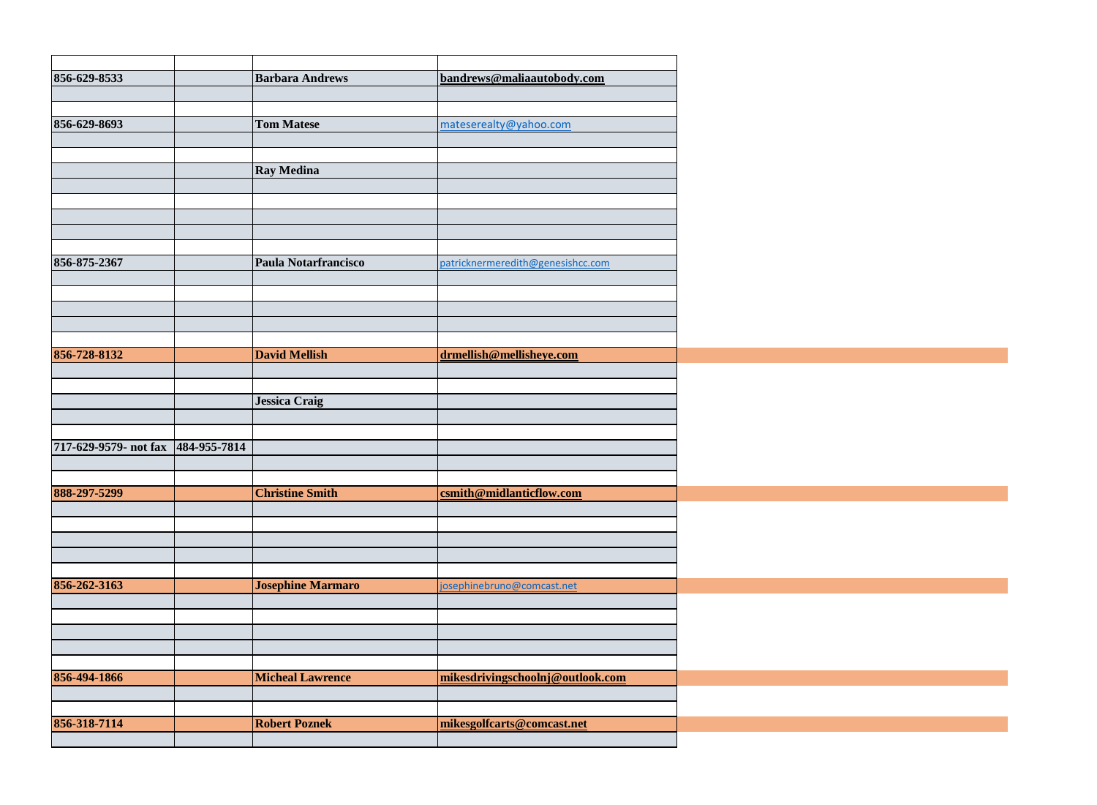| <b>Barbara Andrews</b> | bandrews@maliaautobody.com                                                                                                                                                                                    |
|------------------------|---------------------------------------------------------------------------------------------------------------------------------------------------------------------------------------------------------------|
|                        |                                                                                                                                                                                                               |
|                        |                                                                                                                                                                                                               |
|                        | mateserealty@yahoo.com                                                                                                                                                                                        |
|                        |                                                                                                                                                                                                               |
|                        |                                                                                                                                                                                                               |
|                        |                                                                                                                                                                                                               |
|                        |                                                                                                                                                                                                               |
|                        |                                                                                                                                                                                                               |
|                        |                                                                                                                                                                                                               |
|                        |                                                                                                                                                                                                               |
|                        | patricknermeredith@genesishcc.com                                                                                                                                                                             |
|                        |                                                                                                                                                                                                               |
|                        |                                                                                                                                                                                                               |
|                        |                                                                                                                                                                                                               |
|                        |                                                                                                                                                                                                               |
| <b>David Mellish</b>   | drmellish@mellisheye.com                                                                                                                                                                                      |
|                        |                                                                                                                                                                                                               |
|                        |                                                                                                                                                                                                               |
|                        |                                                                                                                                                                                                               |
|                        |                                                                                                                                                                                                               |
|                        |                                                                                                                                                                                                               |
|                        |                                                                                                                                                                                                               |
|                        |                                                                                                                                                                                                               |
|                        | csmith@midlanticflow.com                                                                                                                                                                                      |
|                        |                                                                                                                                                                                                               |
|                        |                                                                                                                                                                                                               |
|                        |                                                                                                                                                                                                               |
|                        |                                                                                                                                                                                                               |
|                        |                                                                                                                                                                                                               |
|                        | josephinebruno@comcast.net                                                                                                                                                                                    |
|                        |                                                                                                                                                                                                               |
|                        |                                                                                                                                                                                                               |
|                        |                                                                                                                                                                                                               |
|                        |                                                                                                                                                                                                               |
|                        | mikesdrivingschoolnj@outlook.com                                                                                                                                                                              |
|                        |                                                                                                                                                                                                               |
|                        |                                                                                                                                                                                                               |
| <b>Robert Poznek</b>   | mikesgolfcarts@comcast.net                                                                                                                                                                                    |
|                        |                                                                                                                                                                                                               |
|                        | <b>Tom Matese</b><br><b>Ray Medina</b><br>Paula Notarfrancisco<br><b>Jessica Craig</b><br>717-629-9579- not fax 484-955-7814<br><b>Christine Smith</b><br><b>Josephine Marmaro</b><br><b>Micheal Lawrence</b> |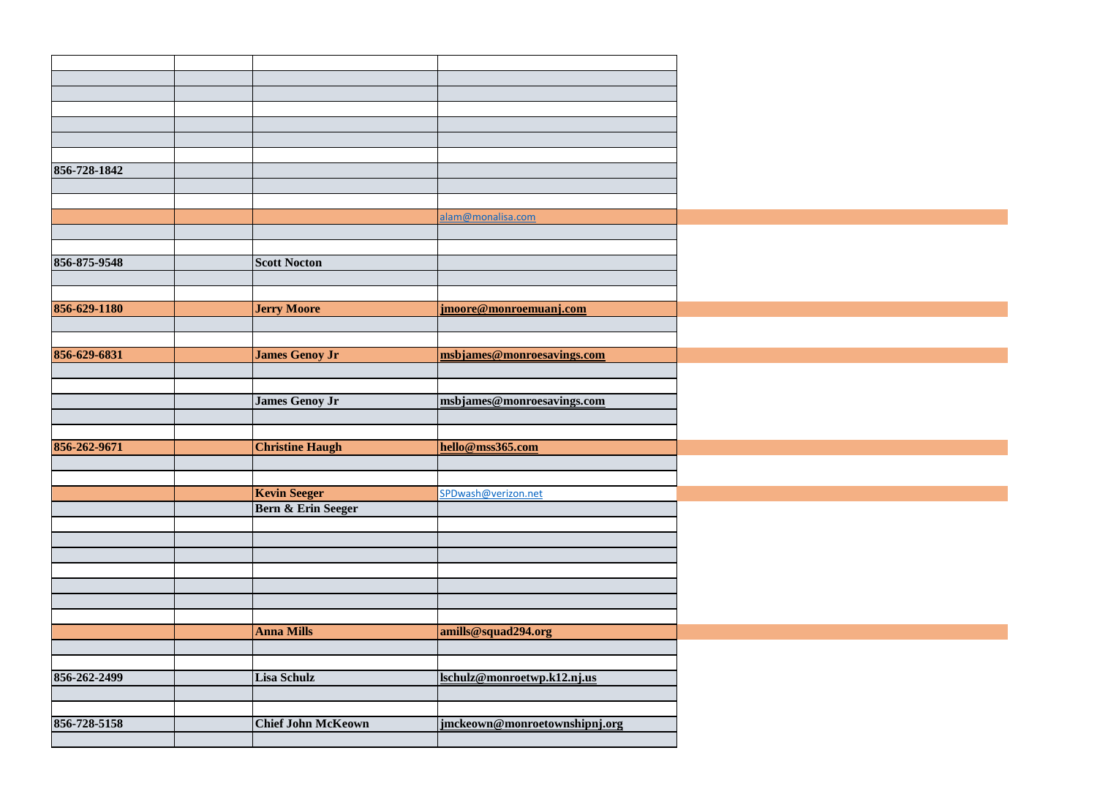| 856-728-5158 | <b>Chief John McKeown</b>                 | jmckeown@monroetownshipnj.org |
|--------------|-------------------------------------------|-------------------------------|
| 856-262-2499 | Lisa Schulz                               | Ischulz@monroetwp.k12.nj.us   |
|              | <b>Anna Mills</b>                         | amills@squad294.org           |
|              |                                           |                               |
|              |                                           |                               |
|              |                                           |                               |
|              |                                           |                               |
|              | <b>Kevin Seeger</b><br>Bern & Erin Seeger | SPDwash@verizon.net           |
|              |                                           |                               |
| 856-262-9671 | <b>Christine Haugh</b>                    | hello@mss365.com              |
|              |                                           |                               |
|              | <b>James Genoy Jr</b>                     | msbjames@monroesavings.com    |
|              |                                           |                               |
| 856-629-6831 | <b>James Genoy Jr</b>                     | msbjames@monroesavings.com    |
| 856-629-1180 | <b>Jerry Moore</b>                        | jmoore@monroemuanj.com        |
|              |                                           |                               |
| 856-875-9548 | <b>Scott Nocton</b>                       |                               |
|              |                                           |                               |
|              |                                           | alam@monalisa.com             |
|              |                                           |                               |
| 856-728-1842 |                                           |                               |
|              |                                           |                               |
|              |                                           |                               |
|              |                                           |                               |
|              |                                           |                               |
|              |                                           |                               |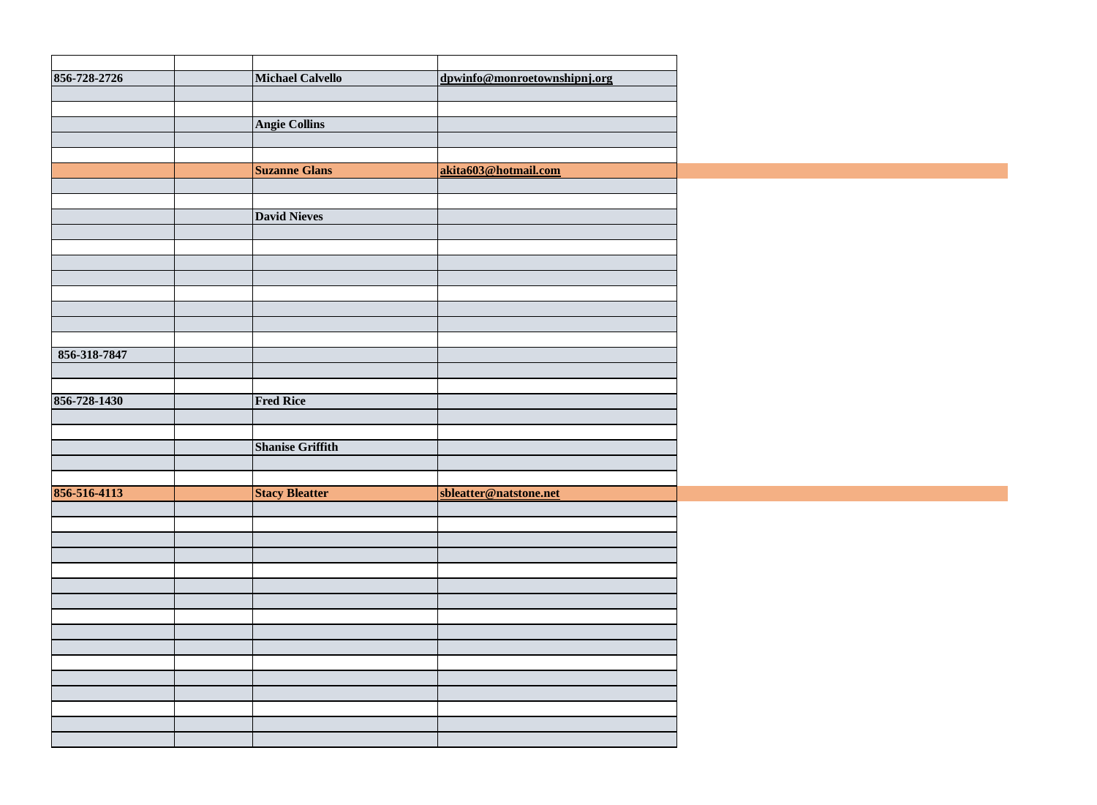| 856-728-2726 | <b>Michael Calvello</b> | dpwinfo@monroetownshipnj.org |
|--------------|-------------------------|------------------------------|
|              |                         |                              |
|              |                         |                              |
|              | <b>Angie Collins</b>    |                              |
|              |                         |                              |
|              |                         |                              |
|              | <b>Suzanne Glans</b>    | akita603@hotmail.com         |
|              |                         |                              |
|              |                         |                              |
|              | <b>David Nieves</b>     |                              |
|              |                         |                              |
|              |                         |                              |
|              |                         |                              |
|              |                         |                              |
|              |                         |                              |
|              |                         |                              |
|              |                         |                              |
|              |                         |                              |
| 856-318-7847 |                         |                              |
|              |                         |                              |
|              |                         |                              |
| 856-728-1430 | <b>Fred Rice</b>        |                              |
|              |                         |                              |
|              |                         |                              |
|              | <b>Shanise Griffith</b> |                              |
|              |                         |                              |
|              |                         |                              |
| 856-516-4113 | <b>Stacy Bleatter</b>   | sbleatter@natstone.net       |
|              |                         |                              |
|              |                         |                              |
|              |                         |                              |
|              |                         |                              |
|              |                         |                              |
|              |                         |                              |
|              |                         |                              |
|              |                         |                              |
|              |                         |                              |
|              |                         |                              |
|              |                         |                              |
|              |                         |                              |
|              |                         |                              |
|              |                         |                              |
|              |                         |                              |
|              |                         |                              |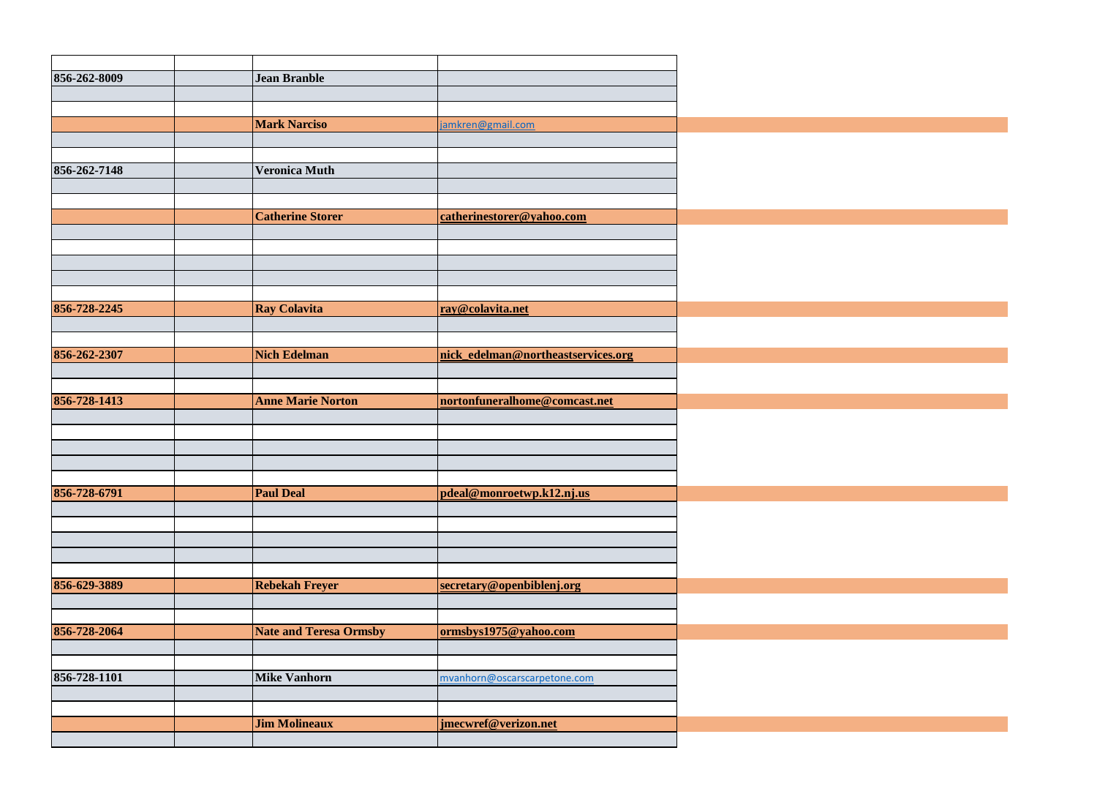| 856-262-8009 | Jean Branble        |                               |                                    |
|--------------|---------------------|-------------------------------|------------------------------------|
|              |                     |                               |                                    |
|              |                     | <b>Mark Narciso</b>           |                                    |
|              |                     |                               | jamkren@gmail.com                  |
|              |                     |                               |                                    |
| 856-262-7148 |                     | <b>Veronica Muth</b>          |                                    |
|              |                     |                               |                                    |
|              |                     |                               |                                    |
|              |                     | <b>Catherine Storer</b>       | catherinestorer@yahoo.com          |
|              |                     |                               |                                    |
|              |                     |                               |                                    |
|              |                     |                               |                                    |
|              |                     |                               |                                    |
| 856-728-2245 | <b>Ray Colavita</b> |                               | ray@colavita.net                   |
|              |                     |                               |                                    |
|              |                     |                               |                                    |
| 856-262-2307 |                     | <b>Nich Edelman</b>           | nick edelman@northeastservices.org |
|              |                     |                               |                                    |
| 856-728-1413 |                     | <b>Anne Marie Norton</b>      | nortonfuneralhome@comcast.net      |
|              |                     |                               |                                    |
|              |                     |                               |                                    |
|              |                     |                               |                                    |
|              |                     |                               |                                    |
|              |                     |                               |                                    |
| 856-728-6791 | <b>Paul Deal</b>    |                               | pdeal@monroetwp.k12.nj.us          |
|              |                     |                               |                                    |
|              |                     |                               |                                    |
|              |                     |                               |                                    |
|              |                     |                               |                                    |
| 856-629-3889 |                     | <b>Rebekah Freyer</b>         | secretary@openbiblenj.org          |
|              |                     |                               |                                    |
| 856-728-2064 |                     |                               |                                    |
|              |                     | <b>Nate and Teresa Ormsby</b> | ormsbys1975@yahoo.com              |
|              |                     |                               |                                    |
| 856-728-1101 |                     | <b>Mike Vanhorn</b>           | mvanhorn@oscarscarpetone.com       |
|              |                     |                               |                                    |
|              |                     |                               |                                    |
|              |                     | <b>Jim Molineaux</b>          | jmecwref@verizon.net               |
|              |                     |                               |                                    |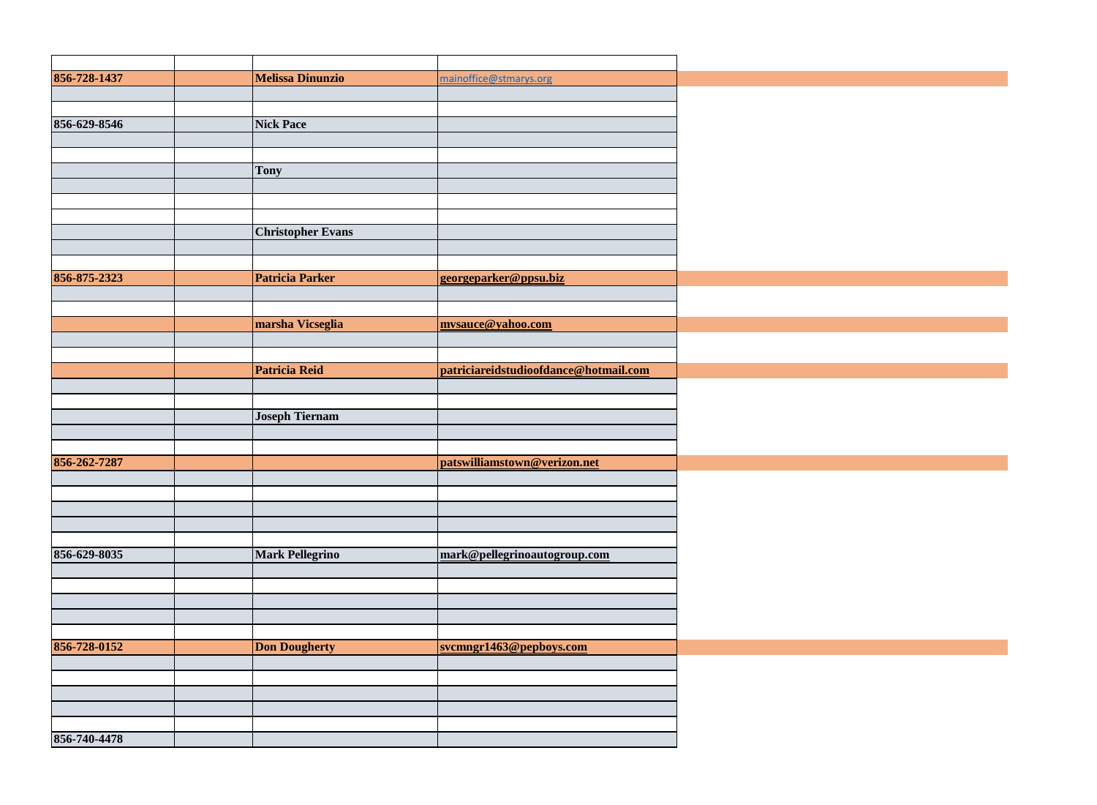| 856-728-1437 | <b>Melissa Dinunzio</b>  | mainoffice@stmarys.org                |
|--------------|--------------------------|---------------------------------------|
|              |                          |                                       |
|              |                          |                                       |
| 856-629-8546 | <b>Nick Pace</b>         |                                       |
|              |                          |                                       |
|              |                          |                                       |
|              | <b>Tony</b>              |                                       |
|              |                          |                                       |
|              |                          |                                       |
|              |                          |                                       |
|              | <b>Christopher Evans</b> |                                       |
|              |                          |                                       |
|              |                          |                                       |
| 856-875-2323 | <b>Patricia Parker</b>   | georgeparker@ppsu.biz                 |
|              |                          |                                       |
|              |                          |                                       |
|              | marsha Vicseglia         | mysauce@yahoo.com                     |
|              |                          |                                       |
|              |                          |                                       |
|              | <b>Patricia Reid</b>     | patriciareidstudioofdance@hotmail.com |
|              |                          |                                       |
|              |                          |                                       |
|              | <b>Joseph Tiernam</b>    |                                       |
|              |                          |                                       |
|              |                          |                                       |
| 856-262-7287 |                          | patswilliamstown@verizon.net          |
|              |                          |                                       |
|              |                          |                                       |
|              |                          |                                       |
|              |                          |                                       |
|              |                          |                                       |
| 856-629-8035 | <b>Mark Pellegrino</b>   | mark@pellegrinoautogroup.com          |
|              |                          |                                       |
|              |                          |                                       |
|              |                          |                                       |
|              |                          |                                       |
|              |                          |                                       |
| 856-728-0152 | <b>Don Dougherty</b>     | svcmngr1463@pepboys.com               |
|              |                          |                                       |
|              |                          |                                       |
|              |                          |                                       |
|              |                          |                                       |
|              |                          |                                       |
| 856-740-4478 |                          |                                       |
|              |                          |                                       |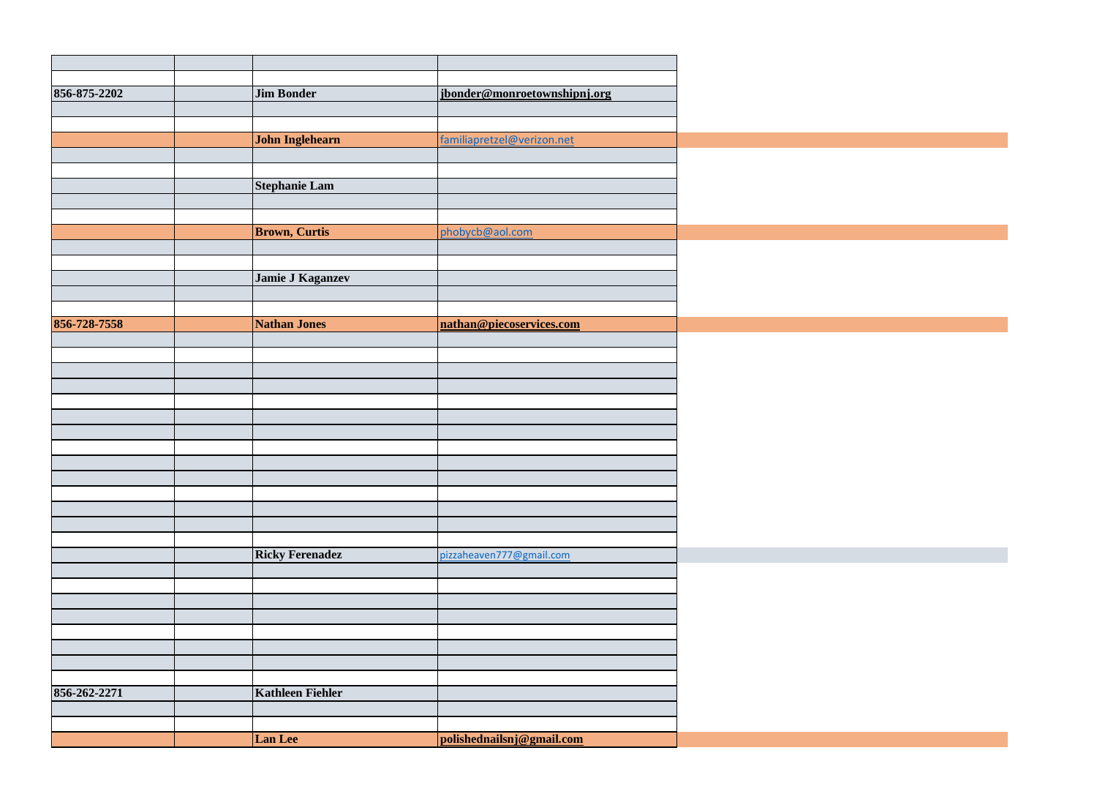| 856-875-2202 | <b>Jim Bonder</b> |                         | jbonder@monroetownshipnj.org |  |
|--------------|-------------------|-------------------------|------------------------------|--|
|              |                   |                         |                              |  |
|              |                   |                         |                              |  |
|              |                   | John Inglehearn         | familiapretzel@verizon.net   |  |
|              |                   |                         |                              |  |
|              |                   | Stephanie Lam           |                              |  |
|              |                   |                         |                              |  |
|              |                   | <b>Brown, Curtis</b>    | phobycb@aol.com              |  |
|              |                   |                         |                              |  |
|              |                   |                         |                              |  |
|              |                   | Jamie J Kaganzev        |                              |  |
|              |                   |                         |                              |  |
| 856-728-7558 |                   | <b>Nathan Jones</b>     | nathan@piecoservices.com     |  |
|              |                   |                         |                              |  |
|              |                   |                         |                              |  |
|              |                   |                         |                              |  |
|              |                   |                         |                              |  |
|              |                   |                         |                              |  |
|              |                   |                         |                              |  |
|              |                   |                         |                              |  |
|              |                   |                         |                              |  |
|              |                   |                         |                              |  |
|              |                   |                         |                              |  |
|              |                   |                         |                              |  |
|              |                   | <b>Ricky Ferenadez</b>  | pizzaheaven777@gmail.com     |  |
|              |                   |                         |                              |  |
|              |                   |                         |                              |  |
|              |                   |                         |                              |  |
|              |                   |                         |                              |  |
|              |                   |                         |                              |  |
|              |                   |                         |                              |  |
| 856-262-2271 |                   | <b>Kathleen Fiehler</b> |                              |  |
|              |                   |                         |                              |  |
|              |                   |                         |                              |  |
|              | Lan Lee           |                         | polishednailsnj@gmail.com    |  |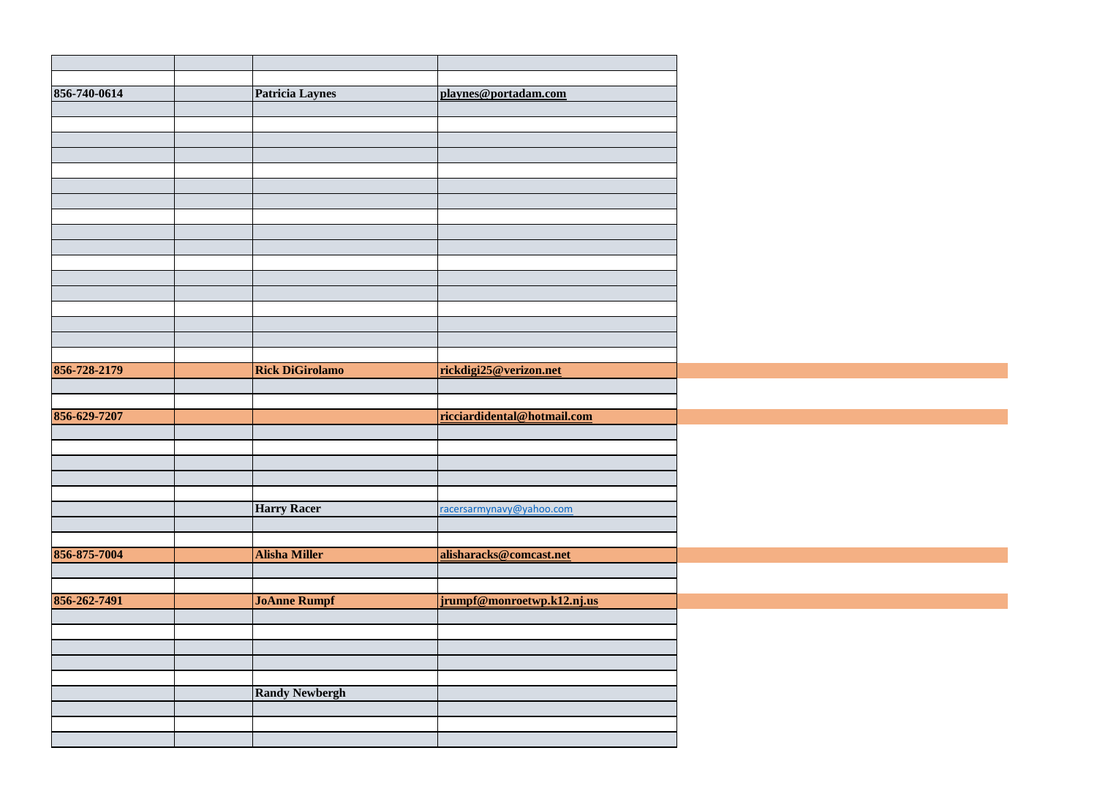| 856-740-0614 | <b>Patricia Laynes</b> | playnes@portadam.com        |  |
|--------------|------------------------|-----------------------------|--|
|              |                        |                             |  |
|              |                        |                             |  |
|              |                        |                             |  |
|              |                        |                             |  |
|              |                        |                             |  |
|              |                        |                             |  |
|              |                        |                             |  |
|              |                        |                             |  |
|              |                        |                             |  |
|              |                        |                             |  |
|              |                        |                             |  |
|              |                        |                             |  |
|              |                        |                             |  |
| 856-728-2179 | <b>Rick DiGirolamo</b> | rickdigi25@verizon.net      |  |
|              |                        |                             |  |
|              |                        |                             |  |
| 856-629-7207 |                        | ricciardidental@hotmail.com |  |
|              |                        |                             |  |
|              |                        |                             |  |
|              |                        |                             |  |
|              |                        |                             |  |
|              | <b>Harry Racer</b>     | racersarmynavy@yahoo.com    |  |
|              |                        |                             |  |
| 856-875-7004 | <b>Alisha Miller</b>   | alisharacks@comcast.net     |  |
|              |                        |                             |  |
| 856-262-7491 | JoAnne Rumpf           | jrumpf@monroetwp.k12.nj.us  |  |
|              |                        |                             |  |
|              |                        |                             |  |
|              |                        |                             |  |
|              |                        |                             |  |
|              | <b>Randy Newbergh</b>  |                             |  |
|              |                        |                             |  |
|              |                        |                             |  |
|              |                        |                             |  |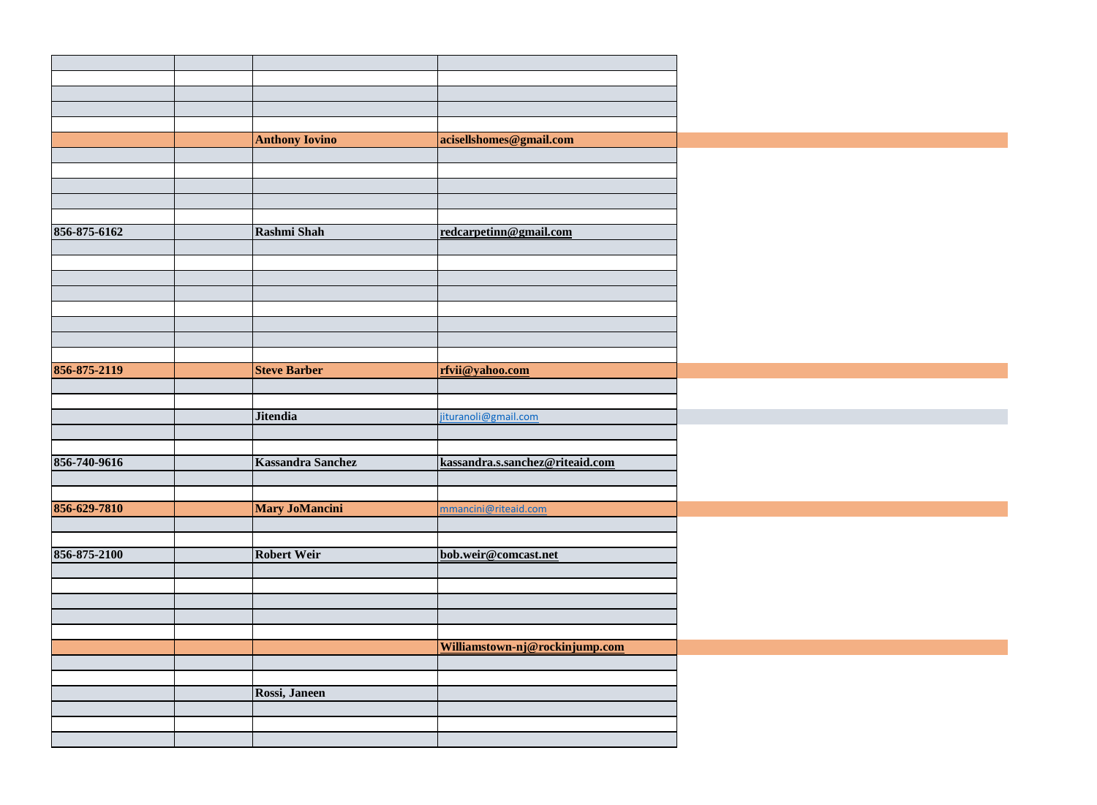|              | <b>Anthony Iovino</b>    | acisellshomes@gmail.com         |
|--------------|--------------------------|---------------------------------|
|              |                          |                                 |
|              |                          |                                 |
|              |                          |                                 |
| 856-875-6162 | Rashmi Shah              | redcarpetinn@gmail.com          |
|              |                          |                                 |
|              |                          |                                 |
|              |                          |                                 |
|              |                          |                                 |
|              |                          |                                 |
|              |                          |                                 |
|              |                          |                                 |
| 856-875-2119 | <b>Steve Barber</b>      | rfvii@yahoo.com                 |
|              |                          |                                 |
|              | <b>Jitendia</b>          | jituranoli@gmail.com            |
|              |                          |                                 |
| 856-740-9616 | <b>Kassandra Sanchez</b> | kassandra.s.sanchez@riteaid.com |
|              |                          |                                 |
|              |                          |                                 |
| 856-629-7810 | Mary JoMancini           | mmancini@riteaid.com            |
|              |                          |                                 |
| 856-875-2100 | <b>Robert Weir</b>       | bob.weir@comcast.net            |
|              |                          |                                 |
|              |                          |                                 |
|              |                          |                                 |
|              |                          |                                 |
|              |                          | Williamstown-nj@rockinjump.com  |
|              |                          |                                 |
|              | Rossi, Janeen            |                                 |
|              |                          |                                 |
|              |                          |                                 |
|              |                          |                                 |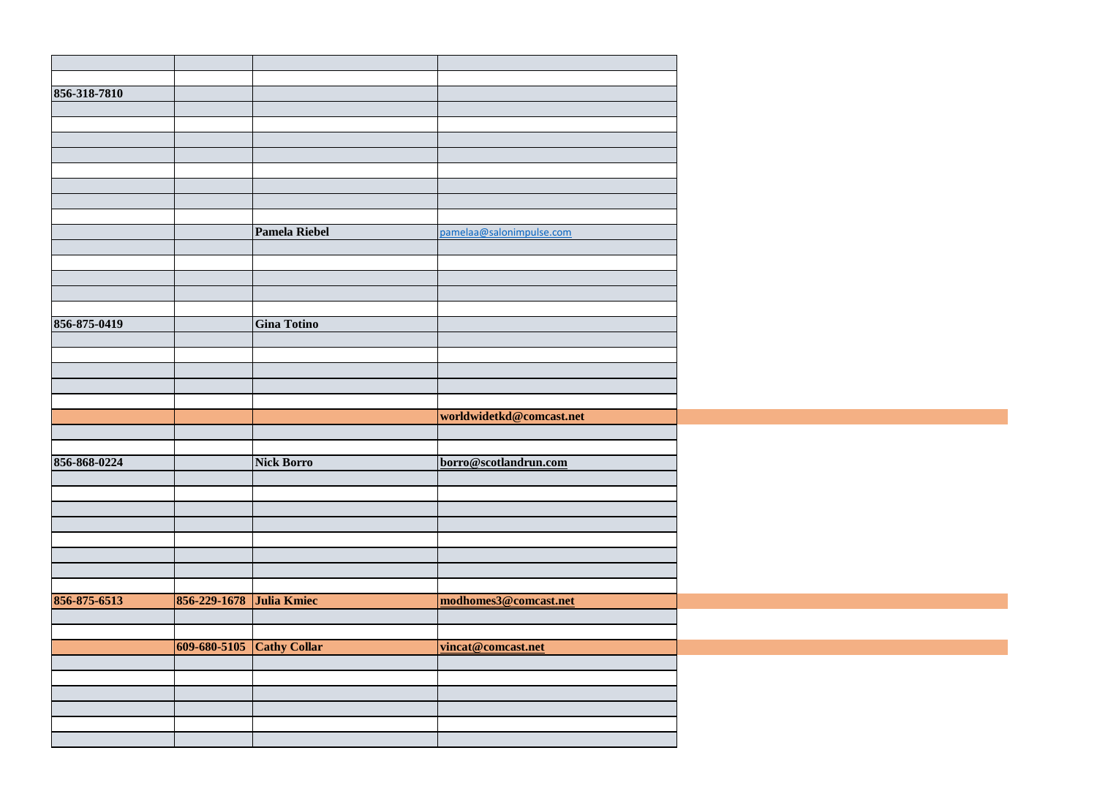| 856-318-7810 |                           |                      |                          |  |
|--------------|---------------------------|----------------------|--------------------------|--|
|              |                           |                      |                          |  |
|              |                           |                      |                          |  |
|              |                           |                      |                          |  |
|              |                           |                      |                          |  |
|              |                           |                      |                          |  |
|              |                           |                      |                          |  |
|              |                           |                      |                          |  |
|              |                           | <b>Pamela Riebel</b> | pamelaa@salonimpulse.com |  |
|              |                           |                      |                          |  |
|              |                           |                      |                          |  |
|              |                           |                      |                          |  |
|              |                           |                      |                          |  |
| 856-875-0419 |                           | <b>Gina Totino</b>   |                          |  |
|              |                           |                      |                          |  |
|              |                           |                      |                          |  |
|              |                           |                      |                          |  |
|              |                           |                      |                          |  |
|              |                           |                      |                          |  |
|              |                           |                      | worldwidetkd@comcast.net |  |
|              |                           |                      |                          |  |
| 856-868-0224 |                           | <b>Nick Borro</b>    | borro@scotlandrun.com    |  |
|              |                           |                      |                          |  |
|              |                           |                      |                          |  |
|              |                           |                      |                          |  |
|              |                           |                      |                          |  |
|              |                           |                      |                          |  |
|              |                           |                      |                          |  |
|              |                           |                      |                          |  |
|              |                           |                      |                          |  |
| 856-875-6513 | 856-229-1678              | Julia Kmiec          | modhomes3@comcast.net    |  |
|              |                           |                      |                          |  |
|              | 609-680-5105 Cathy Collar |                      | vincat@comcast.net       |  |
|              |                           |                      |                          |  |
|              |                           |                      |                          |  |
|              |                           |                      |                          |  |
|              |                           |                      |                          |  |
|              |                           |                      |                          |  |
|              |                           |                      |                          |  |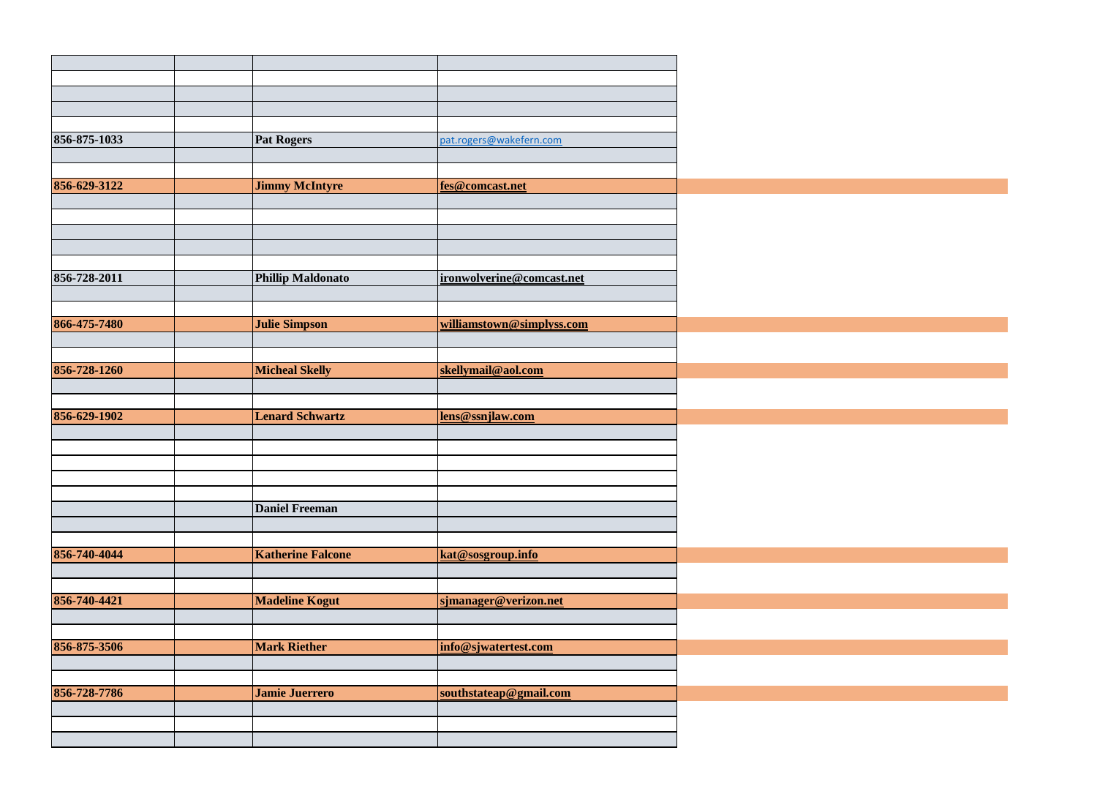| 856-875-1033 | <b>Pat Rogers</b>        | pat.rogers@wakefern.com   |  |
|--------------|--------------------------|---------------------------|--|
|              |                          |                           |  |
|              |                          |                           |  |
| 856-629-3122 | <b>Jimmy McIntyre</b>    | fes@comcast.net           |  |
|              |                          |                           |  |
|              |                          |                           |  |
|              |                          |                           |  |
|              |                          |                           |  |
|              |                          |                           |  |
| 856-728-2011 | <b>Phillip Maldonato</b> | ironwolverine@comcast.net |  |
|              |                          |                           |  |
| 866-475-7480 | Julie Simpson            | williamstown@simplyss.com |  |
|              |                          |                           |  |
|              |                          |                           |  |
| 856-728-1260 | <b>Micheal Skelly</b>    | skellymail@aol.com        |  |
|              |                          |                           |  |
|              |                          |                           |  |
| 856-629-1902 | <b>Lenard Schwartz</b>   | lens@ssnjlaw.com          |  |
|              |                          |                           |  |
|              |                          |                           |  |
|              |                          |                           |  |
|              |                          |                           |  |
|              | <b>Daniel Freeman</b>    |                           |  |
|              |                          |                           |  |
|              |                          |                           |  |
| 856-740-4044 | <b>Katherine Falcone</b> | kat@sosgroup.info         |  |
|              |                          |                           |  |
|              |                          |                           |  |
| 856-740-4421 | <b>Madeline Kogut</b>    | sjmanager@verizon.net     |  |
|              |                          |                           |  |
|              |                          |                           |  |
| 856-875-3506 | <b>Mark Riether</b>      | info@sjwatertest.com      |  |
|              |                          |                           |  |
| 856-728-7786 | <b>Jamie Juerrero</b>    | southstateap@gmail.com    |  |
|              |                          |                           |  |
|              |                          |                           |  |
|              |                          |                           |  |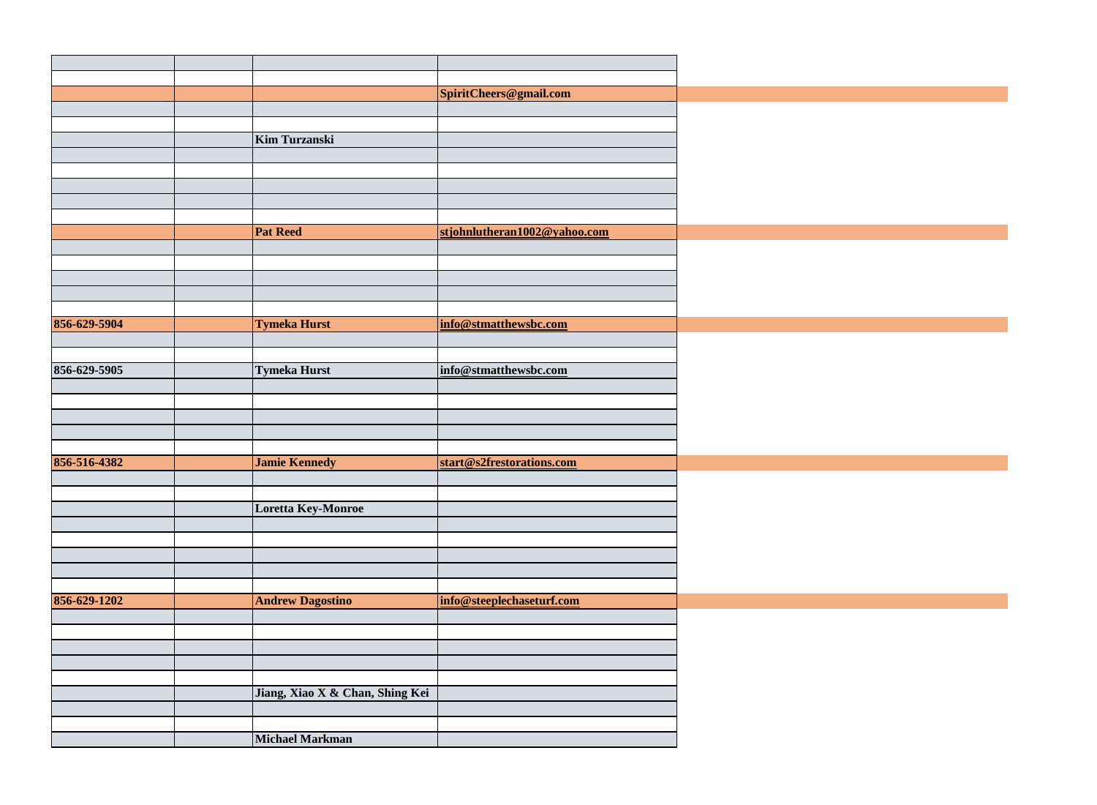|              |                                 | SpiritCheers@gmail.com                     |
|--------------|---------------------------------|--------------------------------------------|
|              |                                 |                                            |
|              | Kim Turzanski                   |                                            |
|              |                                 |                                            |
|              |                                 |                                            |
|              |                                 |                                            |
|              |                                 |                                            |
|              |                                 |                                            |
|              | <b>Pat Reed</b>                 | stjohnlutheran1002@yahoo.com               |
|              |                                 |                                            |
|              |                                 |                                            |
|              |                                 |                                            |
|              |                                 |                                            |
| 856-629-5904 | <b>Tymeka Hurst</b>             | info@stmatthewsbc.com                      |
|              |                                 |                                            |
|              |                                 |                                            |
| 856-629-5905 | <b>Tymeka Hurst</b>             | $\overline{\text{info@}}$ stmatthewsbc.com |
|              |                                 |                                            |
|              |                                 |                                            |
|              |                                 |                                            |
|              |                                 |                                            |
| 856-516-4382 | <b>Jamie Kennedy</b>            | start@s2frestorations.com                  |
|              |                                 |                                            |
|              |                                 |                                            |
|              | Loretta Key-Monroe              |                                            |
|              |                                 |                                            |
|              |                                 |                                            |
|              |                                 |                                            |
|              |                                 |                                            |
|              |                                 |                                            |
| 856-629-1202 | <b>Andrew Dagostino</b>         | info@steeplechaseturf.com                  |
|              |                                 |                                            |
|              |                                 |                                            |
|              |                                 |                                            |
|              |                                 |                                            |
|              | Jiang, Xiao X & Chan, Shing Kei |                                            |
|              |                                 |                                            |
|              |                                 |                                            |
|              | <b>Michael Markman</b>          |                                            |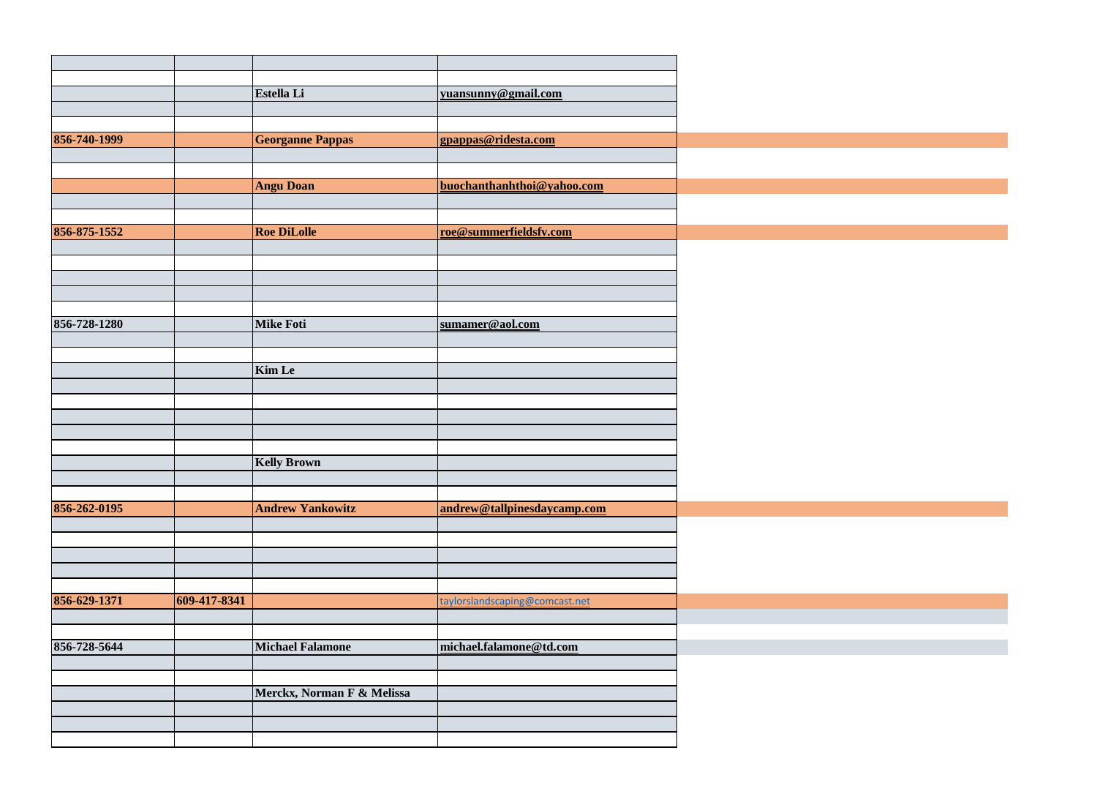|              |              | <b>Estella Li</b>          | yuansunny@gmail.com            |
|--------------|--------------|----------------------------|--------------------------------|
|              |              |                            |                                |
|              |              |                            |                                |
| 856-740-1999 |              | <b>Georganne Pappas</b>    | gpappas@ridesta.com            |
|              |              |                            |                                |
|              |              | <b>Angu Doan</b>           | buochanthanhthoi@yahoo.com     |
|              |              |                            |                                |
|              |              |                            |                                |
| 856-875-1552 |              | <b>Roe DiLolle</b>         | roe@summerfieldsfv.com         |
|              |              |                            |                                |
|              |              |                            |                                |
|              |              |                            |                                |
| 856-728-1280 |              | <b>Mike Foti</b>           | sumamer@aol.com                |
|              |              |                            |                                |
|              |              |                            |                                |
|              |              | Kim Le                     |                                |
|              |              |                            |                                |
|              |              |                            |                                |
|              |              |                            |                                |
|              |              |                            |                                |
|              |              | <b>Kelly Brown</b>         |                                |
|              |              |                            |                                |
| 856-262-0195 |              | <b>Andrew Yankowitz</b>    | andrew@tallpinesdaycamp.com    |
|              |              |                            |                                |
|              |              |                            |                                |
|              |              |                            |                                |
|              |              |                            |                                |
| 856-629-1371 | 609-417-8341 |                            | taylorslandscaping@comcast.net |
|              |              |                            |                                |
| 856-728-5644 |              | <b>Michael Falamone</b>    | michael.falamone@td.com        |
|              |              |                            |                                |
|              |              |                            |                                |
|              |              | Merckx, Norman F & Melissa |                                |
|              |              |                            |                                |
|              |              |                            |                                |
|              |              |                            |                                |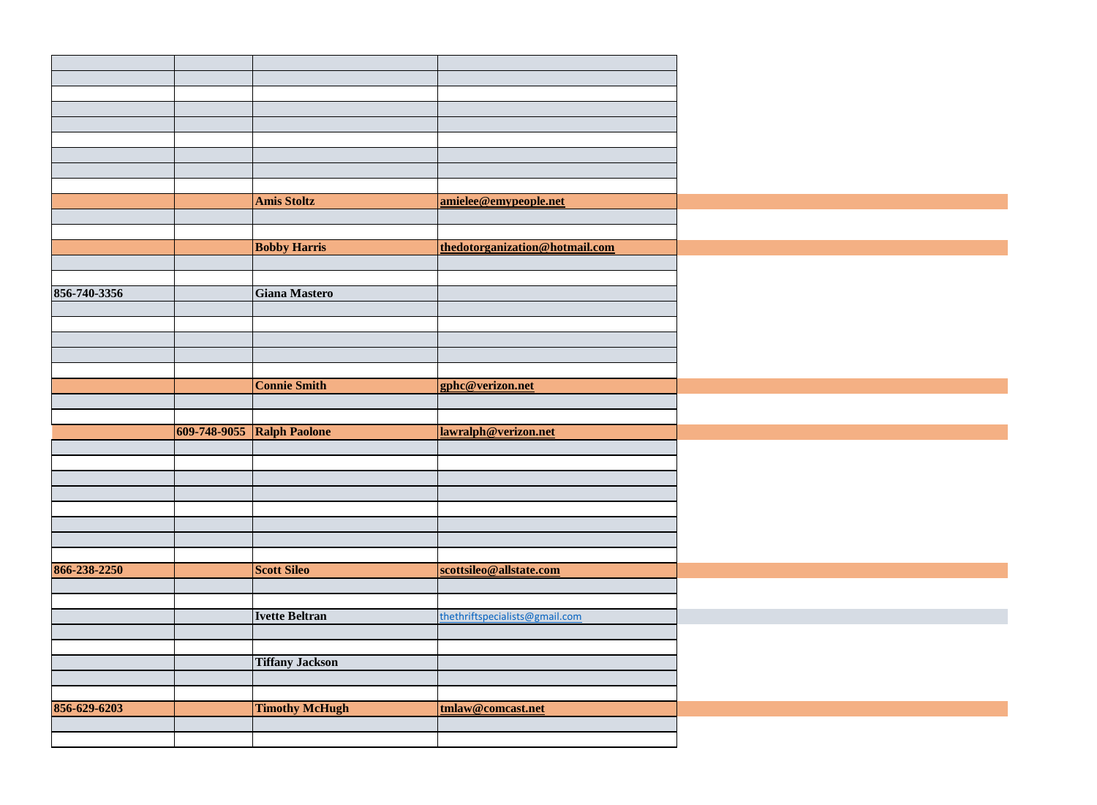|              | Amis Stoltz                | amielee@emypeople.net          |
|--------------|----------------------------|--------------------------------|
|              |                            |                                |
|              |                            |                                |
|              | <b>Bobby Harris</b>        | thedotorganization@hotmail.com |
|              |                            |                                |
| 856-740-3356 |                            |                                |
|              | <b>Giana Mastero</b>       |                                |
|              |                            |                                |
|              |                            |                                |
|              |                            |                                |
|              |                            |                                |
|              | <b>Connie Smith</b>        | gphc@verizon.net               |
|              |                            |                                |
|              |                            |                                |
|              |                            |                                |
|              | 609-748-9055 Ralph Paolone | lawralph@verizon.net           |
|              |                            |                                |
|              |                            |                                |
|              |                            |                                |
|              |                            |                                |
|              |                            |                                |
|              |                            |                                |
|              |                            |                                |
| 866-238-2250 | <b>Scott Sileo</b>         | scottsileo@allstate.com        |
|              |                            |                                |
|              |                            |                                |
|              | <b>Ivette Beltran</b>      | thethriftspecialists@gmail.com |
|              |                            |                                |
|              |                            |                                |
|              | <b>Tiffany Jackson</b>     |                                |
|              |                            |                                |
|              |                            |                                |
| 856-629-6203 | <b>Timothy McHugh</b>      | tmlaw@comcast.net              |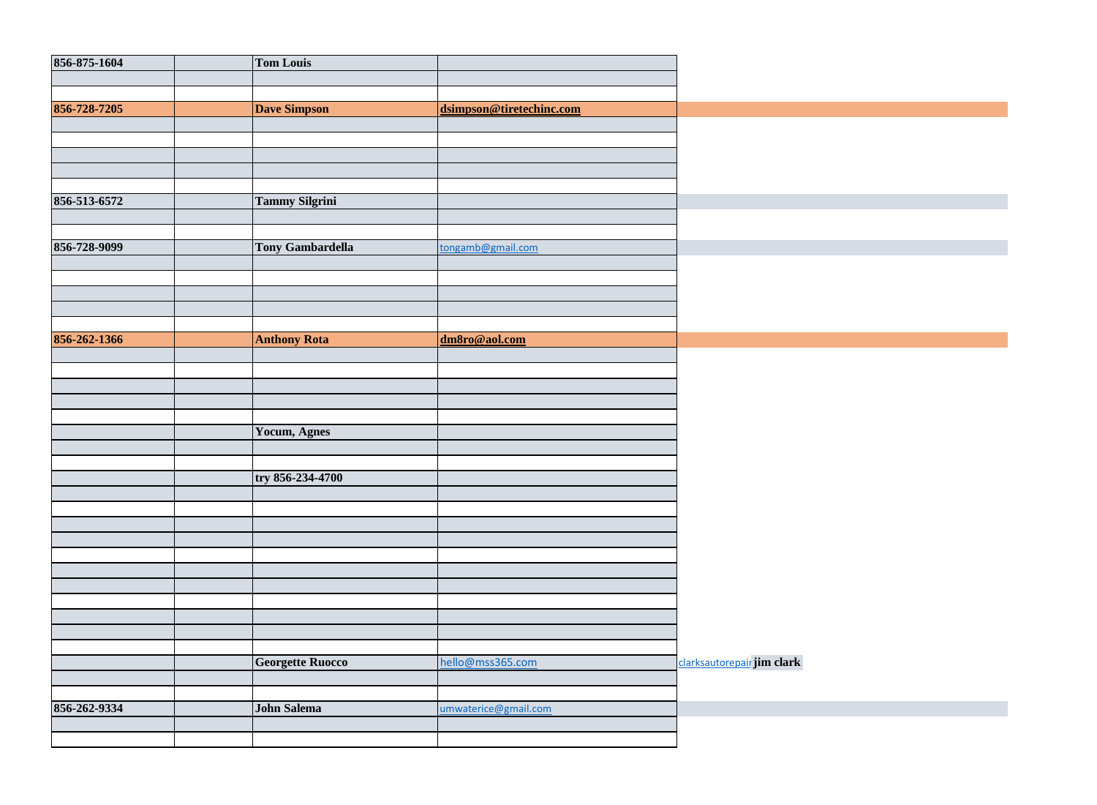| 856-875-1604 | <b>Tom Louis</b>        |                          |                            |
|--------------|-------------------------|--------------------------|----------------------------|
|              |                         |                          |                            |
| 856-728-7205 |                         |                          |                            |
|              | Dave Simpson            | dsimpson@tiretechinc.com |                            |
|              |                         |                          |                            |
|              |                         |                          |                            |
|              |                         |                          |                            |
|              |                         |                          |                            |
| 856-513-6572 | <b>Tammy Silgrini</b>   |                          |                            |
|              |                         |                          |                            |
|              |                         |                          |                            |
| 856-728-9099 | <b>Tony Gambardella</b> | tongamb@gmail.com        |                            |
|              |                         |                          |                            |
|              |                         |                          |                            |
|              |                         |                          |                            |
|              |                         |                          |                            |
| 856-262-1366 | <b>Anthony Rota</b>     | dm8ro@aol.com            |                            |
|              |                         |                          |                            |
|              |                         |                          |                            |
|              |                         |                          |                            |
|              |                         |                          |                            |
|              | <b>Yocum, Agnes</b>     |                          |                            |
|              |                         |                          |                            |
|              |                         |                          |                            |
|              | try 856-234-4700        |                          |                            |
|              |                         |                          |                            |
|              |                         |                          |                            |
|              |                         |                          |                            |
|              |                         |                          |                            |
|              |                         |                          |                            |
|              |                         |                          |                            |
|              |                         |                          |                            |
|              |                         |                          |                            |
|              |                         |                          |                            |
|              |                         |                          |                            |
|              | <b>Georgette Ruocco</b> | hello@mss365.com         | clarksautorepair jim clark |
|              |                         |                          |                            |
|              |                         |                          |                            |
| 856-262-9334 | <b>John Salema</b>      | umwaterice@gmail.com     |                            |
|              |                         |                          |                            |
|              |                         |                          |                            |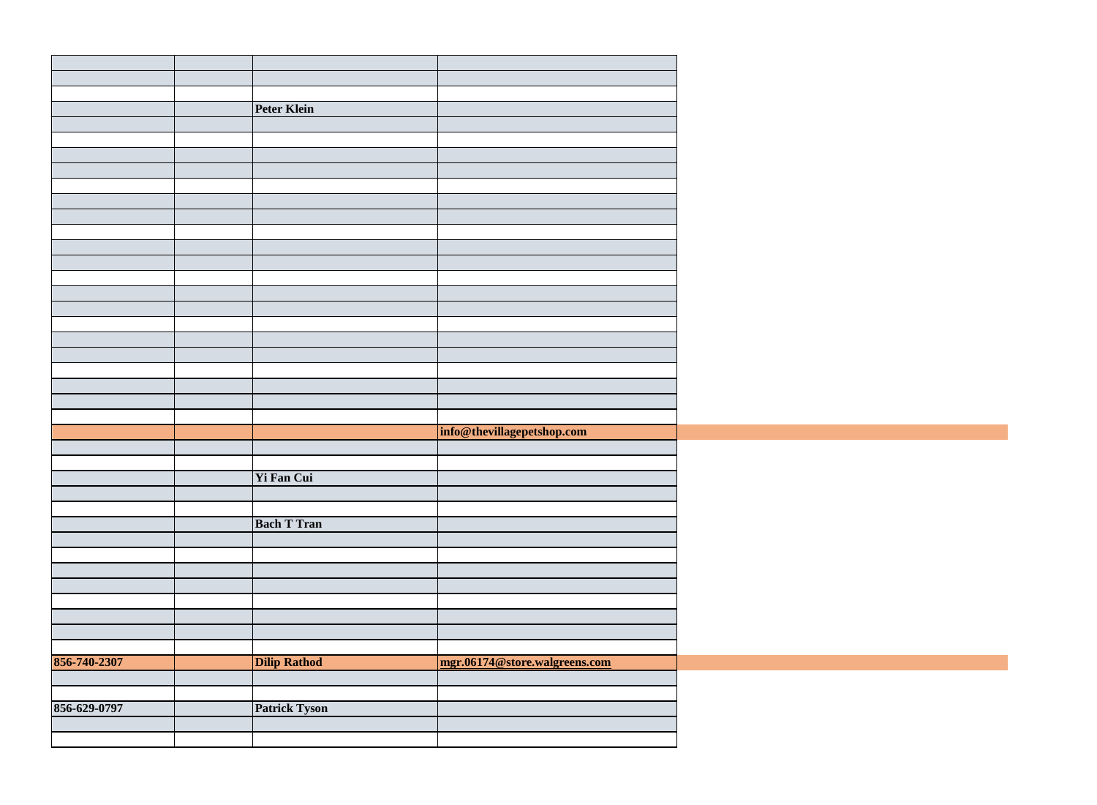|              | Peter Klein          |                               |
|--------------|----------------------|-------------------------------|
|              |                      |                               |
|              |                      |                               |
|              |                      |                               |
|              |                      |                               |
|              |                      |                               |
|              |                      |                               |
|              |                      |                               |
|              |                      |                               |
|              |                      |                               |
|              |                      |                               |
|              |                      |                               |
|              |                      |                               |
|              |                      |                               |
|              |                      |                               |
|              |                      |                               |
|              |                      |                               |
|              |                      |                               |
|              |                      |                               |
|              |                      | info@thevillagepetshop.com    |
|              |                      |                               |
|              |                      |                               |
|              | Yi Fan Cui           |                               |
|              |                      |                               |
|              | <b>Bach T Tran</b>   |                               |
|              |                      |                               |
|              |                      |                               |
|              |                      |                               |
|              |                      |                               |
|              |                      |                               |
|              |                      |                               |
|              |                      |                               |
|              |                      |                               |
| 856-740-2307 | <b>Dilip Rathod</b>  | mgr.06174@store.walgreens.com |
|              |                      |                               |
| 856-629-0797 | <b>Patrick Tyson</b> |                               |
|              |                      |                               |
|              |                      |                               |
|              |                      |                               |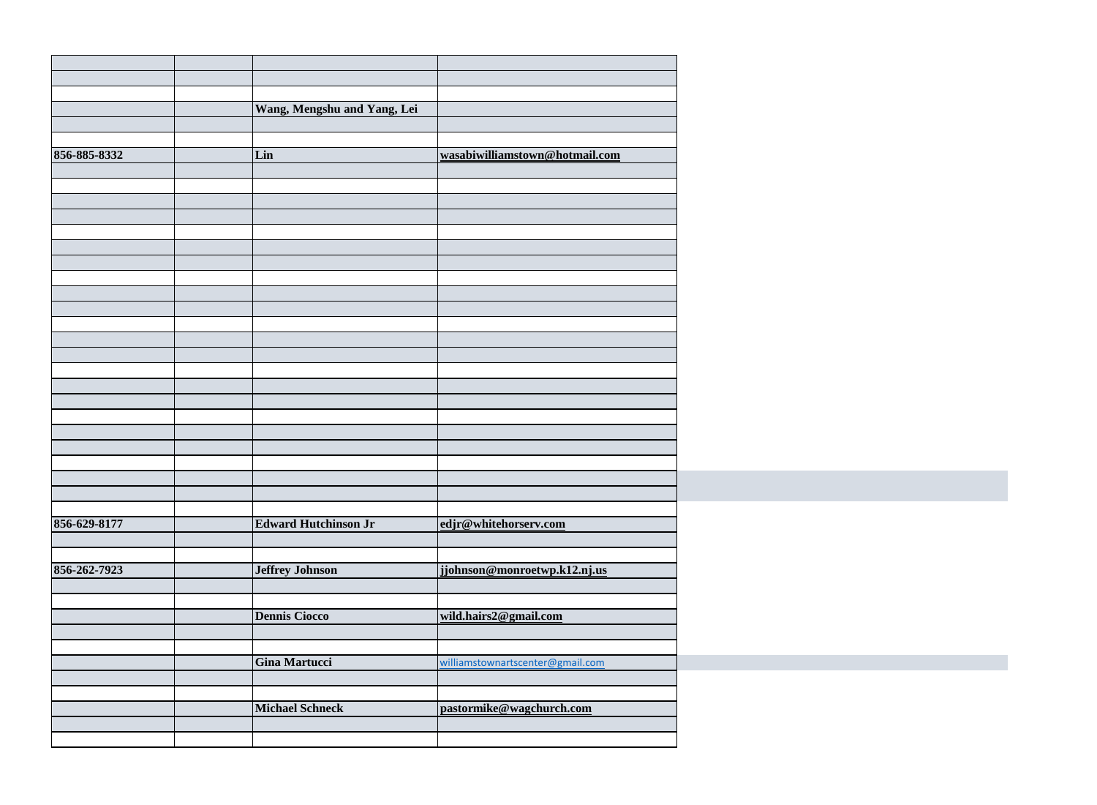|              | Wang, Mengshu and Yang, Lei |                                  |
|--------------|-----------------------------|----------------------------------|
|              |                             |                                  |
|              |                             |                                  |
| 856-885-8332 | Lin                         | wasabiwilliamstown@hotmail.com   |
|              |                             |                                  |
|              |                             |                                  |
|              |                             |                                  |
|              |                             |                                  |
|              |                             |                                  |
|              |                             |                                  |
|              |                             |                                  |
|              |                             |                                  |
|              |                             |                                  |
|              |                             |                                  |
|              |                             |                                  |
|              |                             |                                  |
|              |                             |                                  |
|              |                             |                                  |
|              |                             |                                  |
|              |                             |                                  |
|              |                             |                                  |
|              |                             |                                  |
| 856-629-8177 | <b>Edward Hutchinson Jr</b> | edjr@whitehorserv.com            |
|              |                             |                                  |
| 856-262-7923 | <b>Jeffrey Johnson</b>      | jjohnson@monroetwp.k12.nj.us     |
|              |                             |                                  |
|              | <b>Dennis Ciocco</b>        | wild.hairs2@gmail.com            |
|              |                             |                                  |
|              |                             |                                  |
|              | Gina Martucci               | williamstownartscenter@gmail.com |
|              |                             |                                  |
|              | <b>Michael Schneck</b>      | pastormike@wagchurch.com         |
|              |                             |                                  |
|              |                             |                                  |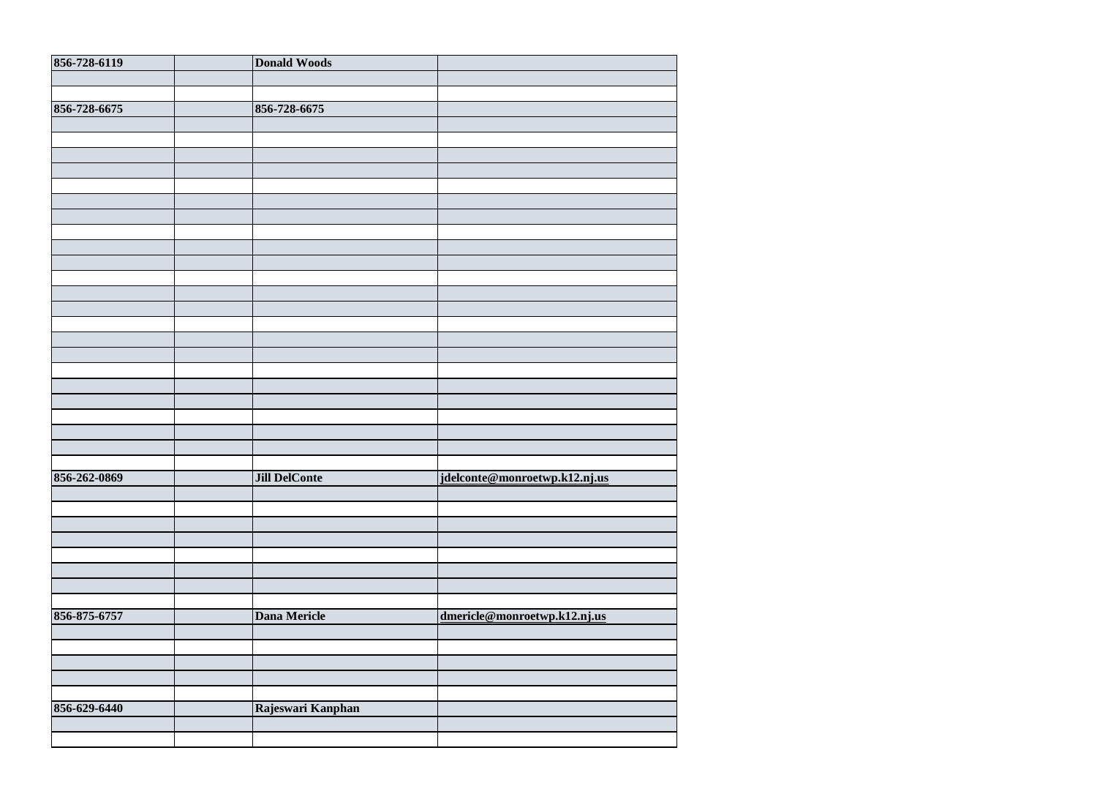| 856-728-6119 | <b>Donald Woods</b>  |                               |
|--------------|----------------------|-------------------------------|
|              |                      |                               |
|              |                      |                               |
| 856-728-6675 | 856-728-6675         |                               |
|              |                      |                               |
|              |                      |                               |
|              |                      |                               |
|              |                      |                               |
|              |                      |                               |
|              |                      |                               |
|              |                      |                               |
|              |                      |                               |
|              |                      |                               |
|              |                      |                               |
|              |                      |                               |
|              |                      |                               |
|              |                      |                               |
|              |                      |                               |
|              |                      |                               |
|              |                      |                               |
|              |                      |                               |
|              |                      |                               |
|              |                      |                               |
|              |                      |                               |
|              |                      |                               |
|              |                      |                               |
| 856-262-0869 | <b>Jill DelConte</b> | jdelconte@monroetwp.k12.nj.us |
|              |                      |                               |
|              |                      |                               |
|              |                      |                               |
|              |                      |                               |
|              |                      |                               |
|              |                      |                               |
|              |                      |                               |
| 856-875-6757 | <b>Dana Mericle</b>  | dmericle@monroetwp.k12.nj.us  |
|              |                      |                               |
|              |                      |                               |
|              |                      |                               |
|              |                      |                               |
|              |                      |                               |
| 856-629-6440 | Rajeswari Kanphan    |                               |
|              |                      |                               |
|              |                      |                               |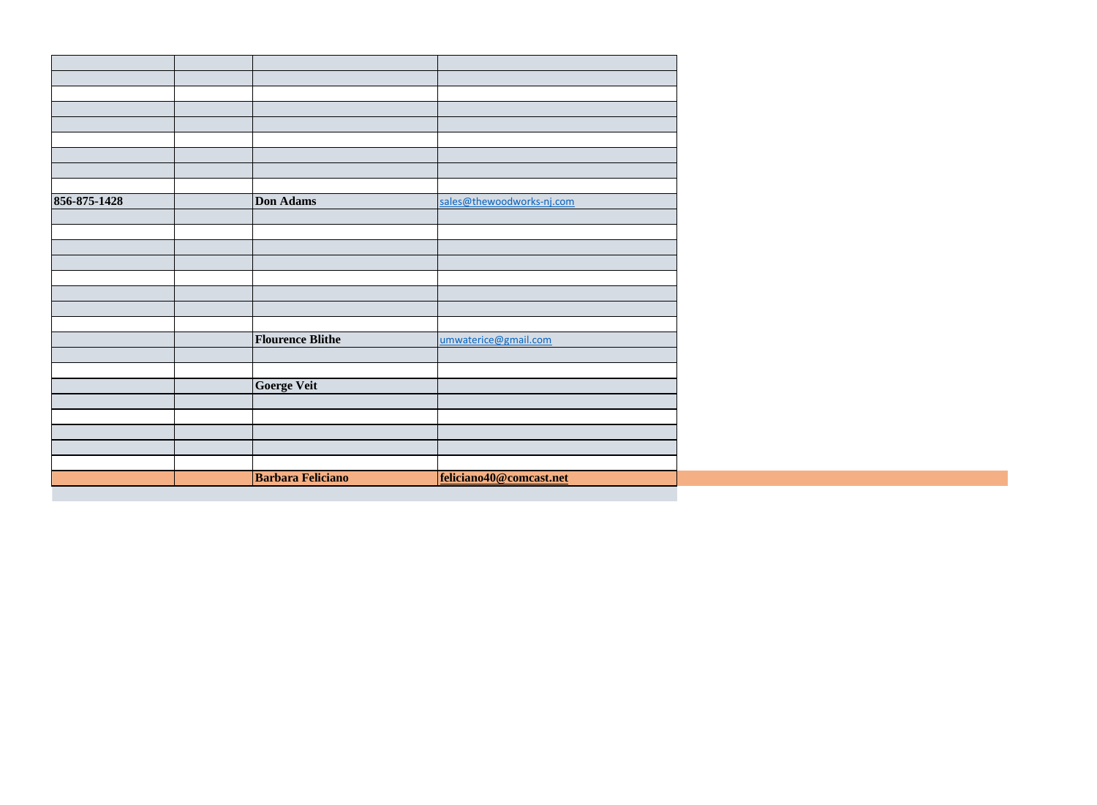| 856-875-1428 | <b>Don Adams</b>         | sales@thewoodworks-nj.com |
|--------------|--------------------------|---------------------------|
|              |                          |                           |
|              |                          |                           |
|              |                          |                           |
|              |                          |                           |
|              |                          |                           |
|              |                          |                           |
|              |                          |                           |
|              |                          |                           |
|              | <b>Flourence Blithe</b>  | umwaterice@gmail.com      |
|              |                          |                           |
|              |                          |                           |
|              | <b>Goerge Veit</b>       |                           |
|              |                          |                           |
|              |                          |                           |
|              |                          |                           |
|              |                          |                           |
|              |                          |                           |
|              | <b>Barbara Feliciano</b> | feliciano40@comcast.net   |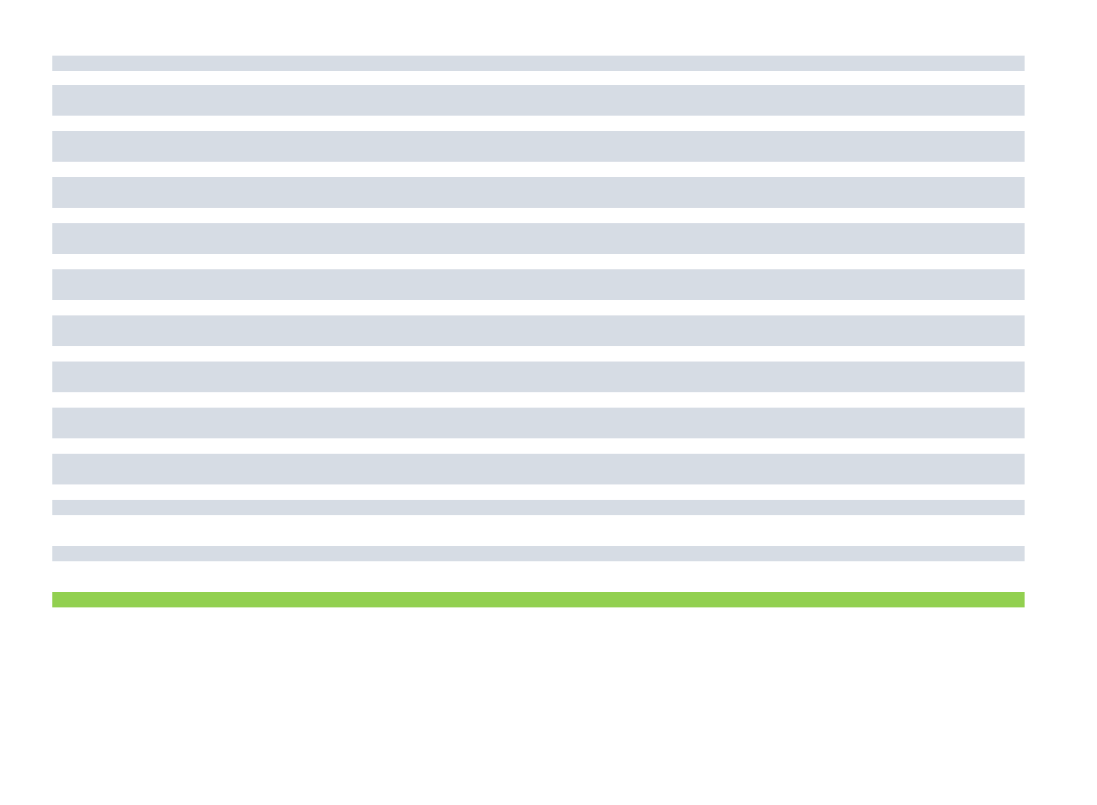| a se provincia de la construcción de la construcción de la construcción de la construcción de la construcción |  |  |
|---------------------------------------------------------------------------------------------------------------|--|--|
| ,我们也不会不会不会。""我们,我们也不会不会不会不会不会不会不会不会不会不会不会不会不会不会不会。""我们,我们也不会不会不会不会不会不会不会不会不会不会不会                              |  |  |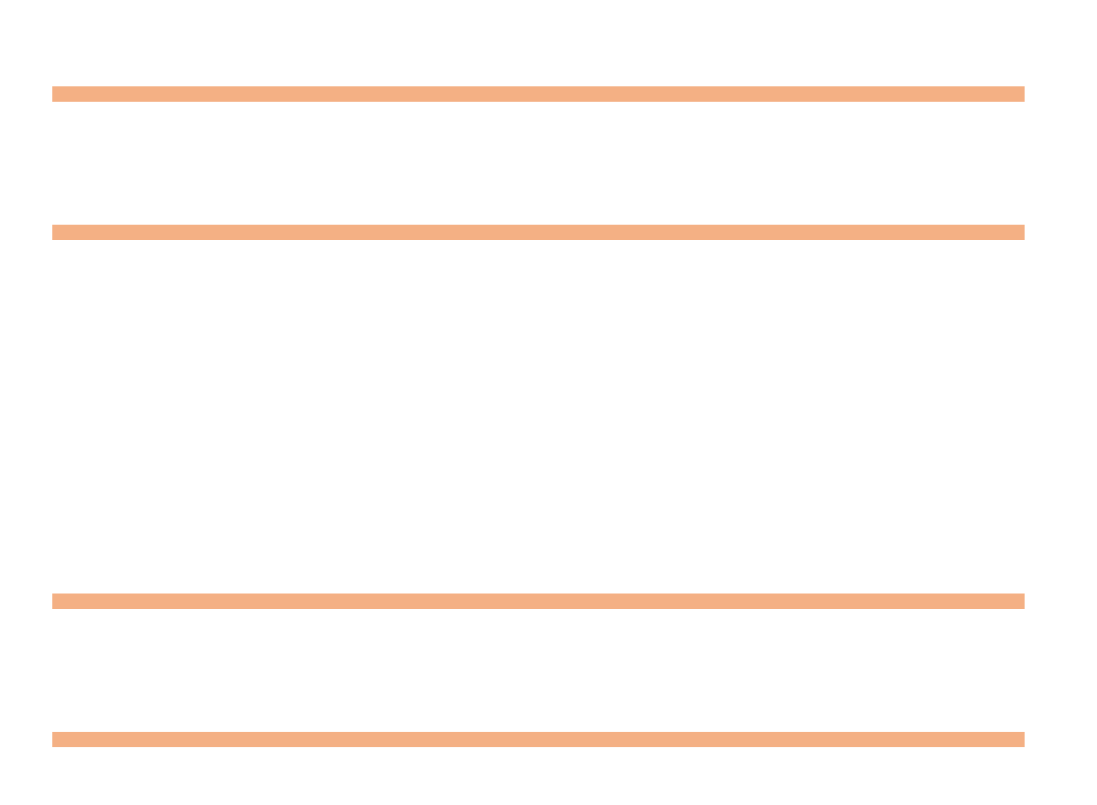a sa karang sa kabupatèn Kabupatèn Bangung Kabupatèn Kabupatèn Kabupatèn Kabupatèn Kabupatèn Kabupatèn Kabupat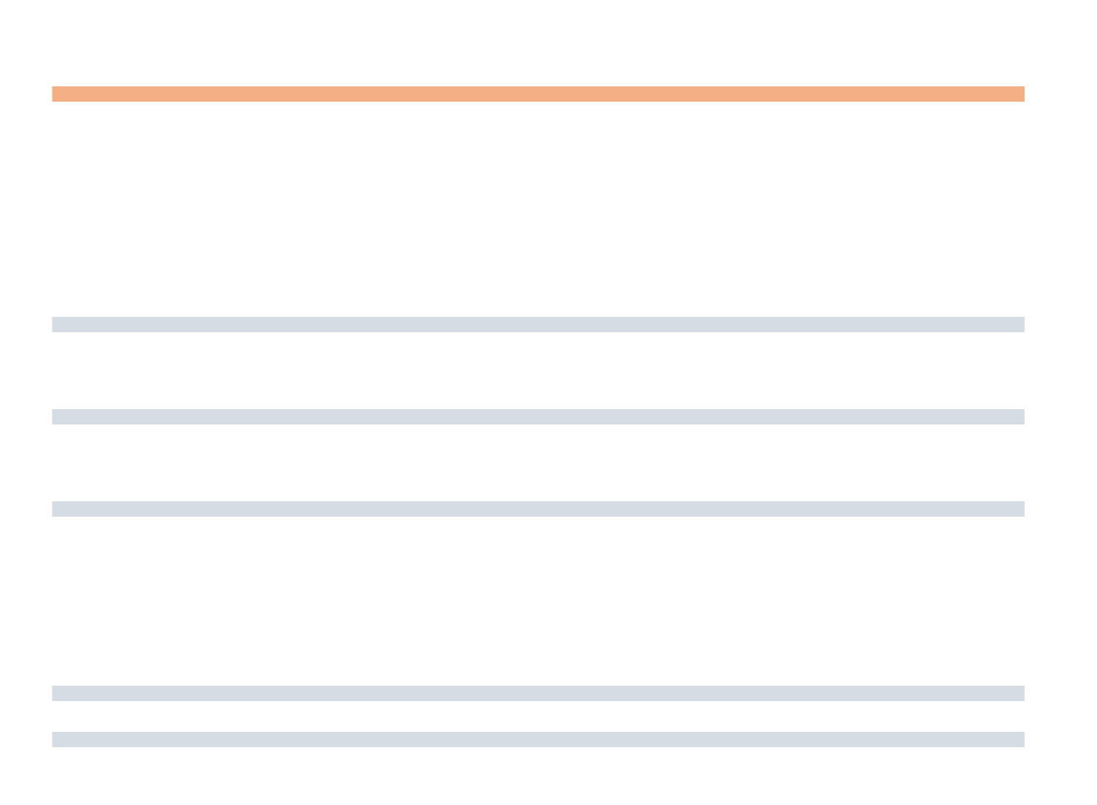the control of the control of the control of the control of the control of the control of the control of the control of  $\mathcal{L}^{\text{max}}_{\text{max}}$  and  $\mathcal{L}^{\text{max}}_{\text{max}}$  and  $\mathcal{L}^{\text{max}}_{\text{max}}$ ,我们也不会有什么。""我们的人,我们也不会有什么?""我们的人,我们也不会有什么?""我们的人,我们也不会有什么?""我们的人,我们也不会有什么?""我们的人 and the state of the state of the state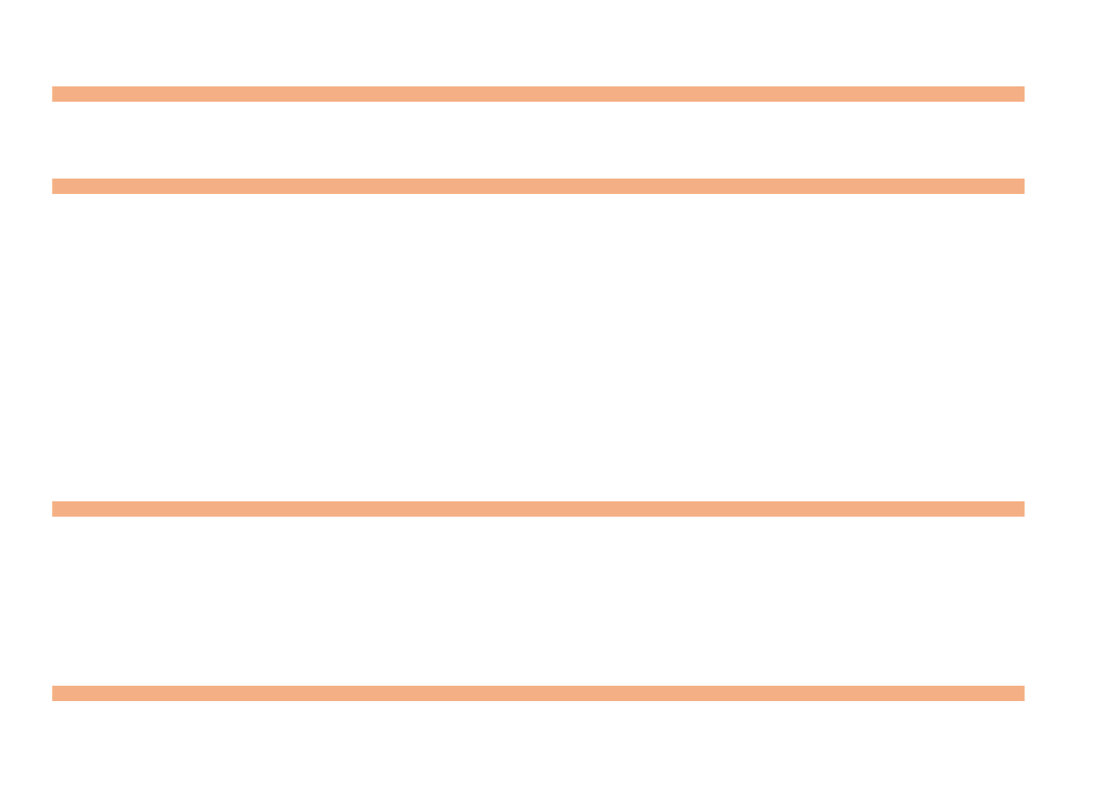a de la construcción de la construcción de la construcción de la construcción de la construcción de la constru<br>En 1930, el construcción de la construcción de la construcción de la construcción de la construcción de la con and the state of the state of the state of the state of the state of the state of the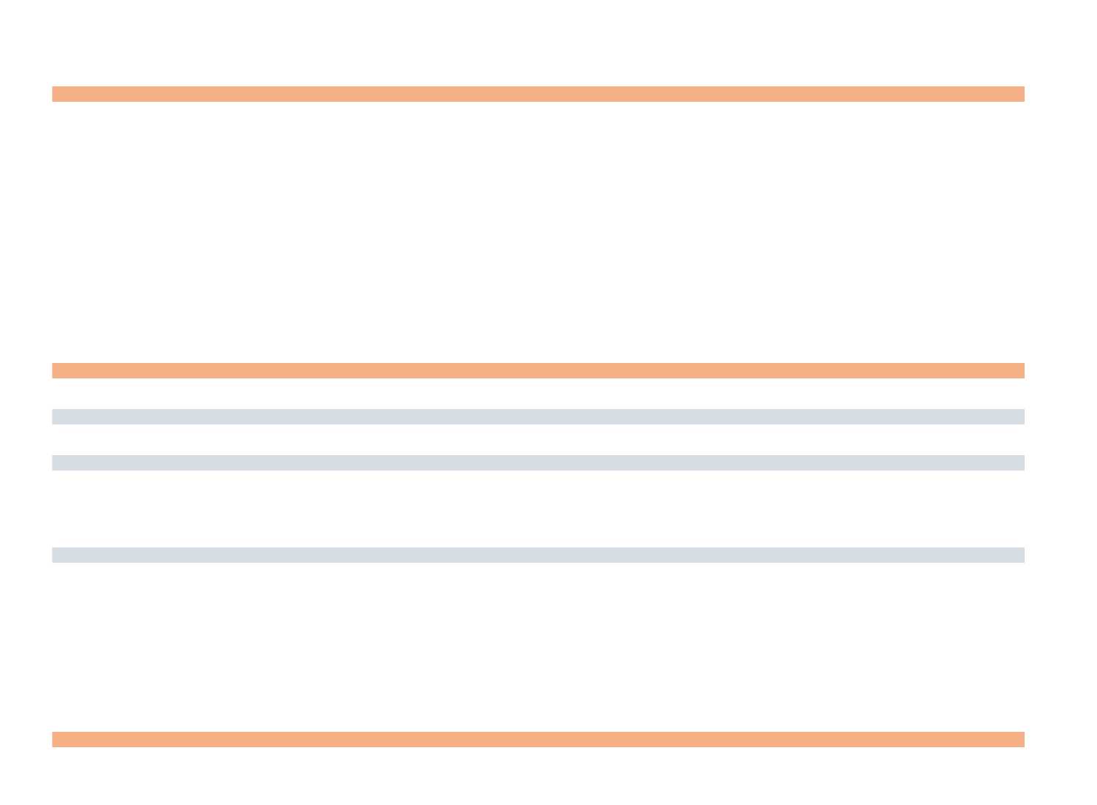the control of the control of the control <u> 1999 - Jan Barnett, fransk politiker (</u>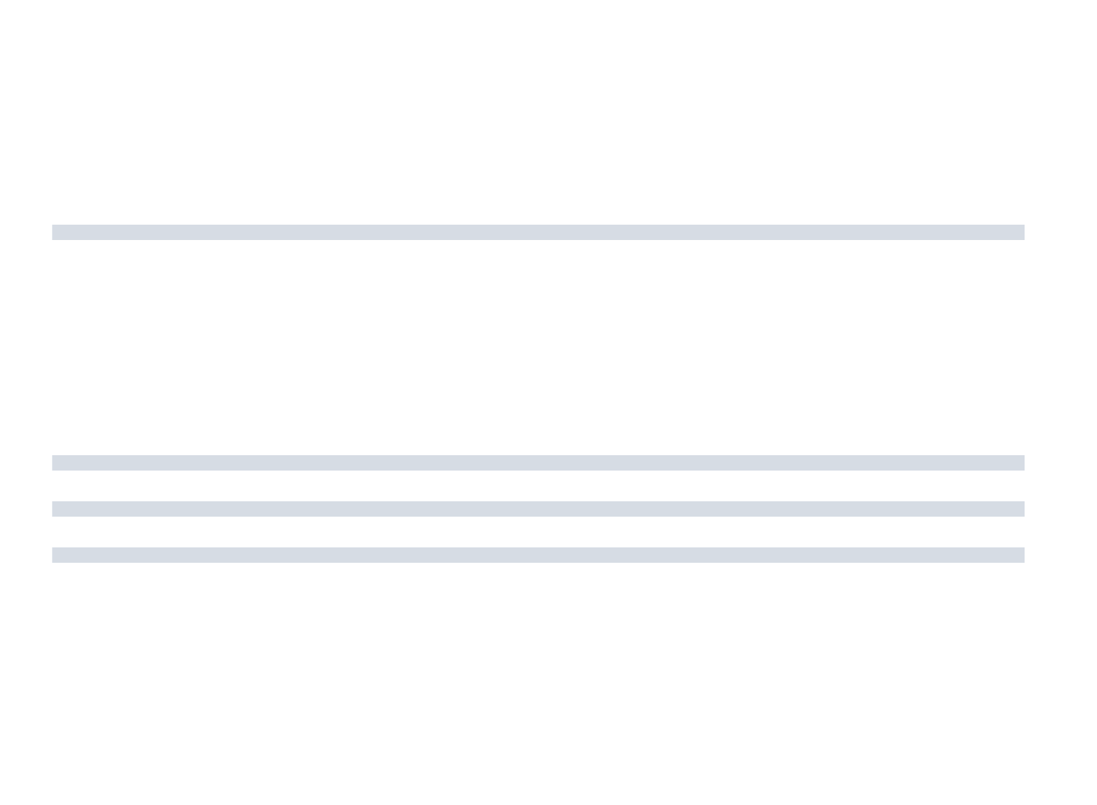and the state of the state of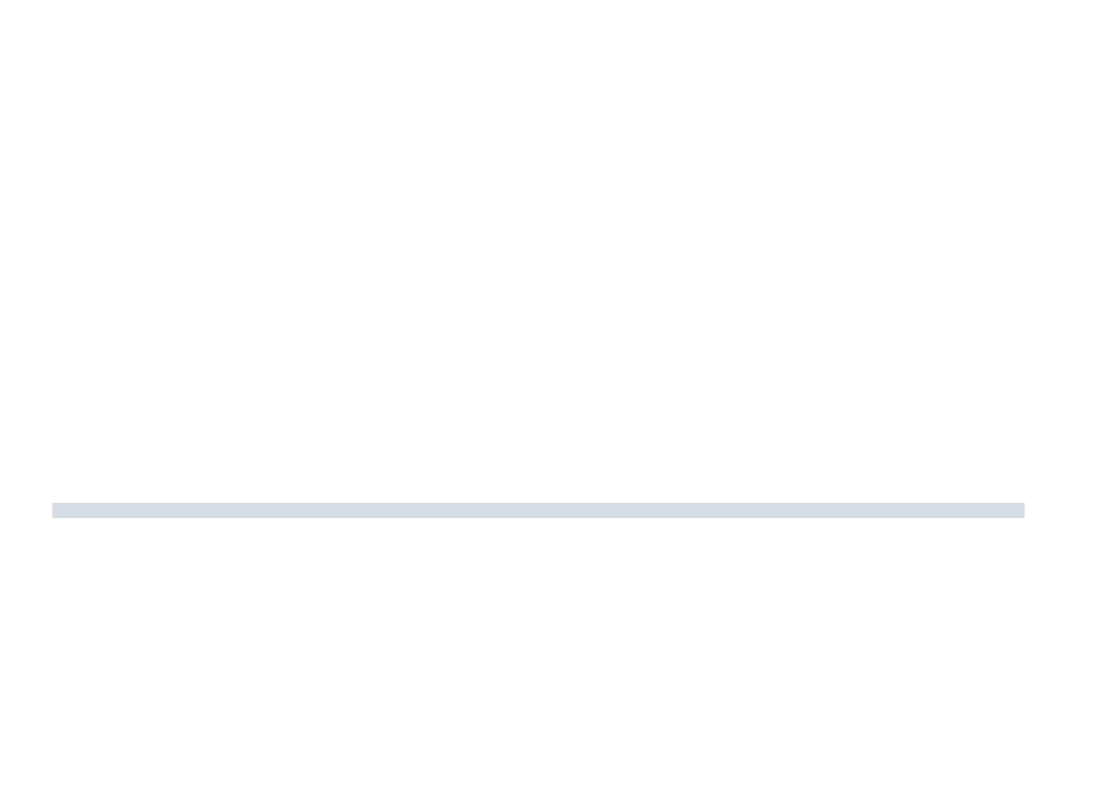**Contract Contract Contract Contract**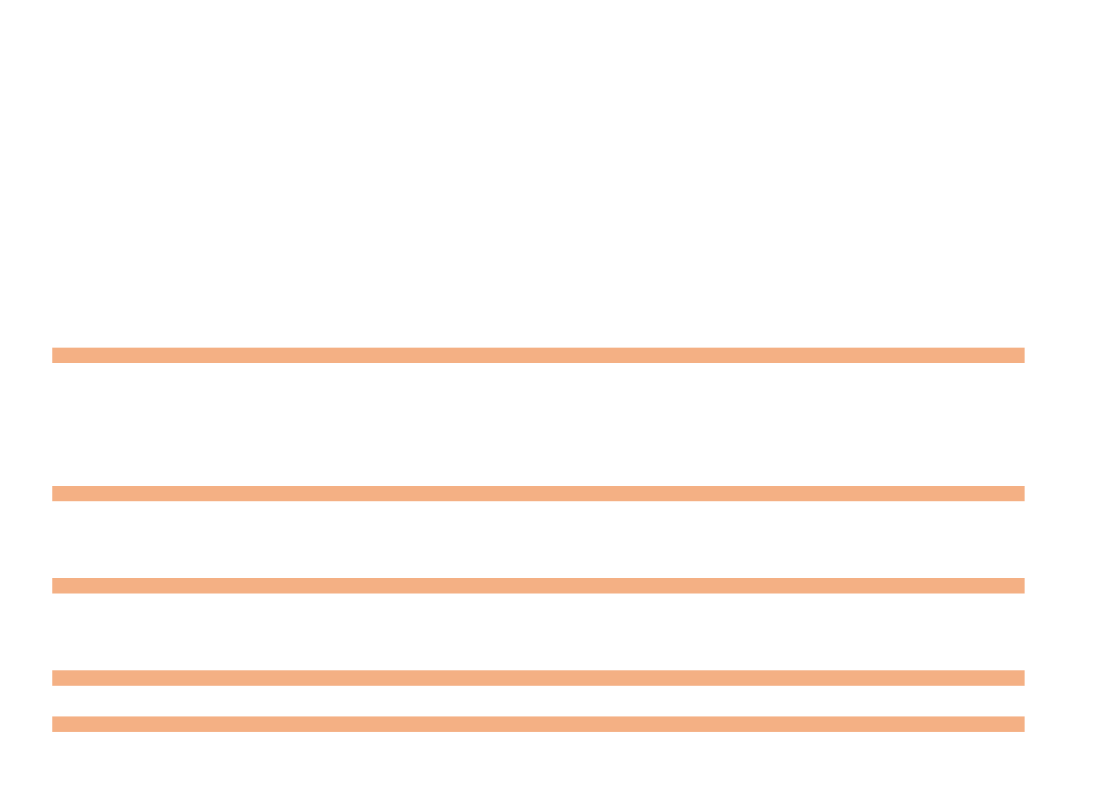$\mathcal{L}(\mathcal{L}(\mathcal{L}))$  and the set of  $\mathcal{L}(\mathcal{L})$  and  $\mathcal{L}(\mathcal{L})$  and  $\mathcal{L}(\mathcal{L})$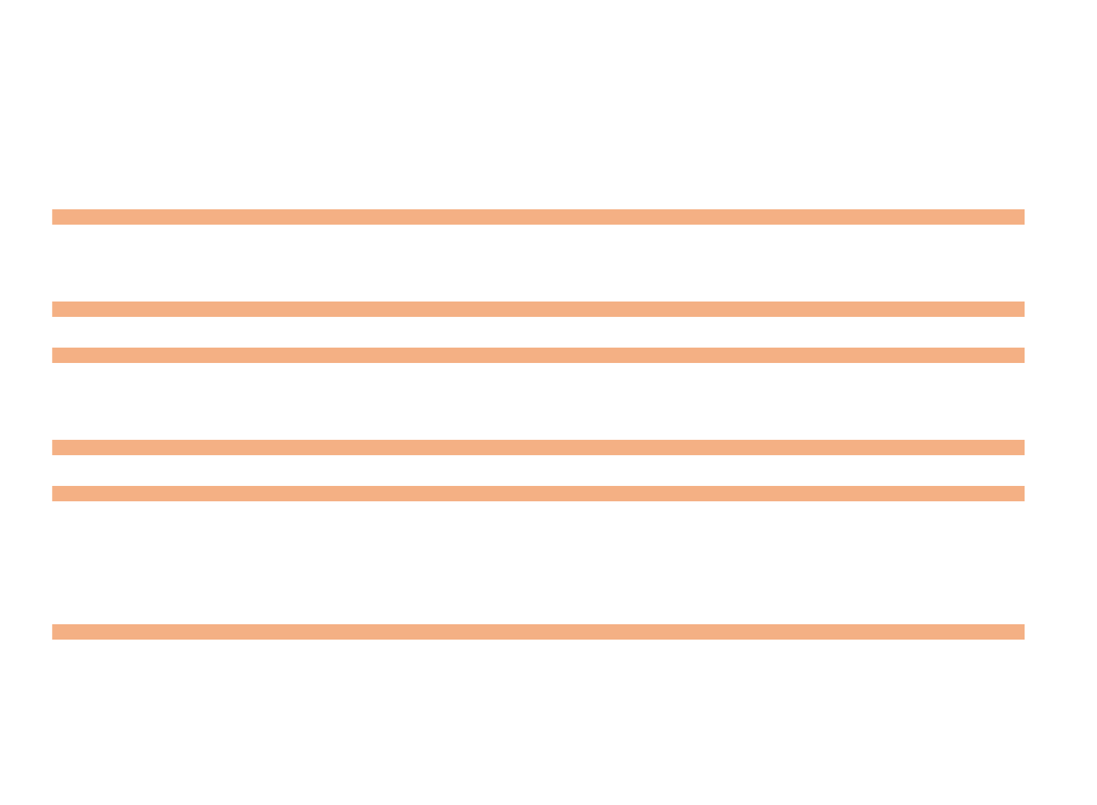| <b>Contract Contract Contract Contract Contract Contract Contract Contract Contract Contract Contract Contract Co</b>                                              |  |  |
|--------------------------------------------------------------------------------------------------------------------------------------------------------------------|--|--|
|                                                                                                                                                                    |  |  |
|                                                                                                                                                                    |  |  |
| $\mathcal{L}(\mathcal{L}(\mathcal{L}))$ is a set of $\mathcal{L}(\mathcal{L})$ . The contract of $\mathcal{L}(\mathcal{L})$ is a set of $\mathcal{L}(\mathcal{L})$ |  |  |
|                                                                                                                                                                    |  |  |
|                                                                                                                                                                    |  |  |
|                                                                                                                                                                    |  |  |
|                                                                                                                                                                    |  |  |
|                                                                                                                                                                    |  |  |
|                                                                                                                                                                    |  |  |
|                                                                                                                                                                    |  |  |
|                                                                                                                                                                    |  |  |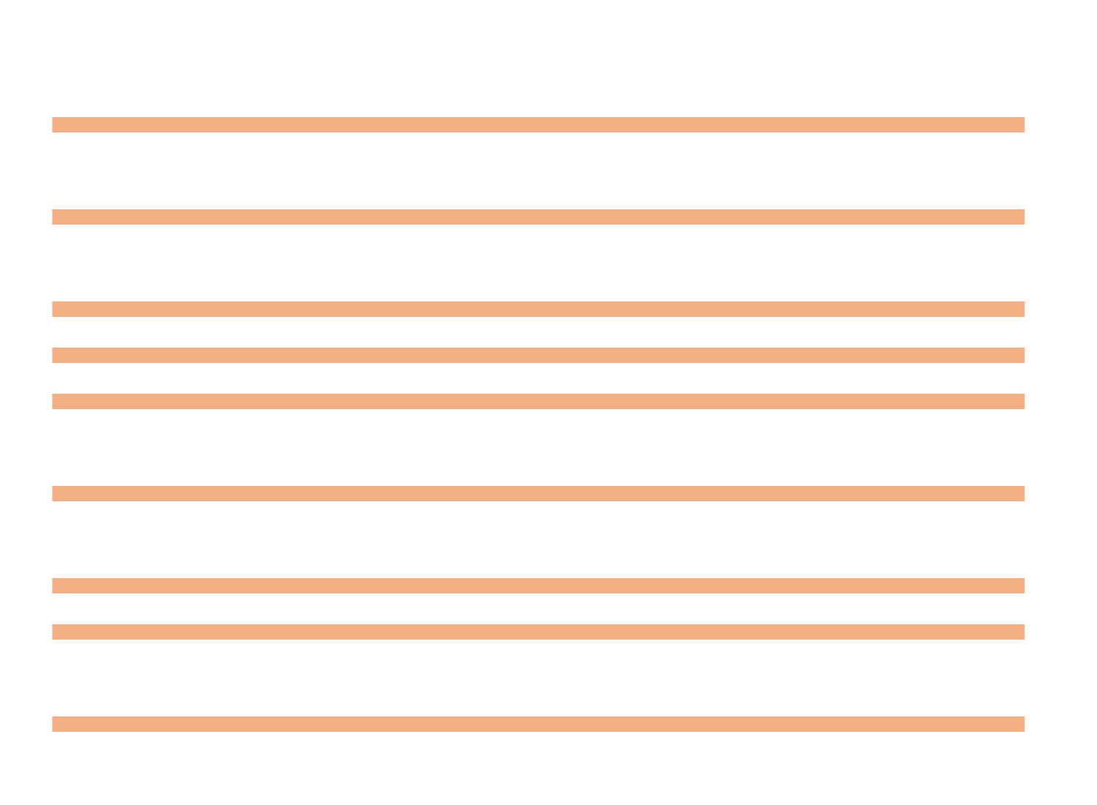| ,一个人的人都是一个人的人,而且,他们的人都是一个人的人,而且,他们的人都是不是一个人的人,而且,他们的人都是不是一个人的人,而且,他们的人都是不是一个人的人,<br>第151章 我们的人,我们的人都是不是一个人的人,我们的人都是不是一个人的人,我们的人都是不是一个人的人,我们的人都是不是一个人的人,我们的人都是不是一个人的人 |                                                                                                                 |
|----------------------------------------------------------------------------------------------------------------------------------------------------------------------|-----------------------------------------------------------------------------------------------------------------|
|                                                                                                                                                                      |                                                                                                                 |
|                                                                                                                                                                      |                                                                                                                 |
|                                                                                                                                                                      | a sa kacamatan ing Kabupatèn Kabupatèn Ing Kabupatèn Kabupatèn Kabupatèn Kabupatèn Kabupatèn Kabupatèn Kabupatè |
|                                                                                                                                                                      |                                                                                                                 |
|                                                                                                                                                                      |                                                                                                                 |
|                                                                                                                                                                      |                                                                                                                 |
|                                                                                                                                                                      |                                                                                                                 |
|                                                                                                                                                                      |                                                                                                                 |
|                                                                                                                                                                      |                                                                                                                 |
|                                                                                                                                                                      |                                                                                                                 |
|                                                                                                                                                                      |                                                                                                                 |
|                                                                                                                                                                      |                                                                                                                 |
|                                                                                                                                                                      |                                                                                                                 |
|                                                                                                                                                                      |                                                                                                                 |
|                                                                                                                                                                      |                                                                                                                 |
|                                                                                                                                                                      |                                                                                                                 |
|                                                                                                                                                                      |                                                                                                                 |
|                                                                                                                                                                      |                                                                                                                 |
|                                                                                                                                                                      |                                                                                                                 |
|                                                                                                                                                                      |                                                                                                                 |
|                                                                                                                                                                      |                                                                                                                 |
|                                                                                                                                                                      |                                                                                                                 |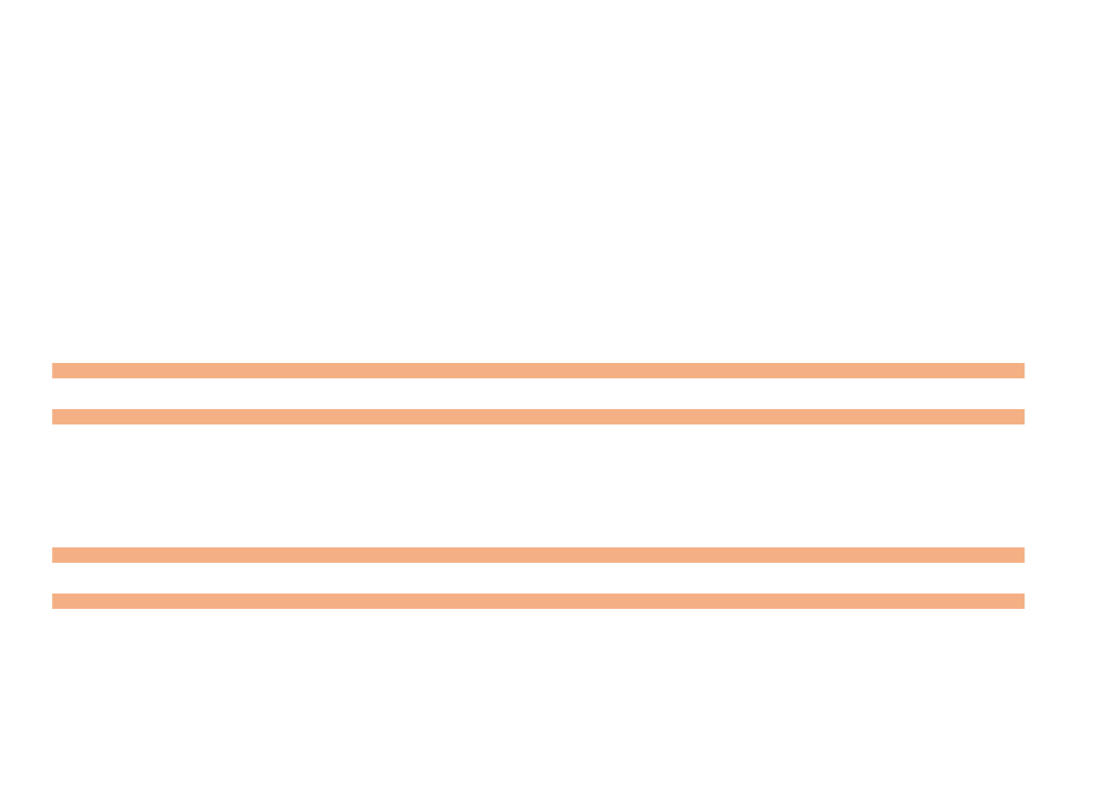a de la construcción de la construcción de la construcción de la construcción de la construcción de la constru<br>A la construcción de la construcción de la construcción de la construcción de la construcción de la construcci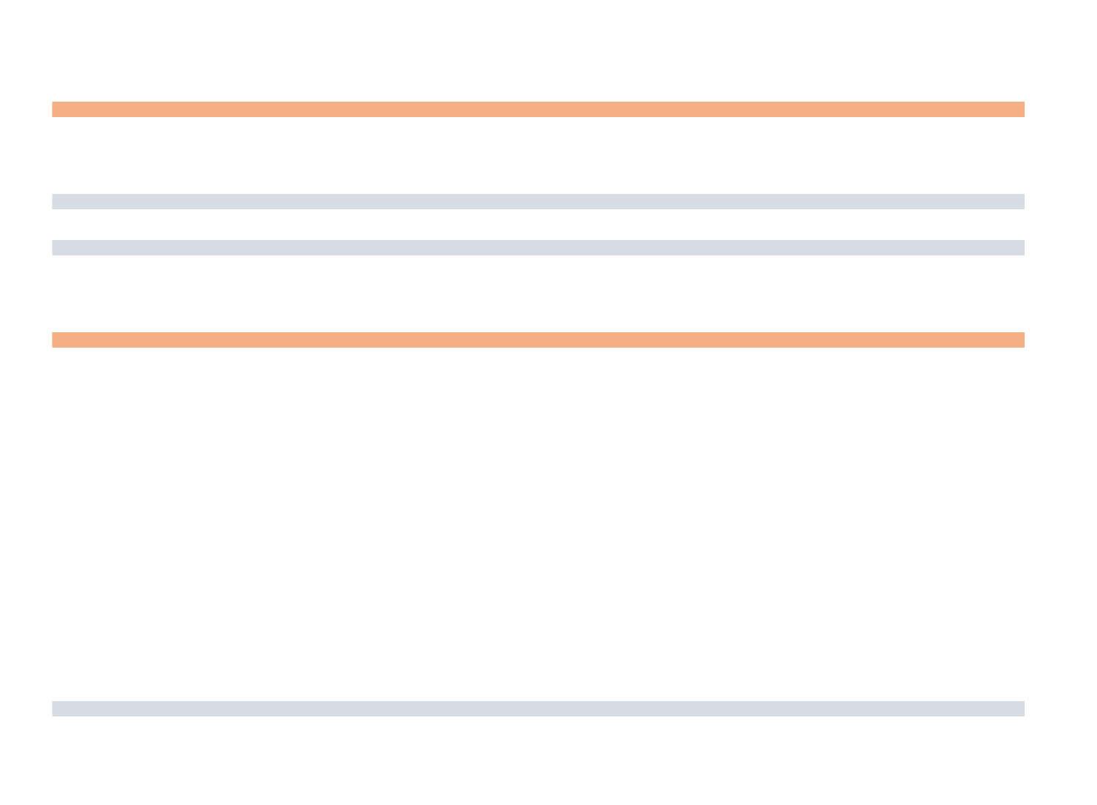**Contract Contract Contract**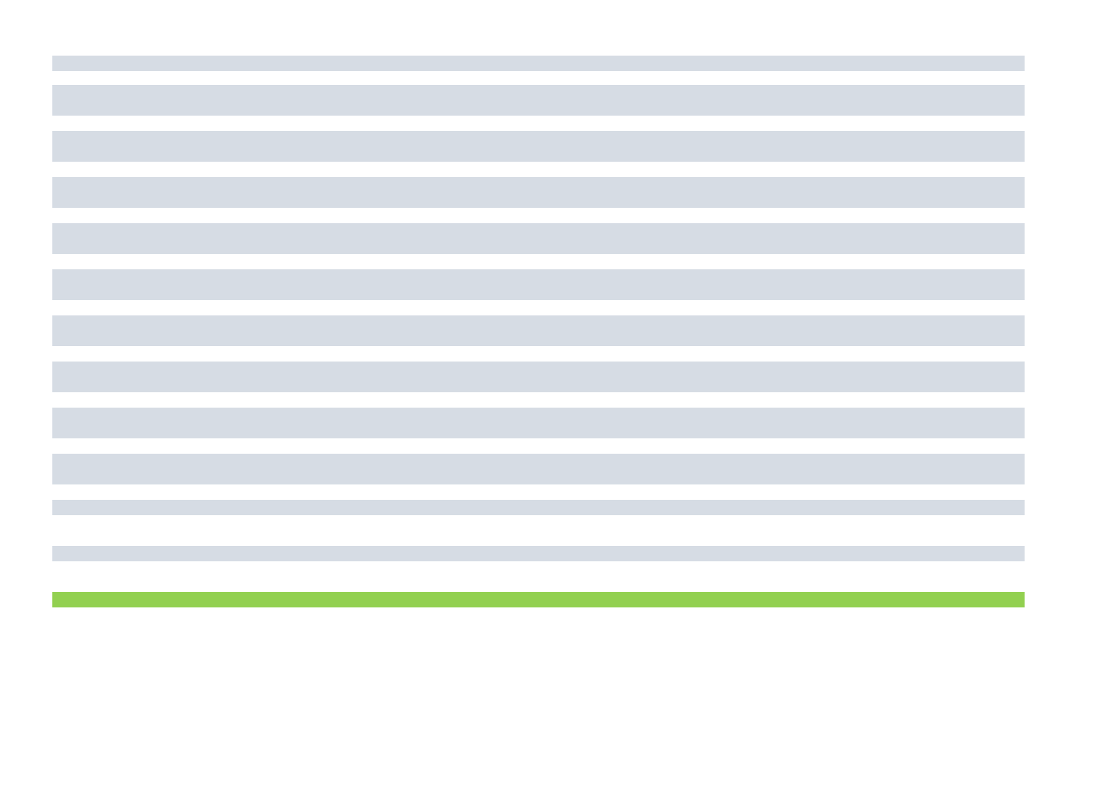| a se provincia de la construcción de la construcción de la construcción de la construcción de la construcción |  |  |
|---------------------------------------------------------------------------------------------------------------|--|--|
| ,我们也不会不会不会。""我们,我们也不会不会不会不会不会不会不会不会不会不会不会不会不会不会不会不会不会。""我们,我们也不会不会不会不会不会不会不会不会不会                              |  |  |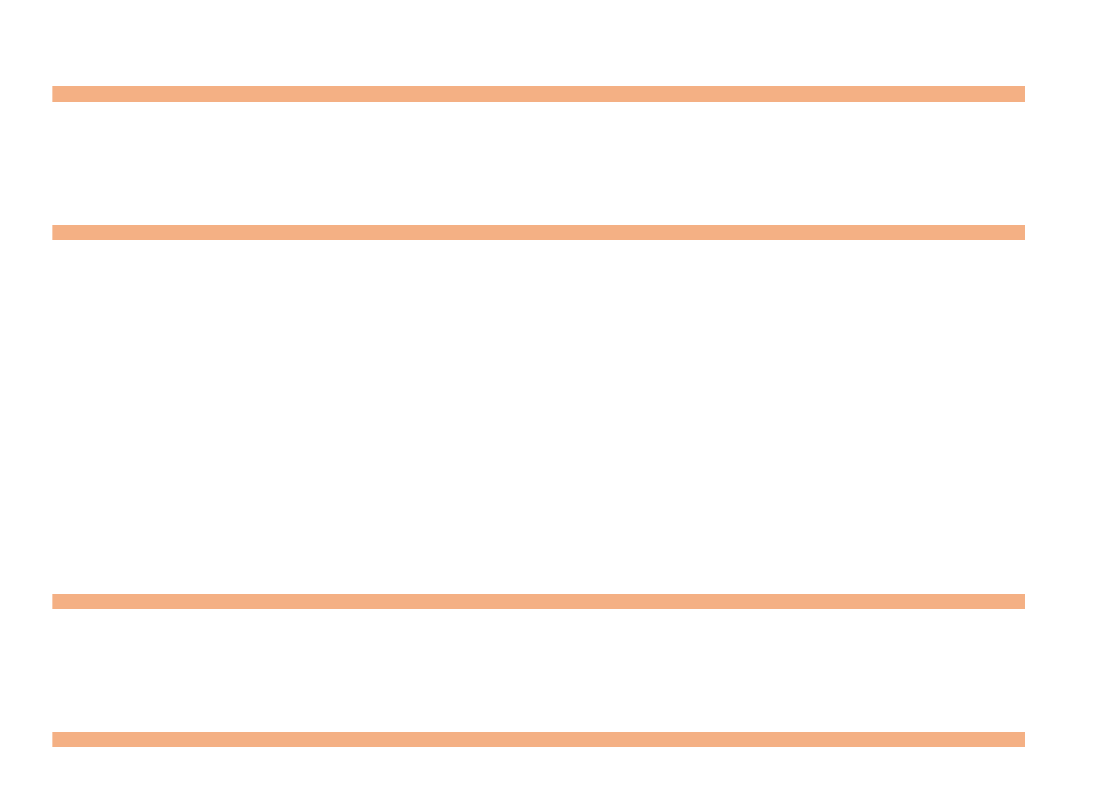a sa karang sa kabupatèn Kabupatèn Bangung Kabupatèn Kabupatèn Kabupatèn Kabupatèn Kabupatèn Kabupatèn Kabupat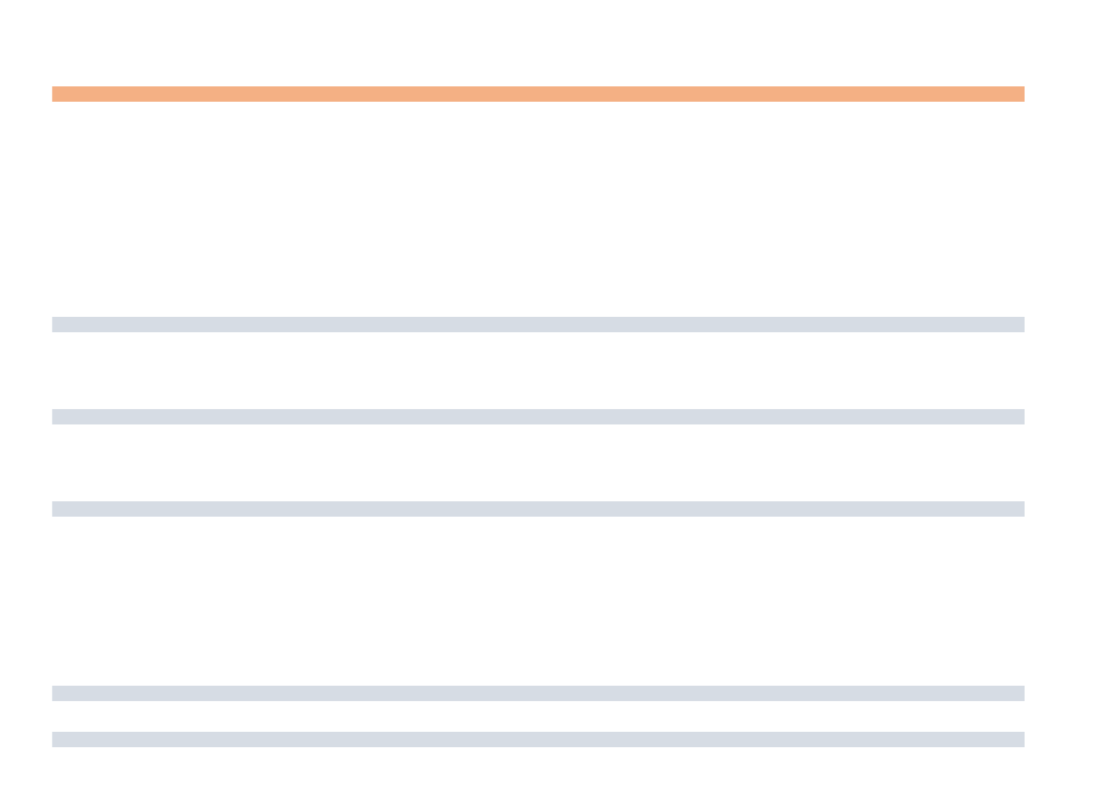the control of the control of the control of the control of the control of the control of the control of the control of  $\mathcal{L}^{\text{max}}_{\text{max}}$  and  $\mathcal{L}^{\text{max}}_{\text{max}}$  and  $\mathcal{L}^{\text{max}}_{\text{max}}$ ,我们也不会有什么。""我们的人,我们也不会有什么?""我们的人,我们也不会有什么?""我们的人,我们也不会有什么?""我们的人,我们也不会有什么?""我们的人 and the state of the state of the state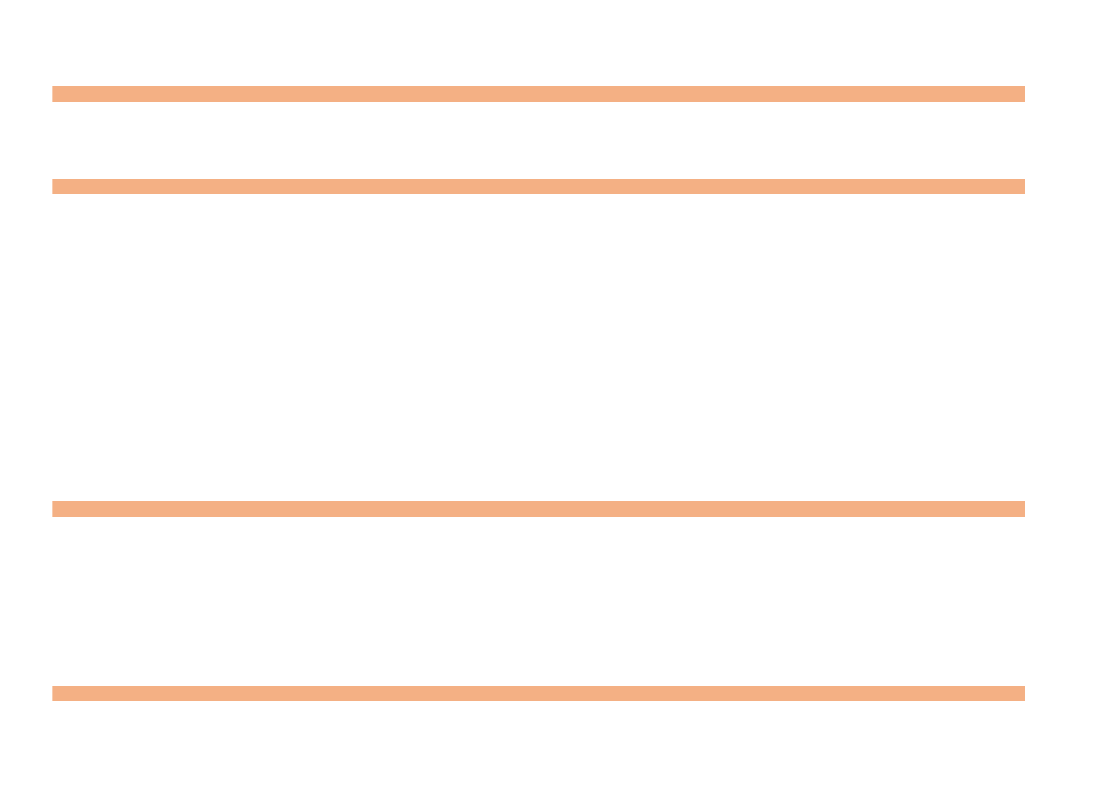a de la construcción de la construcción de la construcción de la construcción de la construcción de la constru<br>En 1930, el construcción de la construcción de la construcción de la construcción de la construcción de la con and the state of the state of the state of the state of the state of the state of the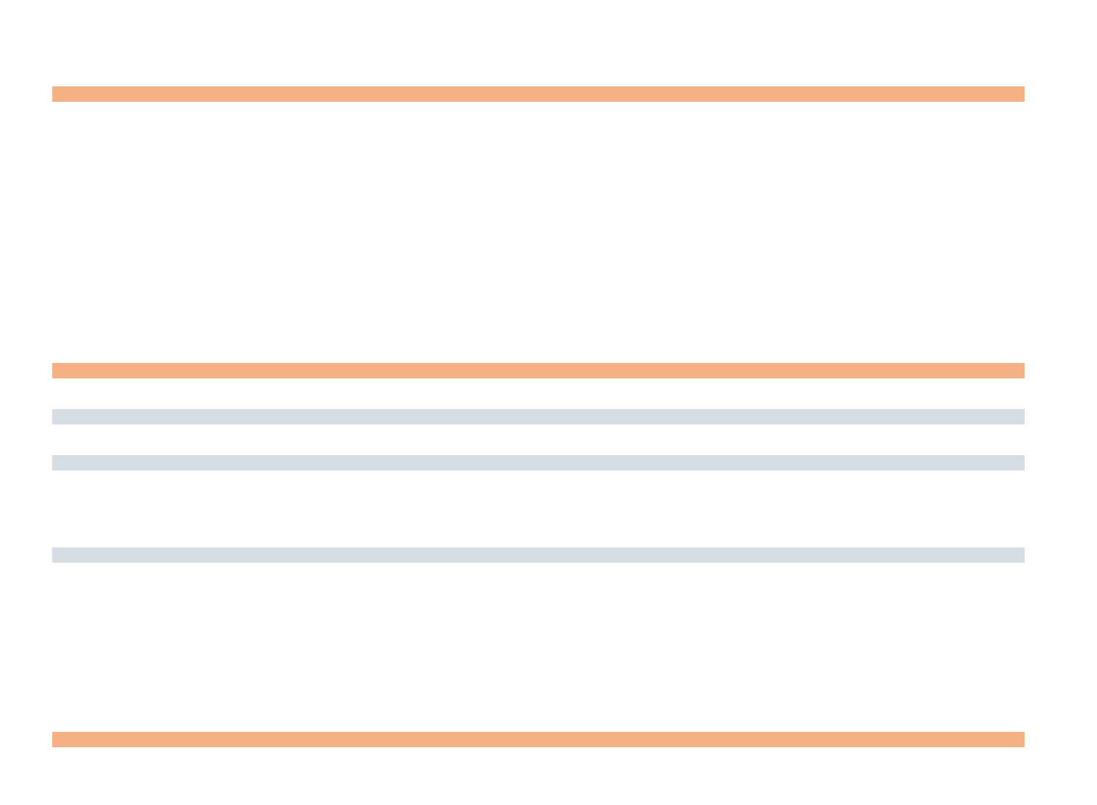the control of the control of the control <u> 1999 - Jan Barnett, fransk politiker (</u>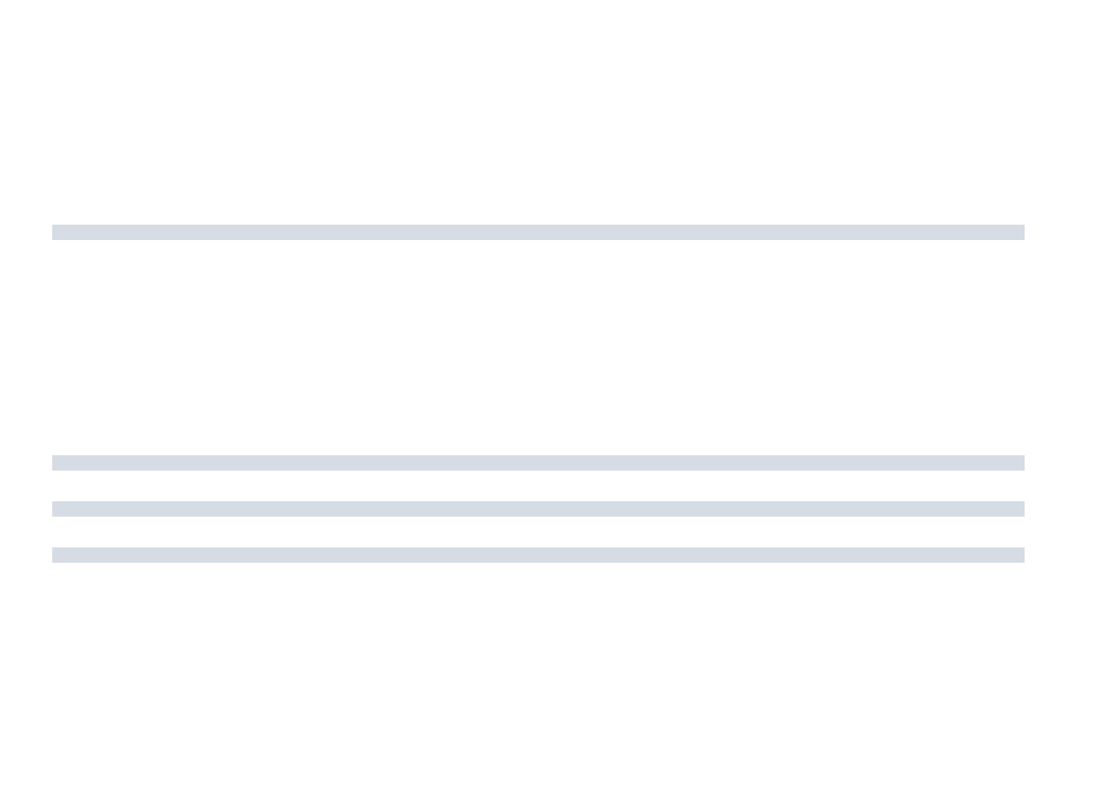and the state of the state of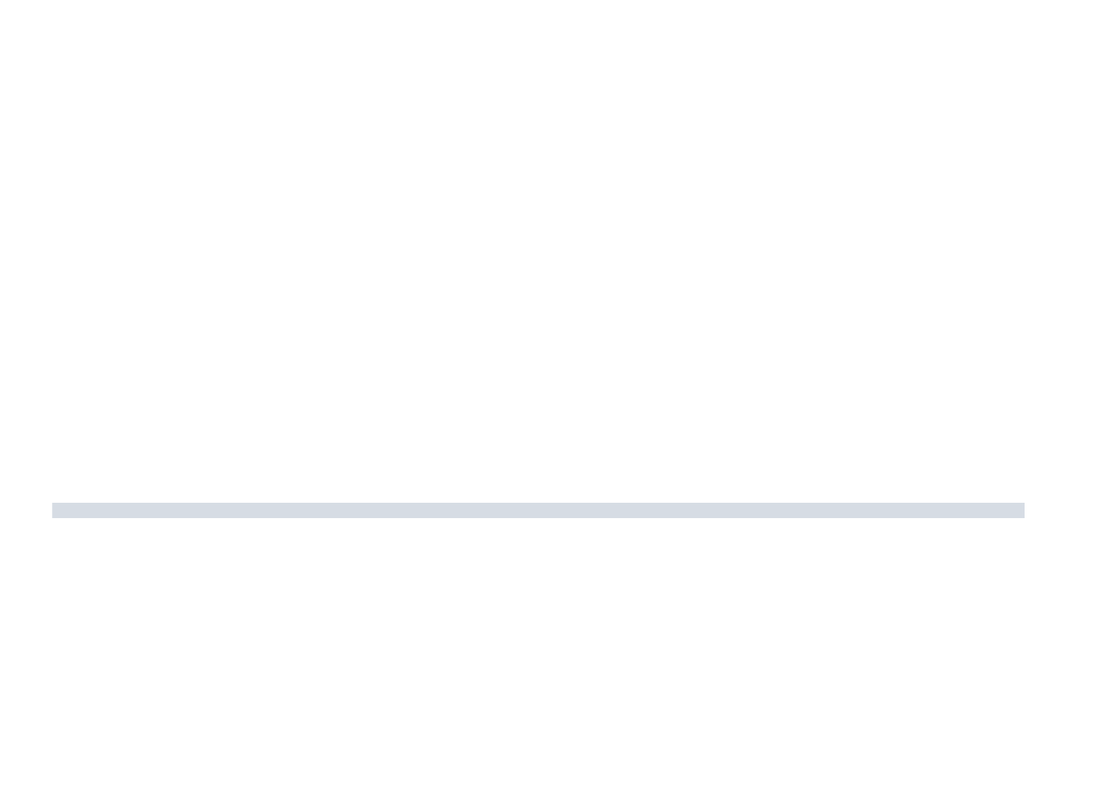**Contract Contract Contract Contract**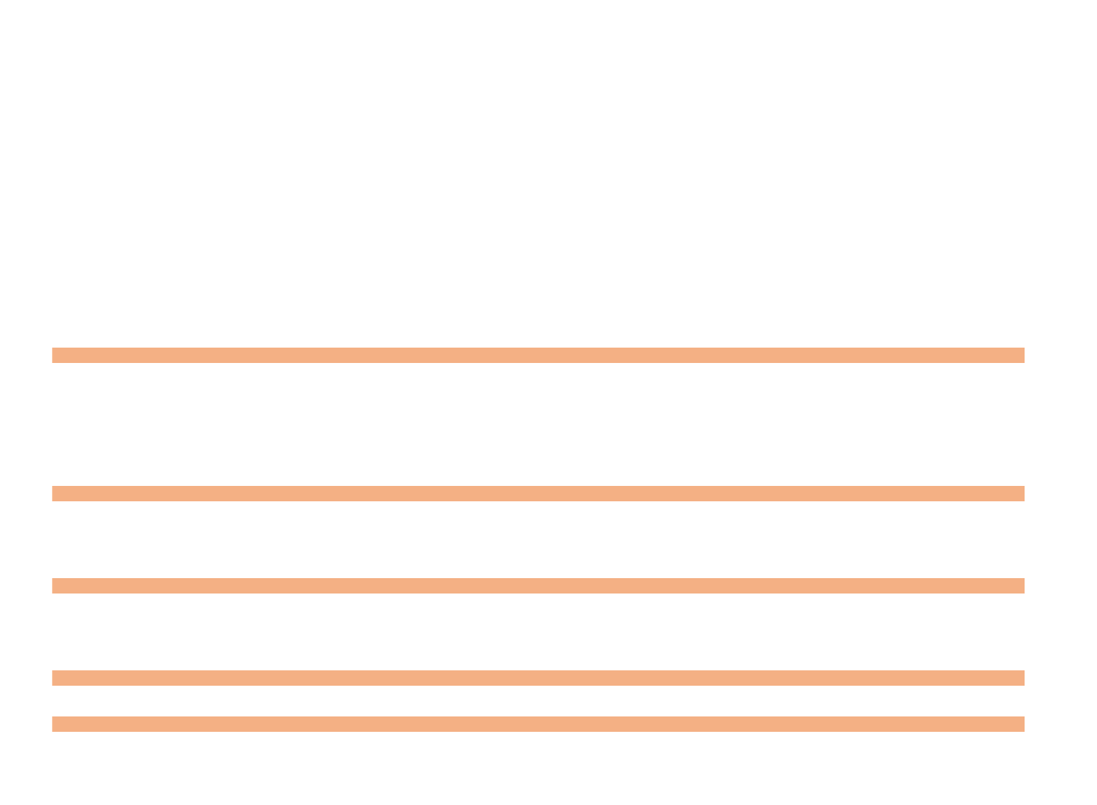$\mathcal{L}(\mathcal{L}(\mathcal{L}))$  and the set of  $\mathcal{L}(\mathcal{L})$  and  $\mathcal{L}(\mathcal{L})$  and  $\mathcal{L}(\mathcal{L})$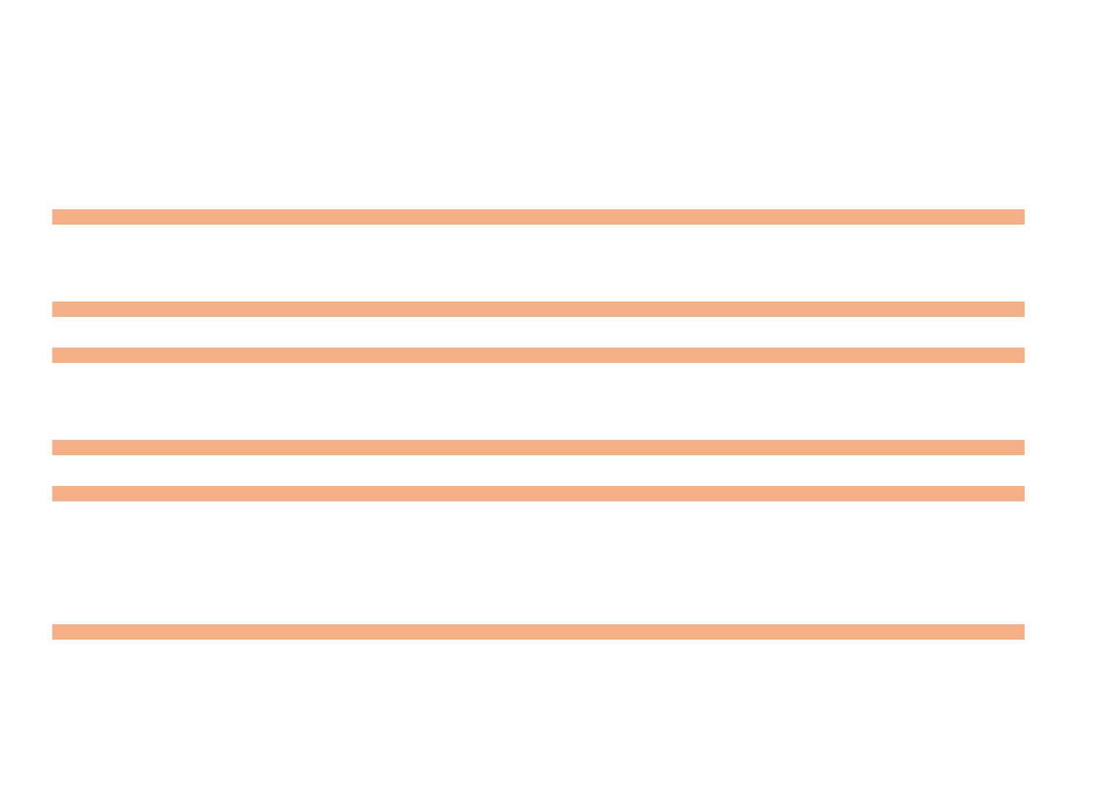| <b>Service Service</b>                                                                                                                                        |  |  |
|---------------------------------------------------------------------------------------------------------------------------------------------------------------|--|--|
|                                                                                                                                                               |  |  |
|                                                                                                                                                               |  |  |
| $\mathcal{L}(\mathcal{L}(\mathcal{L}))$ is a set of $\mathcal{L}(\mathcal{L})$ . The set of $\mathcal{L}(\mathcal{L})$ is a set of $\mathcal{L}(\mathcal{L})$ |  |  |
|                                                                                                                                                               |  |  |
|                                                                                                                                                               |  |  |
|                                                                                                                                                               |  |  |
|                                                                                                                                                               |  |  |
|                                                                                                                                                               |  |  |
|                                                                                                                                                               |  |  |
|                                                                                                                                                               |  |  |
|                                                                                                                                                               |  |  |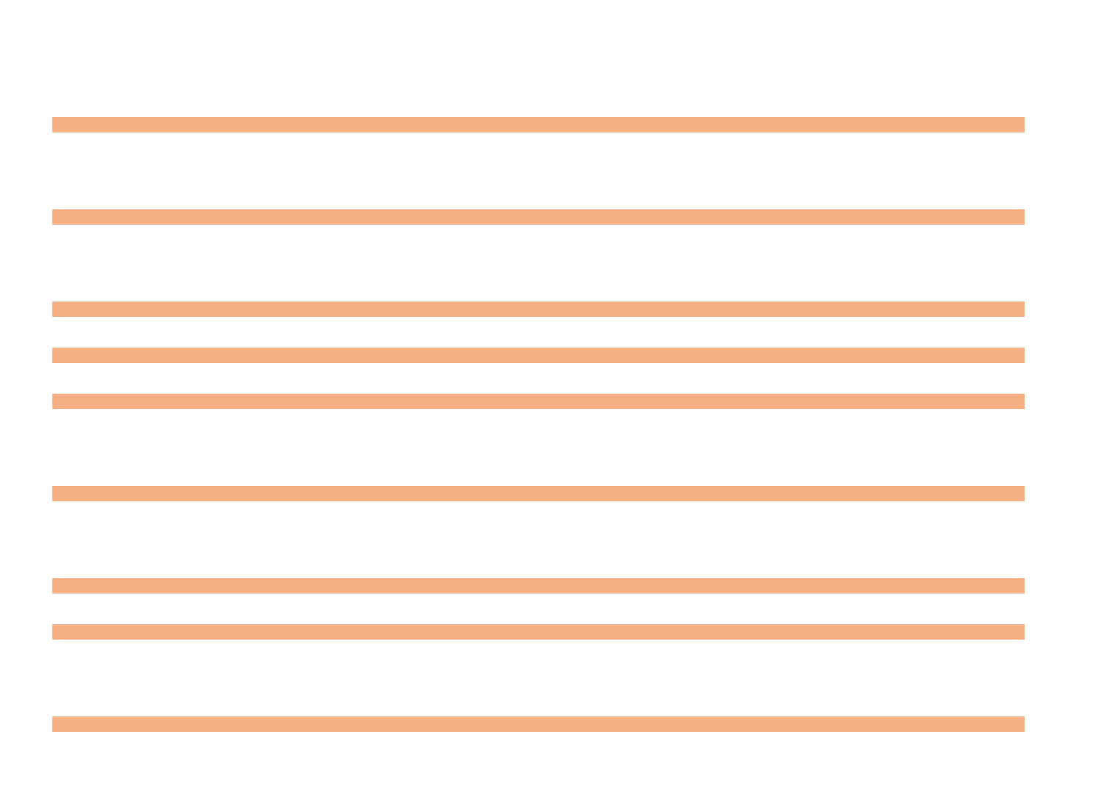| ,一个人的人都是一个人的人,而且,他们的人都是一个人的人,而且,他们的人都是不是一个人的人,而且,他们的人都是不是一个人的人,而且,他们的人都是不是一个人的人,<br>第151章 我们的人,我们的人都是不是一个人的人,我们的人都是不是一个人的人,我们的人都是不是一个人的人,我们的人都是不是一个人的人,我们的人都是不是一个人的人 |
|----------------------------------------------------------------------------------------------------------------------------------------------------------------------|
|                                                                                                                                                                      |
|                                                                                                                                                                      |
| a sa kacamatan ing Kabupatèn Kabupatèn Ing Kabupatèn Kabupatèn Kabupatèn Kabupatèn Kabupatèn Kabupatèn Kabupatè                                                      |
|                                                                                                                                                                      |
|                                                                                                                                                                      |
|                                                                                                                                                                      |
|                                                                                                                                                                      |
|                                                                                                                                                                      |
|                                                                                                                                                                      |
|                                                                                                                                                                      |
|                                                                                                                                                                      |
|                                                                                                                                                                      |
|                                                                                                                                                                      |
|                                                                                                                                                                      |
|                                                                                                                                                                      |
|                                                                                                                                                                      |
|                                                                                                                                                                      |
|                                                                                                                                                                      |
|                                                                                                                                                                      |
|                                                                                                                                                                      |
|                                                                                                                                                                      |
|                                                                                                                                                                      |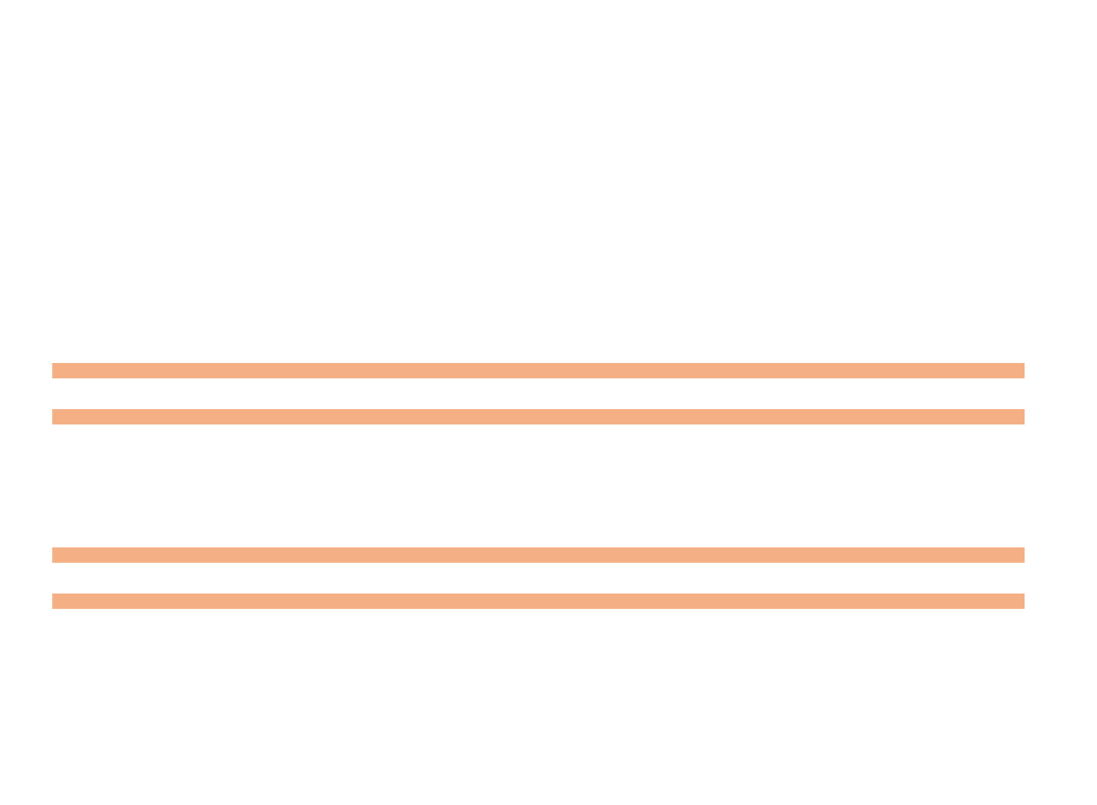a de la construcción de la construcción de la construcción de la construcción de la construcción de la constru<br>A la construcción de la construcción de la construcción de la construcción de la construcción de la construcci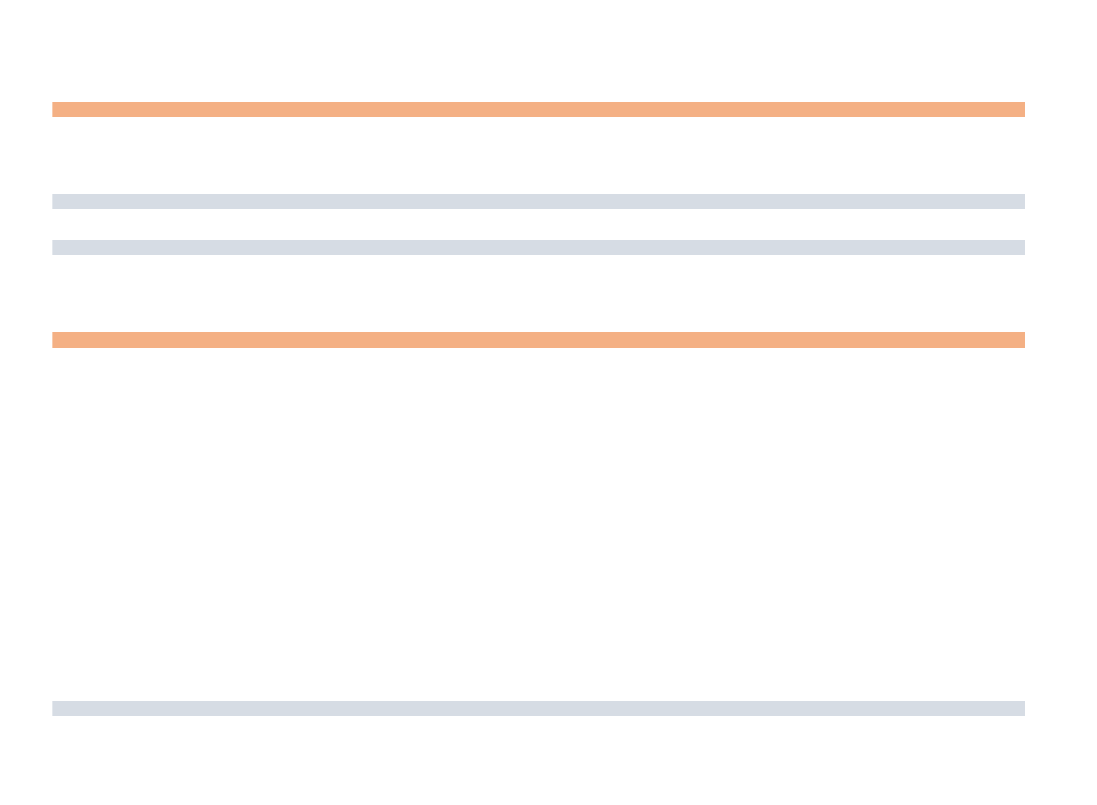**Contract Contract Contract**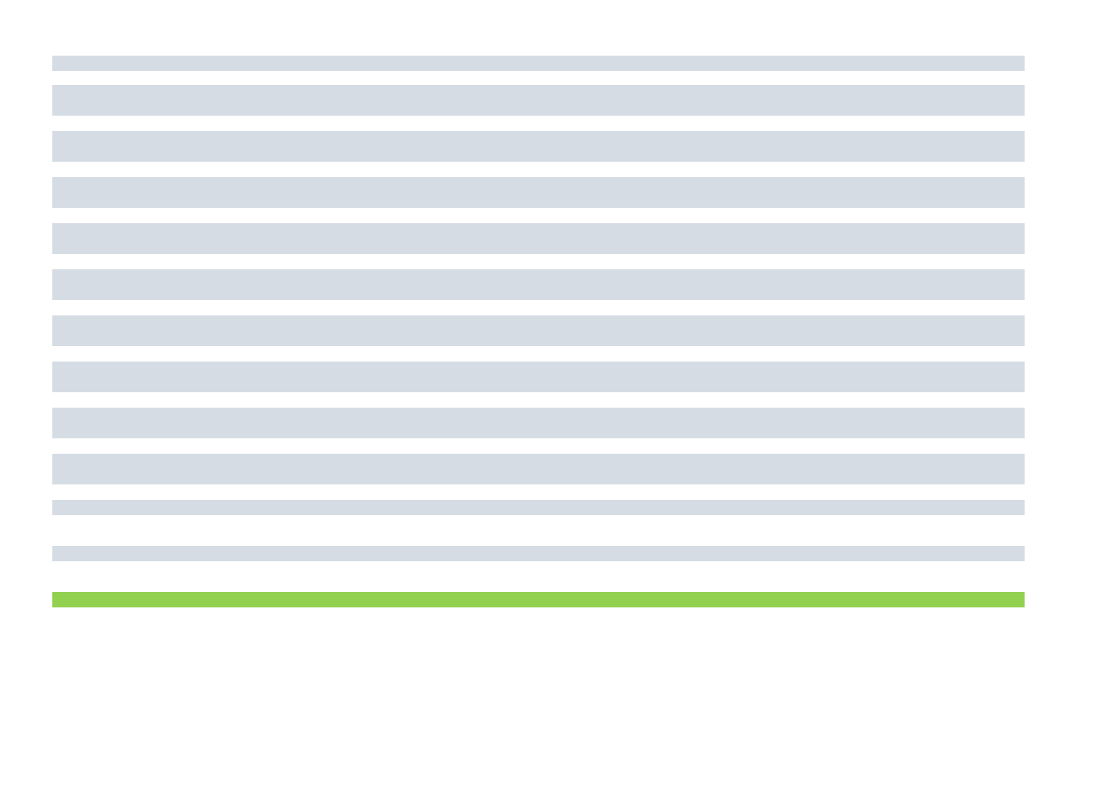| a se provincia de la construcción de la construcción de la construcción de la construcción de la construcción |  |  |
|---------------------------------------------------------------------------------------------------------------|--|--|
| ,我们也不会不会不会。""我们,我们也不会不会不会不会不会不会不会不会不会不会不会不会不会不会不会不会不会。""我们,我们也不会不会不会不会不会不会不会不会不会                              |  |  |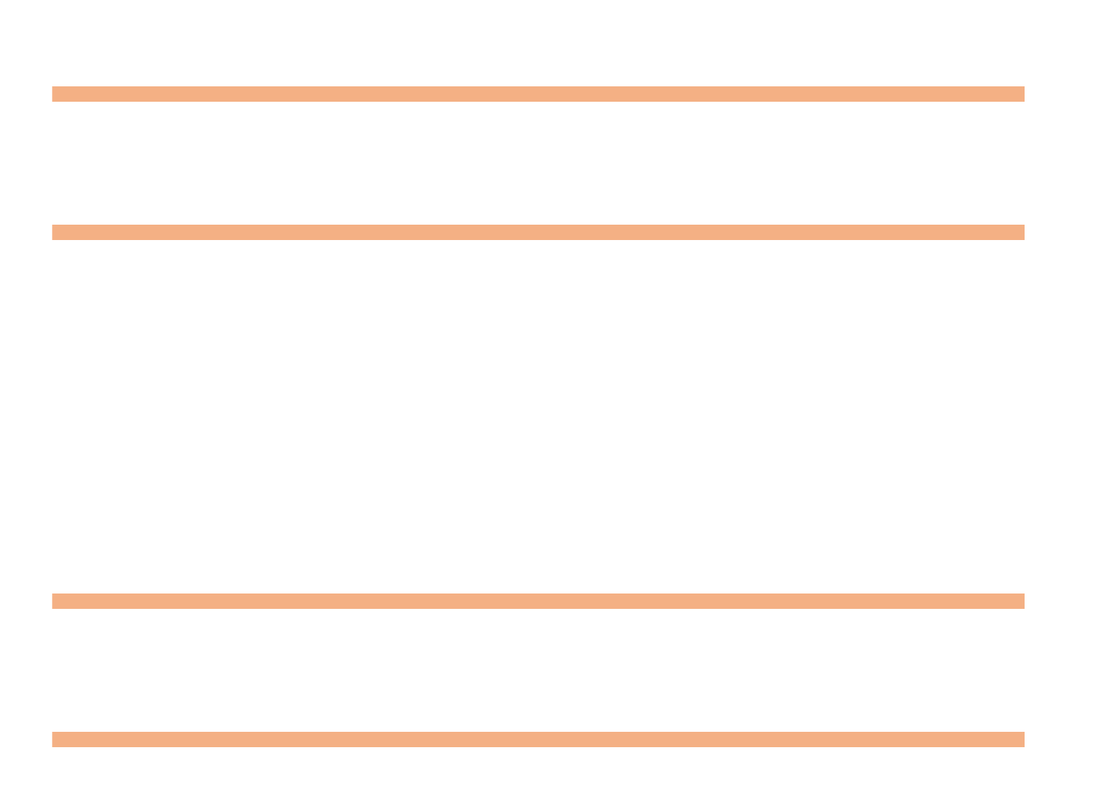a sa karang sa kabupatèn Kabupatèn Bangung Kabupatèn Kabupatèn Kabupatèn Kabupatèn Kabupatèn Kabupatèn Kabupat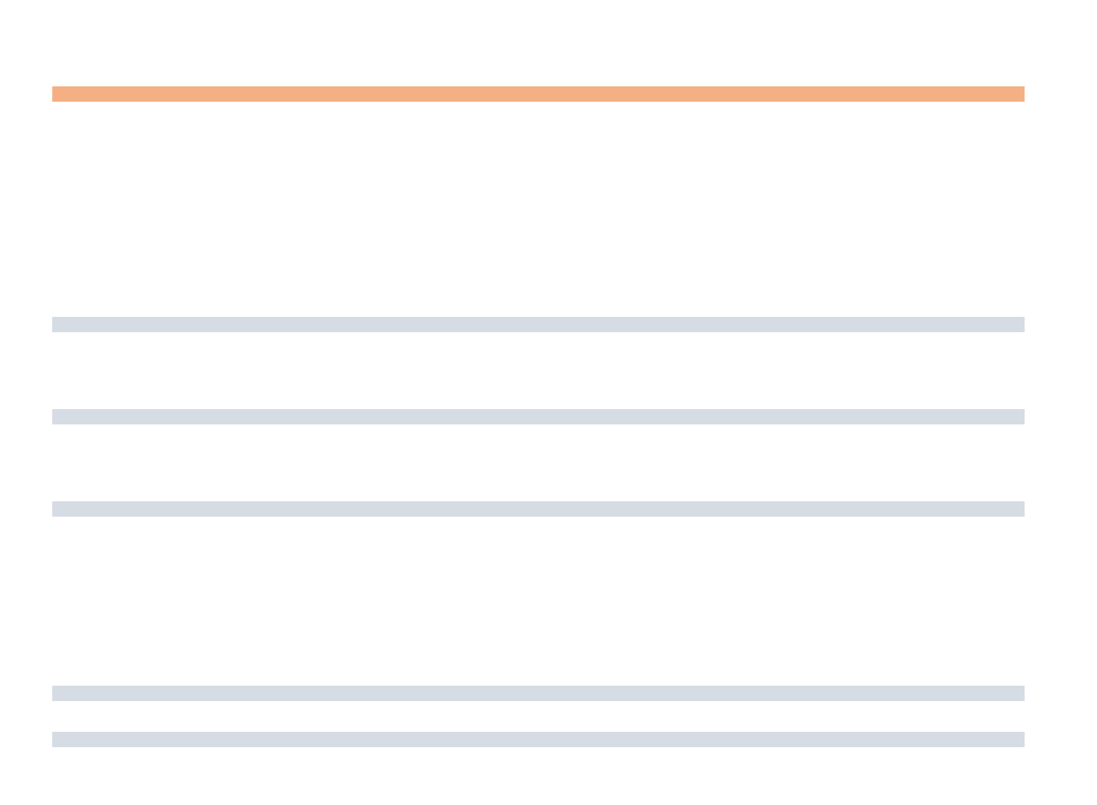the control of the control of the control of the control of the control of the control of the control of the control of  $\mathcal{L}^{\text{max}}_{\text{max}}$  and  $\mathcal{L}^{\text{max}}_{\text{max}}$  and  $\mathcal{L}^{\text{max}}_{\text{max}}$ ,我们也不会有什么。""我们的人,我们也不会有什么?""我们的人,我们也不会有什么?""我们的人,我们也不会有什么?""我们的人,我们也不会有什么?""我们的人 and the control of the control of the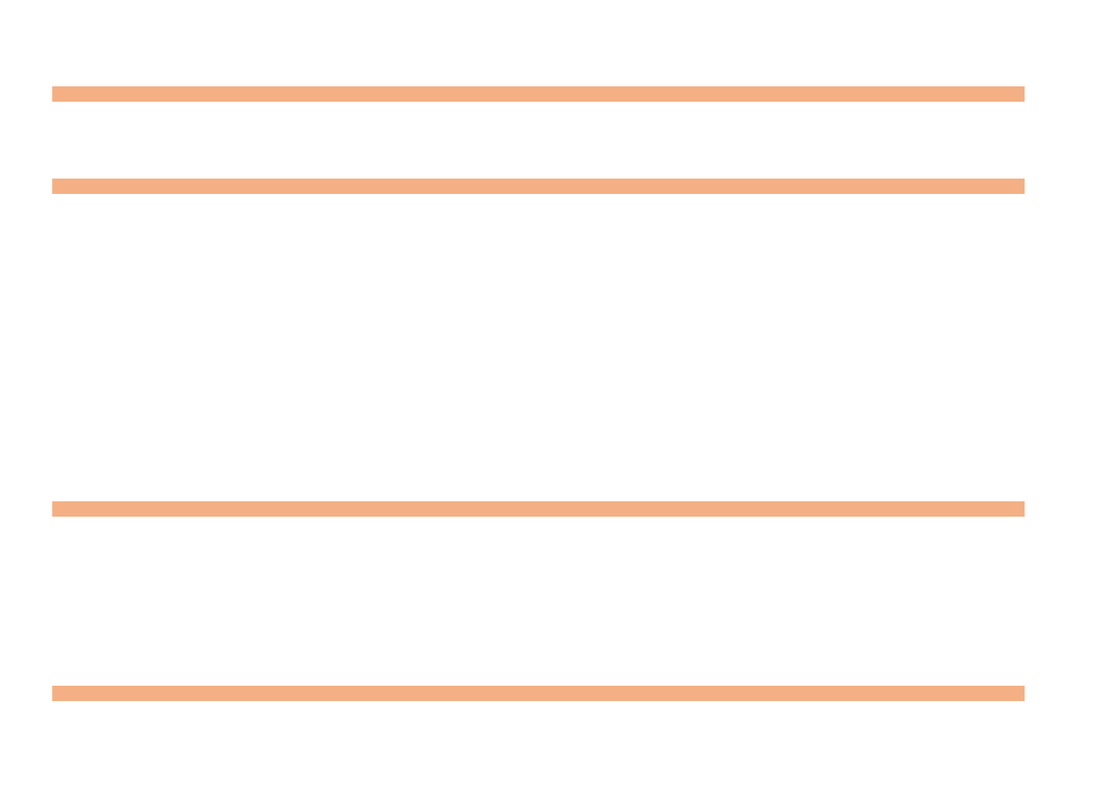a de la construcción de la construcción de la construcción de la construcción de la construcción de la constru<br>En 1930, el construcción de la construcción de la construcción de la construcción de la construcción de la con and the state of the state of the state of the state of the state of the state of the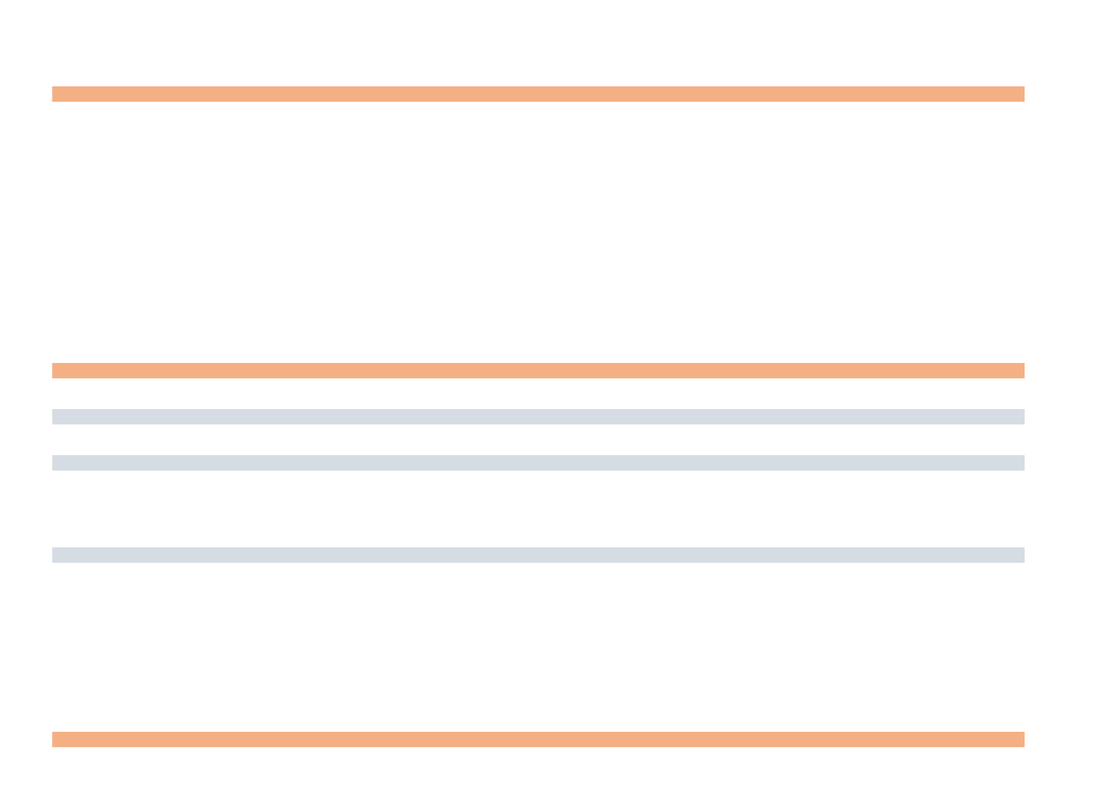the control of the control of the control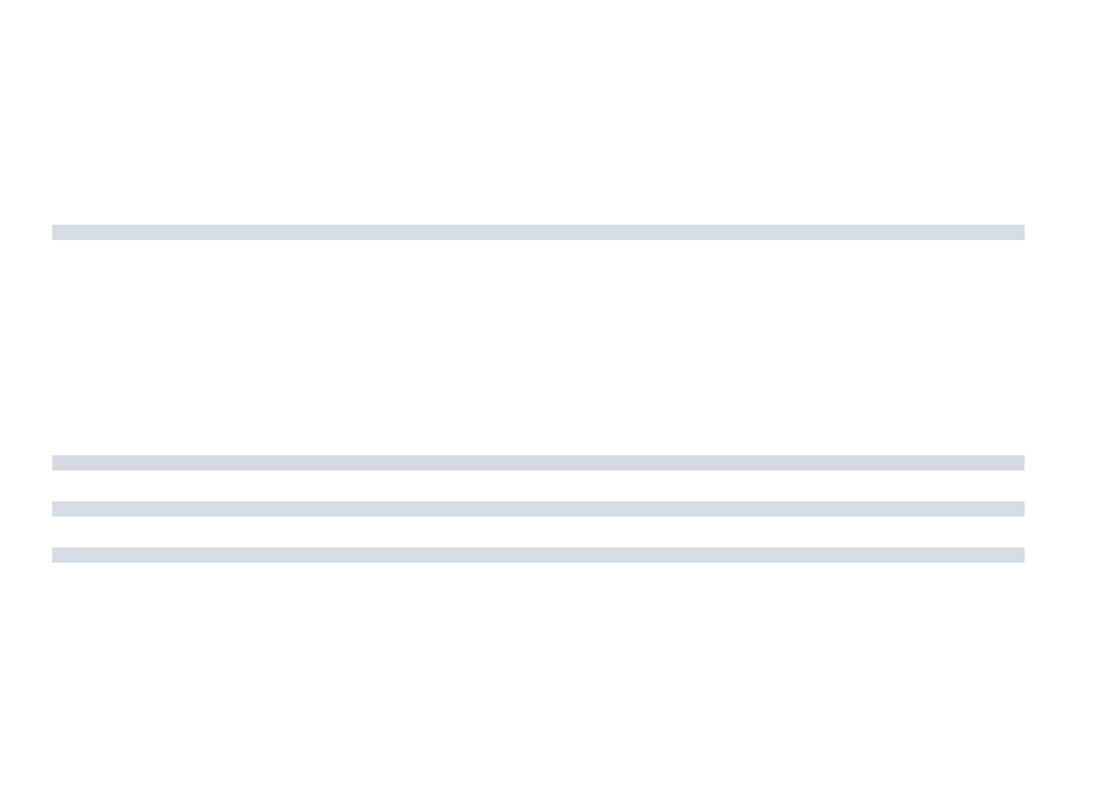and the state of the state of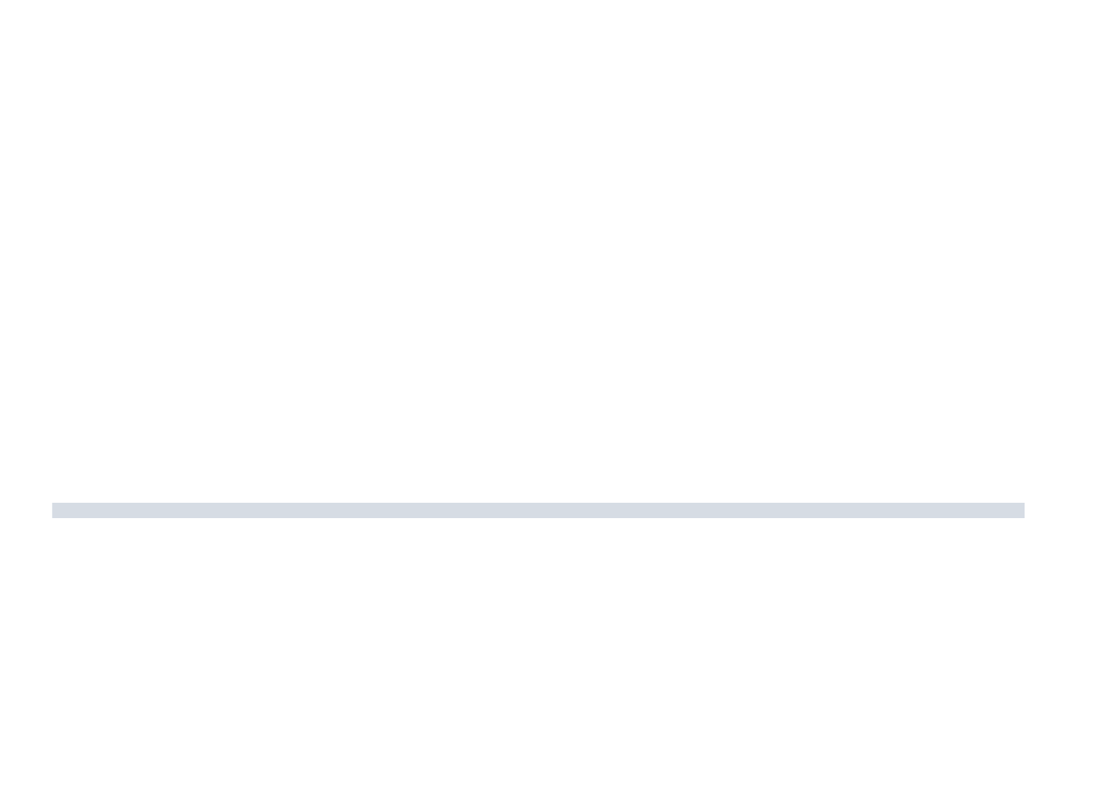**Contract Contract Contract Contract**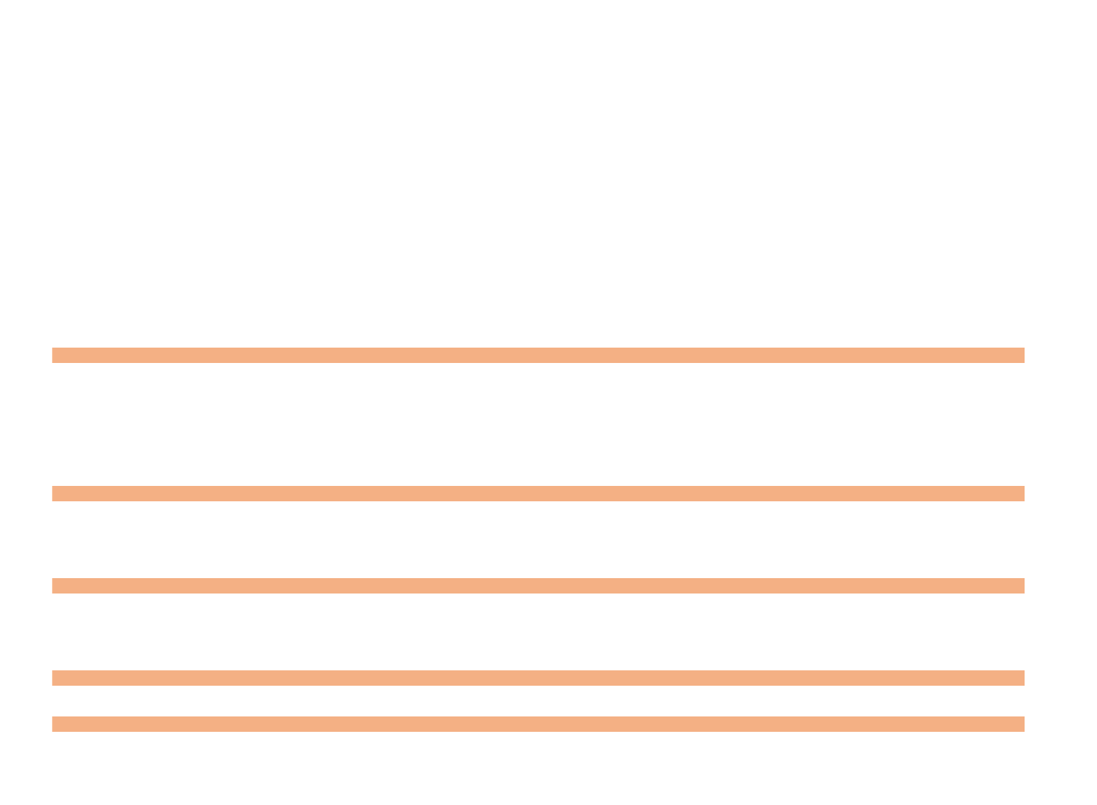$\mathcal{L}(\mathcal{L}(\mathcal{L}))$  and the set of  $\mathcal{L}(\mathcal{L})$  and  $\mathcal{L}(\mathcal{L})$  and  $\mathcal{L}(\mathcal{L})$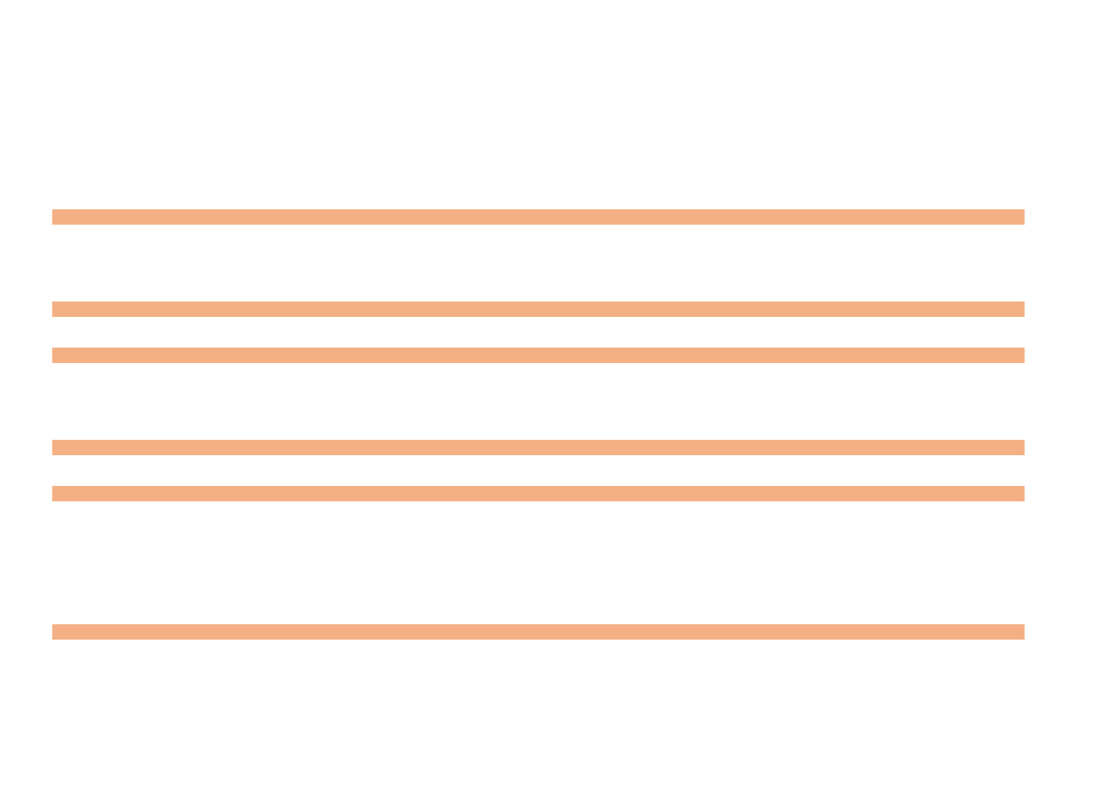| <b>Service Service</b>                                                                                                                                        |  |  |
|---------------------------------------------------------------------------------------------------------------------------------------------------------------|--|--|
|                                                                                                                                                               |  |  |
|                                                                                                                                                               |  |  |
| $\mathcal{L}(\mathcal{L}(\mathcal{L}))$ is a set of $\mathcal{L}(\mathcal{L})$ . The set of $\mathcal{L}(\mathcal{L})$ is a set of $\mathcal{L}(\mathcal{L})$ |  |  |
|                                                                                                                                                               |  |  |
|                                                                                                                                                               |  |  |
|                                                                                                                                                               |  |  |
|                                                                                                                                                               |  |  |
|                                                                                                                                                               |  |  |
|                                                                                                                                                               |  |  |
|                                                                                                                                                               |  |  |
|                                                                                                                                                               |  |  |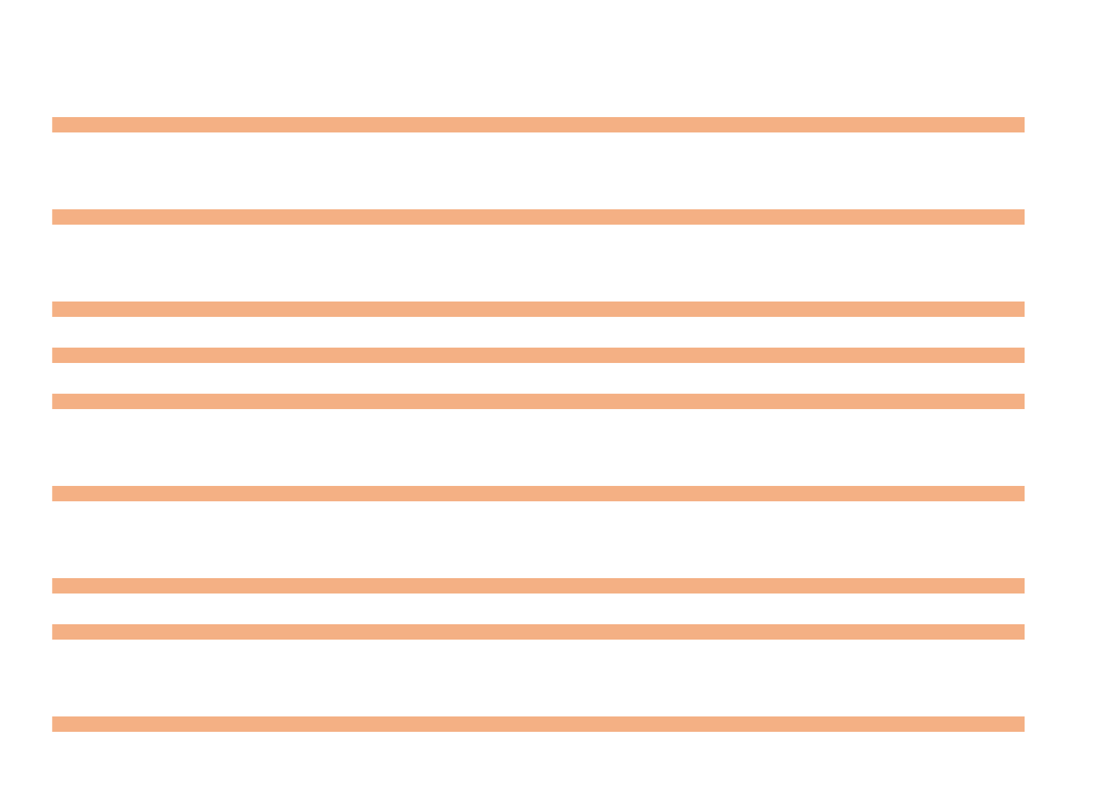| ,一个人的人都是一个人的人,而且,他们的人都是一个人的人,而且,他们的人都是不是一个人的人,而且,他们的人都是不是一个人的人,而且,他们的人都是不是一个人的人,<br>第151章 我们的人,我们的人都是不是一个人的人,我们的人都是不是一个人的人,我们的人都是不是一个人的人,我们的人都是不是一个人的人,我们的人都是不是一个人的人 |
|----------------------------------------------------------------------------------------------------------------------------------------------------------------------|
|                                                                                                                                                                      |
|                                                                                                                                                                      |
| a sa kacamatan ing Kabupatèn Kabupatèn Ing Kabupatèn Kabupatèn Kabupatèn Kabupatèn Kabupatèn Kabupatèn Kabupatè                                                      |
|                                                                                                                                                                      |
|                                                                                                                                                                      |
|                                                                                                                                                                      |
|                                                                                                                                                                      |
|                                                                                                                                                                      |
|                                                                                                                                                                      |
|                                                                                                                                                                      |
|                                                                                                                                                                      |
|                                                                                                                                                                      |
|                                                                                                                                                                      |
|                                                                                                                                                                      |
|                                                                                                                                                                      |
|                                                                                                                                                                      |
|                                                                                                                                                                      |
|                                                                                                                                                                      |
|                                                                                                                                                                      |
|                                                                                                                                                                      |
|                                                                                                                                                                      |
|                                                                                                                                                                      |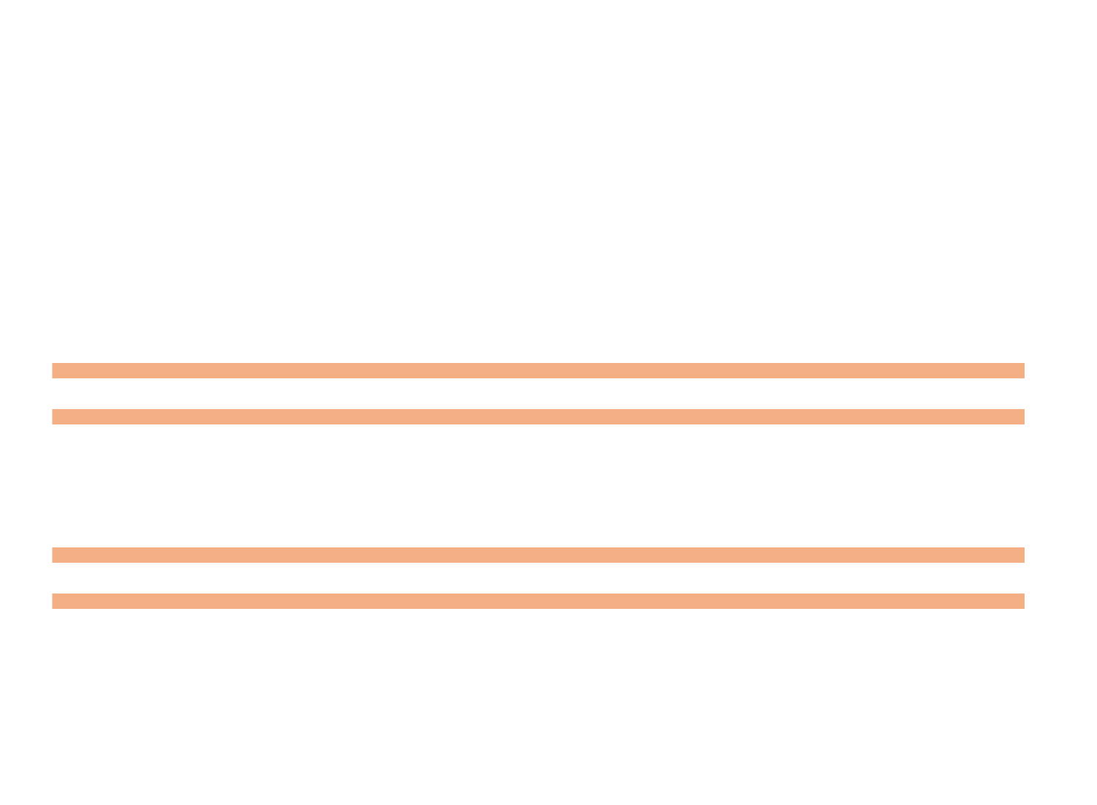a sa mga bangayon ng mga bangayon ng mga bangayon ng mga bangayon ng mga bangayon ng mga bangayon ng mga banga<br>Mga bangayon ng mga bangayon ng mga bangayon ng mga bangayon ng mga bangayon ng mga bangayon ng mga bangayon n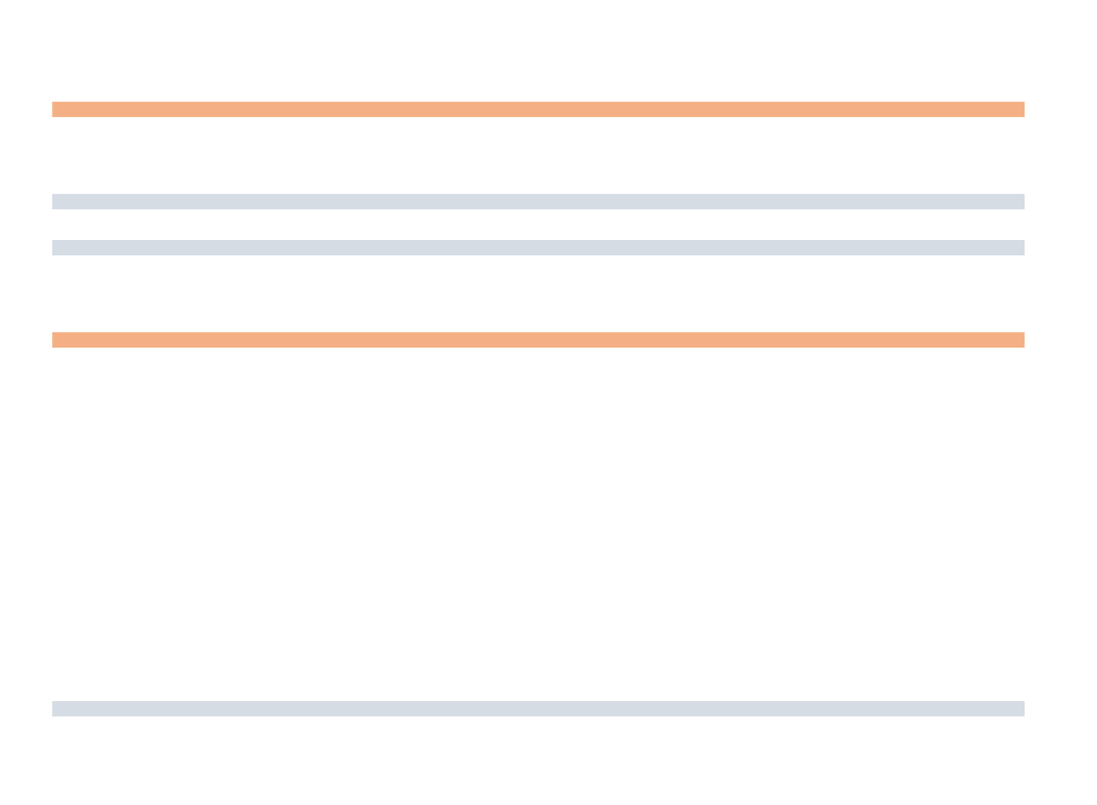**Contract Contract Contract**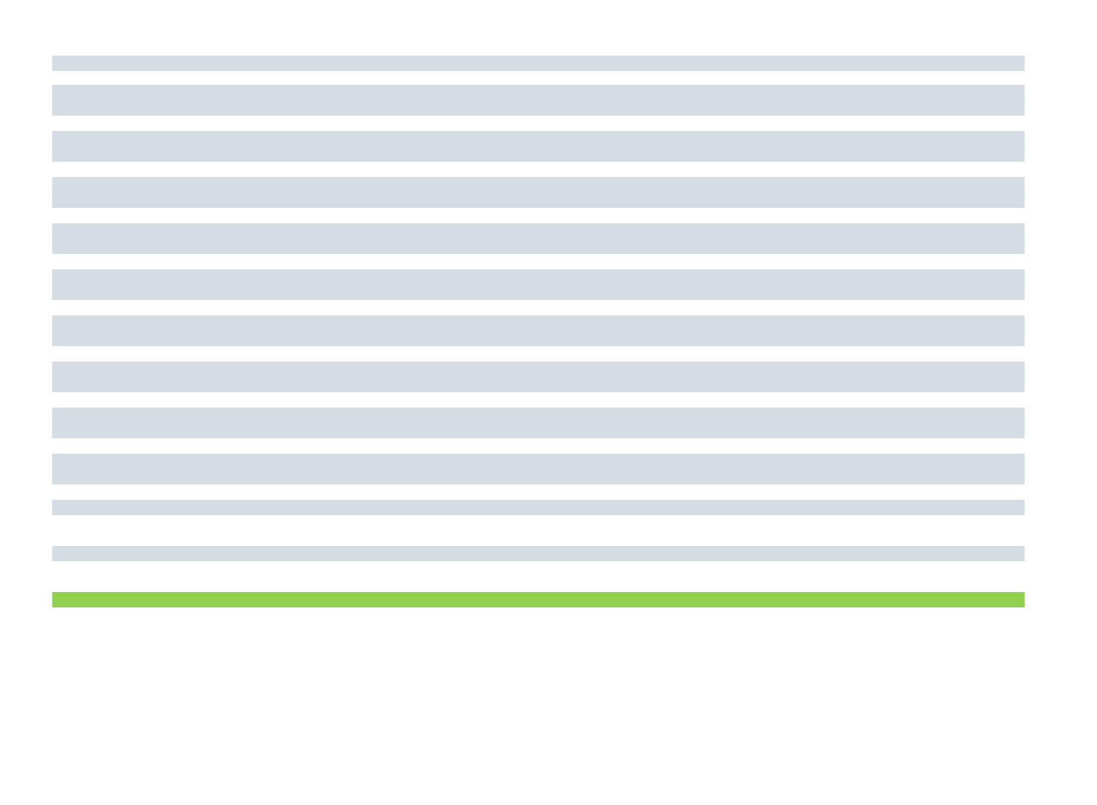| a se provincia de la construcción de la construcción de la construcción de la construcción de la construcción |  |  |
|---------------------------------------------------------------------------------------------------------------|--|--|
| ,我们也不会不会不会。""我们,我们也不会不会不会不会不会不会不会不会不会不会不会不会不会不会不会不会不会。""我们,我们也不会不会不会不会不会不会不会不会不会                              |  |  |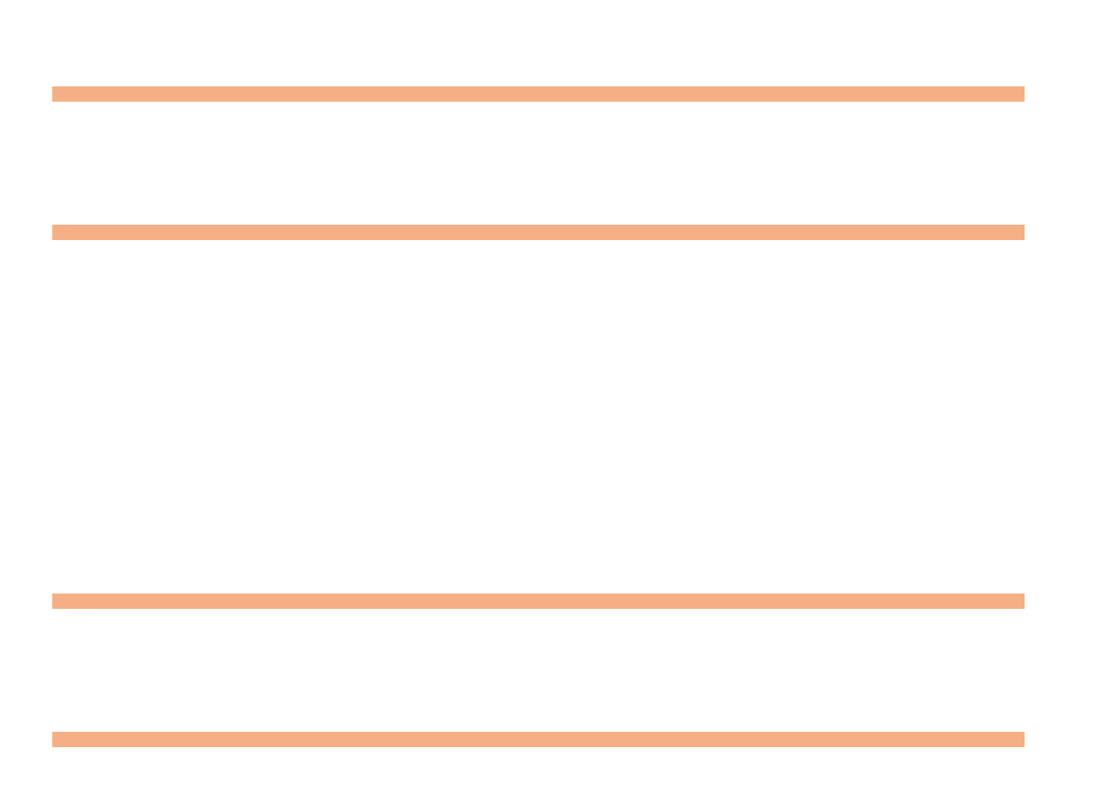a sa karang sa kabupatèn Kabupatèn Bangung Kabupatèn Kabupatèn Kabupatèn Kabupatèn Kabupatèn Kabupatèn Kabupat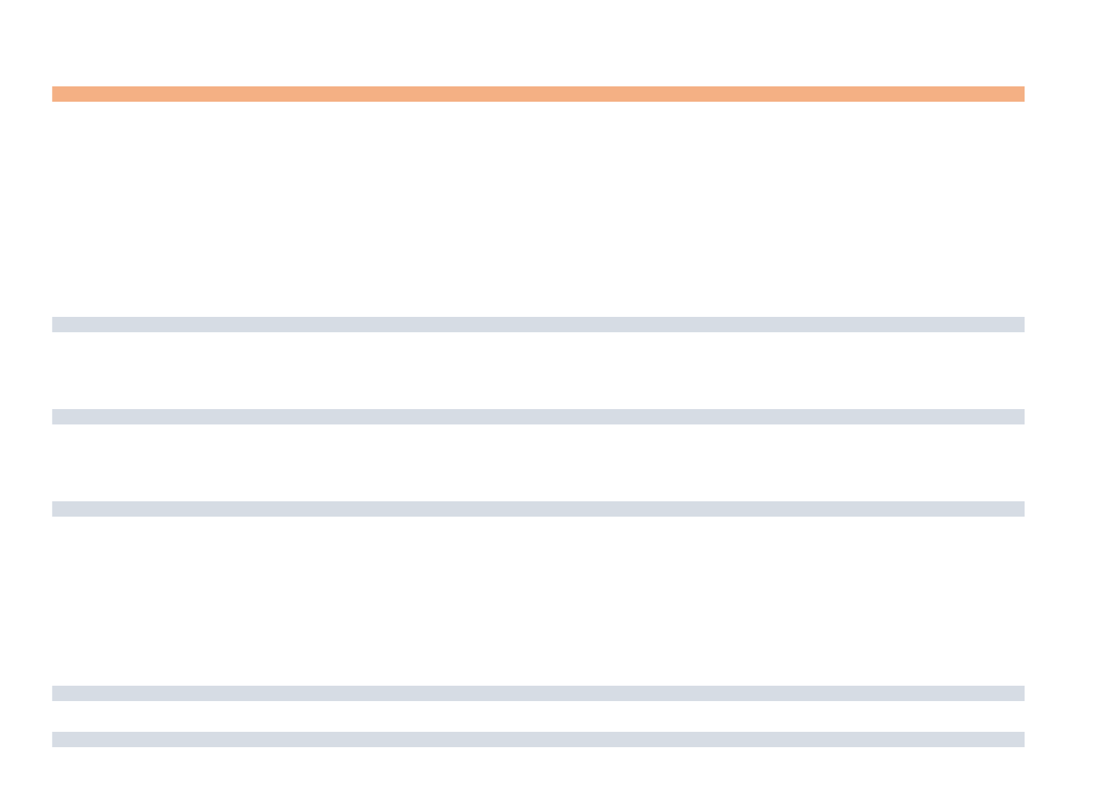the control of the control of the control of the control of the control of the control of the control of the control of  $\mathcal{L}^{\text{max}}_{\text{max}}$  and  $\mathcal{L}^{\text{max}}_{\text{max}}$  and  $\mathcal{L}^{\text{max}}_{\text{max}}$ ,我们也不会有什么。""我们的人,我们也不会有什么?""我们的人,我们也不会有什么?""我们的人,我们也不会有什么?""我们的人,我们也不会有什么?""我们的人 and the state of the state of the state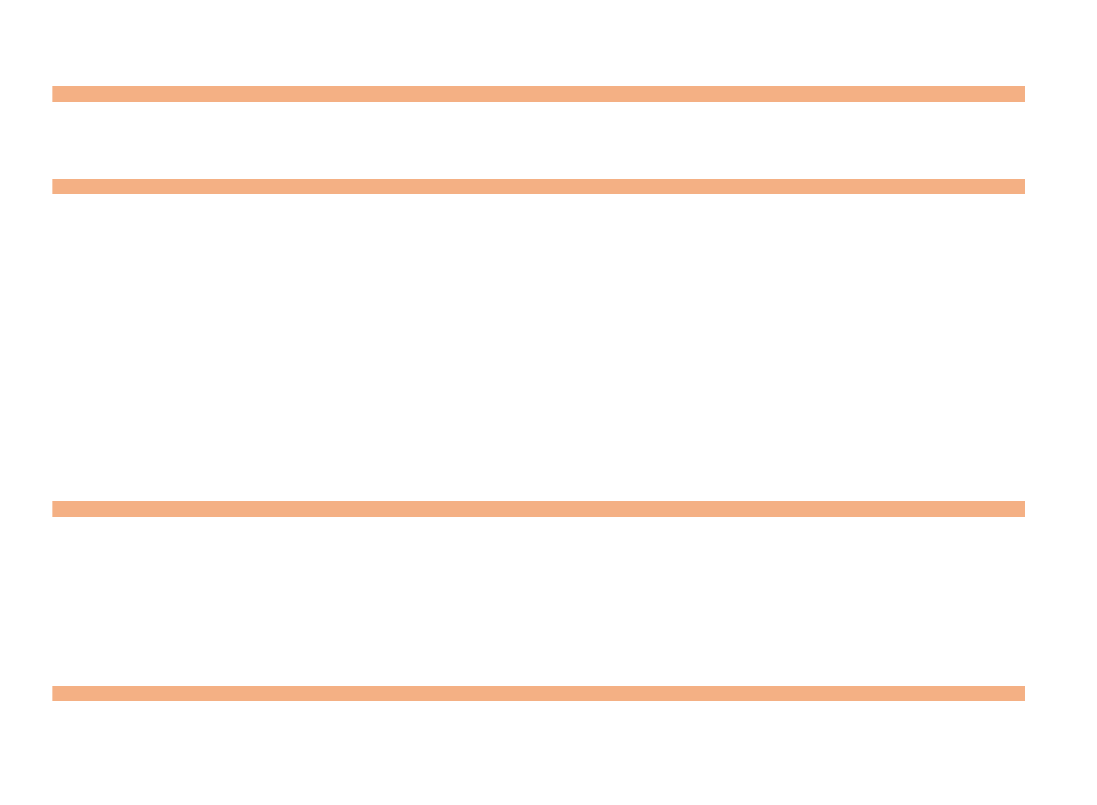a de la construcción de la construcción de la construcción de la construcción de la construcción de la constru<br>En 1930, el construcción de la construcción de la construcción de la construcción de la construcción de la con and the state of the state of the state of the state of the state of the state of the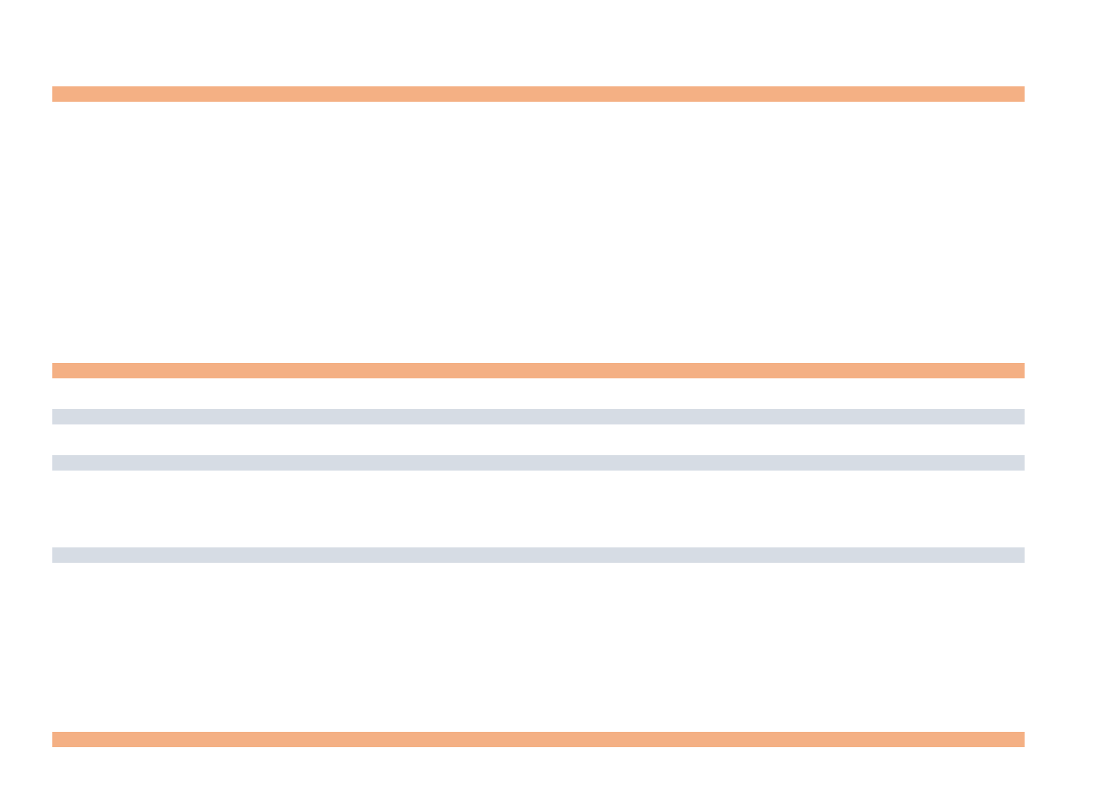the control of the control of the control <u> 1999 - Jan Barnett, fransk politiker (</u>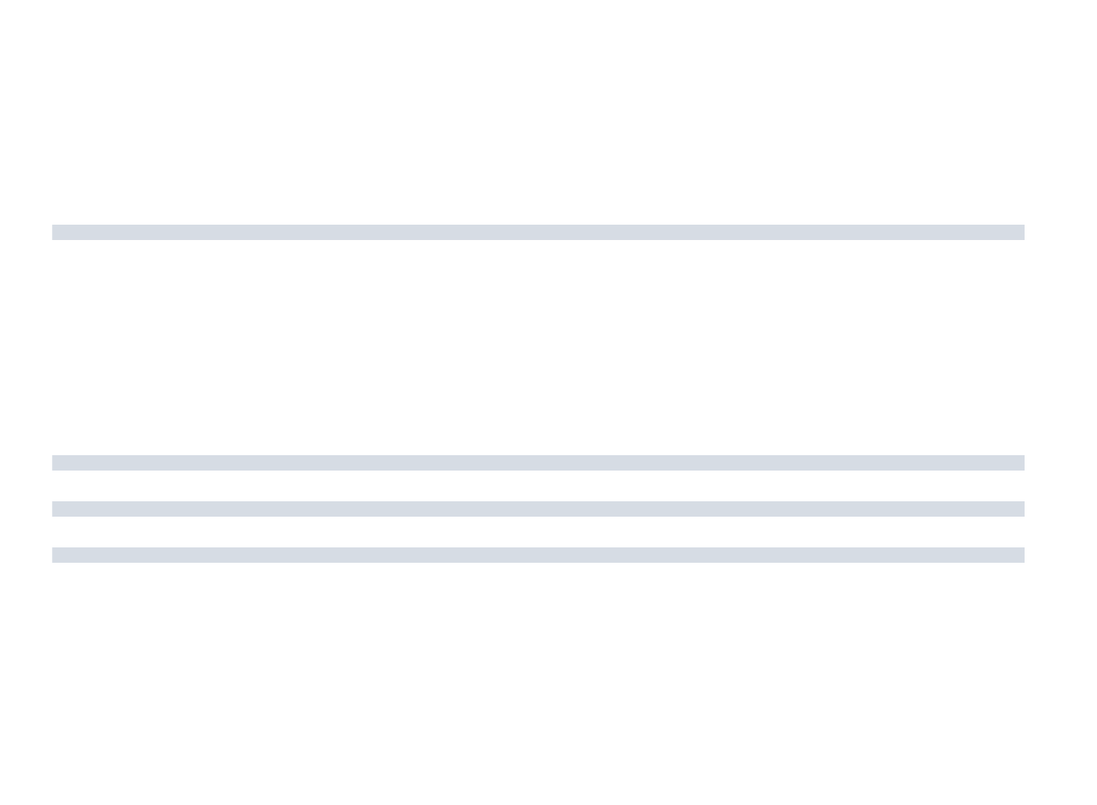and the state of the state of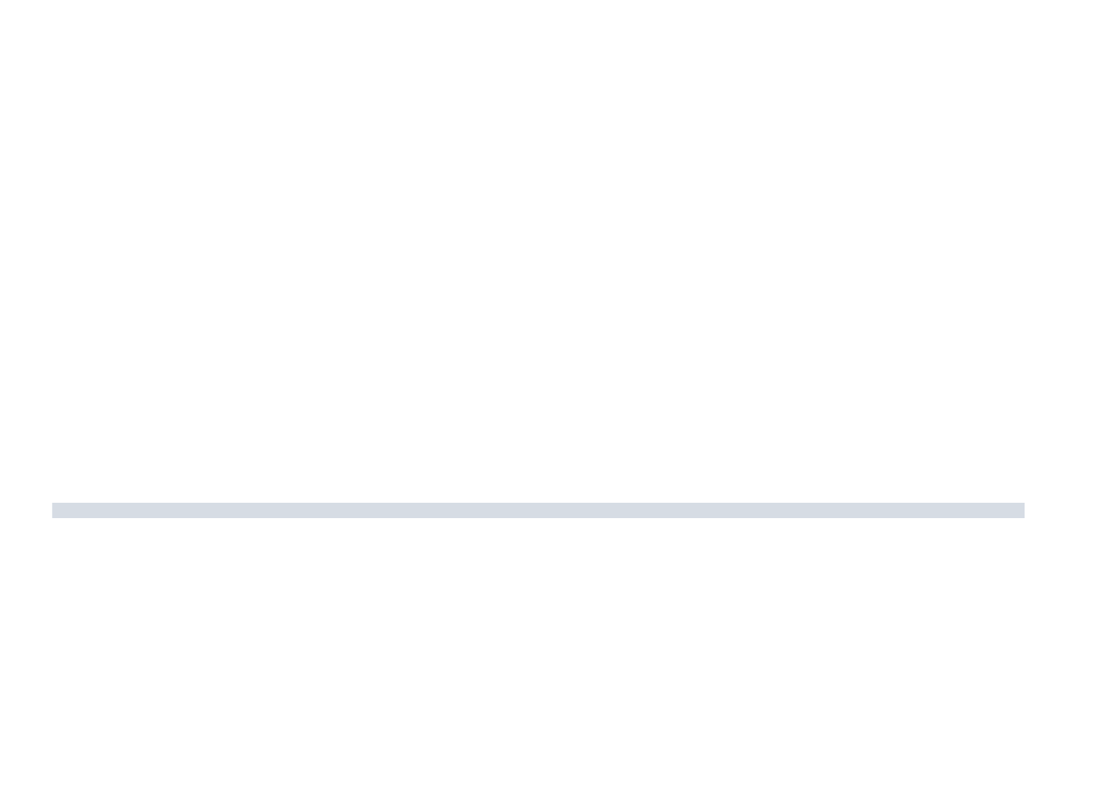**Contract Contract Contract Contract**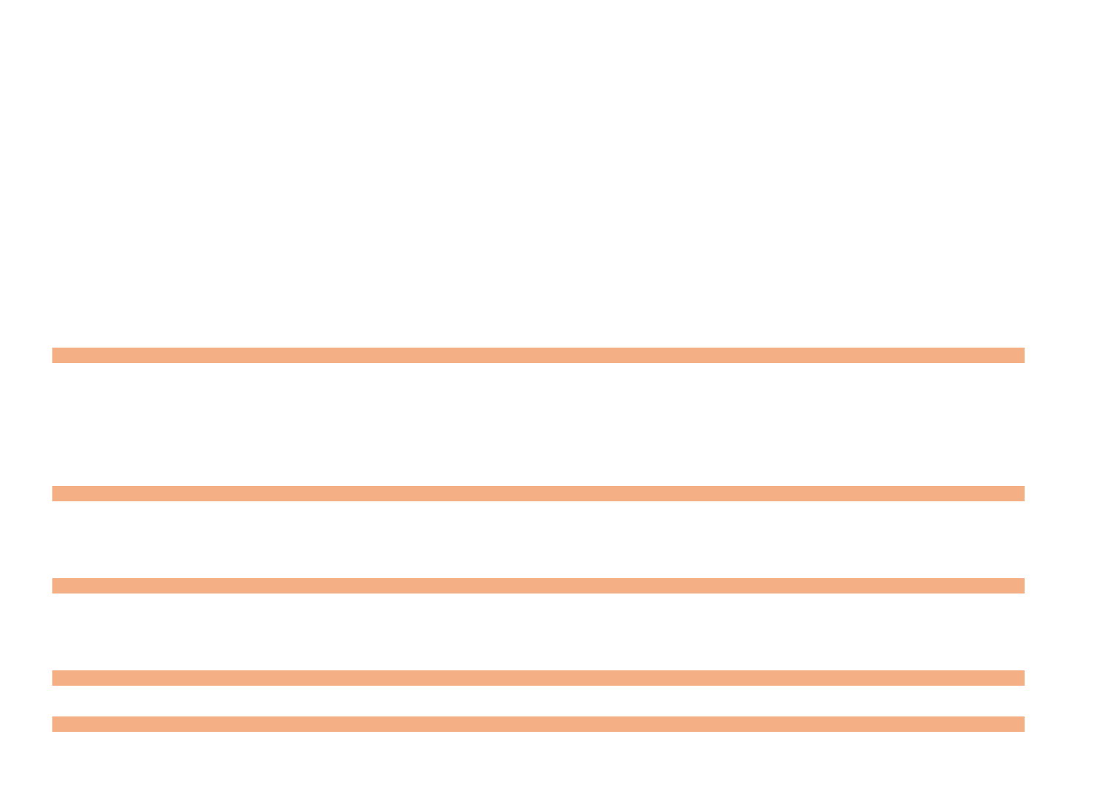$\mathcal{L}(\mathcal{L}(\mathcal{L}))$  and the set of  $\mathcal{L}(\mathcal{L})$  and  $\mathcal{L}(\mathcal{L})$  and  $\mathcal{L}(\mathcal{L})$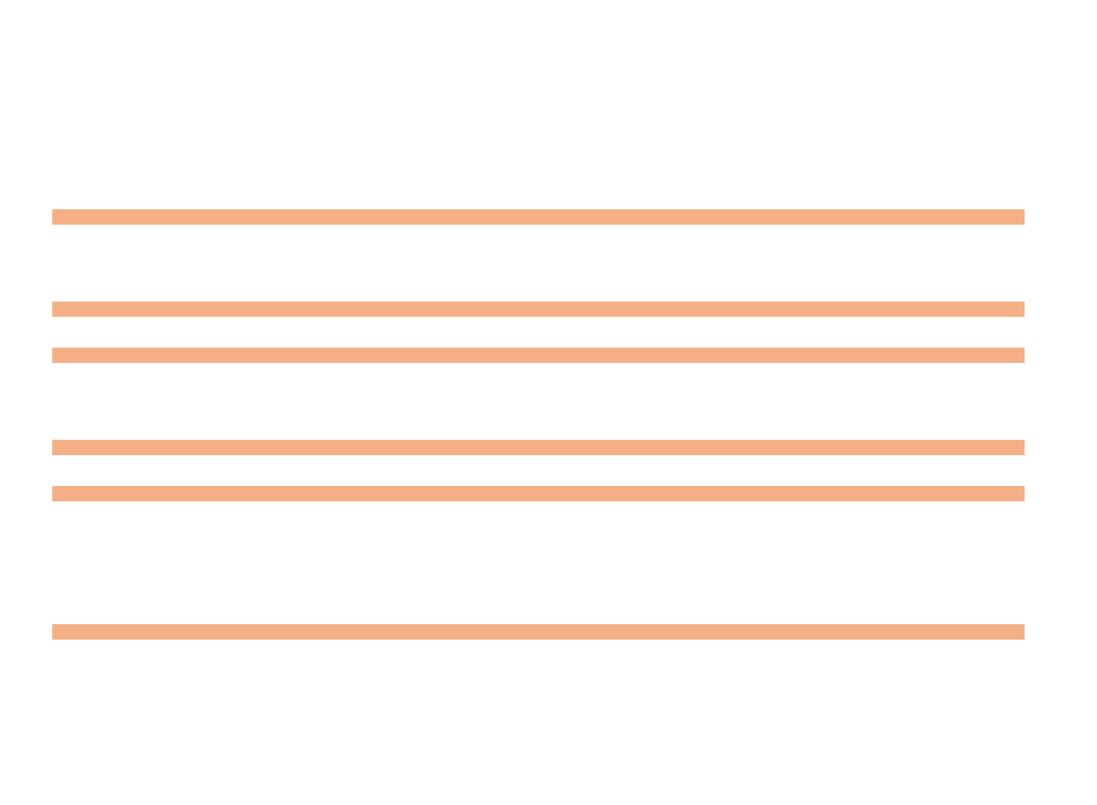| <b>Service Service</b>                                                                                                                                        |  |  |
|---------------------------------------------------------------------------------------------------------------------------------------------------------------|--|--|
|                                                                                                                                                               |  |  |
|                                                                                                                                                               |  |  |
| $\mathcal{L}(\mathcal{L}(\mathcal{L}))$ is a set of $\mathcal{L}(\mathcal{L})$ . The set of $\mathcal{L}(\mathcal{L})$ is a set of $\mathcal{L}(\mathcal{L})$ |  |  |
|                                                                                                                                                               |  |  |
|                                                                                                                                                               |  |  |
|                                                                                                                                                               |  |  |
|                                                                                                                                                               |  |  |
|                                                                                                                                                               |  |  |
|                                                                                                                                                               |  |  |
|                                                                                                                                                               |  |  |
|                                                                                                                                                               |  |  |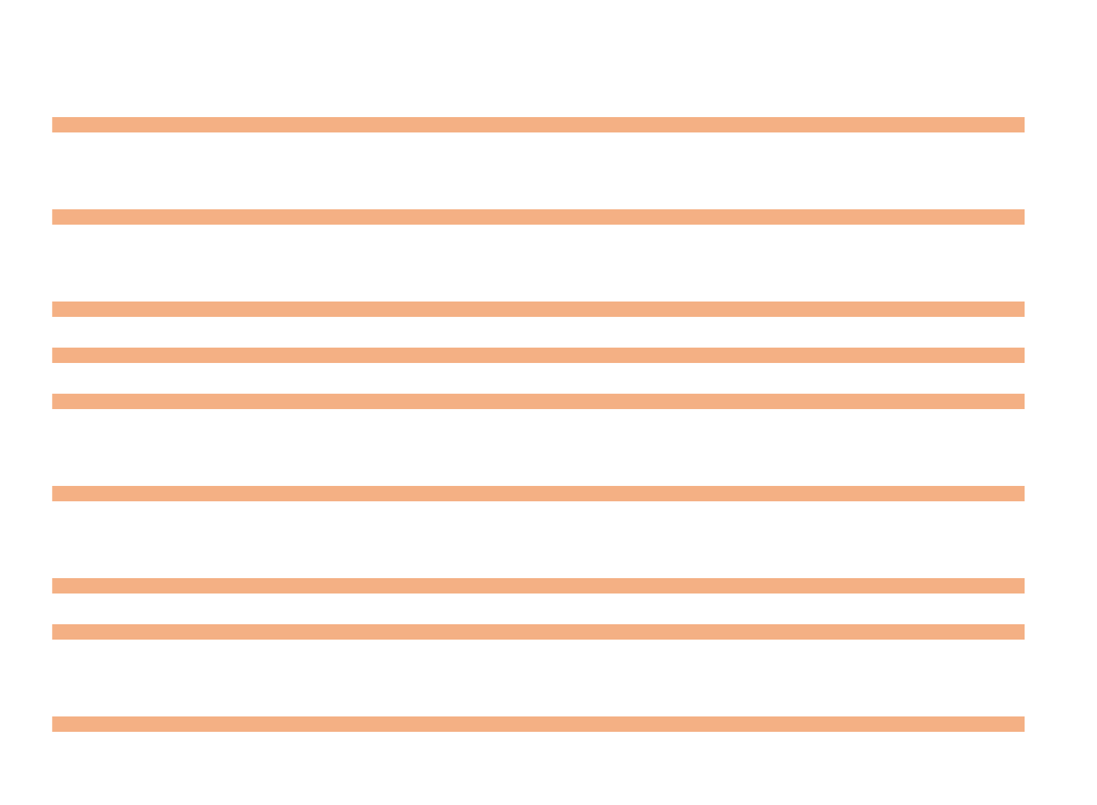| ,一个人的人都是一个人的人,而且,他们的人都是一个人的人,而且,他们的人都是不是一个人的人,而且,他们的人都是不是一个人的人,而且,他们的人都是不是一个人的人,<br>第151章 我们的人,我们的人都是不是一个人的人,我们的人都是不是一个人的人,我们的人都是不是一个人的人,我们的人都是不是一个人的人,我们的人都是不是一个人的人 |
|----------------------------------------------------------------------------------------------------------------------------------------------------------------------|
|                                                                                                                                                                      |
|                                                                                                                                                                      |
| a sa kacamatan ing Kabupatèn Kabupatèn Ing Kabupatèn Kabupatèn Kabupatèn Kabupatèn Kabupatèn Kabupatèn Kabupatè                                                      |
|                                                                                                                                                                      |
|                                                                                                                                                                      |
|                                                                                                                                                                      |
|                                                                                                                                                                      |
|                                                                                                                                                                      |
|                                                                                                                                                                      |
|                                                                                                                                                                      |
|                                                                                                                                                                      |
|                                                                                                                                                                      |
|                                                                                                                                                                      |
|                                                                                                                                                                      |
|                                                                                                                                                                      |
|                                                                                                                                                                      |
|                                                                                                                                                                      |
|                                                                                                                                                                      |
|                                                                                                                                                                      |
|                                                                                                                                                                      |
|                                                                                                                                                                      |
|                                                                                                                                                                      |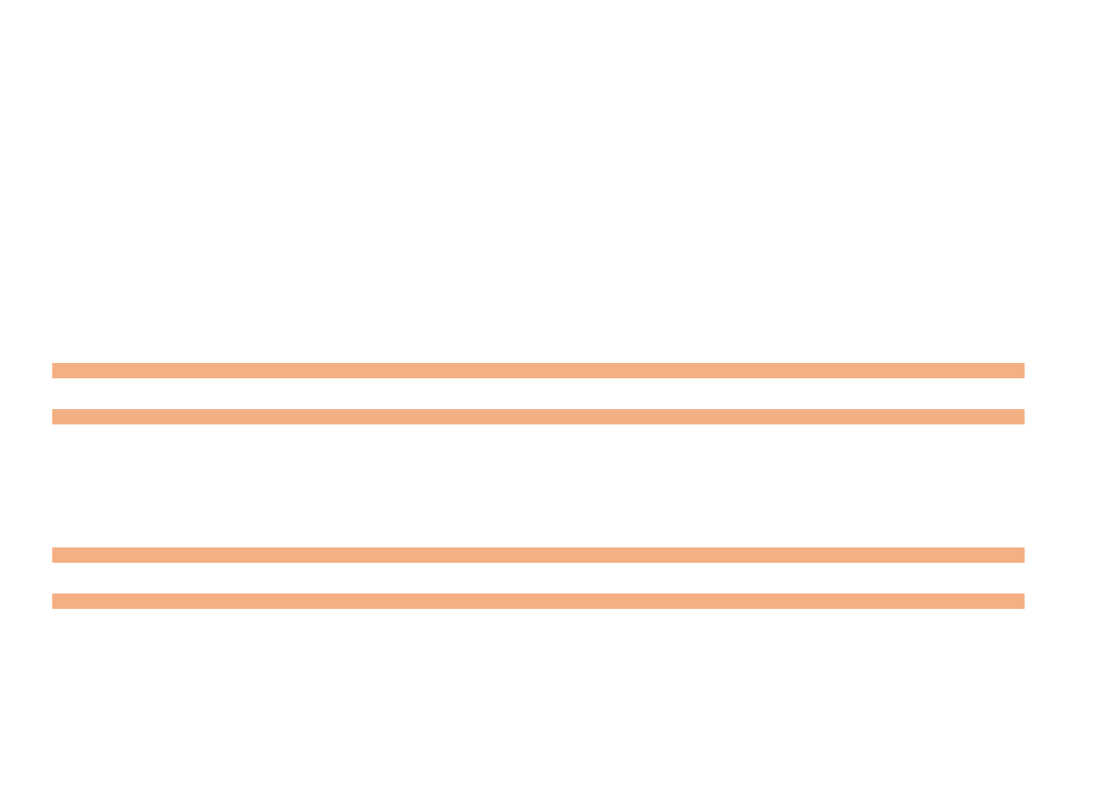a de la construcción de la construcción de la construcción de la construcción de la construcción de la constru<br>A la construcción de la construcción de la construcción de la construcción de la construcción de la construcci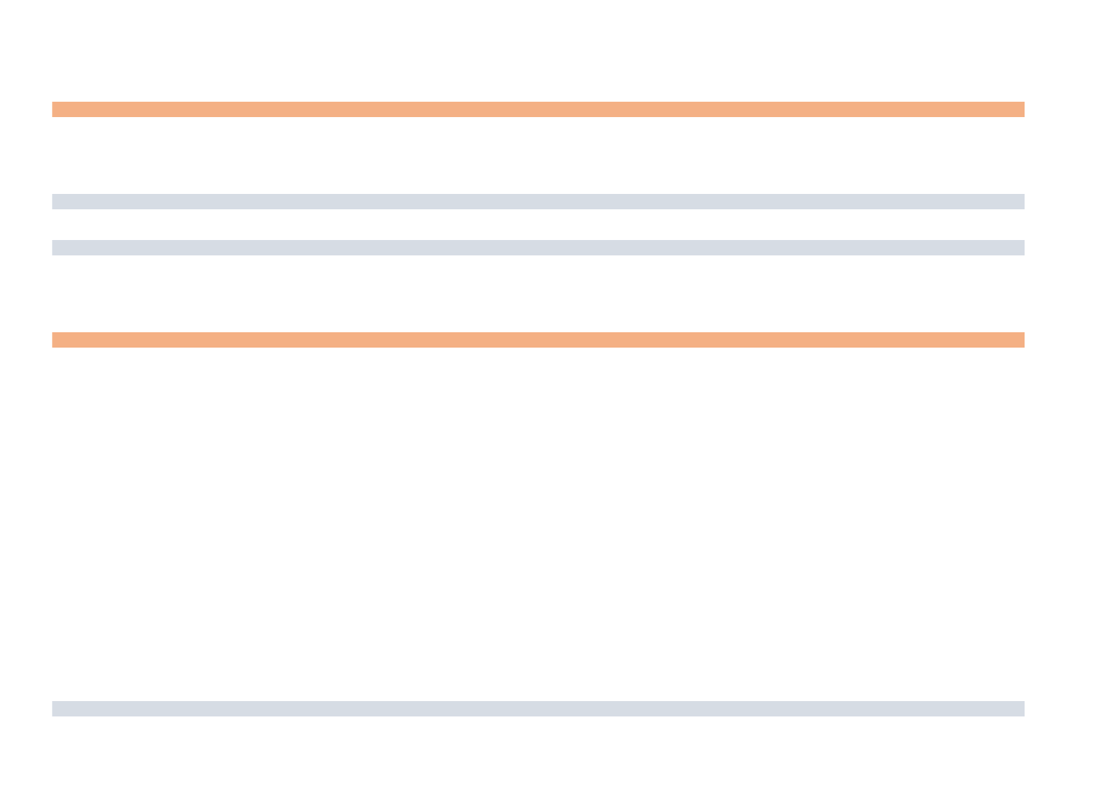**Contract Contract Contract**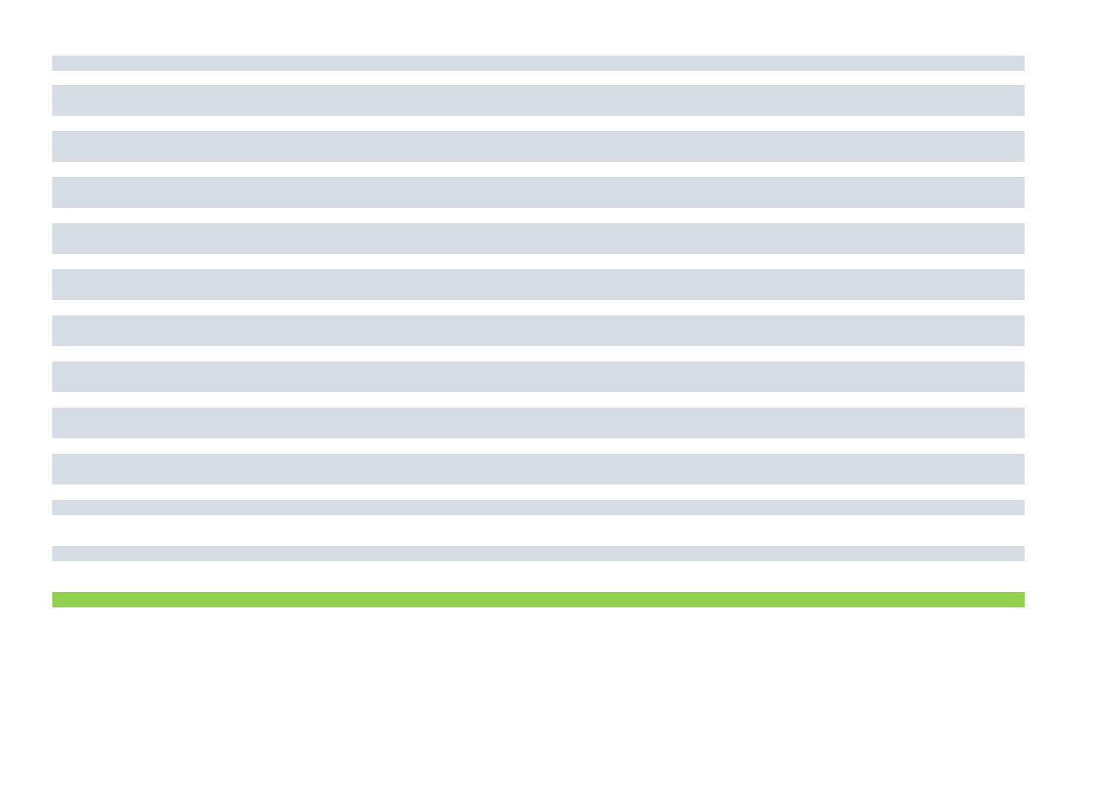| a se provincia de la construcción de la construcción de la construcción de la construcción de la construcción |  |  |
|---------------------------------------------------------------------------------------------------------------|--|--|
| ,我们也不会不会不会。""我们,我们也不会不会不会不会不会不会不会不会不会不会不会不会不会不会不会不会不会。""我们,我们也不会不会不会不会不会不会不会不会不会                              |  |  |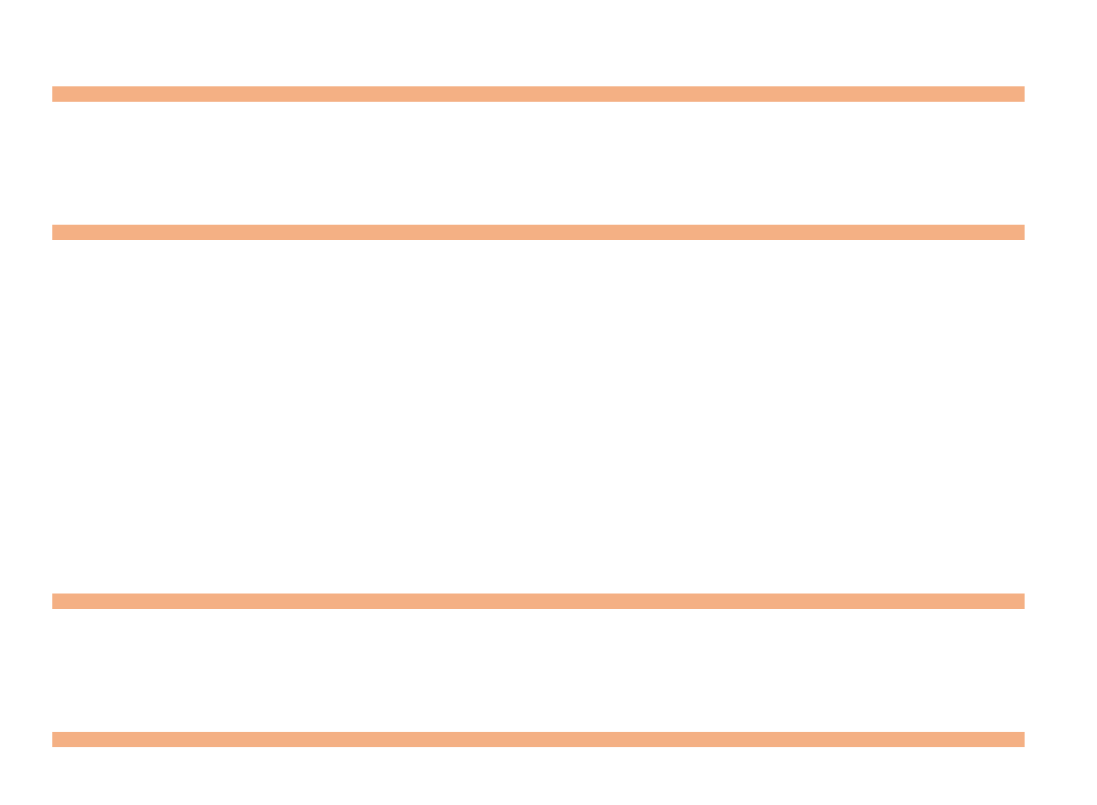a sa karang sa kabupatèn Kabupatèn Bangung Kabupatèn Kabupatèn Kabupatèn Kabupatèn Kabupatèn Kabupatèn Kabupat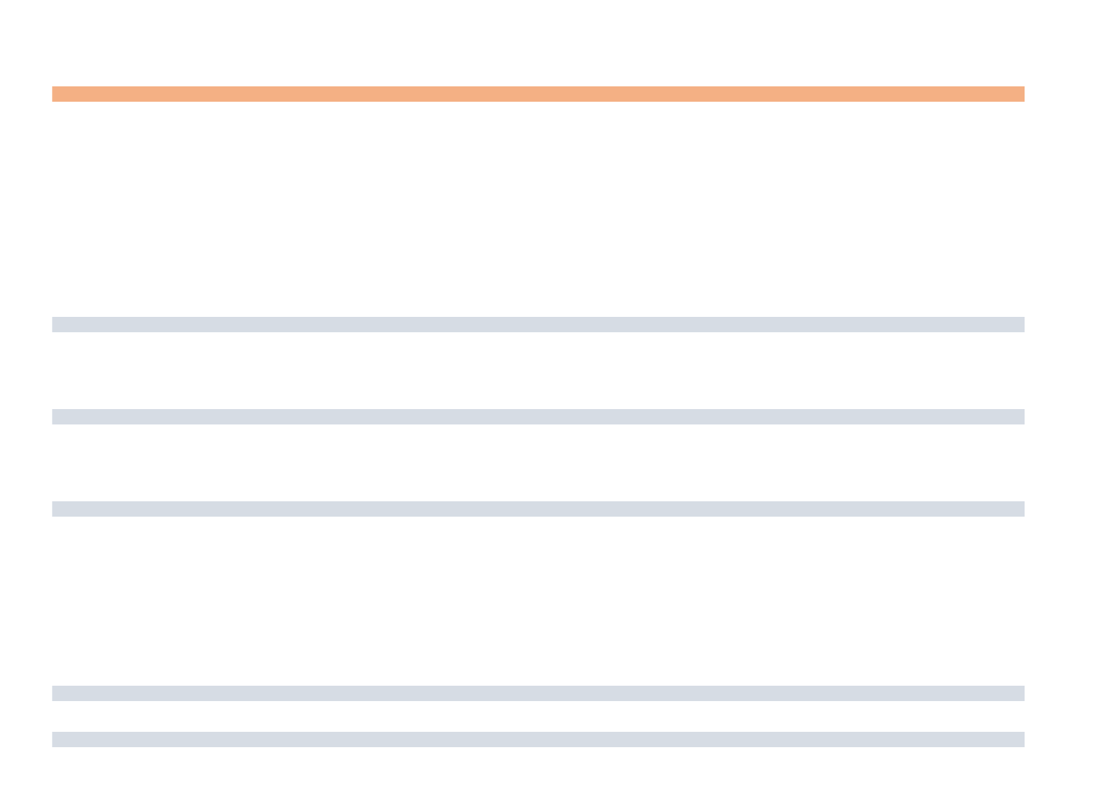the control of the control of the control of the control of the control of the control of the control of the control of  $\mathcal{L}^{\text{max}}_{\text{max}}$  and  $\mathcal{L}^{\text{max}}_{\text{max}}$  and  $\mathcal{L}^{\text{max}}_{\text{max}}$ ,我们也不会有什么。""我们的人,我们也不会有什么?""我们的人,我们也不会有什么?""我们的人,我们也不会有什么?""我们的人,我们也不会有什么?""我们的人 and the state of the state of the state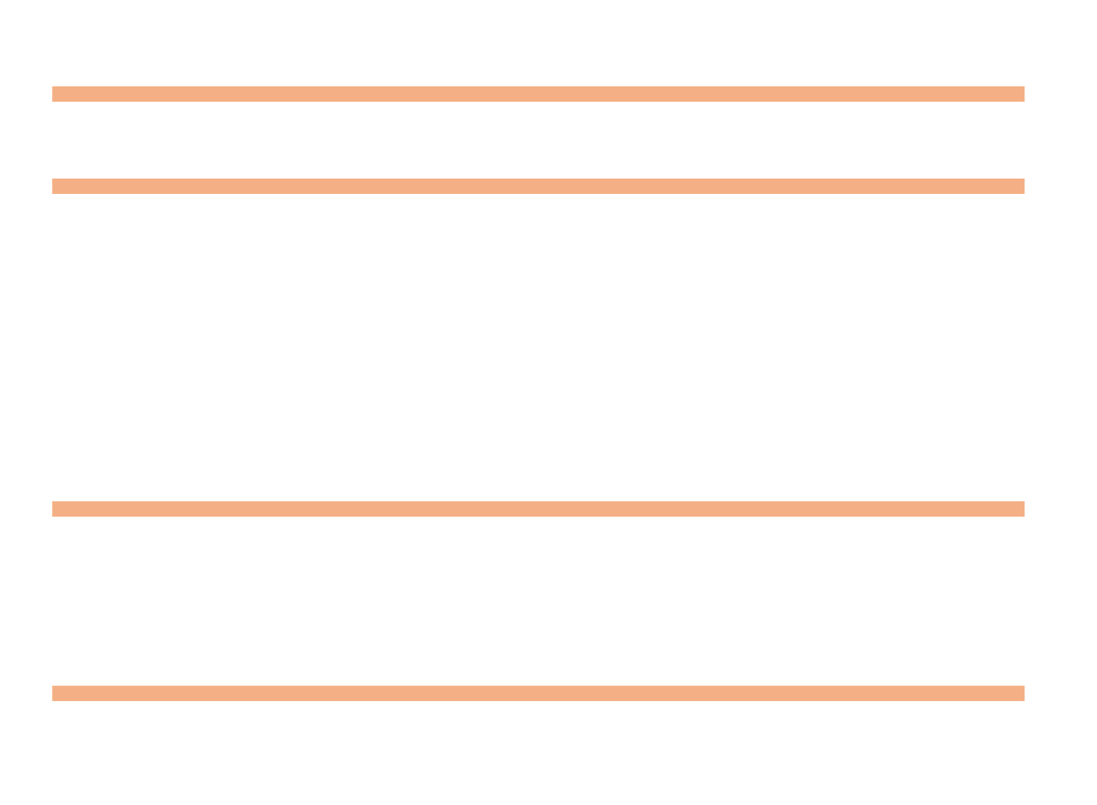a de la construcción de la construcción de la construcción de la construcción de la construcción de la constru<br>En 1930, el construcción de la construcción de la construcción de la construcción de la construcción de la con and the state of the state of the state of the state of the state of the state of the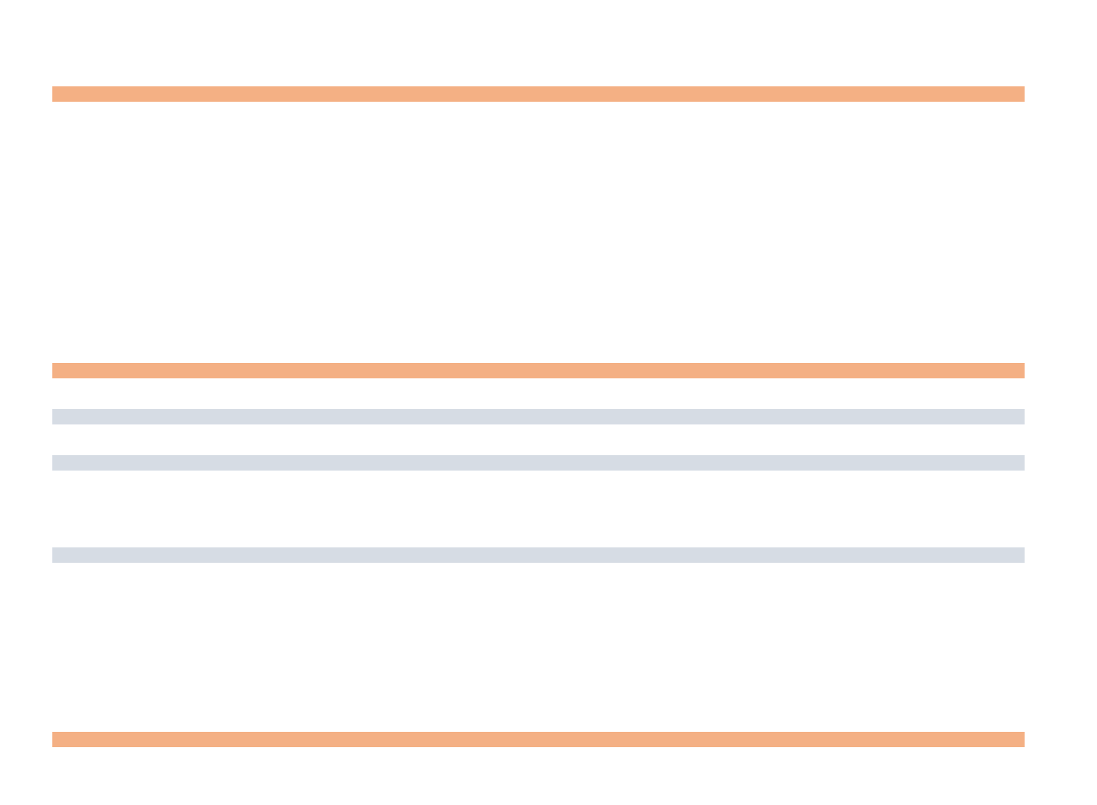the control of the control of the control <u> 1999 - Jan Barnett, fransk politiker (</u>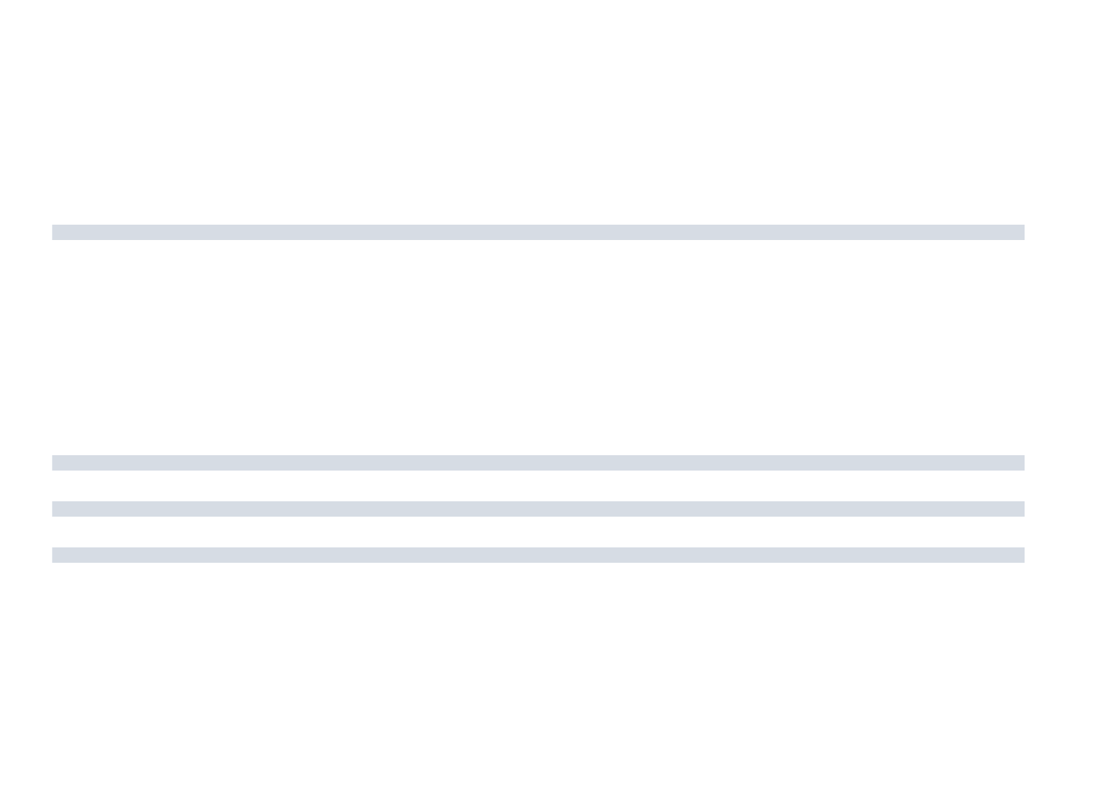and the state of the state of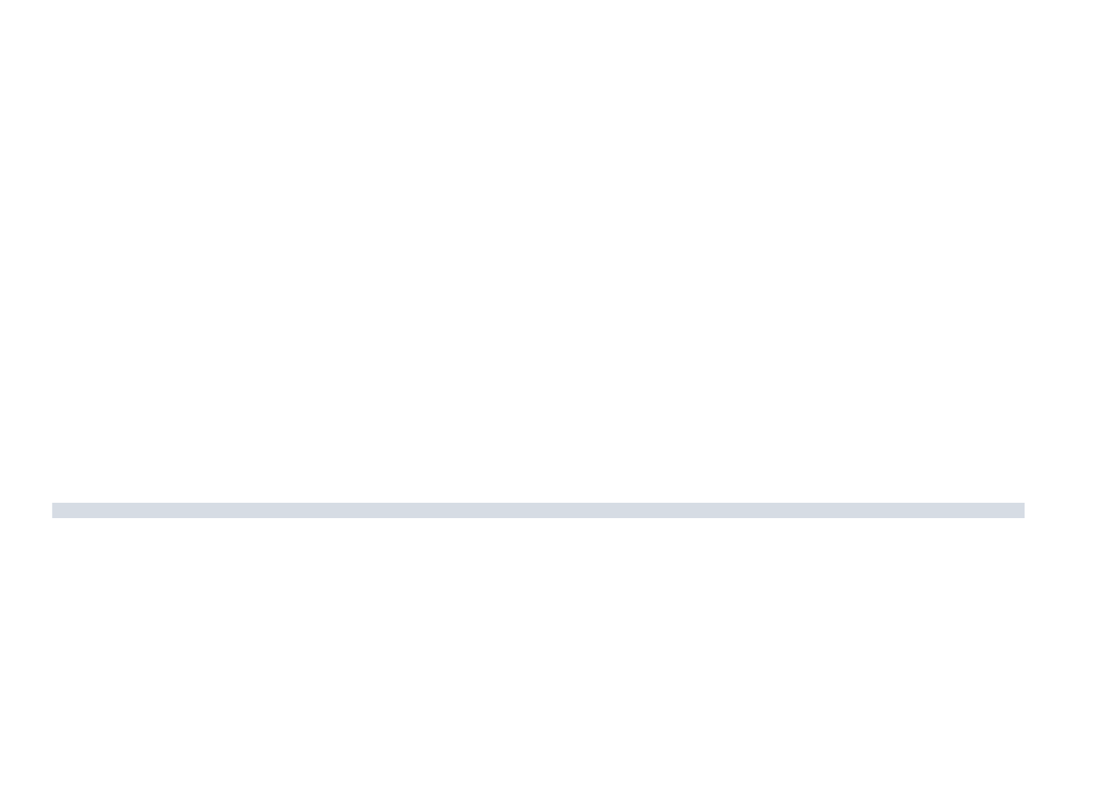**Contract Contract Contract Contract**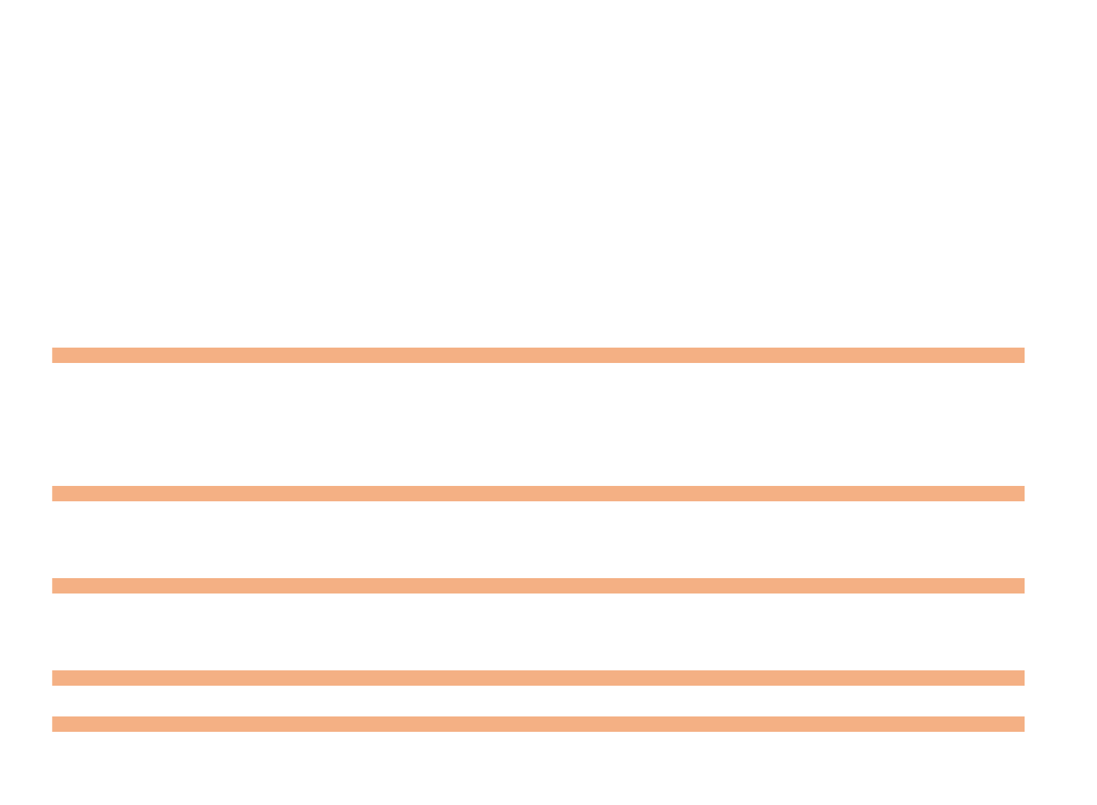$\mathcal{L}(\mathcal{L}(\mathcal{L}))$  and the set of  $\mathcal{L}(\mathcal{L})$  and  $\mathcal{L}(\mathcal{L})$  and  $\mathcal{L}(\mathcal{L})$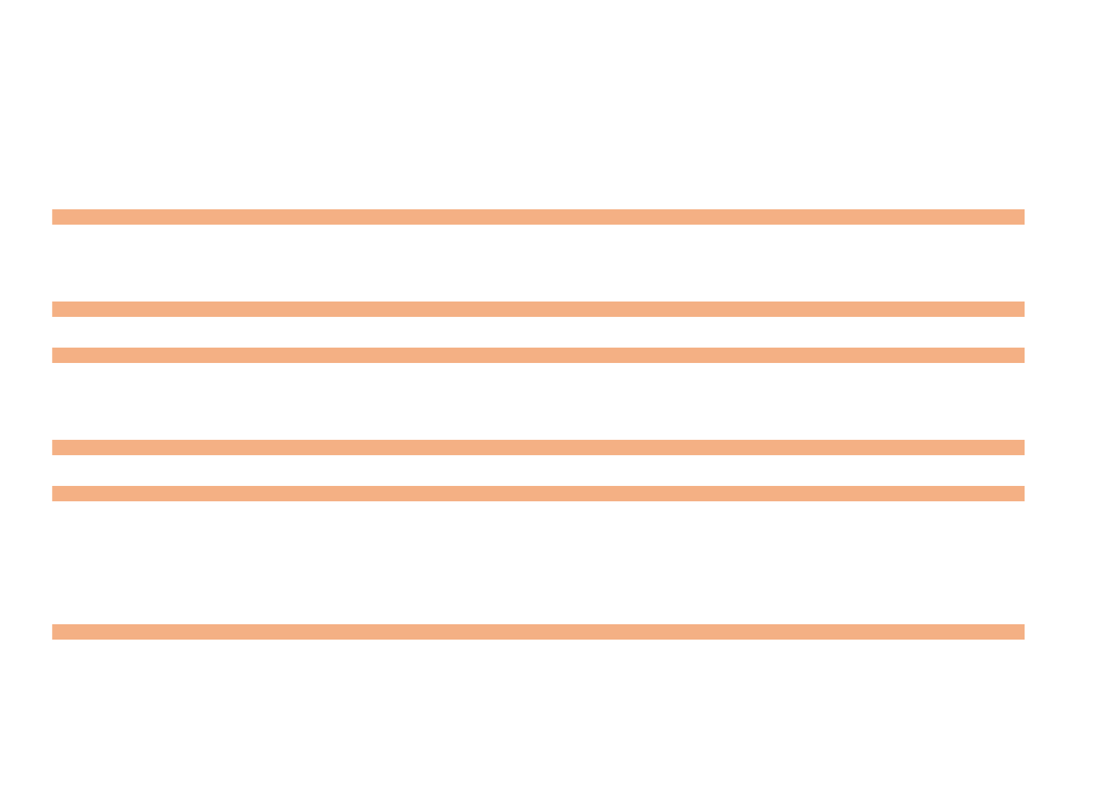| <b>Service Service</b>                                                                                                                                        |  |  |
|---------------------------------------------------------------------------------------------------------------------------------------------------------------|--|--|
|                                                                                                                                                               |  |  |
|                                                                                                                                                               |  |  |
| $\mathcal{L}(\mathcal{L}(\mathcal{L}))$ is a set of $\mathcal{L}(\mathcal{L})$ . The set of $\mathcal{L}(\mathcal{L})$ is a set of $\mathcal{L}(\mathcal{L})$ |  |  |
|                                                                                                                                                               |  |  |
|                                                                                                                                                               |  |  |
|                                                                                                                                                               |  |  |
|                                                                                                                                                               |  |  |
|                                                                                                                                                               |  |  |
|                                                                                                                                                               |  |  |
|                                                                                                                                                               |  |  |
|                                                                                                                                                               |  |  |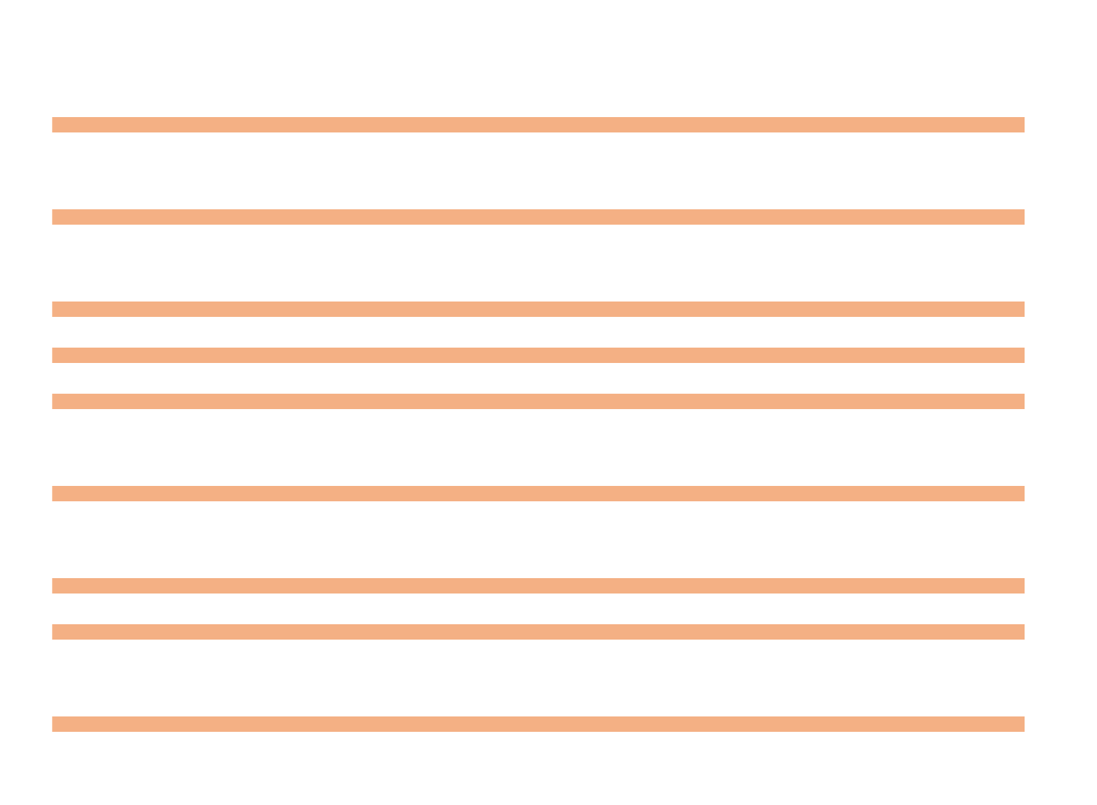| ,一个人的人都是一个人的人,而且,他们的人都是一个人的人,而且,他们的人都是不是一个人的人,而且,他们的人都是不是一个人的人,而且,他们的人都是不是一个人的人,<br>第151章 我们的人,我们的人都是不是一个人的人,我们的人都是不是一个人的人,我们的人都是不是一个人的人,我们的人都是不是一个人的人,我们的人都是不是一个人的人 |
|----------------------------------------------------------------------------------------------------------------------------------------------------------------------|
|                                                                                                                                                                      |
|                                                                                                                                                                      |
| a sa kacamatan ing Kabupatèn Kabupatèn Ing Kabupatèn Kabupatèn Kabupatèn Kabupatèn Kabupatèn Kabupatèn Kabupatè                                                      |
|                                                                                                                                                                      |
|                                                                                                                                                                      |
|                                                                                                                                                                      |
|                                                                                                                                                                      |
|                                                                                                                                                                      |
|                                                                                                                                                                      |
|                                                                                                                                                                      |
|                                                                                                                                                                      |
|                                                                                                                                                                      |
|                                                                                                                                                                      |
|                                                                                                                                                                      |
|                                                                                                                                                                      |
|                                                                                                                                                                      |
|                                                                                                                                                                      |
|                                                                                                                                                                      |
|                                                                                                                                                                      |
|                                                                                                                                                                      |
|                                                                                                                                                                      |
|                                                                                                                                                                      |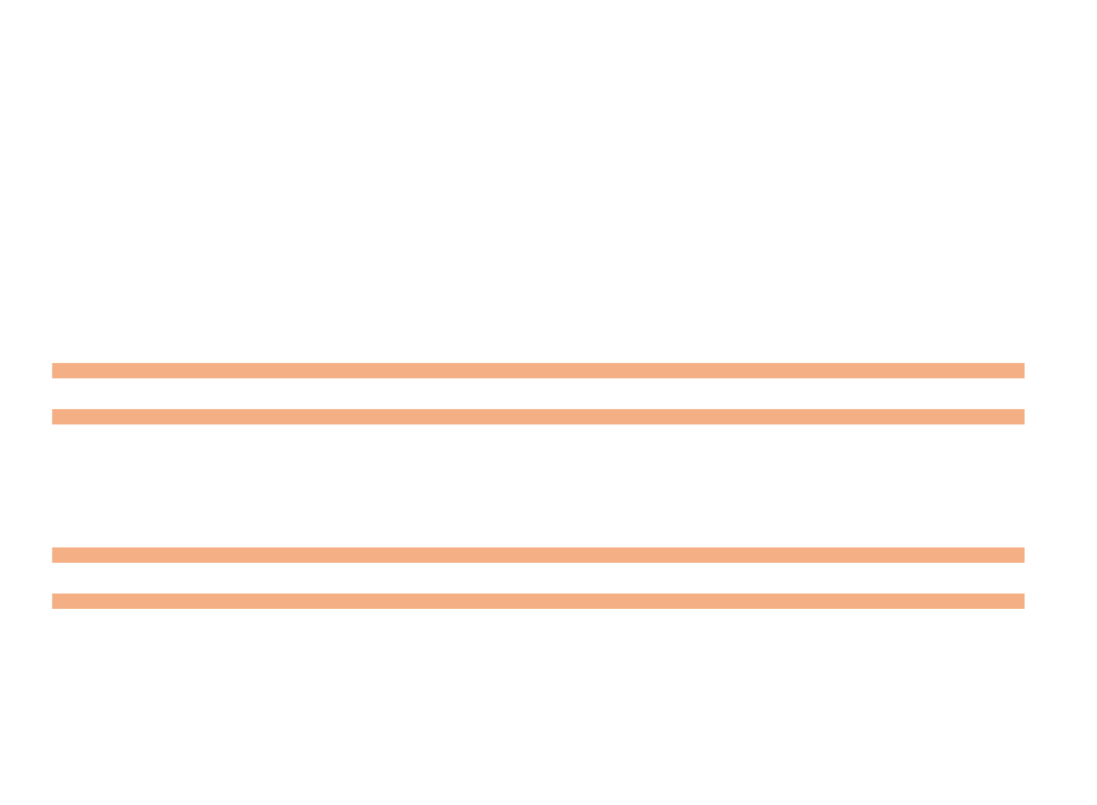a de la construcción de la construcción de la construcción de la construcción de la construcción de la constru<br>A la construcción de la construcción de la construcción de la construcción de la construcción de la construcci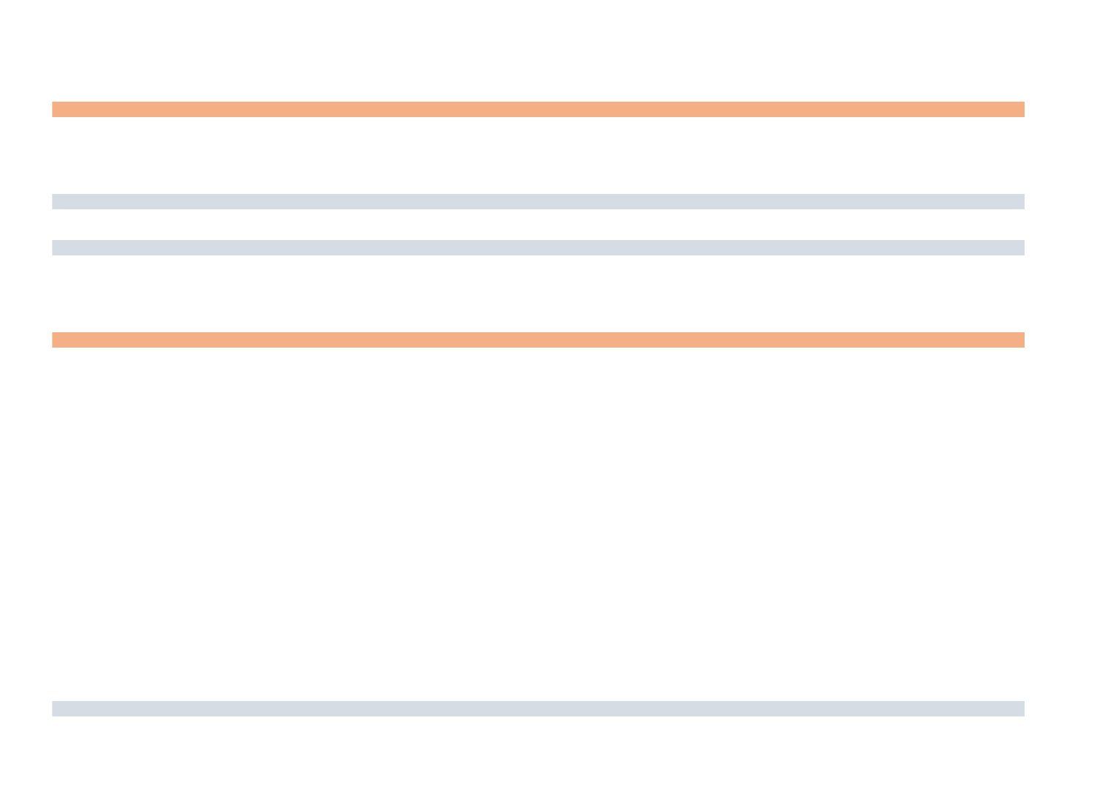**Contract Contract Contract**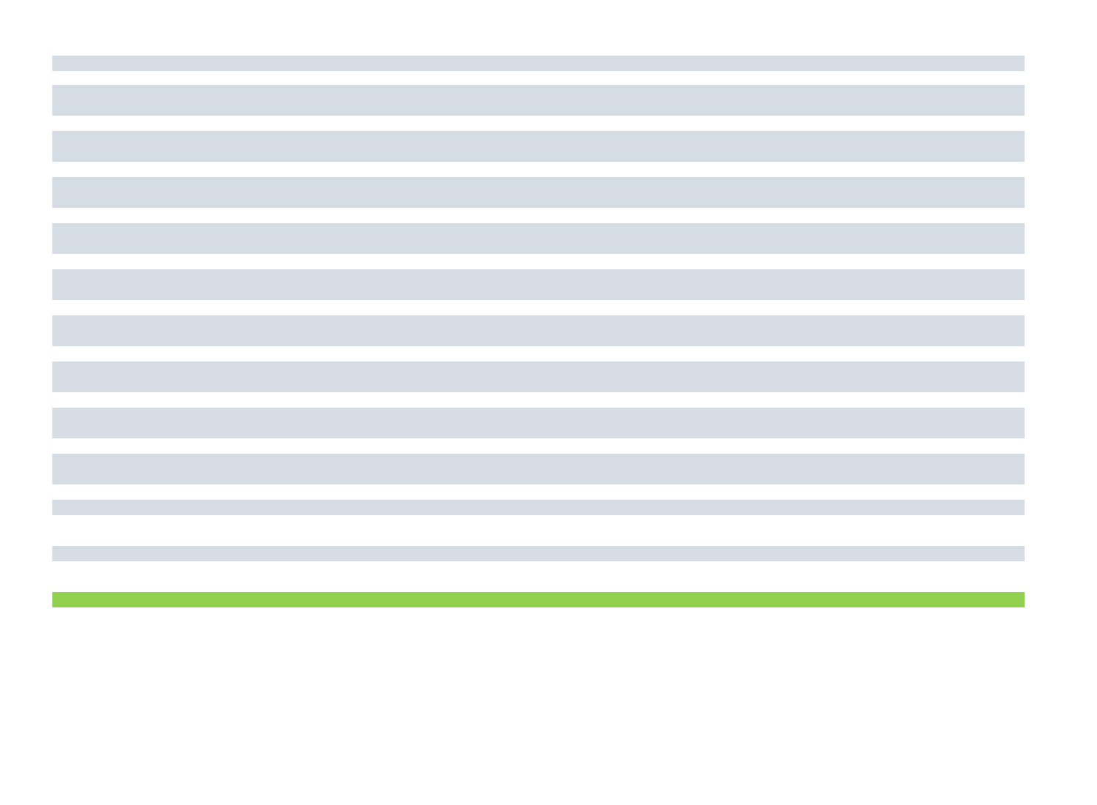| a se provincia de la construcción de la construcción de la construcción de la construcción de la construcción |  |  |
|---------------------------------------------------------------------------------------------------------------|--|--|
| ,我们也不会不会不会。""我们,我们也不会不会不会不会不会不会不会不会不会不会不会不会不会不会不会不会不会。""我们,我们也不会不会不会不会不会不会不会不会不会                              |  |  |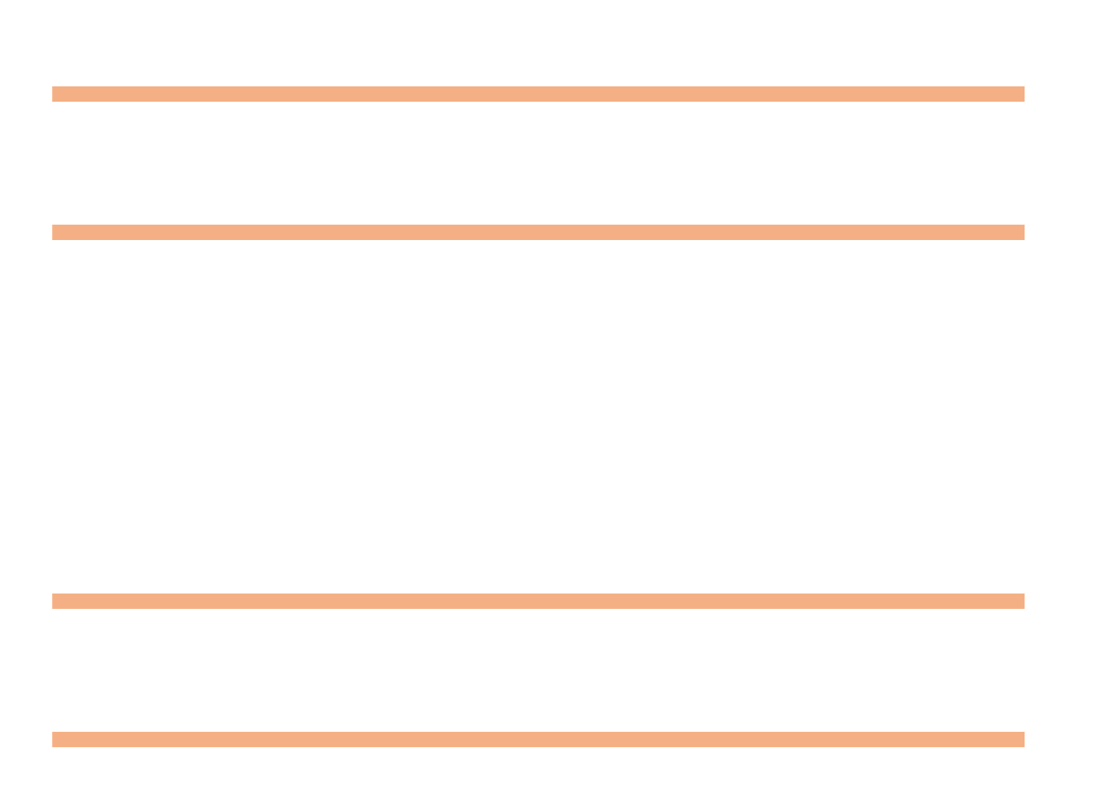a sa karang sa kabupatèn Kabupatèn Bangung Kabupatèn Kabupatèn Kabupatèn Kabupatèn Kabupatèn Kabupatèn Kabupat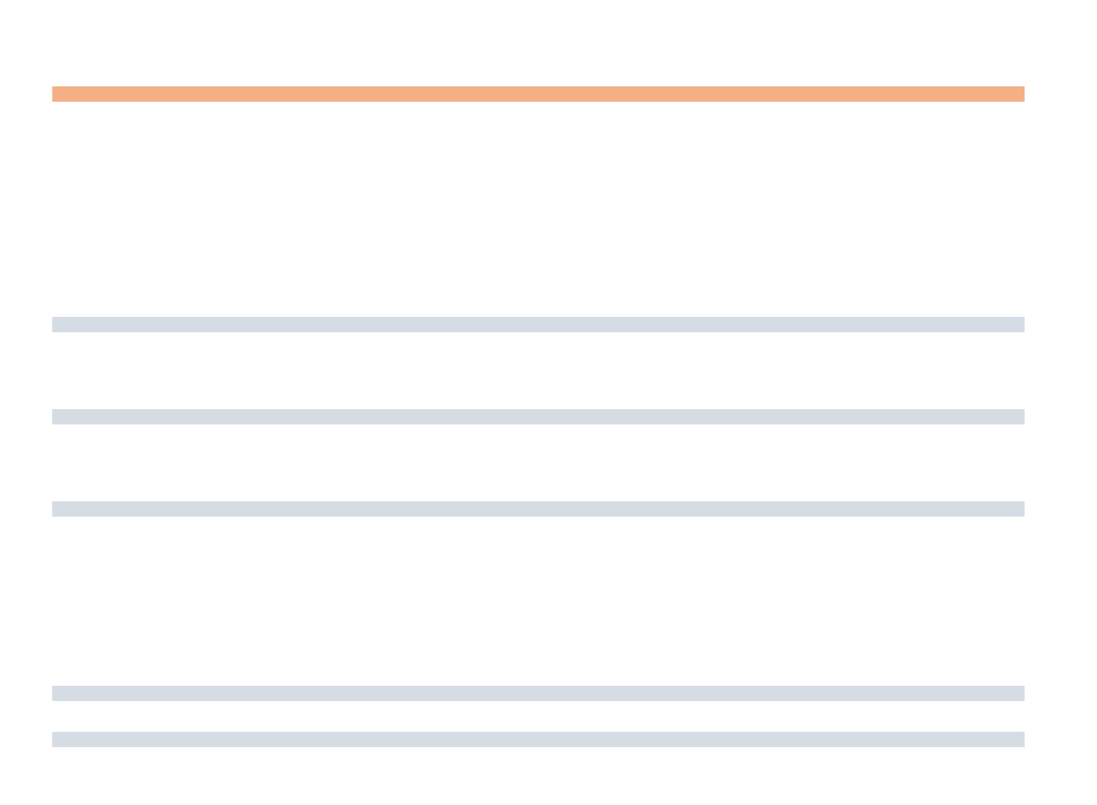the control of the control of the control of the control of the control of the control of the control of the control of  $\mathcal{L}^{\text{max}}_{\text{max}}$  and  $\mathcal{L}^{\text{max}}_{\text{max}}$  and  $\mathcal{L}^{\text{max}}_{\text{max}}$ ,我们也不会有什么。""我们的人,我们也不会有什么?""我们的人,我们也不会有什么?""我们的人,我们也不会有什么?""我们的人,我们也不会有什么?""我们的人 and the state of the state of the state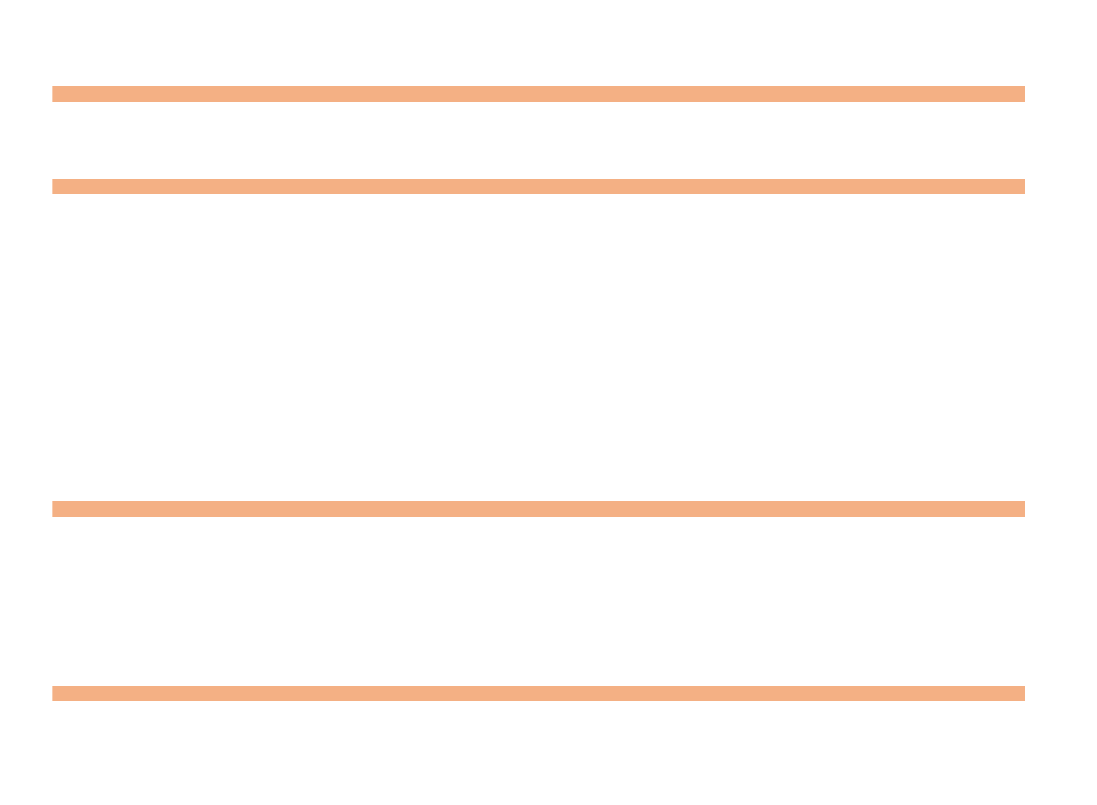a de la construcción de la construcción de la construcción de la construcción de la construcción de la constru<br>En 1930, el construcción de la construcción de la construcción de la construcción de la construcción de la con and the state of the state of the state of the state of the state of the state of the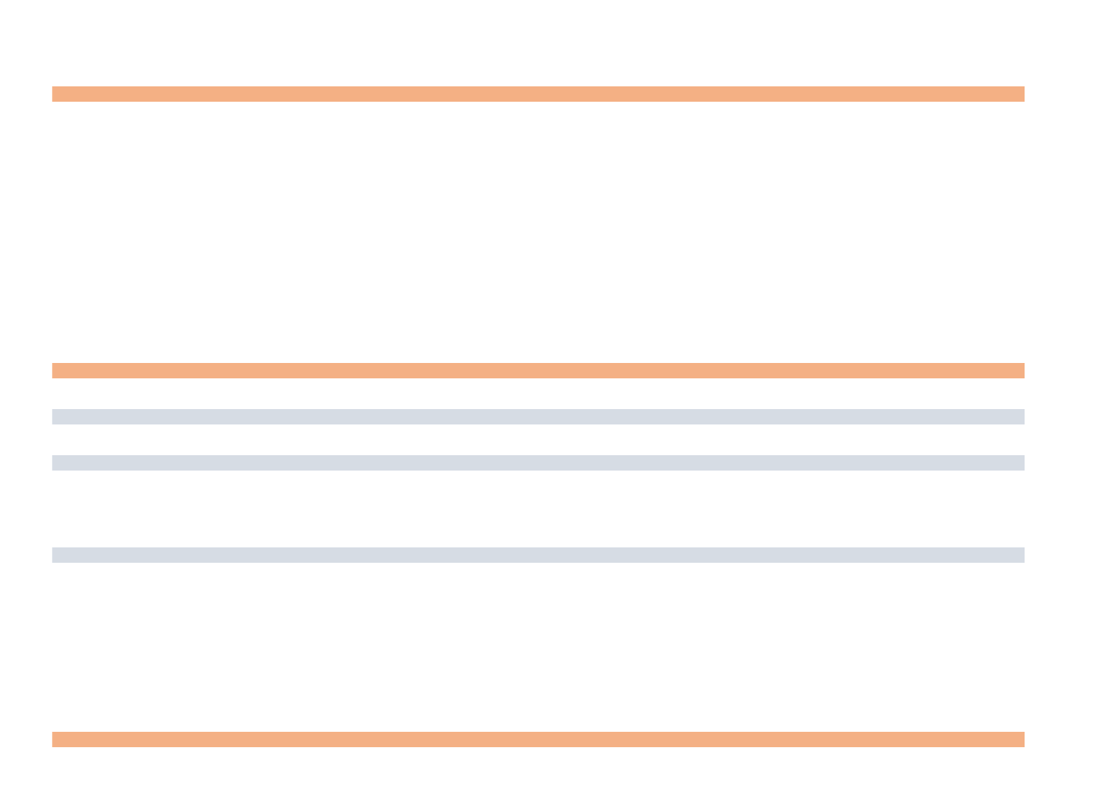the control of the control of the control <u> 1999 - Jan Barnett, fransk politiker (</u>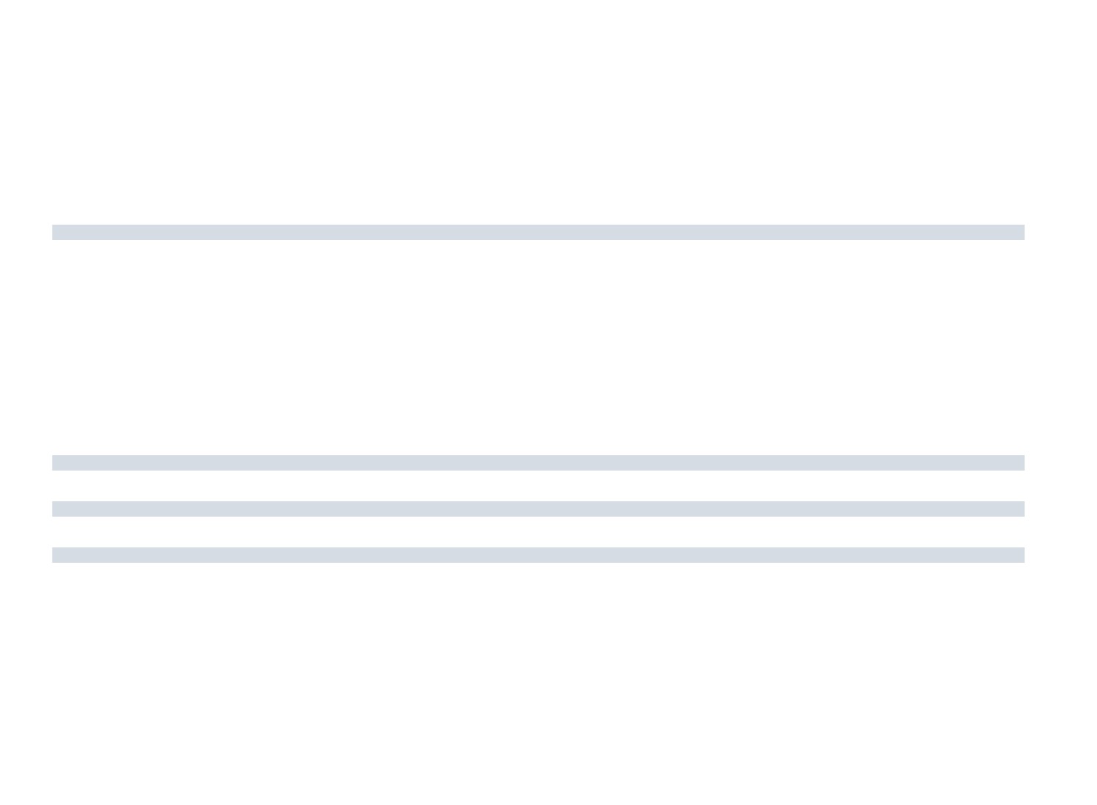and the state of the state of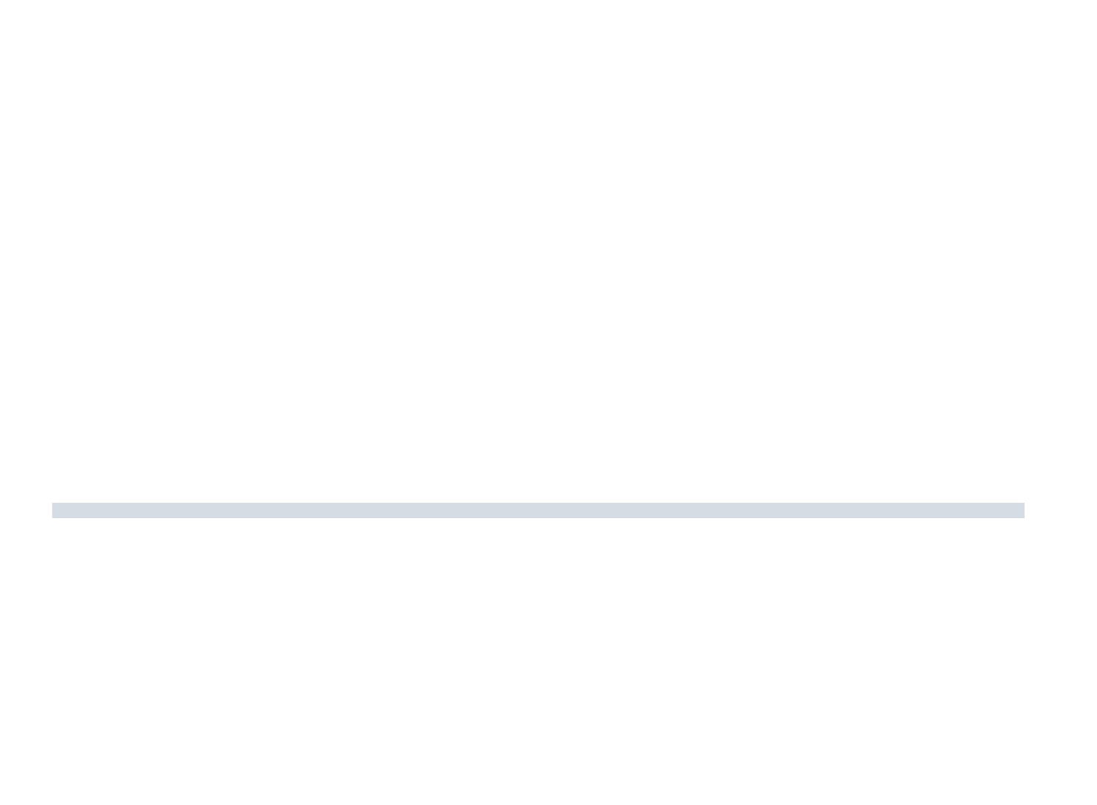**Contract Contract Contract Contract**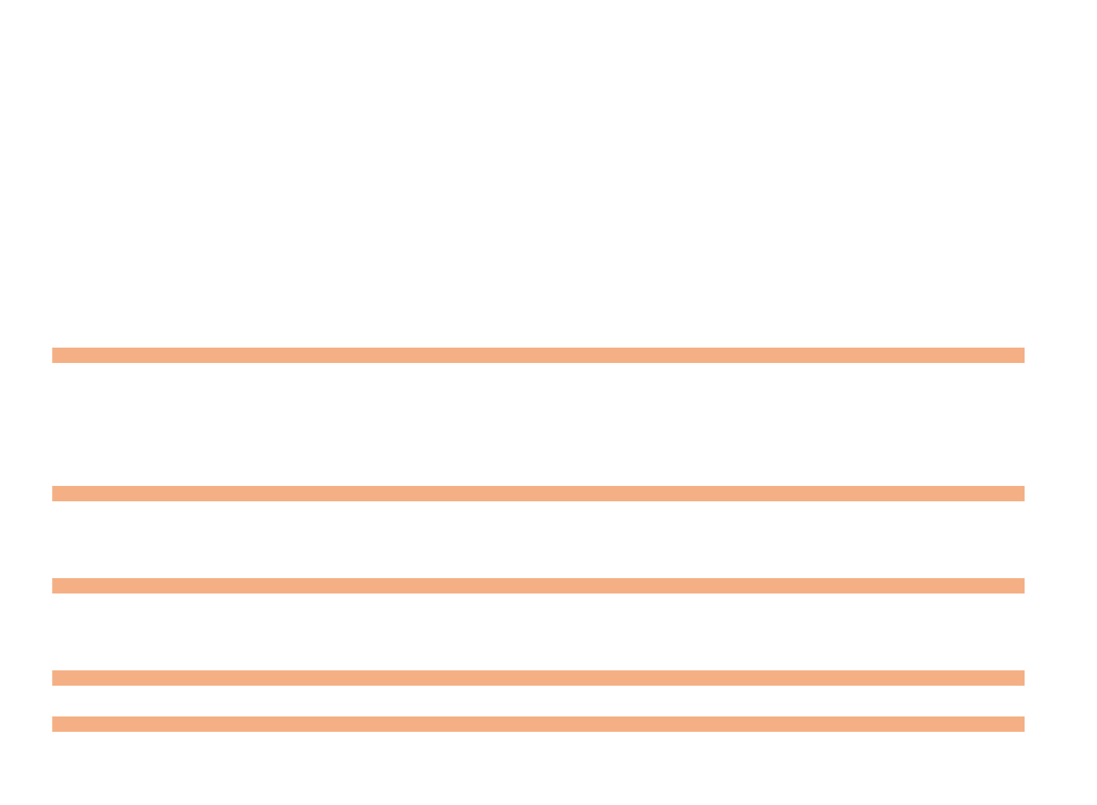$\mathcal{L}(\mathcal{L}(\mathcal{L}))$  and the set of  $\mathcal{L}(\mathcal{L})$  and  $\mathcal{L}(\mathcal{L})$  and  $\mathcal{L}(\mathcal{L})$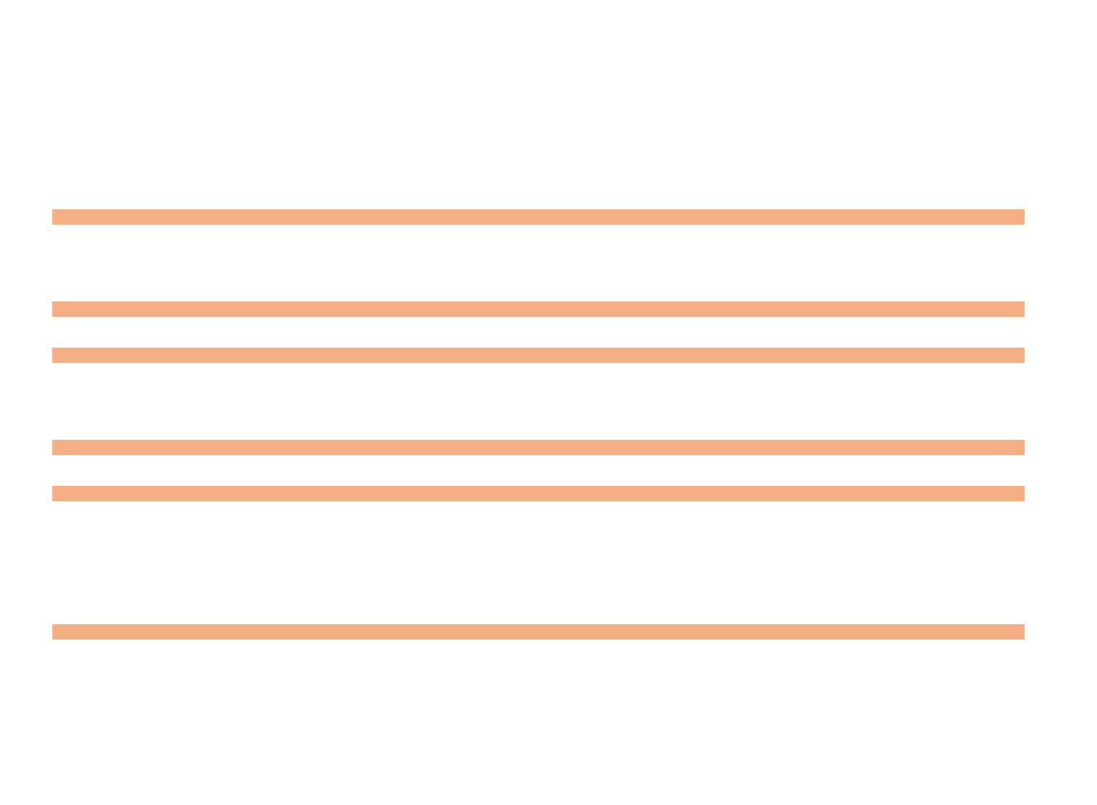| <b>Service Service</b>                                                                                                                                        |  |  |
|---------------------------------------------------------------------------------------------------------------------------------------------------------------|--|--|
|                                                                                                                                                               |  |  |
|                                                                                                                                                               |  |  |
| $\mathcal{L}(\mathcal{L}(\mathcal{L}))$ is a set of $\mathcal{L}(\mathcal{L})$ . The set of $\mathcal{L}(\mathcal{L})$ is a set of $\mathcal{L}(\mathcal{L})$ |  |  |
|                                                                                                                                                               |  |  |
|                                                                                                                                                               |  |  |
|                                                                                                                                                               |  |  |
|                                                                                                                                                               |  |  |
|                                                                                                                                                               |  |  |
|                                                                                                                                                               |  |  |
|                                                                                                                                                               |  |  |
|                                                                                                                                                               |  |  |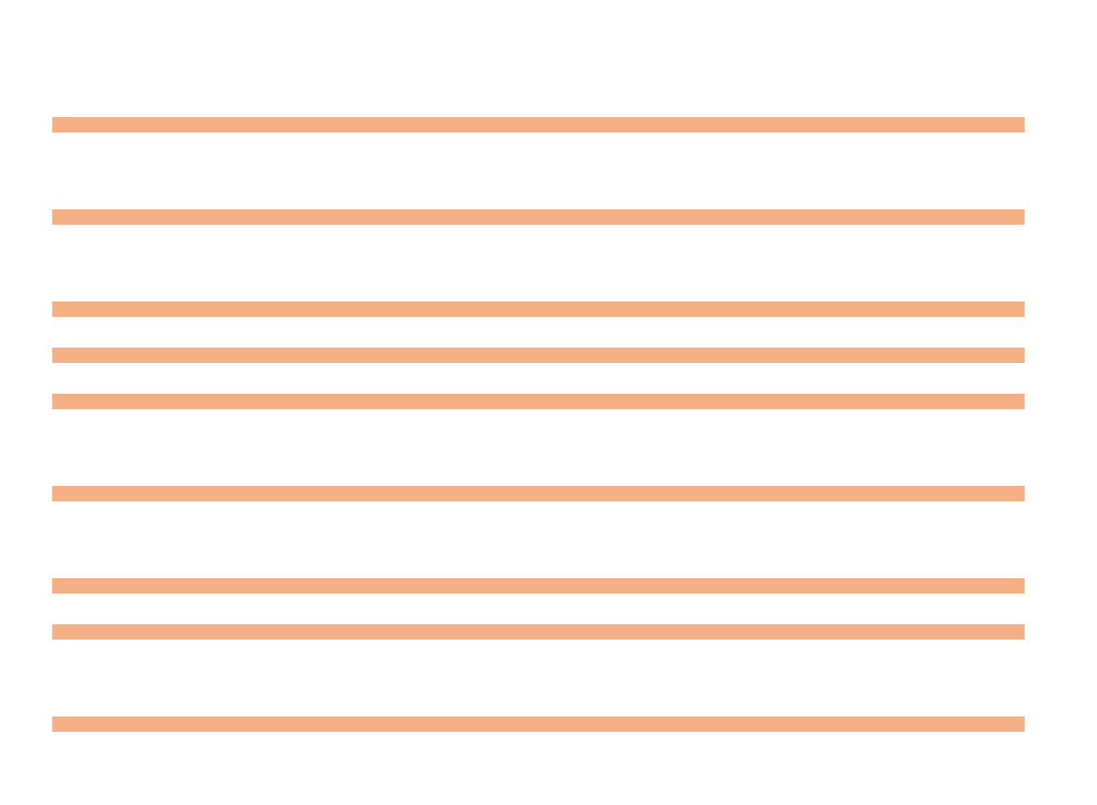| ,一个人的人都是一个人的人,而且,他们的人都是一个人的人,而且,他们的人都是不是一个人的人,而且,他们的人都是不是一个人的人,而且,他们的人都是不是一个人的人,<br>第151章 我们的人,我们的人都是不是一个人的人,我们的人都是不是一个人的人,我们的人都是不是一个人的人,我们的人都是不是一个人的人,我们的人都是不是一个人的人 |
|----------------------------------------------------------------------------------------------------------------------------------------------------------------------|
|                                                                                                                                                                      |
|                                                                                                                                                                      |
| a sa kacamatan ing Kabupatèn Kabupatèn Ing Kabupatèn Kabupatèn Kabupatèn Kabupatèn Kabupatèn Kabupatèn Kabupatè                                                      |
|                                                                                                                                                                      |
|                                                                                                                                                                      |
|                                                                                                                                                                      |
|                                                                                                                                                                      |
|                                                                                                                                                                      |
|                                                                                                                                                                      |
|                                                                                                                                                                      |
|                                                                                                                                                                      |
|                                                                                                                                                                      |
|                                                                                                                                                                      |
|                                                                                                                                                                      |
|                                                                                                                                                                      |
|                                                                                                                                                                      |
|                                                                                                                                                                      |
|                                                                                                                                                                      |
|                                                                                                                                                                      |
|                                                                                                                                                                      |
|                                                                                                                                                                      |
|                                                                                                                                                                      |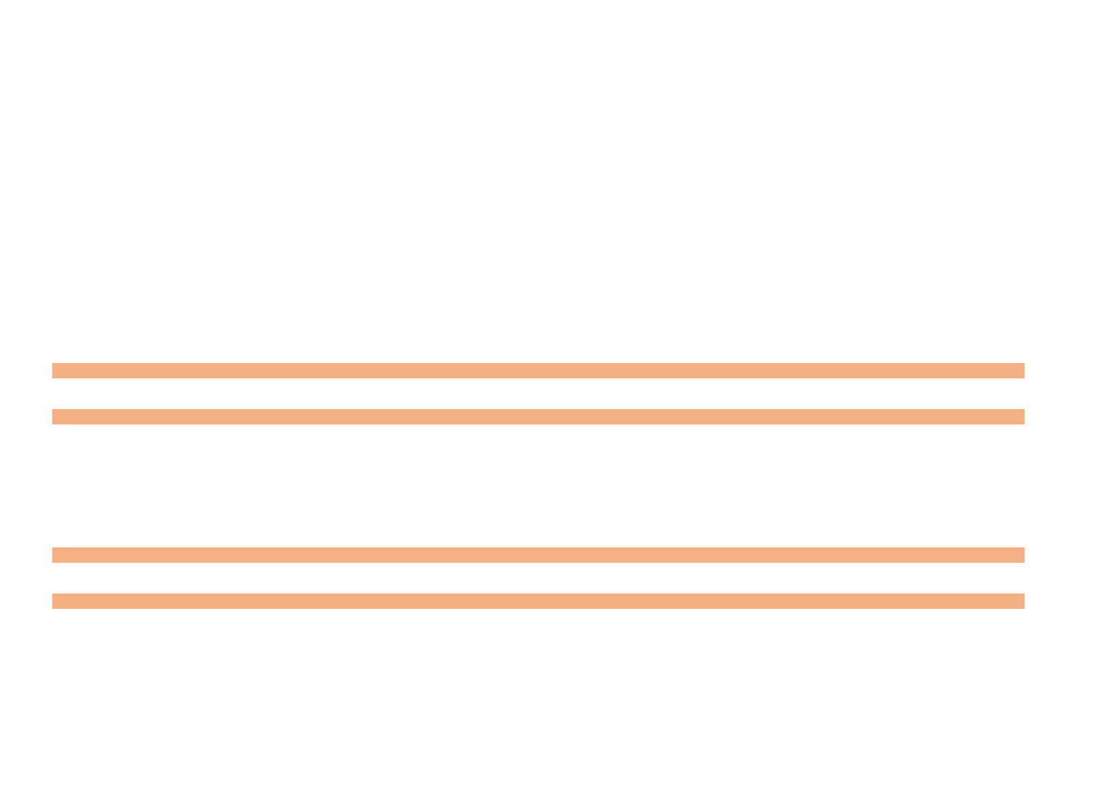a de la construcción de la construcción de la construcción de la construcción de la construcción de la constru<br>A la construcción de la construcción de la construcción de la construcción de la construcción de la construcci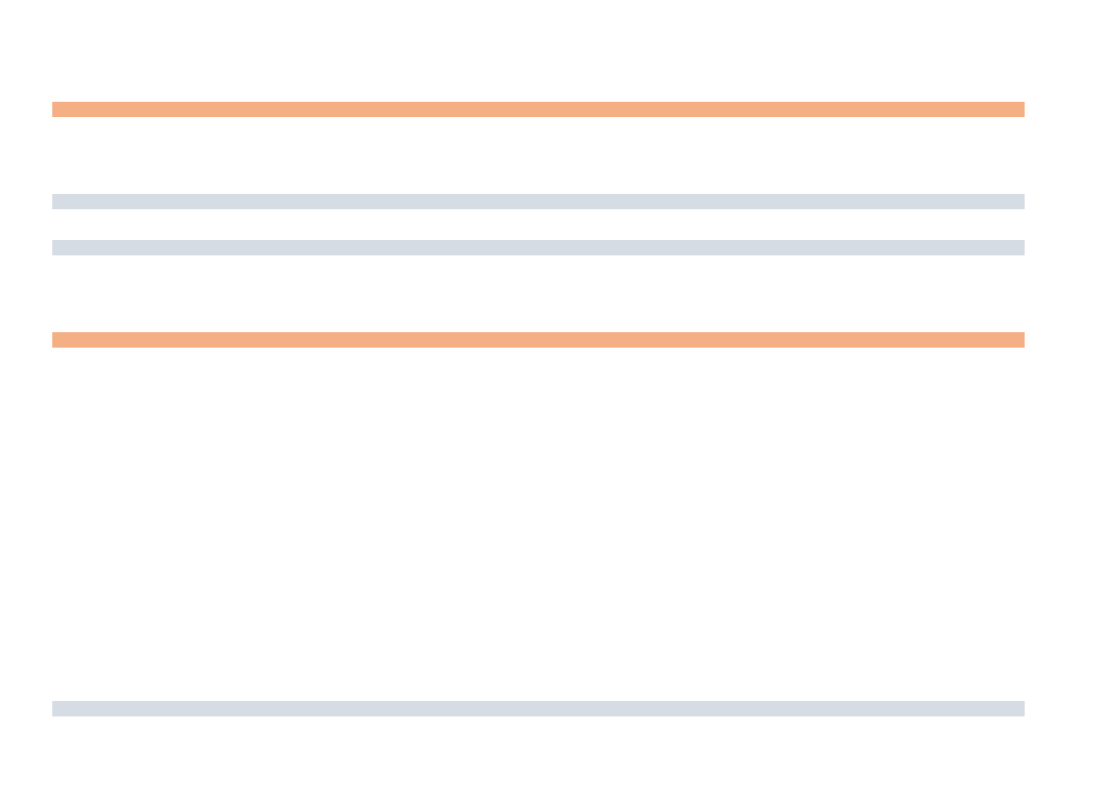**Contract Contract Contract**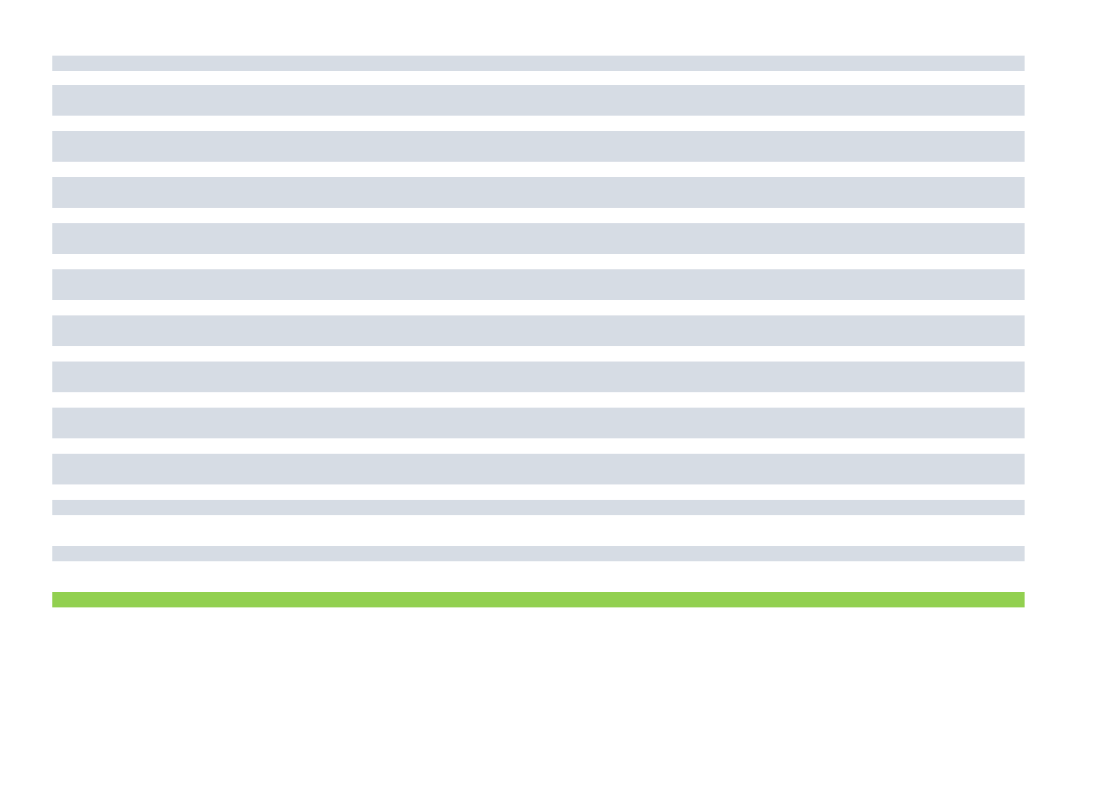| a se provincia de la construcción de la construcción de la construcción de la construcción de la construcción |  |  |
|---------------------------------------------------------------------------------------------------------------|--|--|
| ,我们也不会不会不会。""我们,我们也不会不会不会不会不会不会不会不会不会不会不会不会不会不会不会不会不会。""我们,我们也不会不会不会不会不会不会不会不会不会                              |  |  |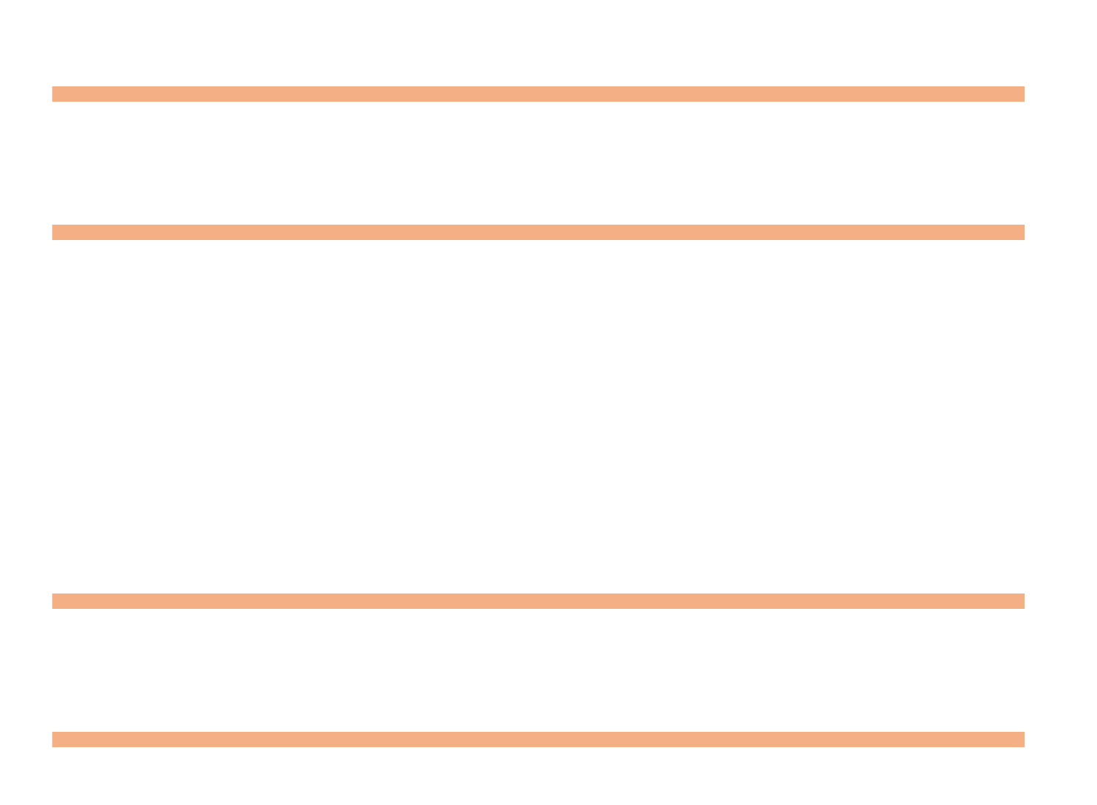a sa karang sa kabupatèn Kabupatèn Bangung Kabupatèn Kabupatèn Kabupatèn Kabupatèn Kabupatèn Kabupatèn Kabupat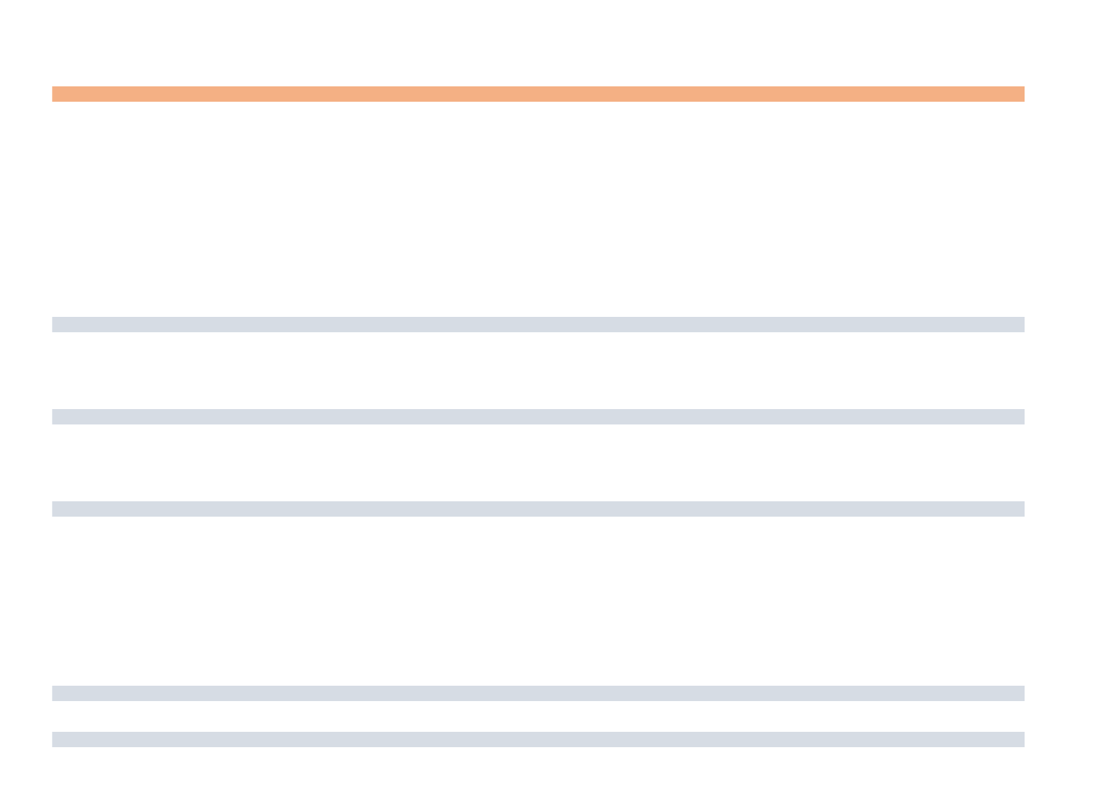the control of the control of the control of the control of the control of the control of the control of the control of  $\mathcal{L}^{\text{max}}_{\text{max}}$  and  $\mathcal{L}^{\text{max}}_{\text{max}}$  and  $\mathcal{L}^{\text{max}}_{\text{max}}$ ,我们也不会有什么。""我们的人,我们也不会有什么?""我们的人,我们也不会有什么?""我们的人,我们也不会有什么?""我们的人,我们也不会有什么?""我们的人 and the state of the state of the state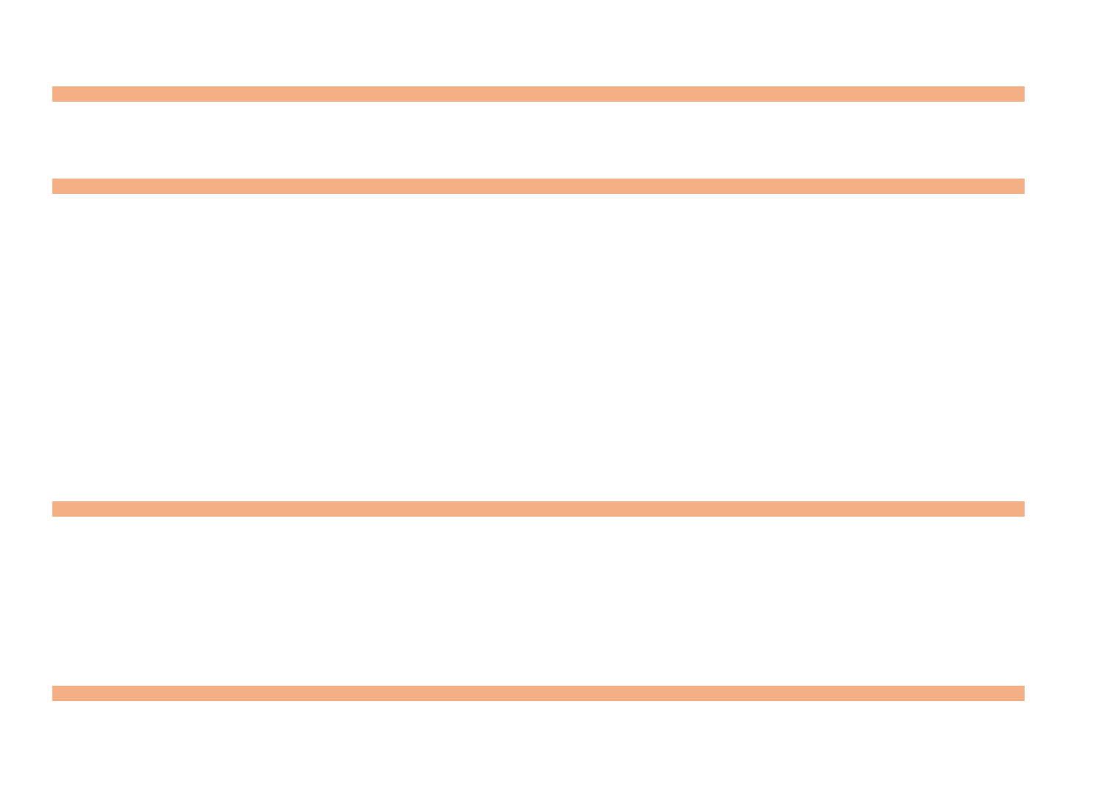a de la construcción de la construcción de la construcción de la construcción de la construcción de la constru<br>En 1930, el construcción de la construcción de la construcción de la construcción de la construcción de la con and the state of the state of the state of the state of the state of the state of the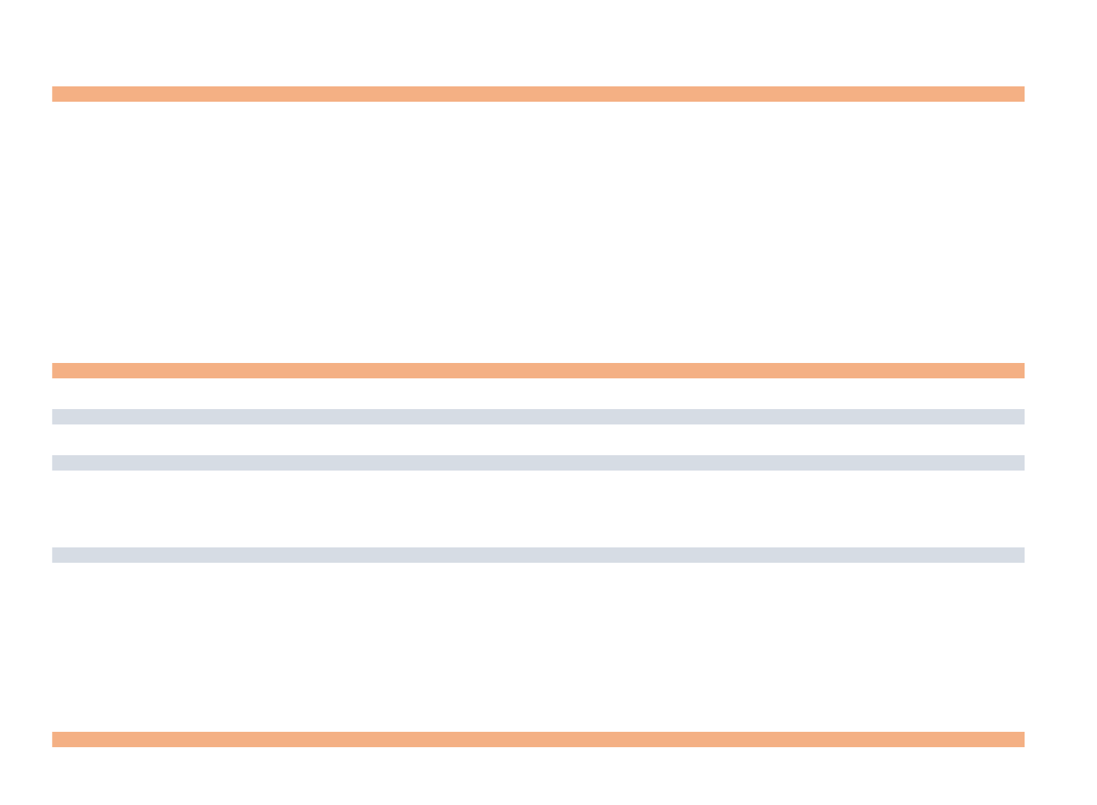the control of the control of the control <u> 1999 - Jan Barnett, fransk politiker (</u>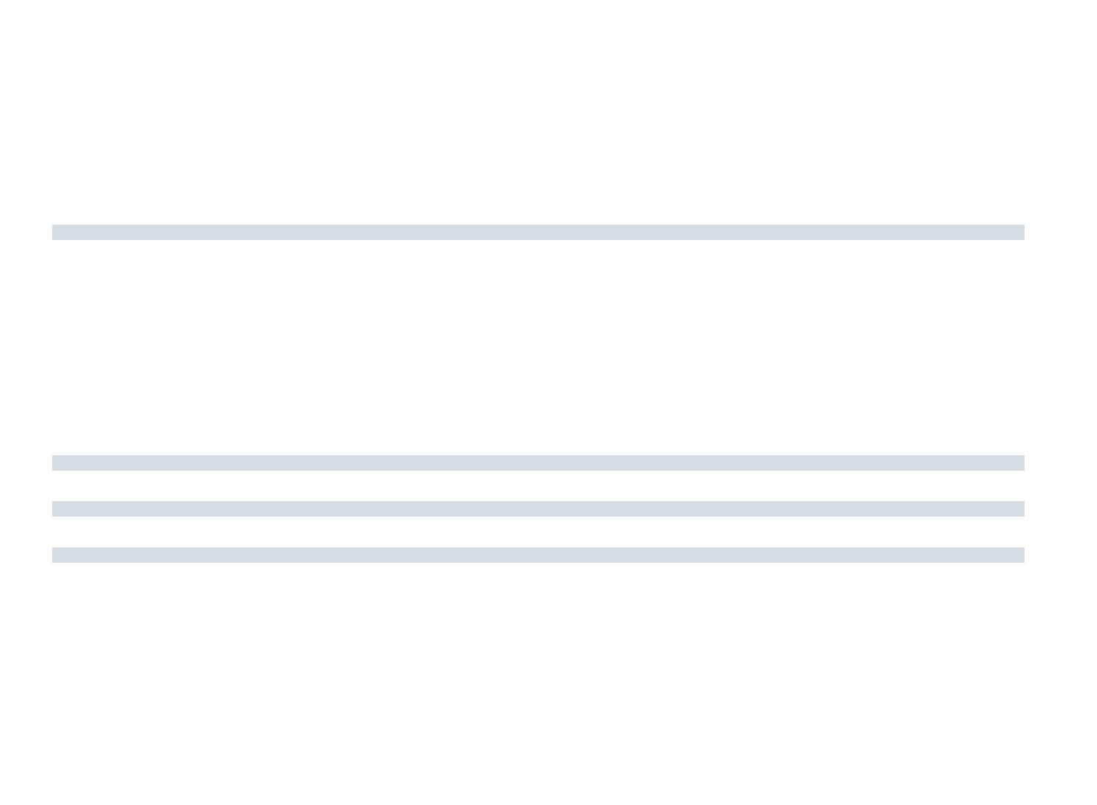and the state of the state of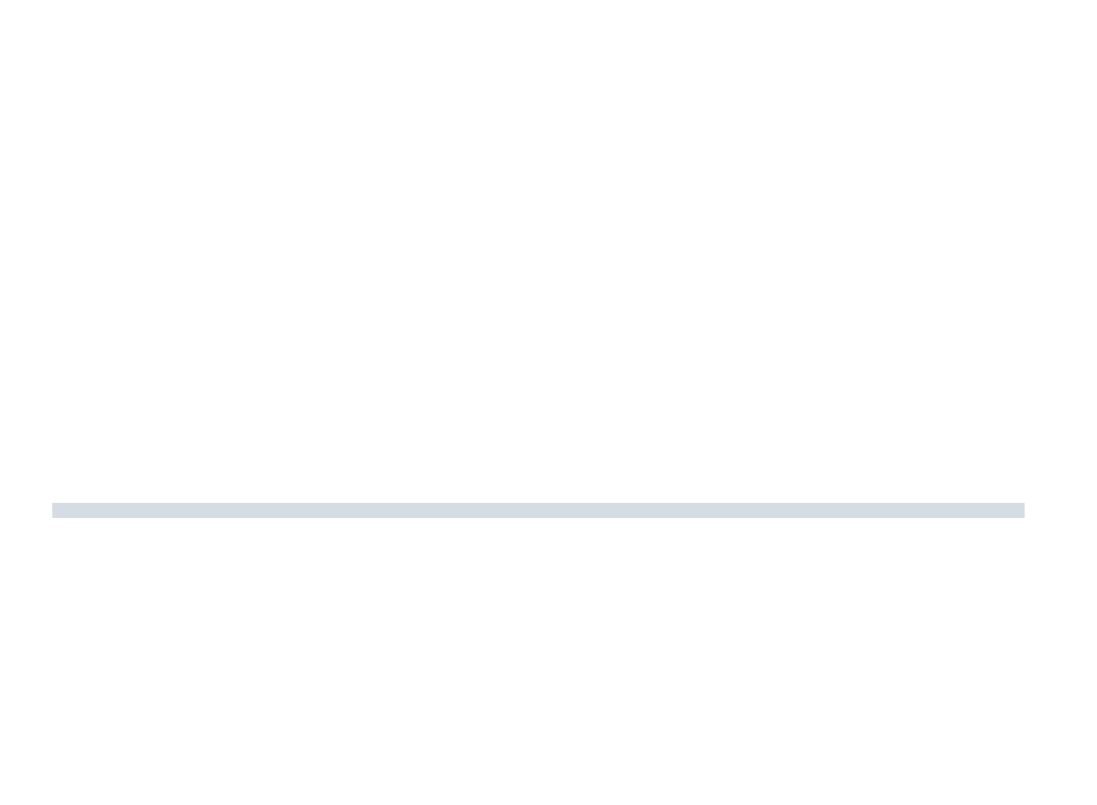**Contract Contract Contract Contract**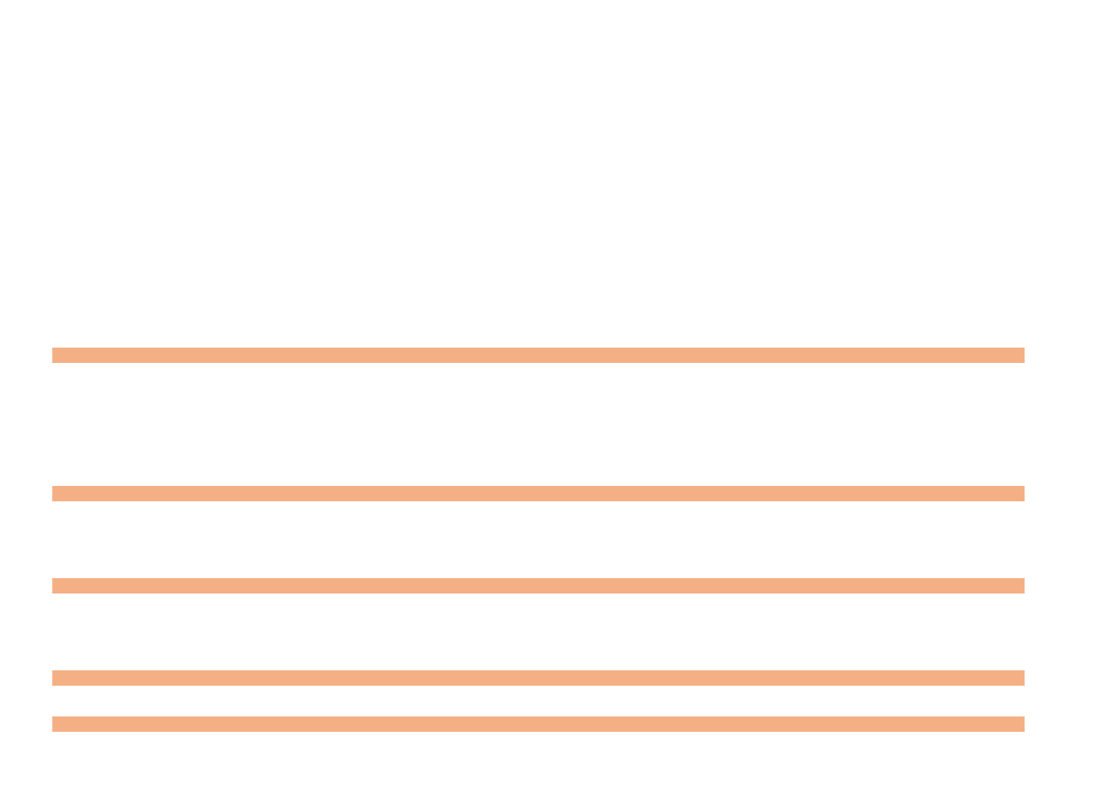$\mathcal{L}(\mathcal{L}(\mathcal{L}))$  and the set of  $\mathcal{L}(\mathcal{L})$  and  $\mathcal{L}(\mathcal{L})$  and  $\mathcal{L}(\mathcal{L})$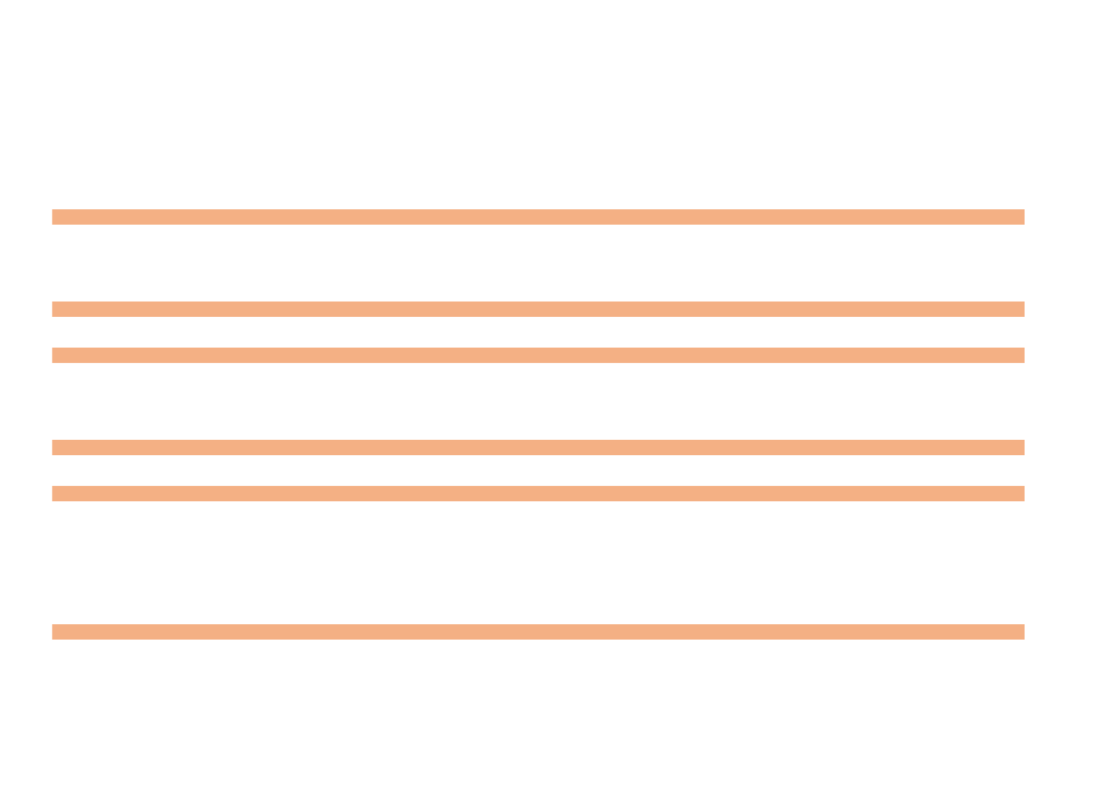| <b>Contract Contract Contract Contract Contract Contract Contract Contract Contract Contract Contract Contract Co</b>                                         |  |  |
|---------------------------------------------------------------------------------------------------------------------------------------------------------------|--|--|
|                                                                                                                                                               |  |  |
|                                                                                                                                                               |  |  |
| $\mathcal{L}(\mathcal{L}(\mathcal{L}))$ is a set of $\mathcal{L}(\mathcal{L})$ . The set of $\mathcal{L}(\mathcal{L})$ is a set of $\mathcal{L}(\mathcal{L})$ |  |  |
|                                                                                                                                                               |  |  |
|                                                                                                                                                               |  |  |
|                                                                                                                                                               |  |  |
|                                                                                                                                                               |  |  |
|                                                                                                                                                               |  |  |
|                                                                                                                                                               |  |  |
|                                                                                                                                                               |  |  |
|                                                                                                                                                               |  |  |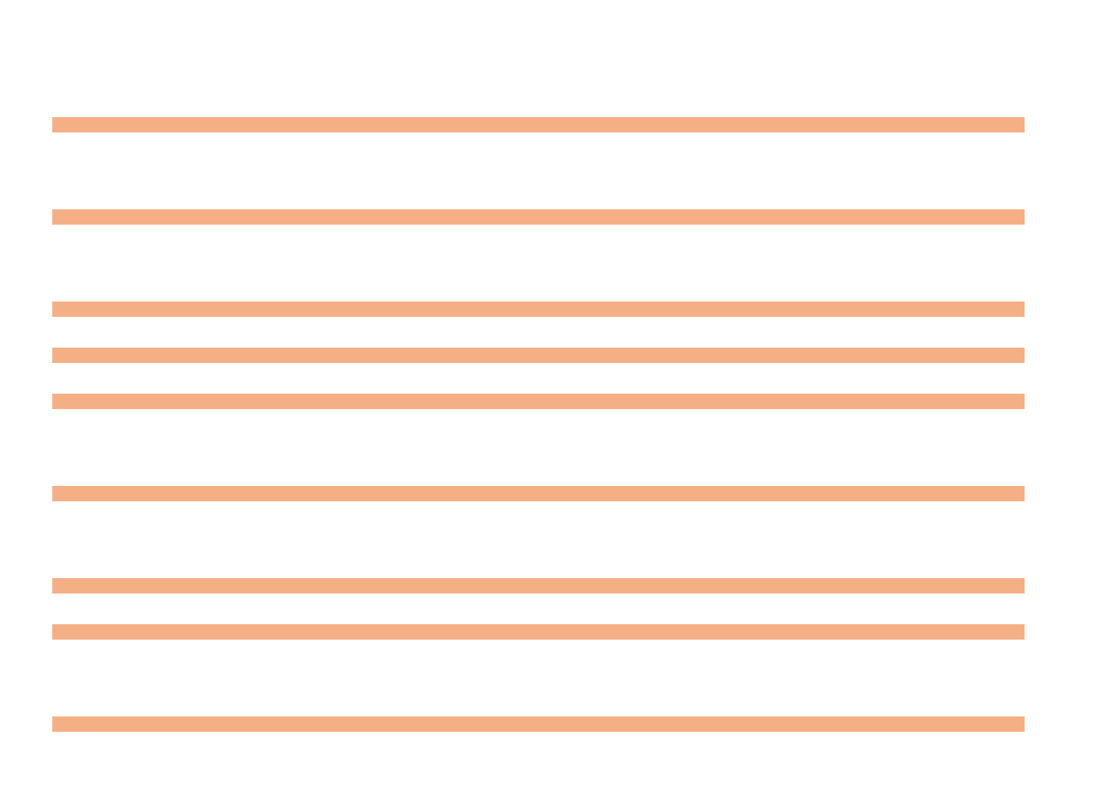| ,一个人的人都是一个人的人,而且,他们的人都是一个人的人,而且,他们的人都是不是一个人的人,而且,他们的人都是不是一个人的人,而且,他们的人都是不是一个人的人,<br>第151章 我们的人,我们的人都是不是一个人的人,我们的人都是不是一个人的人,我们的人都是不是一个人的人,我们的人都是不是一个人的人,我们的人都是不是一个人的人 |
|----------------------------------------------------------------------------------------------------------------------------------------------------------------------|
|                                                                                                                                                                      |
|                                                                                                                                                                      |
| a sa kacamatan ing Kabupatèn Kabupatèn Ing Kabupatèn Kabupatèn Kabupatèn Kabupatèn Kabupatèn Kabupatèn Kabupatè                                                      |
|                                                                                                                                                                      |
|                                                                                                                                                                      |
|                                                                                                                                                                      |
|                                                                                                                                                                      |
|                                                                                                                                                                      |
|                                                                                                                                                                      |
|                                                                                                                                                                      |
|                                                                                                                                                                      |
|                                                                                                                                                                      |
|                                                                                                                                                                      |
|                                                                                                                                                                      |
|                                                                                                                                                                      |
|                                                                                                                                                                      |
|                                                                                                                                                                      |
|                                                                                                                                                                      |
|                                                                                                                                                                      |
|                                                                                                                                                                      |
|                                                                                                                                                                      |
|                                                                                                                                                                      |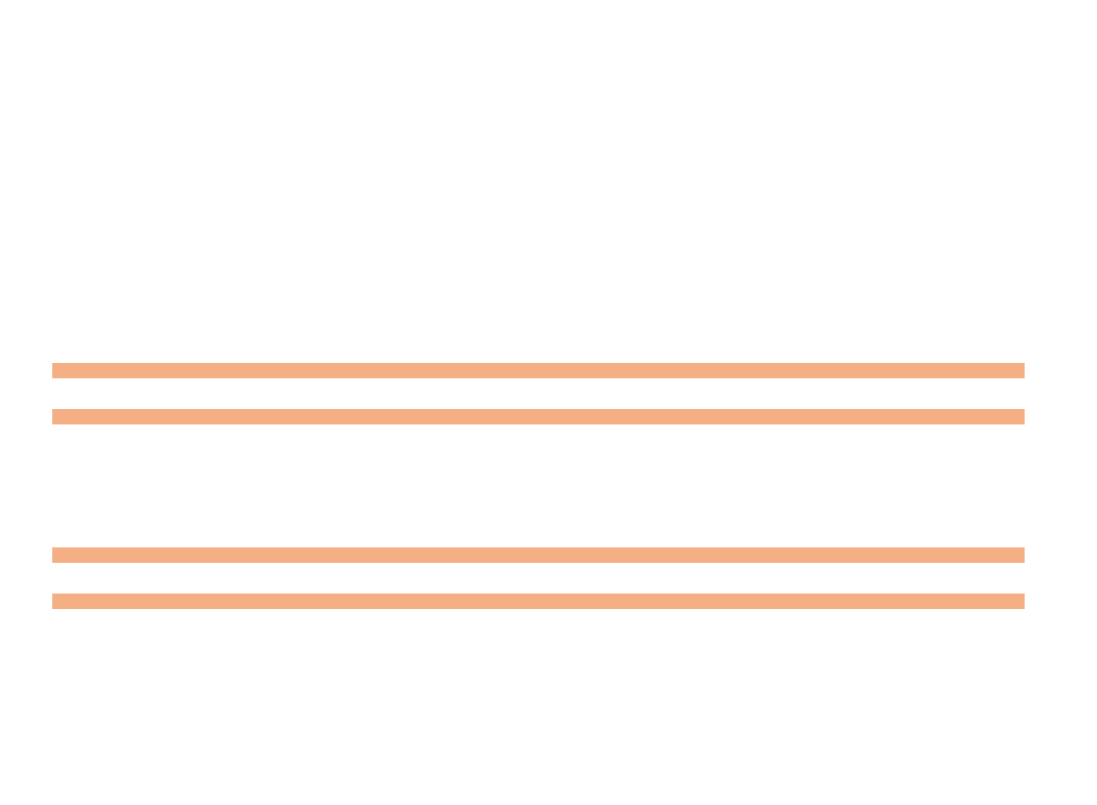a de la construcción de la construcción de la construcción de la construcción de la construcción de la constru<br>A la construcción de la construcción de la construcción de la construcción de la construcción de la construcci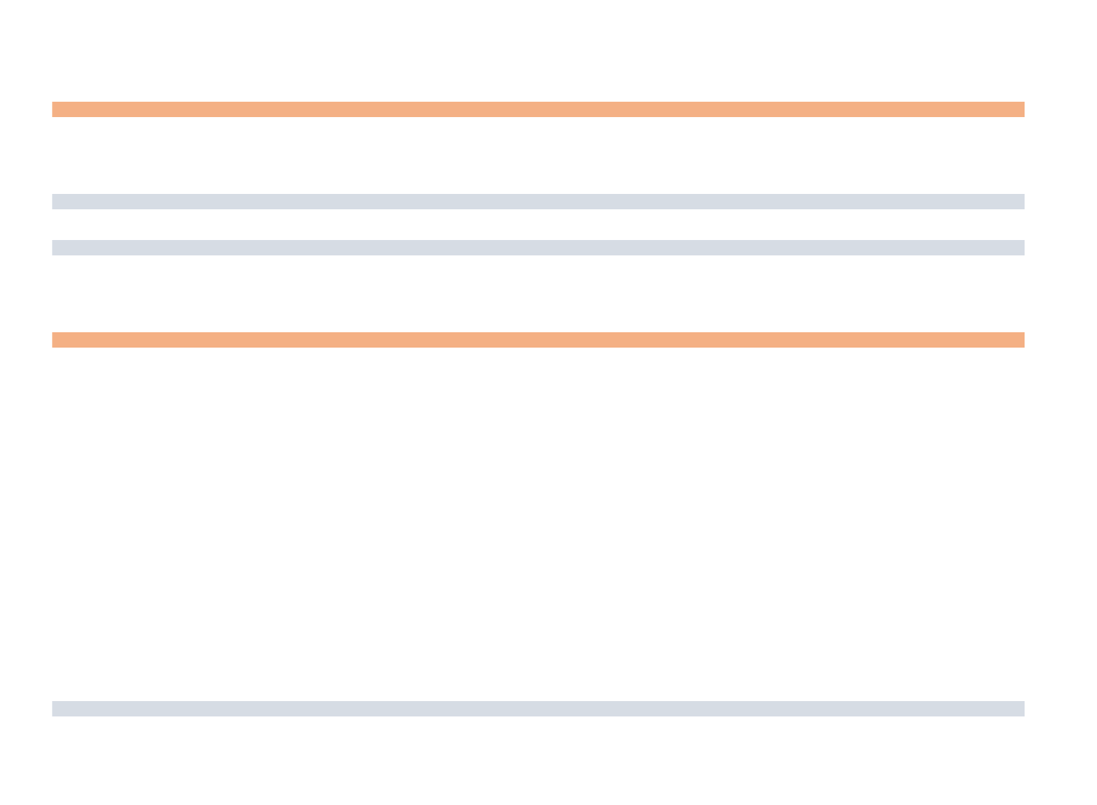**Contract Contract Contract**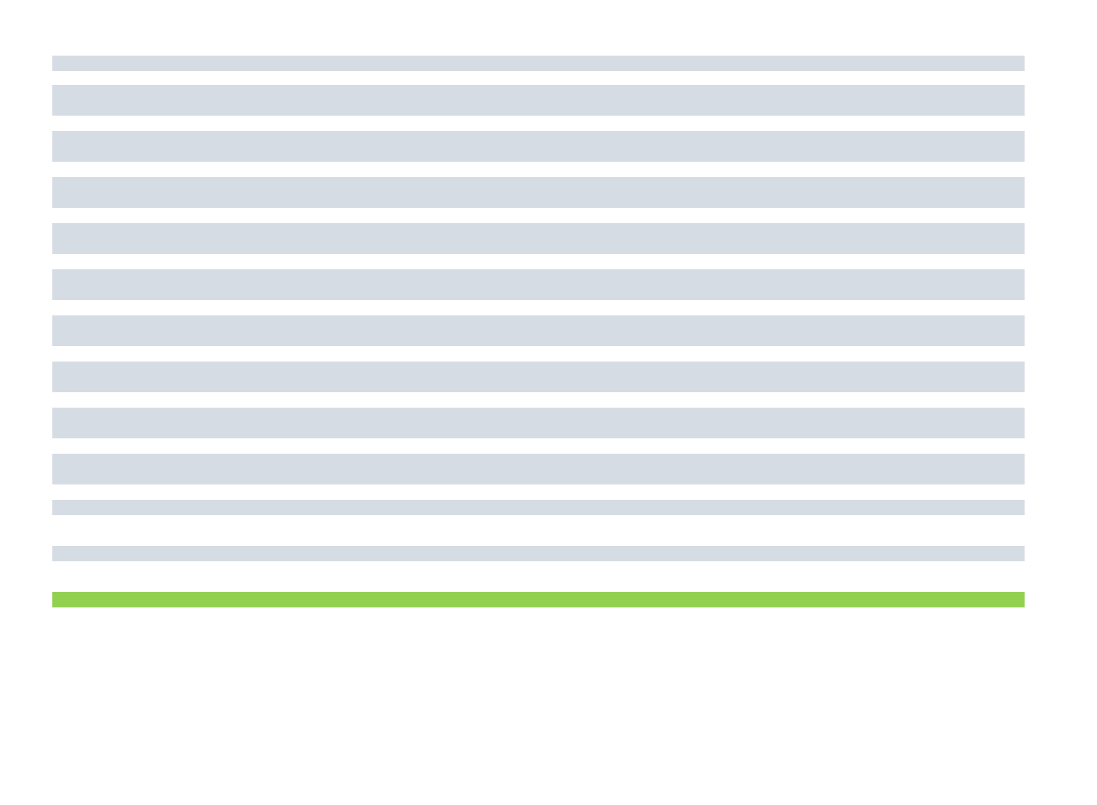| a se provincia de la construcción de la construcción de la construcción de la construcción de la construcción |  |  |
|---------------------------------------------------------------------------------------------------------------|--|--|
| ,我们也不会不会不会。""我们,我们也不会不会不会不会不会不会不会不会不会不会不会不会不会不会不会不会不会。""我们,我们也不会不会不会不会不会不会不会不会不会                              |  |  |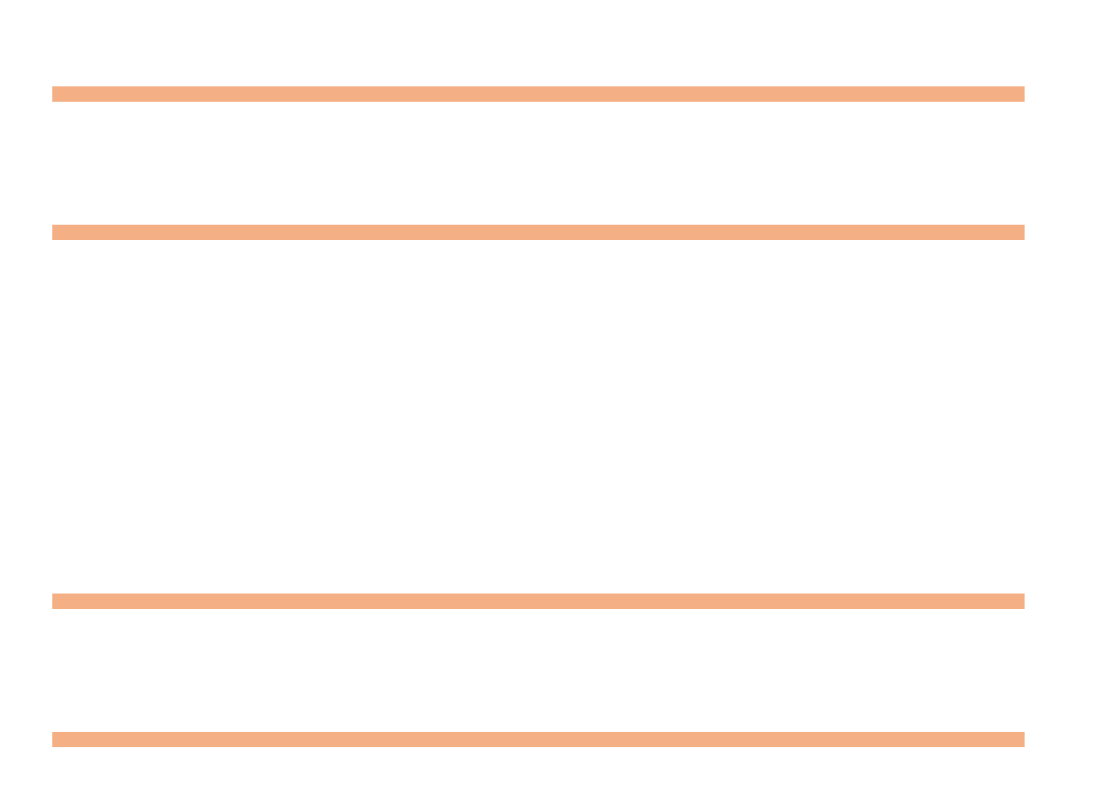a sa karang sa kabupatèn Kabupatèn Bangung Kabupatèn Kabupatèn Kabupatèn Kabupatèn Kabupatèn Kabupatèn Kabupat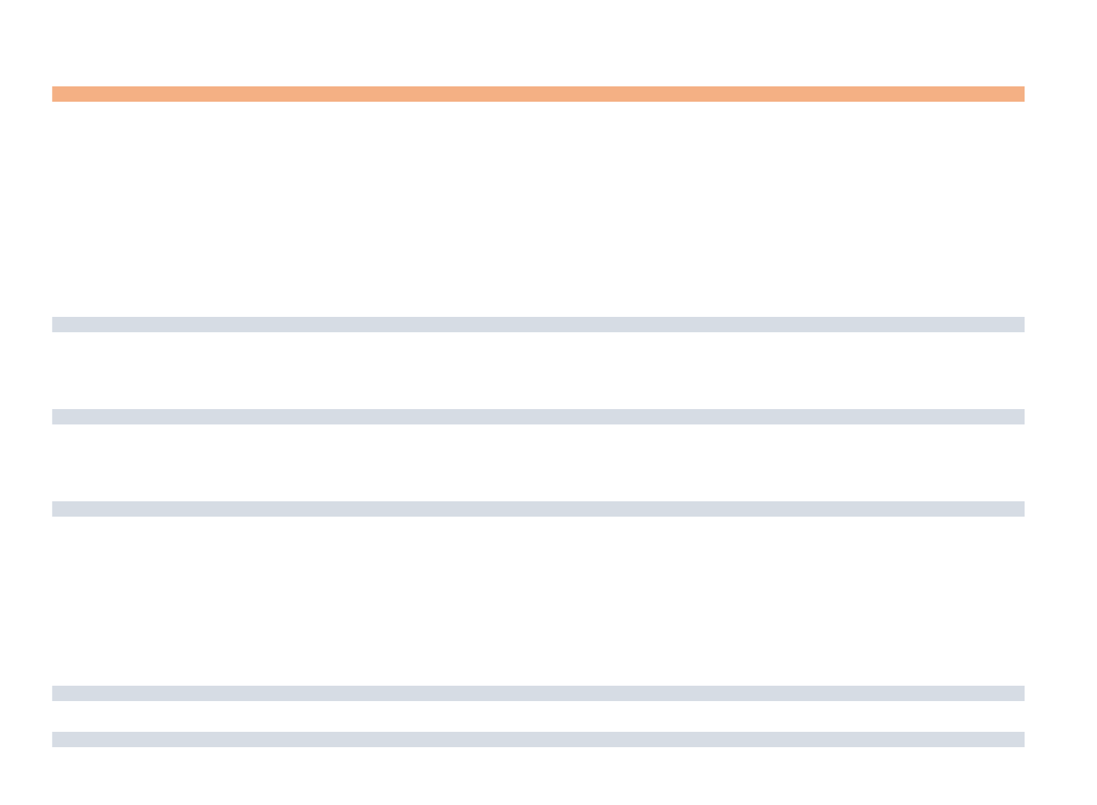the control of the control of the control of the control of the control of the control of the control of the control of  $\mathcal{L}^{\text{max}}_{\text{max}}$  and  $\mathcal{L}^{\text{max}}_{\text{max}}$  and  $\mathcal{L}^{\text{max}}_{\text{max}}$ ,我们也不会有什么。""我们的人,我们也不会有什么?""我们的人,我们也不会有什么?""我们的人,我们也不会有什么?""我们的人,我们也不会有什么?""我们的人 and the state of the state of the state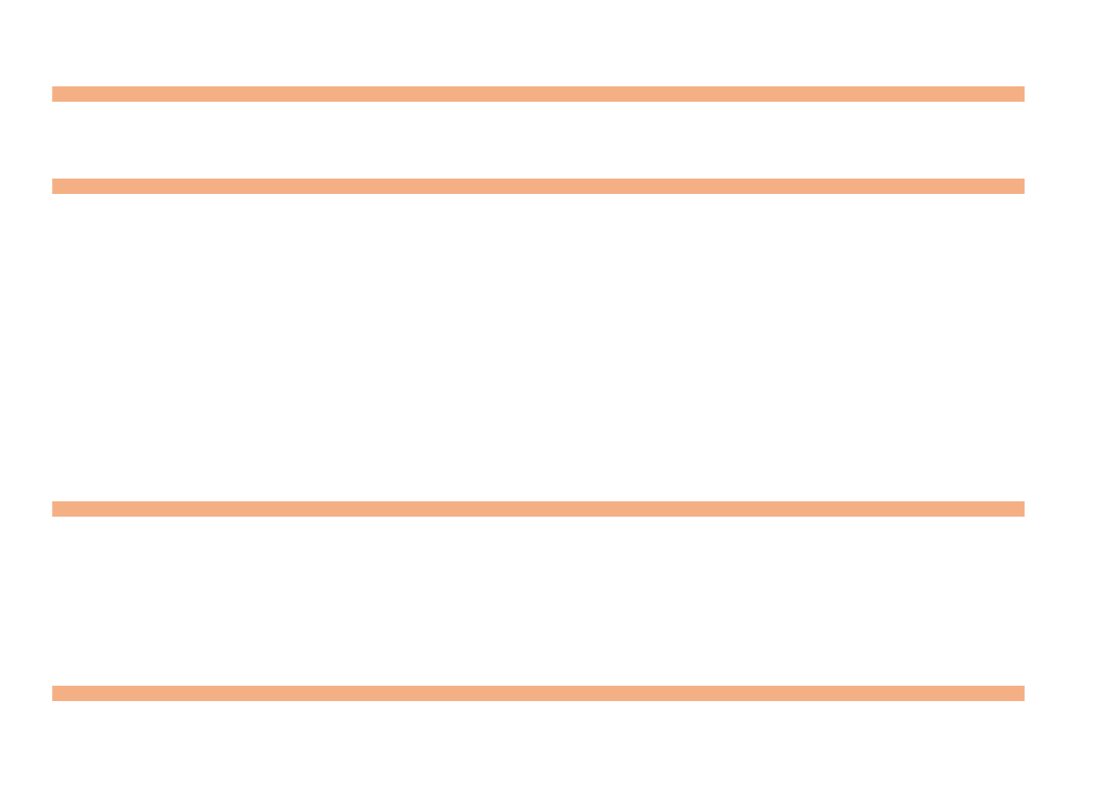a de la construcción de la construcción de la construcción de la construcción de la construcción de la constru<br>En 1930, el construcción de la construcción de la construcción de la construcción de la construcción de la con and the state of the state of the state of the state of the state of the state of the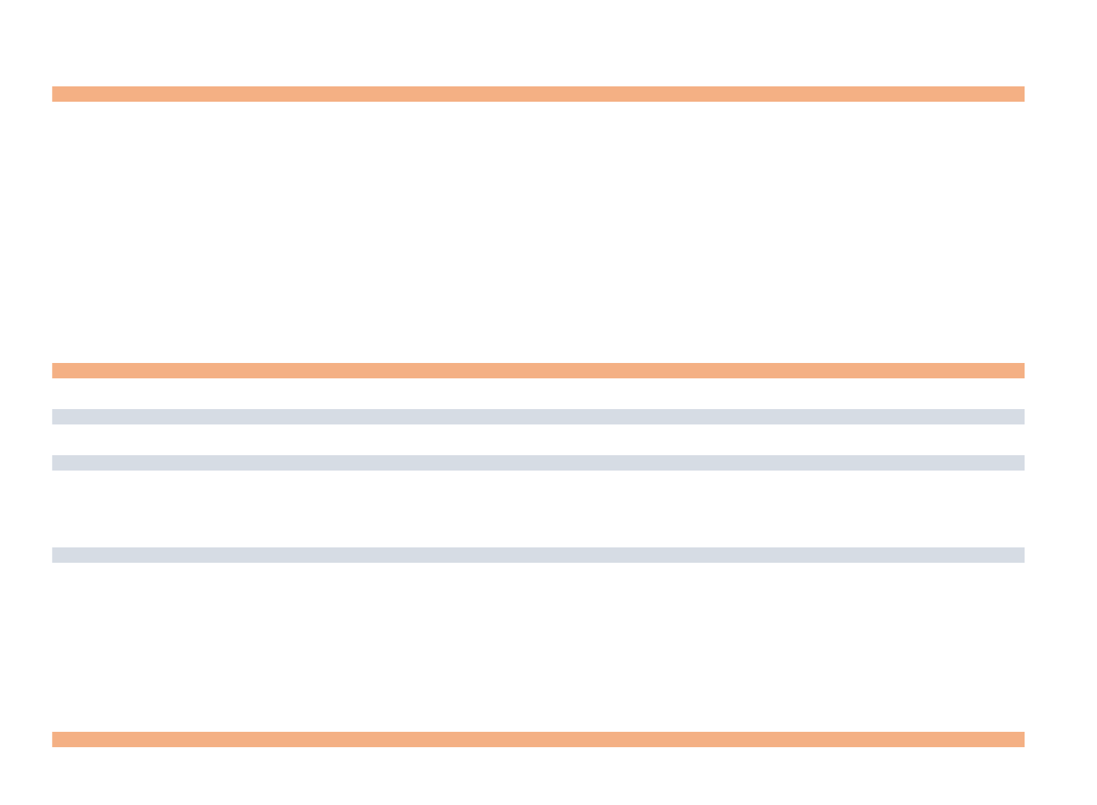the control of the control of the control <u> 1999 - Jan Barnett, fransk politiker (</u>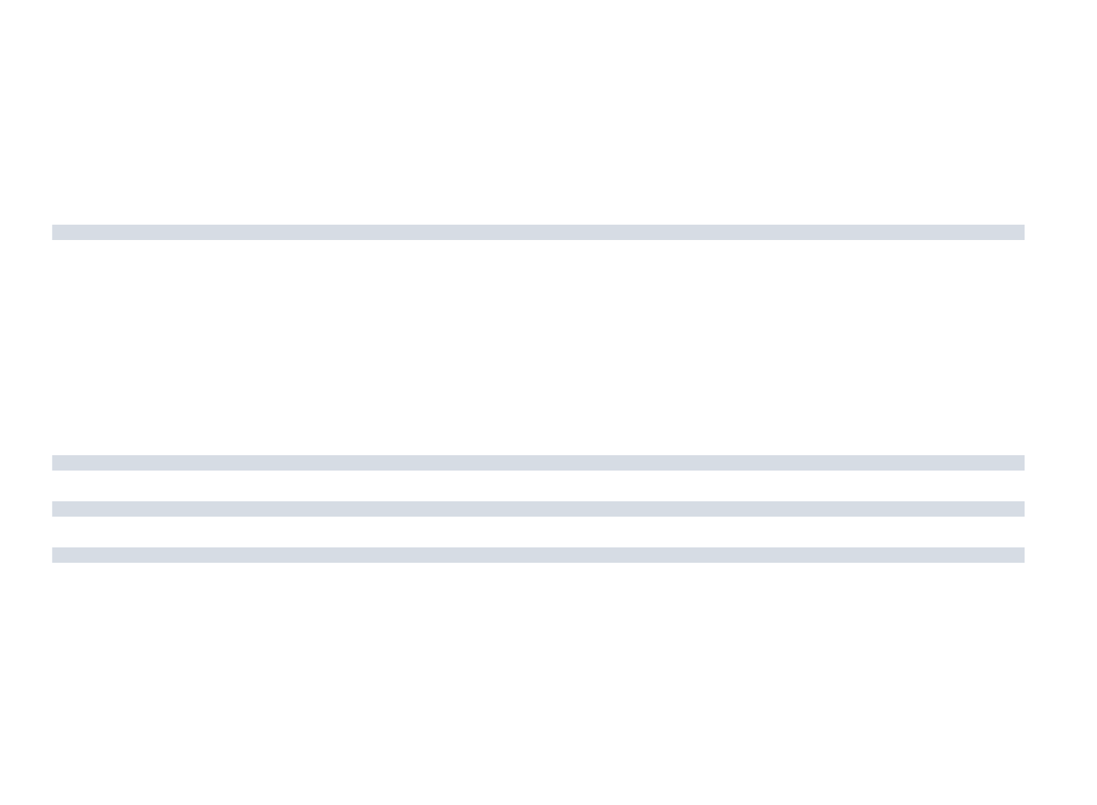and the state of the state of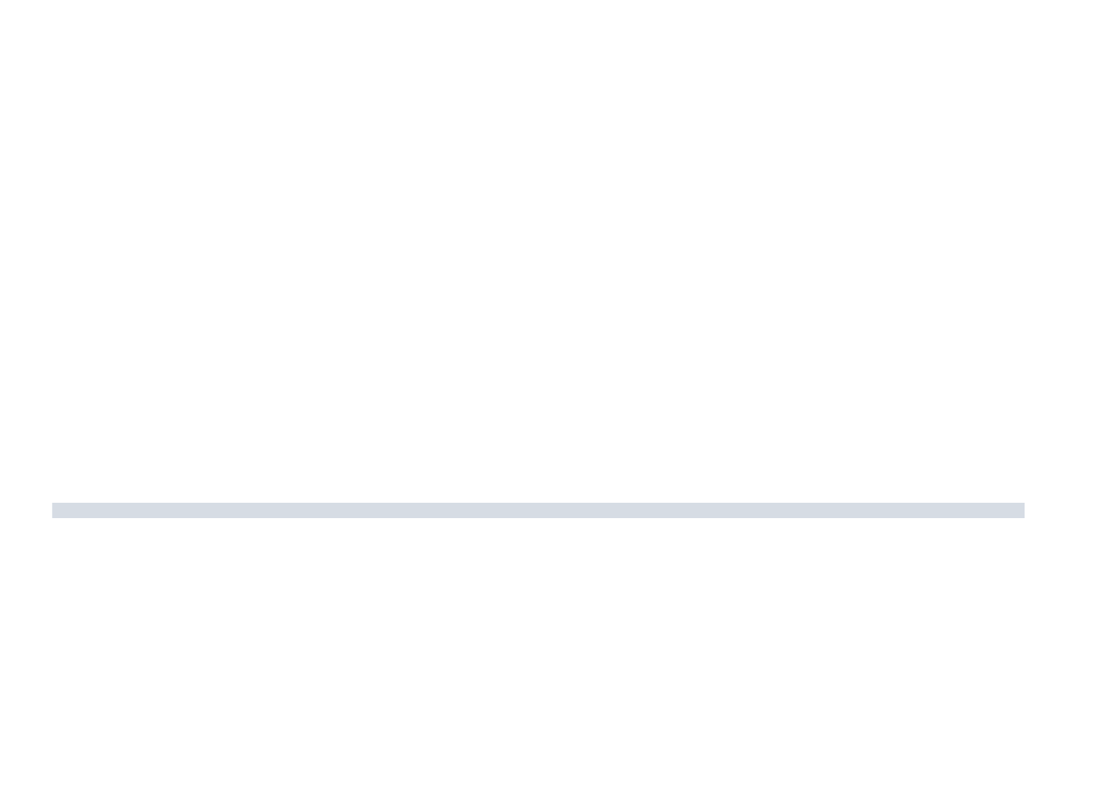**Contract Contract Contract Contract**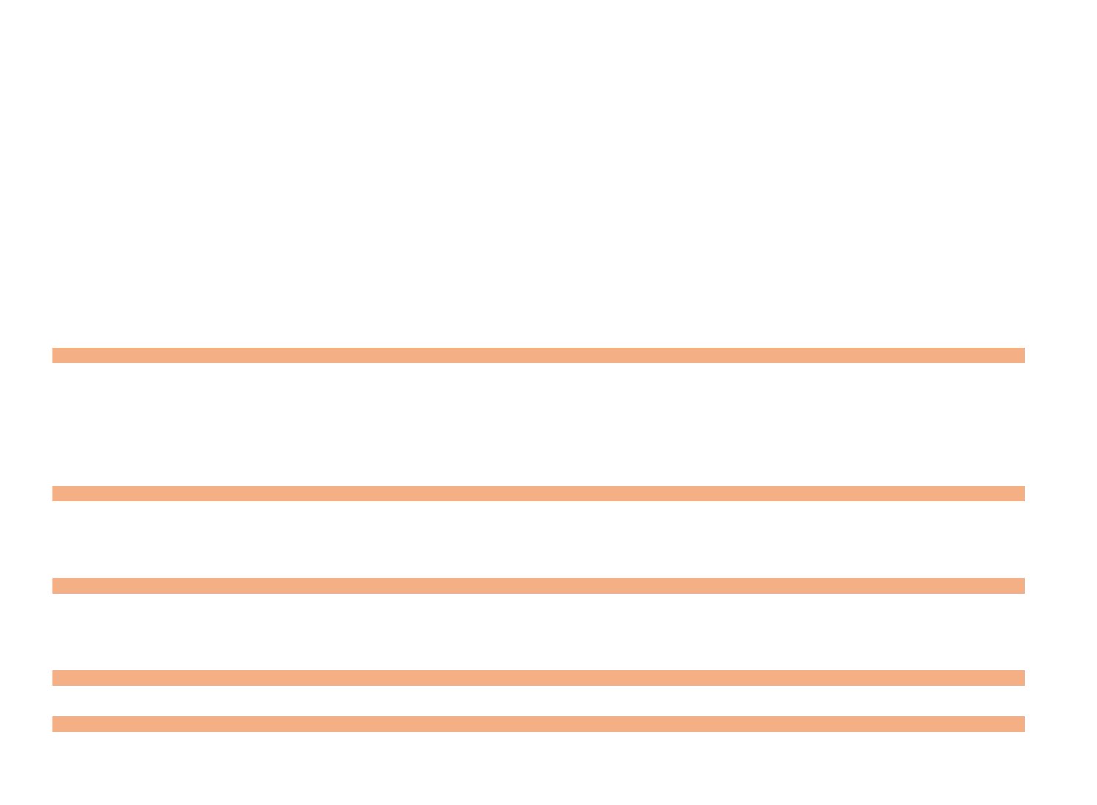$\mathcal{L}(\mathcal{L}(\mathcal{L}))$  and the set of  $\mathcal{L}(\mathcal{L})$  and  $\mathcal{L}(\mathcal{L})$  and  $\mathcal{L}(\mathcal{L})$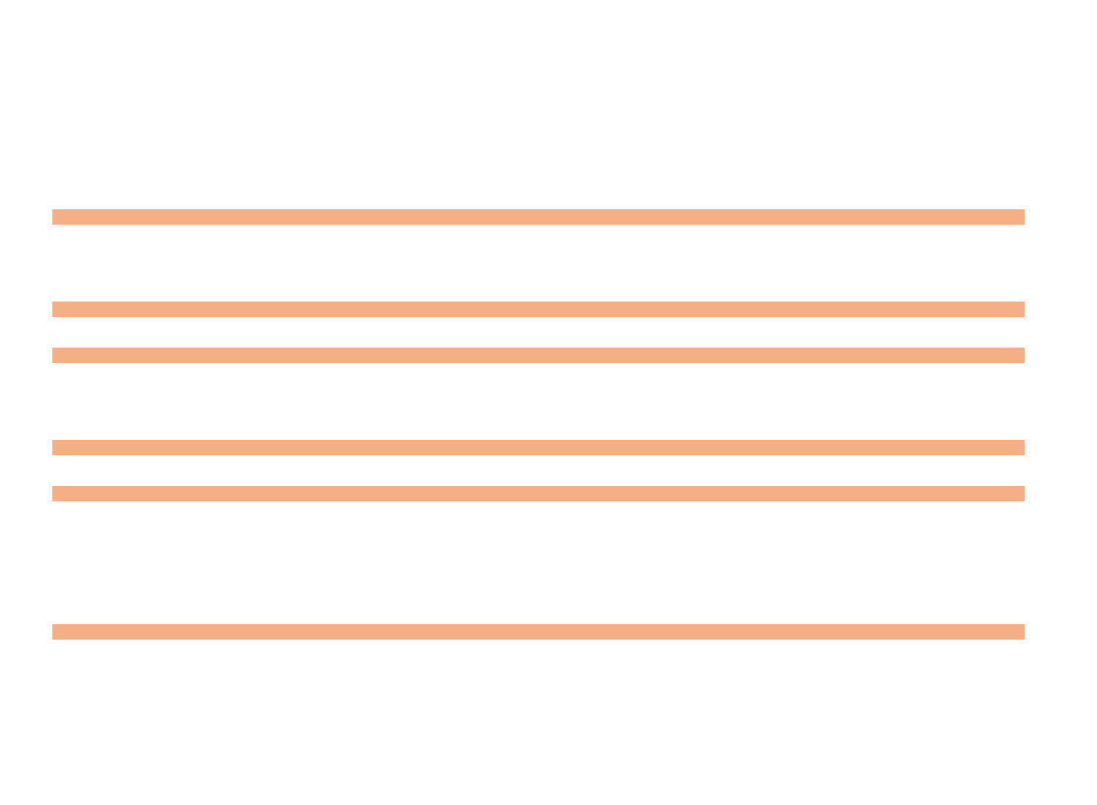| <b>Service Service</b>                                                                                                                                        |  |  |
|---------------------------------------------------------------------------------------------------------------------------------------------------------------|--|--|
|                                                                                                                                                               |  |  |
|                                                                                                                                                               |  |  |
| $\mathcal{L}(\mathcal{L}(\mathcal{L}))$ is a set of $\mathcal{L}(\mathcal{L})$ . The set of $\mathcal{L}(\mathcal{L})$ is a set of $\mathcal{L}(\mathcal{L})$ |  |  |
|                                                                                                                                                               |  |  |
|                                                                                                                                                               |  |  |
|                                                                                                                                                               |  |  |
|                                                                                                                                                               |  |  |
|                                                                                                                                                               |  |  |
|                                                                                                                                                               |  |  |
|                                                                                                                                                               |  |  |
|                                                                                                                                                               |  |  |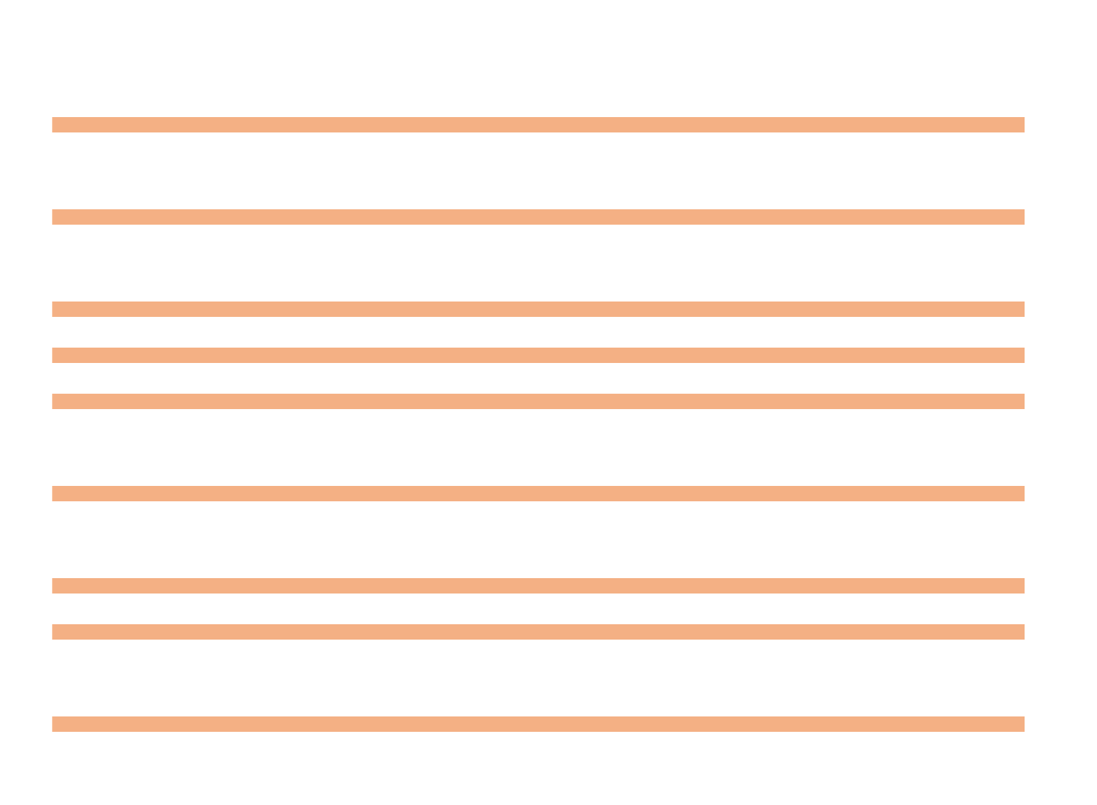| ,一个人的人都是一个人的人,而且,他们的人都是一个人的人,而且,他们的人都是不是一个人的人,而且,他们的人都是不是一个人的人,而且,他们的人都是不是一个人的人,<br>第151章 我们的人,我们的人都是不是一个人的人,我们的人都是不是一个人的人,我们的人都是不是一个人的人,我们的人都是不是一个人的人,我们的人都是不是一个人的人 |
|----------------------------------------------------------------------------------------------------------------------------------------------------------------------|
|                                                                                                                                                                      |
|                                                                                                                                                                      |
| a sa kacamatan ing Kabupatèn Kabupatèn Ing Kabupatèn Kabupatèn Kabupatèn Kabupatèn Kabupatèn Kabupatèn Kabupatè                                                      |
|                                                                                                                                                                      |
|                                                                                                                                                                      |
|                                                                                                                                                                      |
|                                                                                                                                                                      |
|                                                                                                                                                                      |
|                                                                                                                                                                      |
|                                                                                                                                                                      |
|                                                                                                                                                                      |
|                                                                                                                                                                      |
|                                                                                                                                                                      |
|                                                                                                                                                                      |
|                                                                                                                                                                      |
|                                                                                                                                                                      |
|                                                                                                                                                                      |
|                                                                                                                                                                      |
|                                                                                                                                                                      |
|                                                                                                                                                                      |
|                                                                                                                                                                      |
|                                                                                                                                                                      |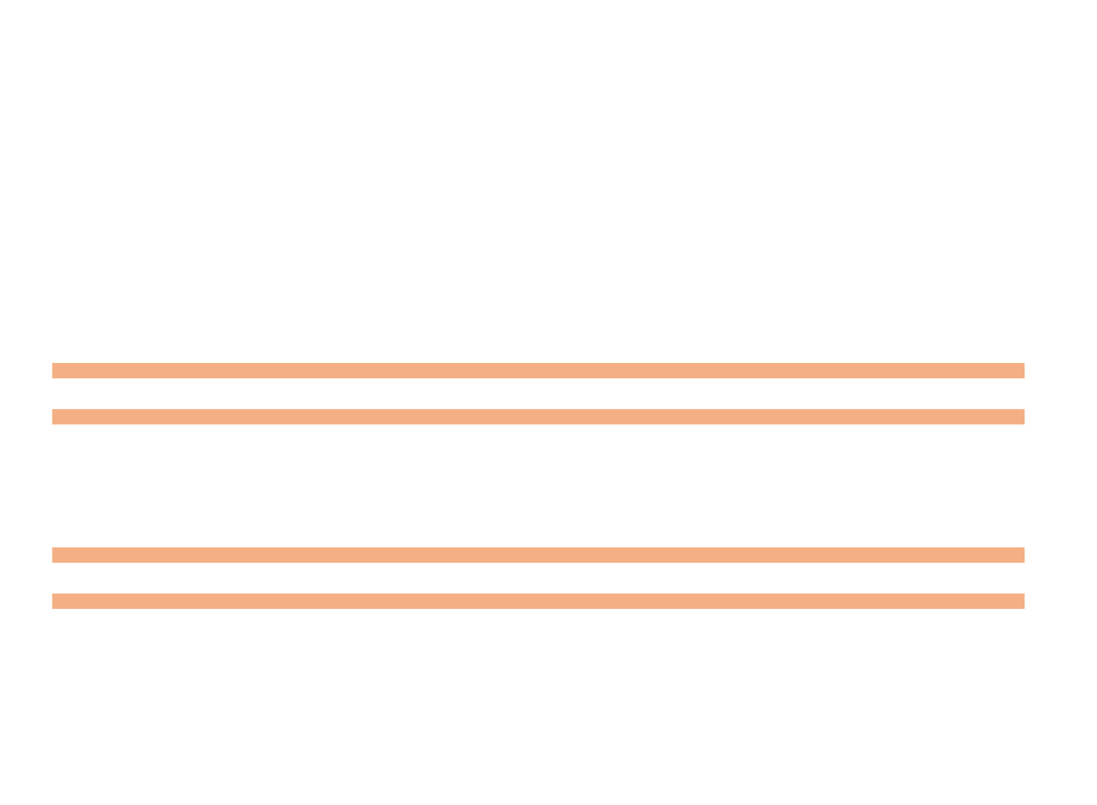a de la construcción de la construcción de la construcción de la construcción de la construcción de la constru<br>A la construcción de la construcción de la construcción de la construcción de la construcción de la construcci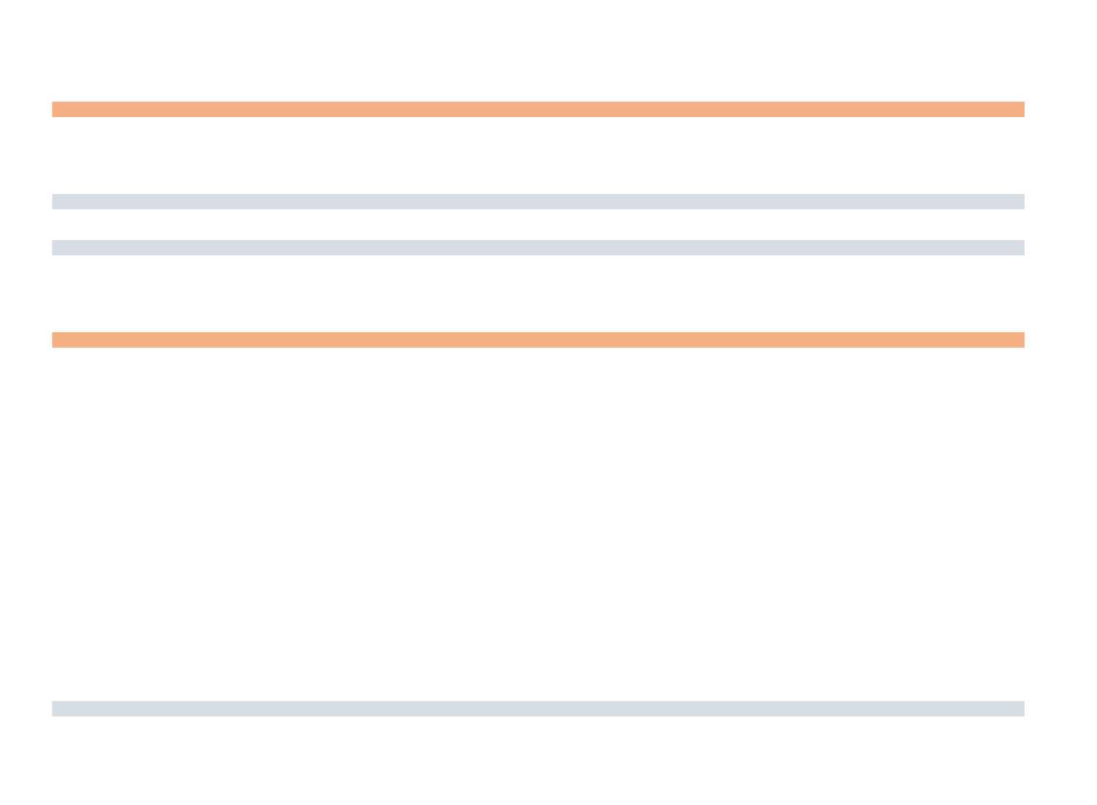**Contract Contract Contract**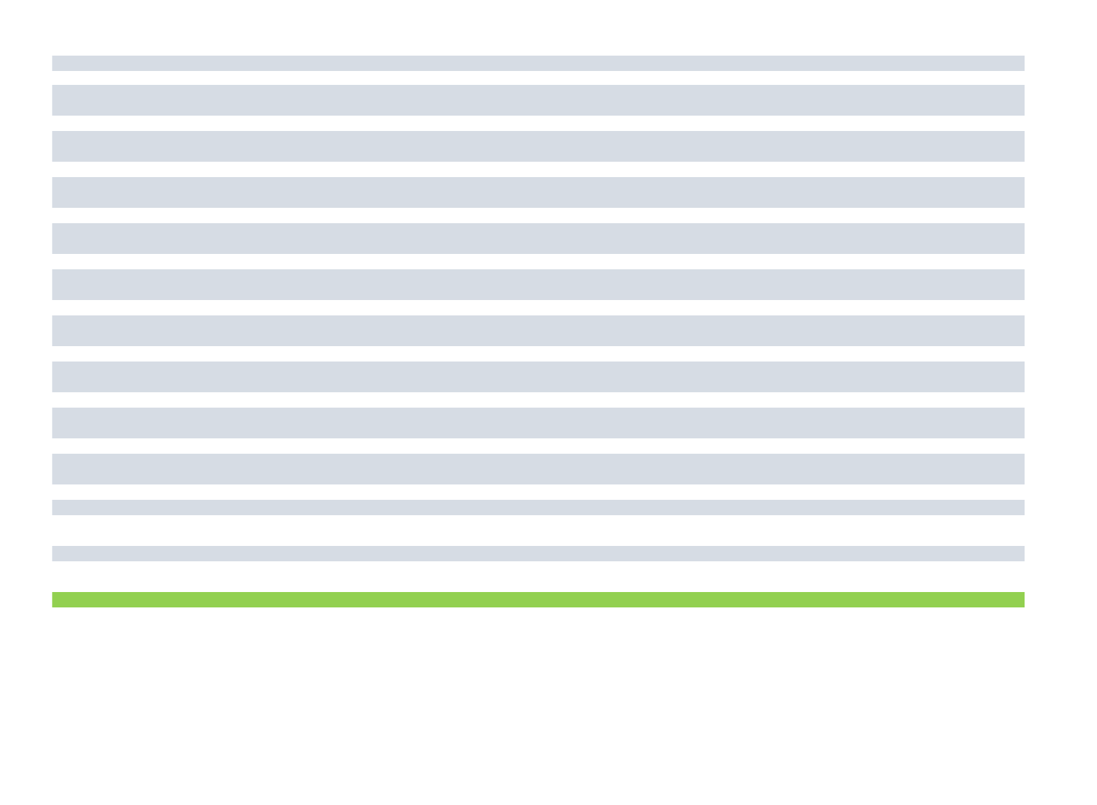| a se provincia de la construcción de la construcción de la construcción de la construcción de la construcción |  |  |
|---------------------------------------------------------------------------------------------------------------|--|--|
| ,我们也不会不会不会。""我们,我们也不会不会不会不会不会不会不会不会不会不会不会不会不会不会不会不会不会。""我们,我们也不会不会不会不会不会不会不会不会不会                              |  |  |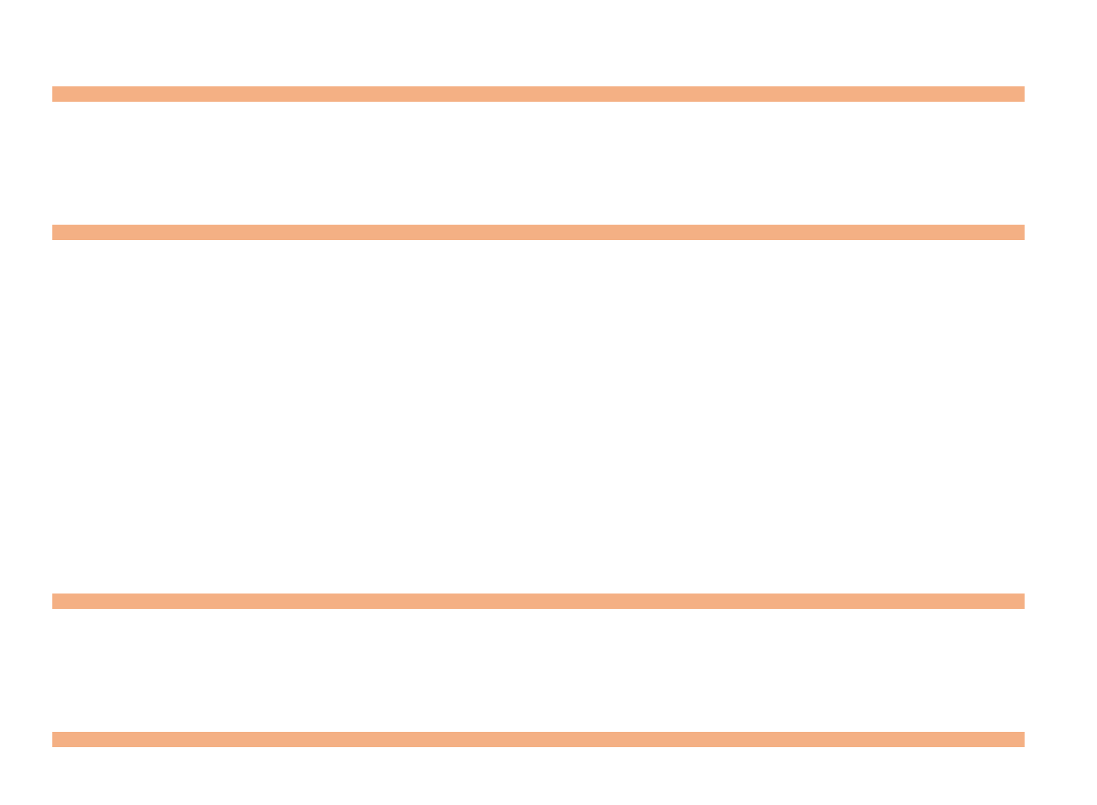a sa karang sa kabupatèn Kabupatèn Bangung Kabupatèn Kabupatèn Kabupatèn Kabupatèn Kabupatèn Kabupatèn Kabupat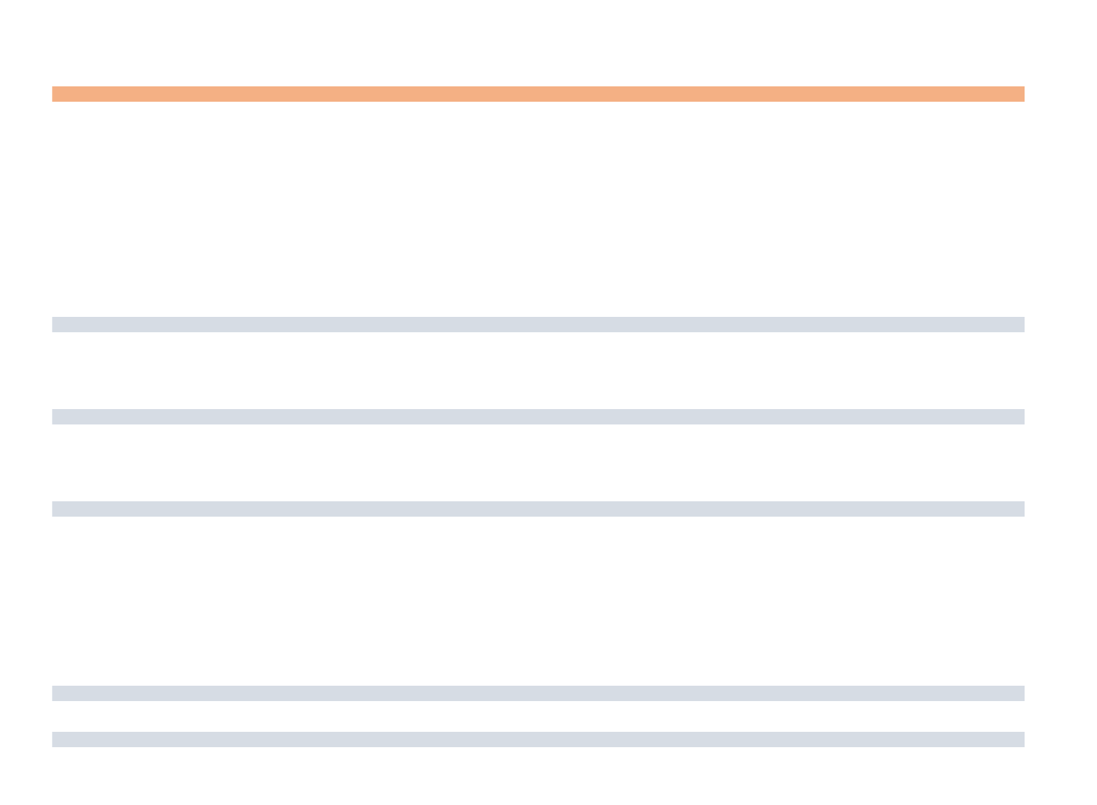the control of the control of the control of the control of the control of the control of the control of the control of  $\mathcal{L}^{\text{max}}_{\text{max}}$  and  $\mathcal{L}^{\text{max}}_{\text{max}}$  and  $\mathcal{L}^{\text{max}}_{\text{max}}$ ,我们也不会有什么。""我们的人,我们也不会有什么?""我们的人,我们也不会有什么?""我们的人,我们也不会有什么?""我们的人,我们也不会有什么?""我们的人 and the state of the state of the state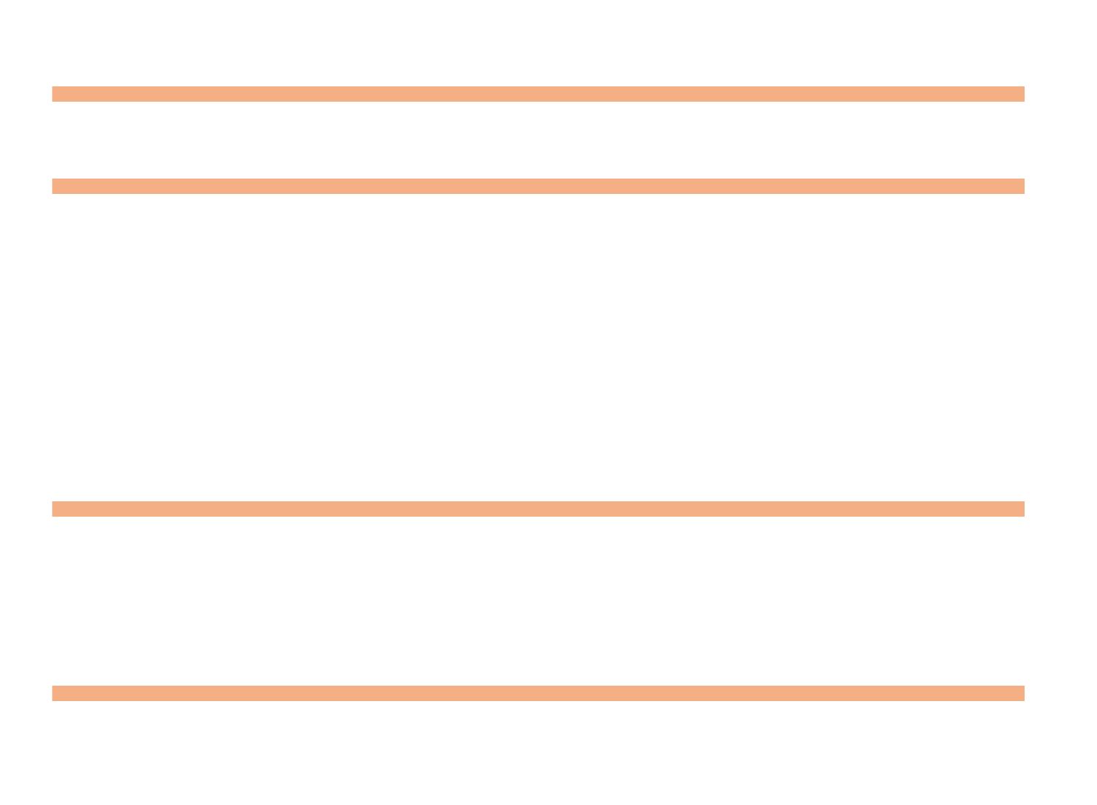a de la construcción de la construcción de la construcción de la construcción de la construcción de la constru<br>En 1930, el construcción de la construcción de la construcción de la construcción de la construcción de la con and the state of the state of the state of the state of the state of the state of the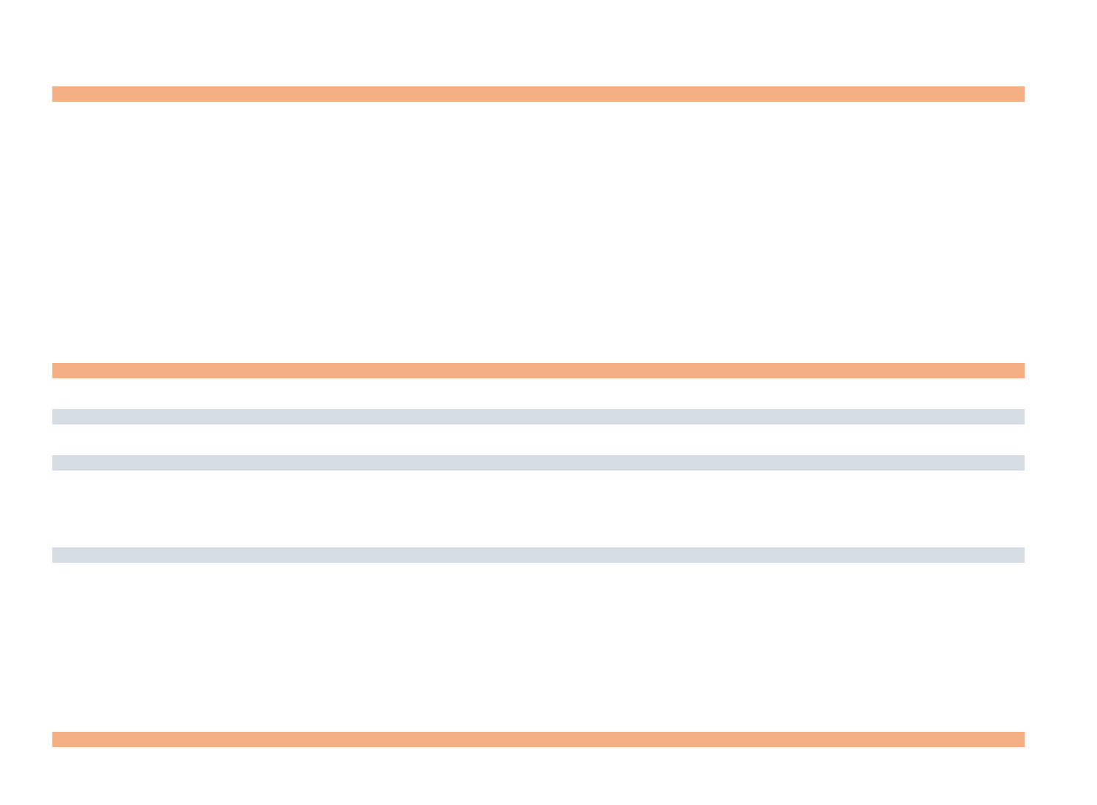the control of the control of the control <u> 1999 - Jan Barnett, fransk politiker (</u>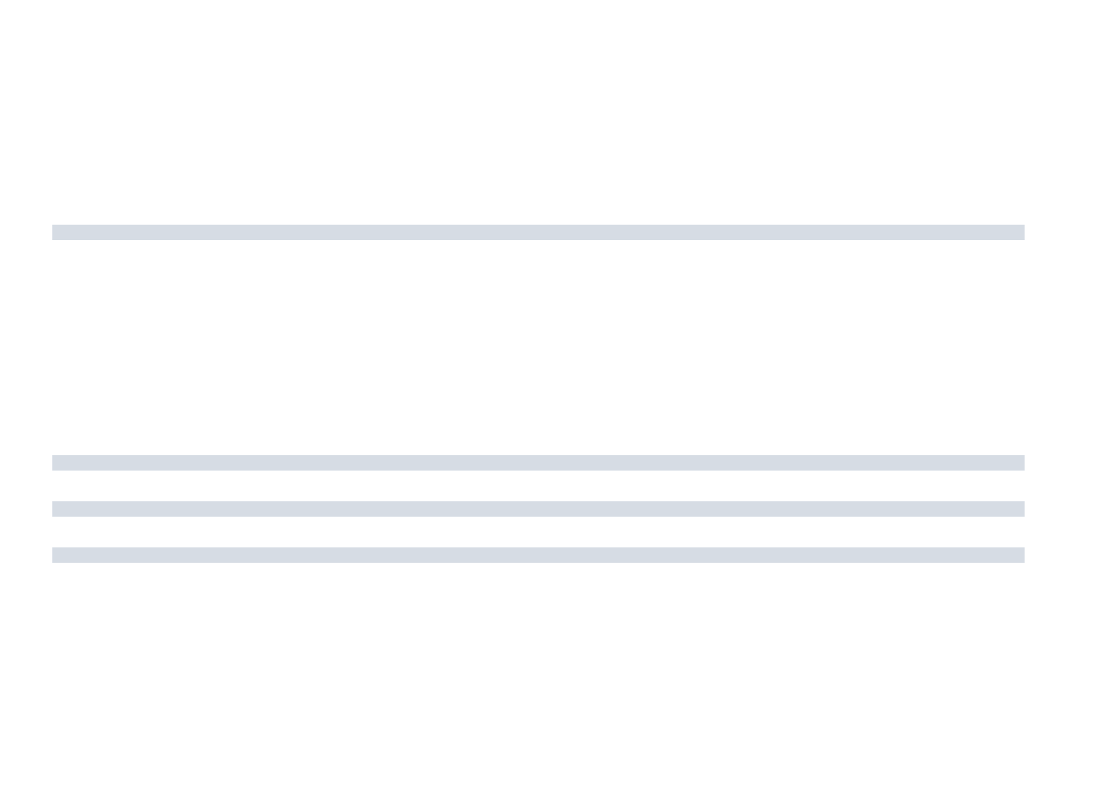and the state of the state of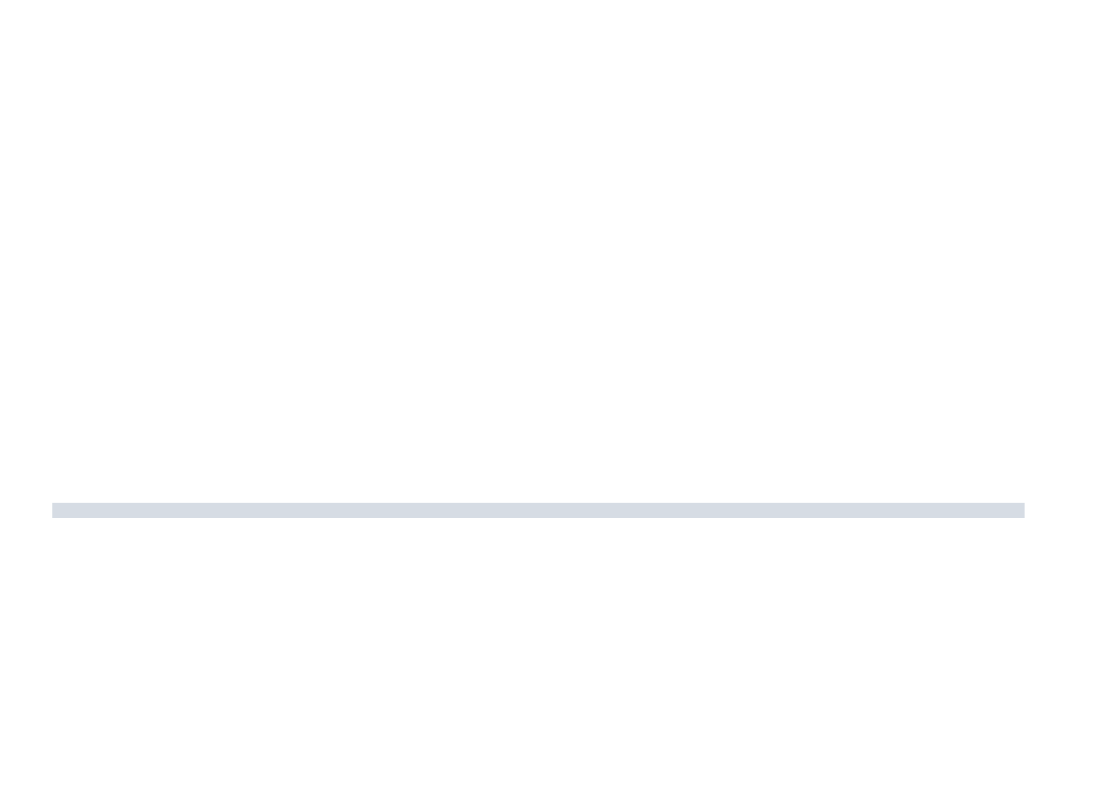**Contract Contract Contract Contract**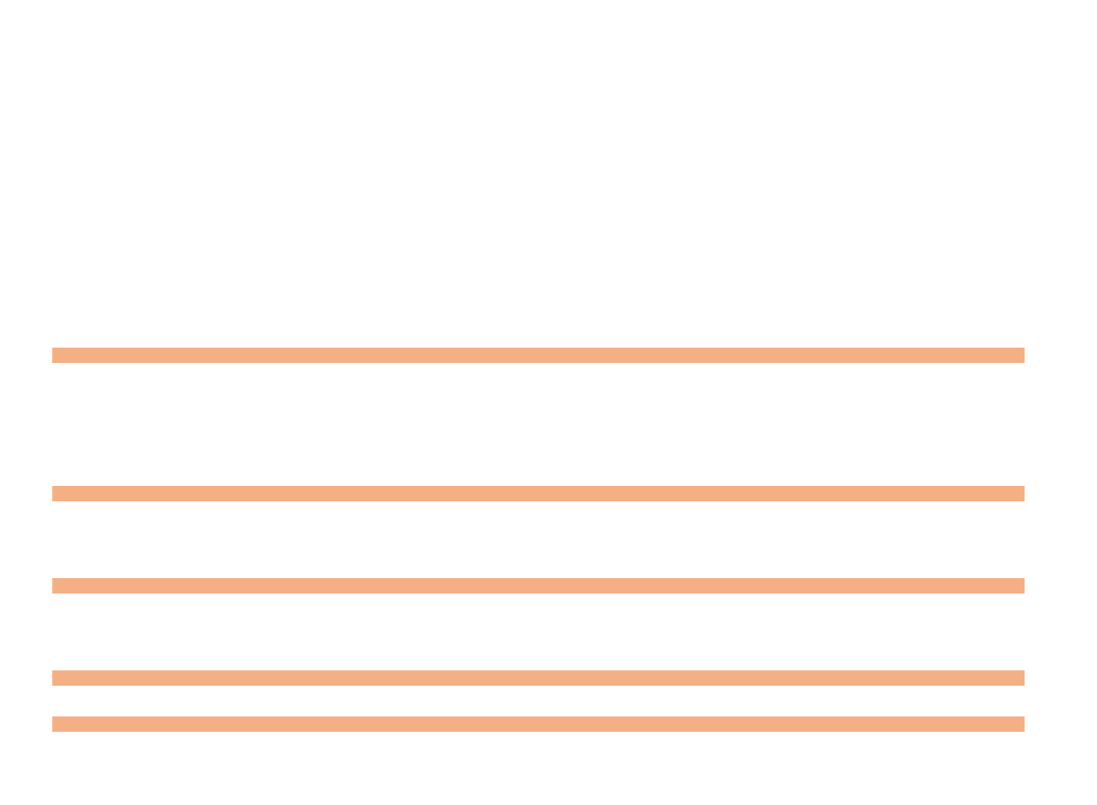$\mathcal{L}(\mathcal{L}(\mathcal{L}))$  and the set of  $\mathcal{L}(\mathcal{L})$  and  $\mathcal{L}(\mathcal{L})$  and  $\mathcal{L}(\mathcal{L})$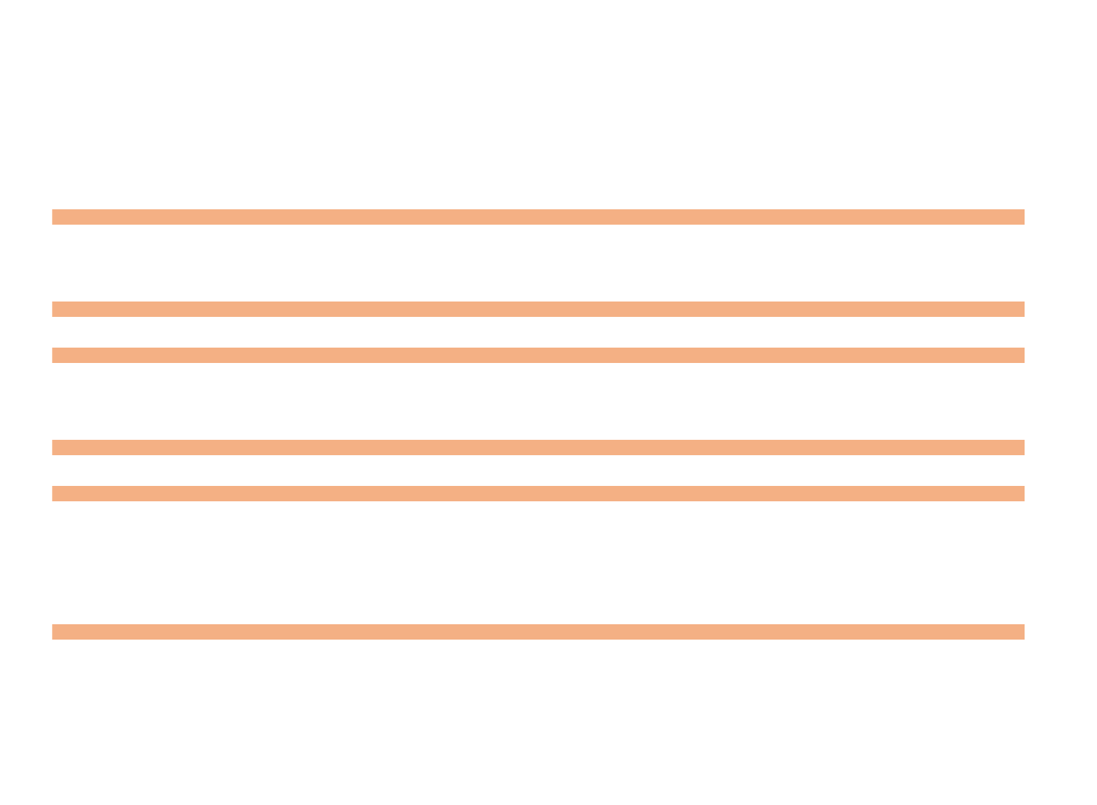| <b>Service Service</b>                                                                                                                                        |  |  |
|---------------------------------------------------------------------------------------------------------------------------------------------------------------|--|--|
|                                                                                                                                                               |  |  |
|                                                                                                                                                               |  |  |
| $\mathcal{L}(\mathcal{L}(\mathcal{L}))$ is a set of $\mathcal{L}(\mathcal{L})$ . The set of $\mathcal{L}(\mathcal{L})$ is a set of $\mathcal{L}(\mathcal{L})$ |  |  |
|                                                                                                                                                               |  |  |
|                                                                                                                                                               |  |  |
|                                                                                                                                                               |  |  |
|                                                                                                                                                               |  |  |
|                                                                                                                                                               |  |  |
|                                                                                                                                                               |  |  |
|                                                                                                                                                               |  |  |
|                                                                                                                                                               |  |  |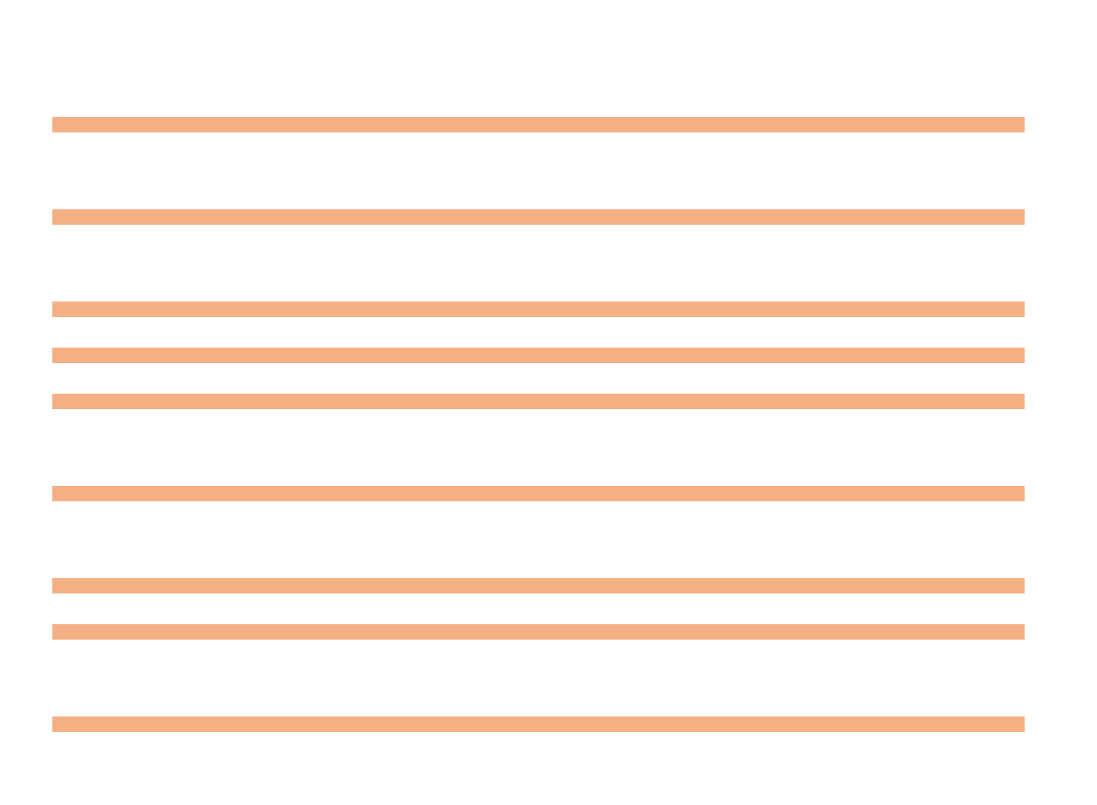| ,一个人的人都是一个人的人,而且,他们的人都是一个人的人,而且,他们的人都是不是一个人的人,而且,他们的人都是不是一个人的人,而且,他们的人都是不是一个人的人,<br>第151章 我们的人,我们的人都是不是一个人的人,我们的人都是不是一个人的人,我们的人都是不是一个人的人,我们的人都是不是一个人的人,我们的人都是不是一个人的人 |
|----------------------------------------------------------------------------------------------------------------------------------------------------------------------|
|                                                                                                                                                                      |
|                                                                                                                                                                      |
| a sa kacamatan ing Kabupatèn Kabupatèn Ing Kabupatèn Kabupatèn Kabupatèn Kabupatèn Kabupatèn Kabupatèn Kabupatè                                                      |
|                                                                                                                                                                      |
|                                                                                                                                                                      |
|                                                                                                                                                                      |
|                                                                                                                                                                      |
|                                                                                                                                                                      |
|                                                                                                                                                                      |
|                                                                                                                                                                      |
|                                                                                                                                                                      |
|                                                                                                                                                                      |
|                                                                                                                                                                      |
|                                                                                                                                                                      |
|                                                                                                                                                                      |
|                                                                                                                                                                      |
|                                                                                                                                                                      |
|                                                                                                                                                                      |
|                                                                                                                                                                      |
|                                                                                                                                                                      |
|                                                                                                                                                                      |
|                                                                                                                                                                      |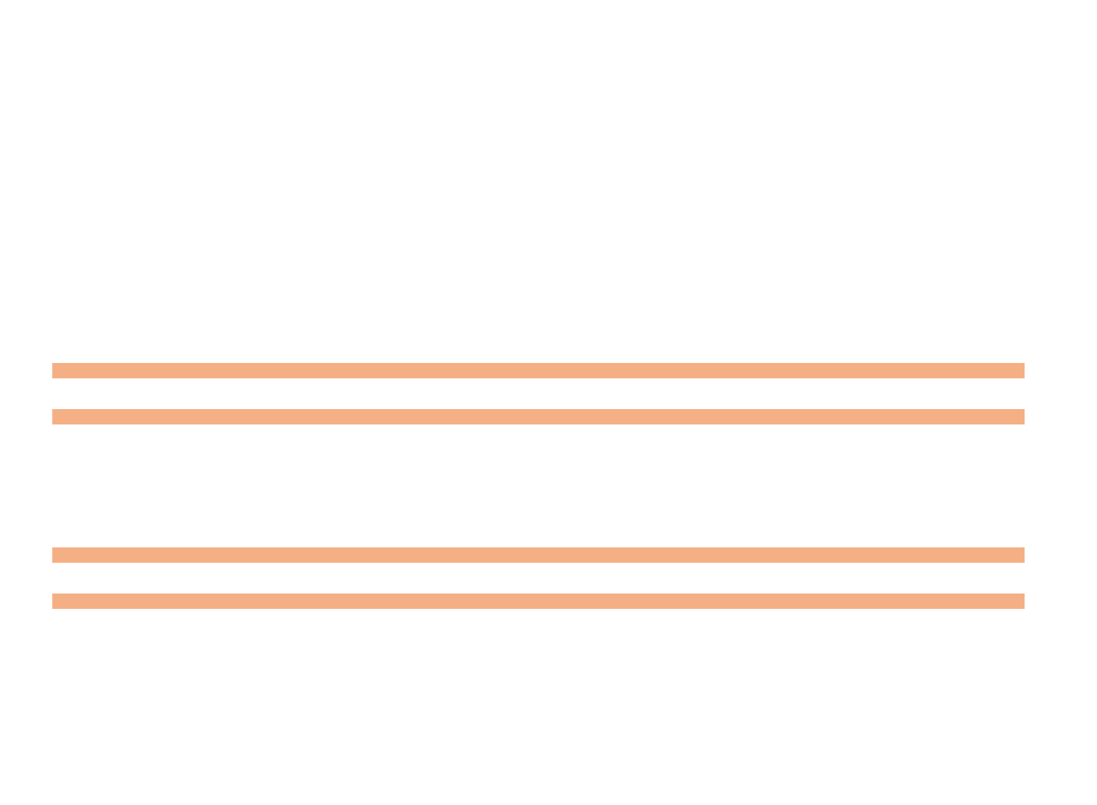a de la construcción de la construcción de la construcción de la construcción de la construcción de la constru<br>A la construcción de la construcción de la construcción de la construcción de la construcción de la construcci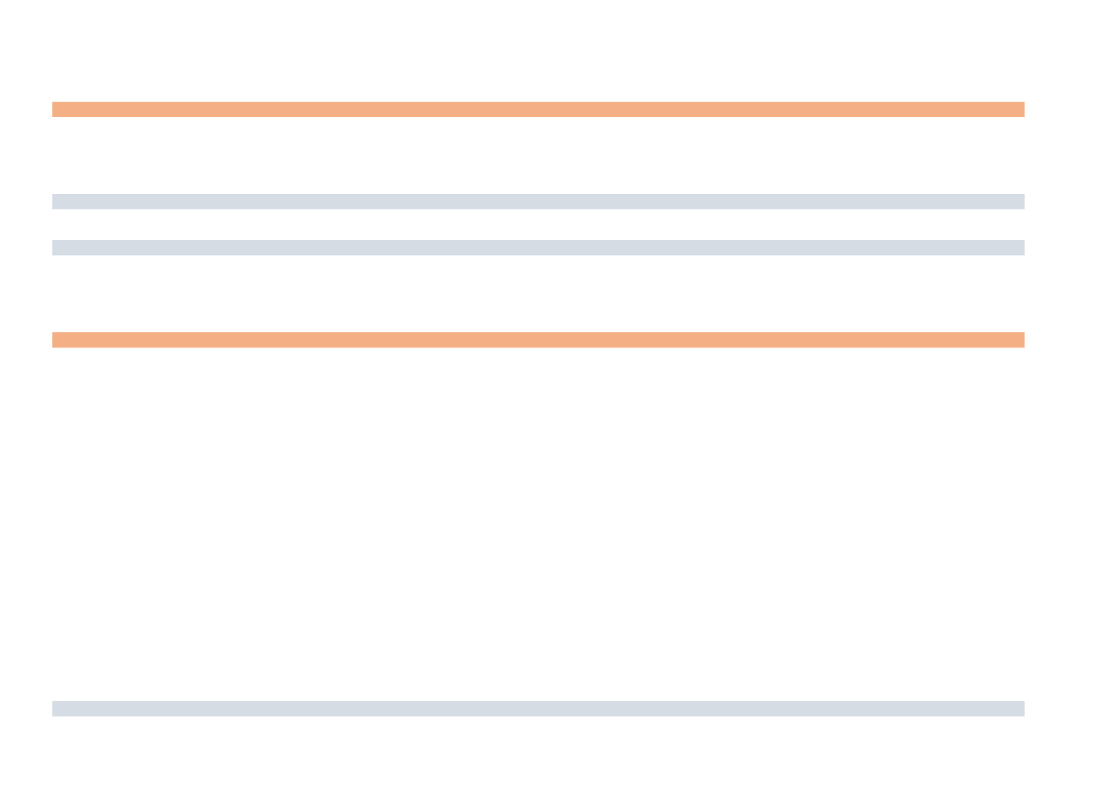**Contract Contract Contract**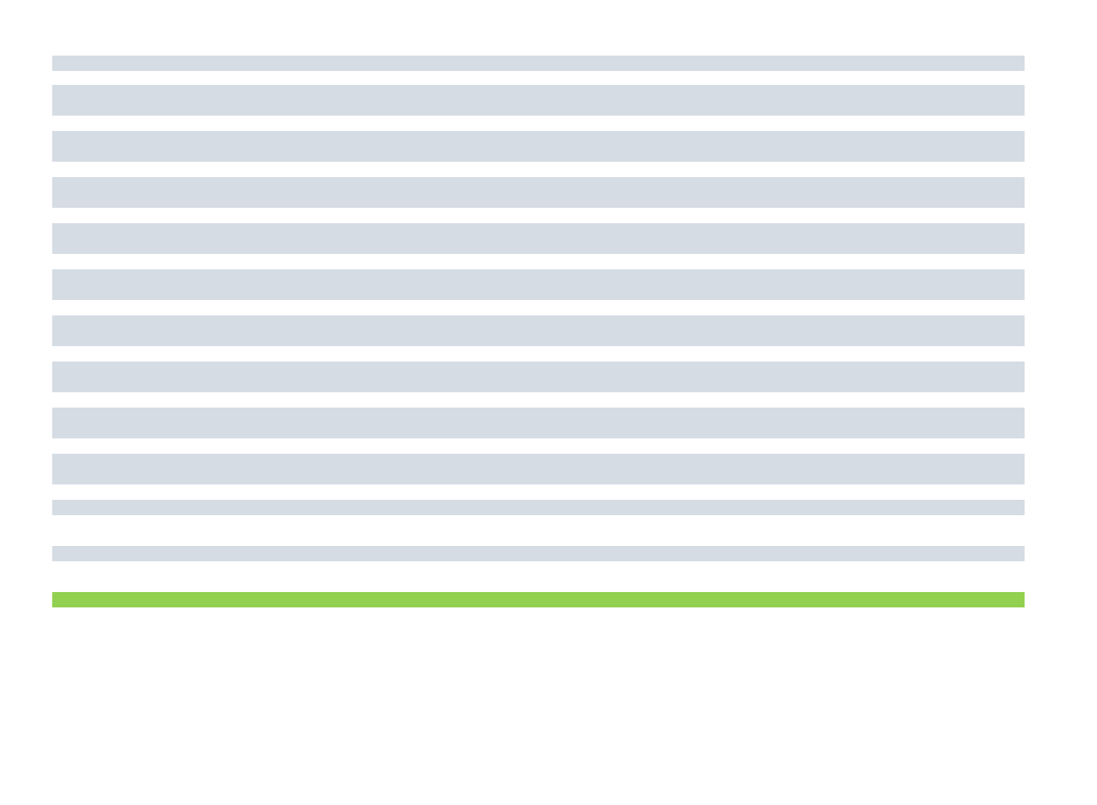| a se provincia de la construcción de la construcción de la construcción de la construcción de la construcción |  |  |
|---------------------------------------------------------------------------------------------------------------|--|--|
| ,我们也不会不会不会。""我们,我们也不会不会不会不会不会不会不会不会不会不会不会不会不会不会不会不会不会。""我们,我们也不会不会不会不会不会不会不会不会不会                              |  |  |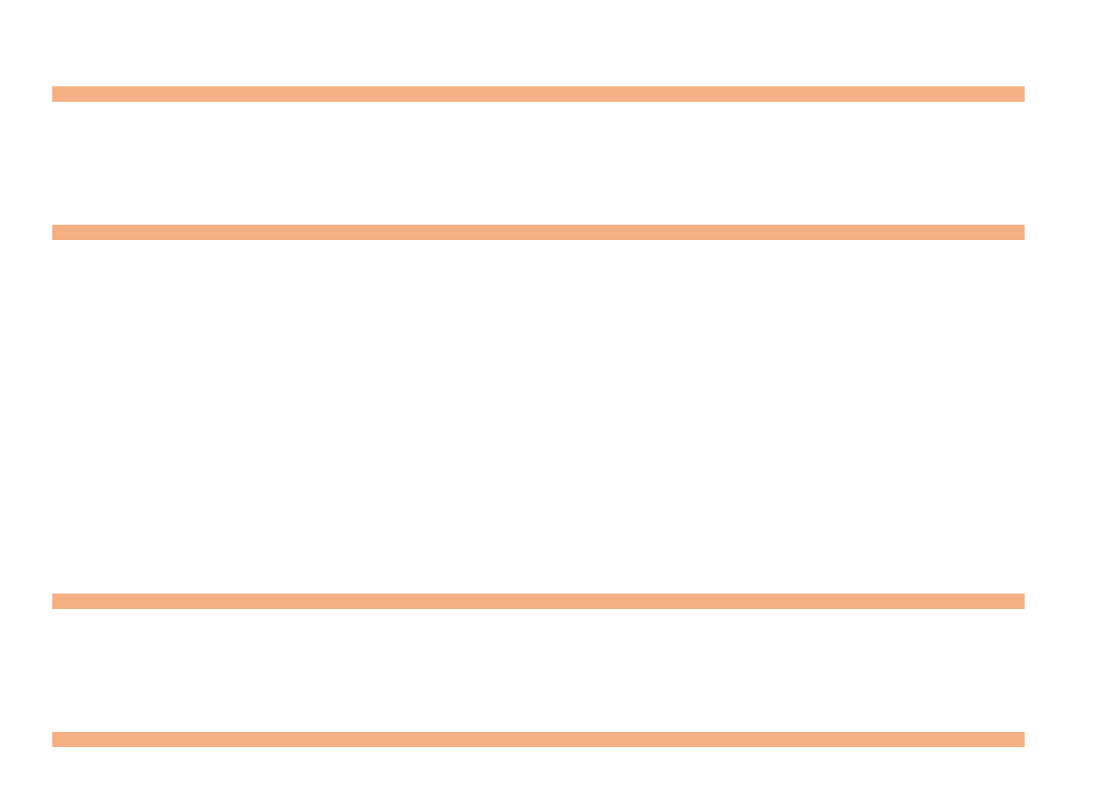a sa karang sa kabupatèn Kabupatèn Bangung Kabupatèn Kabupatèn Kabupatèn Kabupatèn Kabupatèn Kabupatèn Kabupat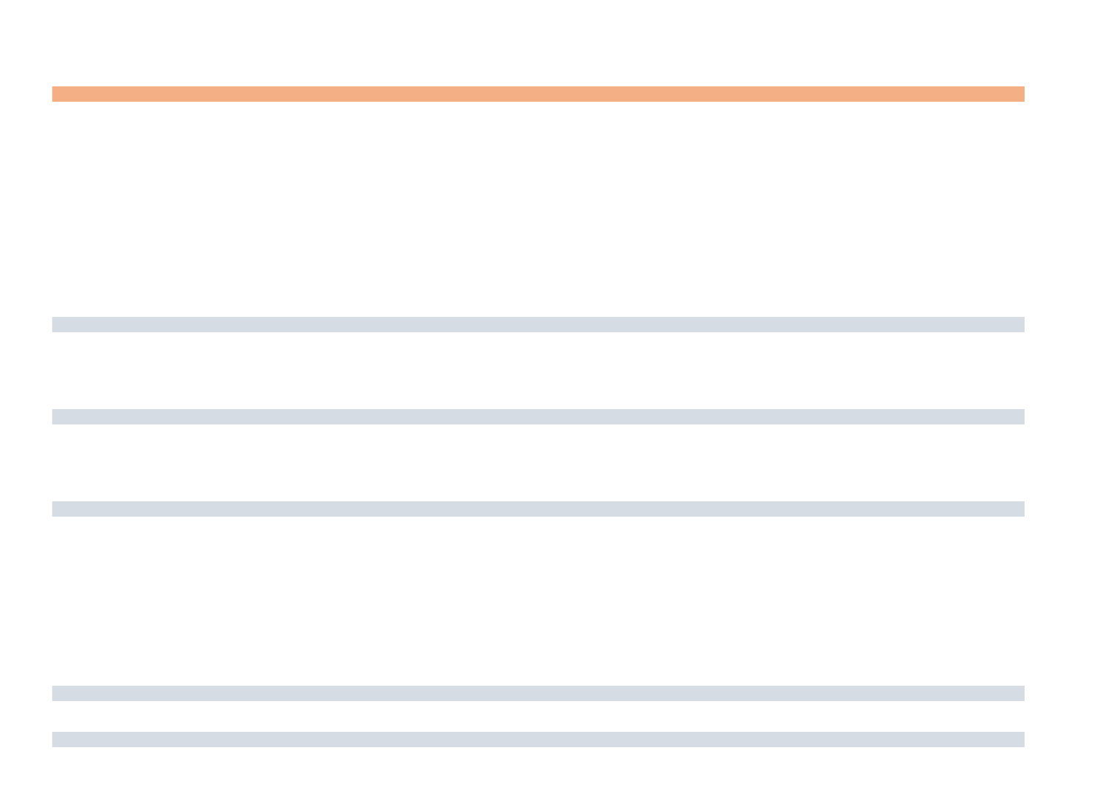the control of the control of the control of the control of the control of the control of the control of the control of  $\mathcal{L}^{\text{max}}_{\text{max}}$  and  $\mathcal{L}^{\text{max}}_{\text{max}}$  and  $\mathcal{L}^{\text{max}}_{\text{max}}$ ,我们也不会有什么。""我们的人,我们也不会有什么?""我们的人,我们也不会有什么?""我们的人,我们也不会有什么?""我们的人,我们也不会有什么?""我们的人 and the control of the control of the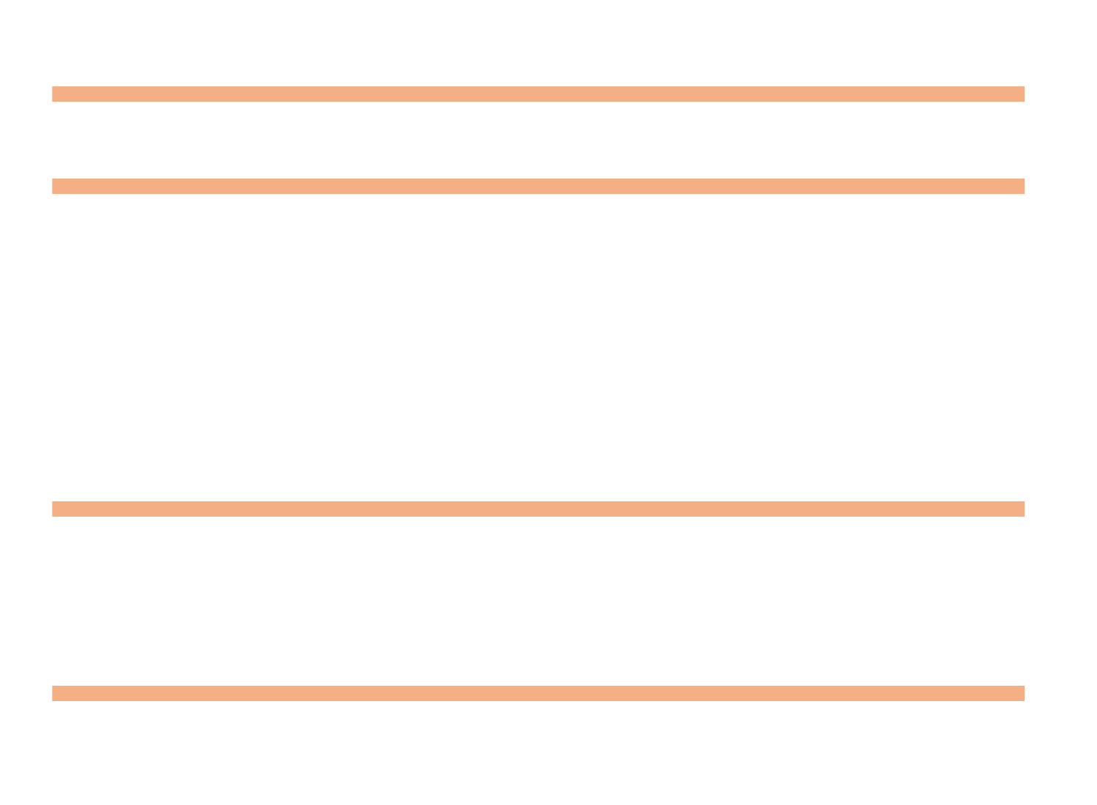a de la construcción de la construcción de la construcción de la construcción de la construcción de la constru<br>En 1930, el construcción de la construcción de la construcción de la construcción de la construcción de la con and the state of the state of the state of the state of the state of the state of the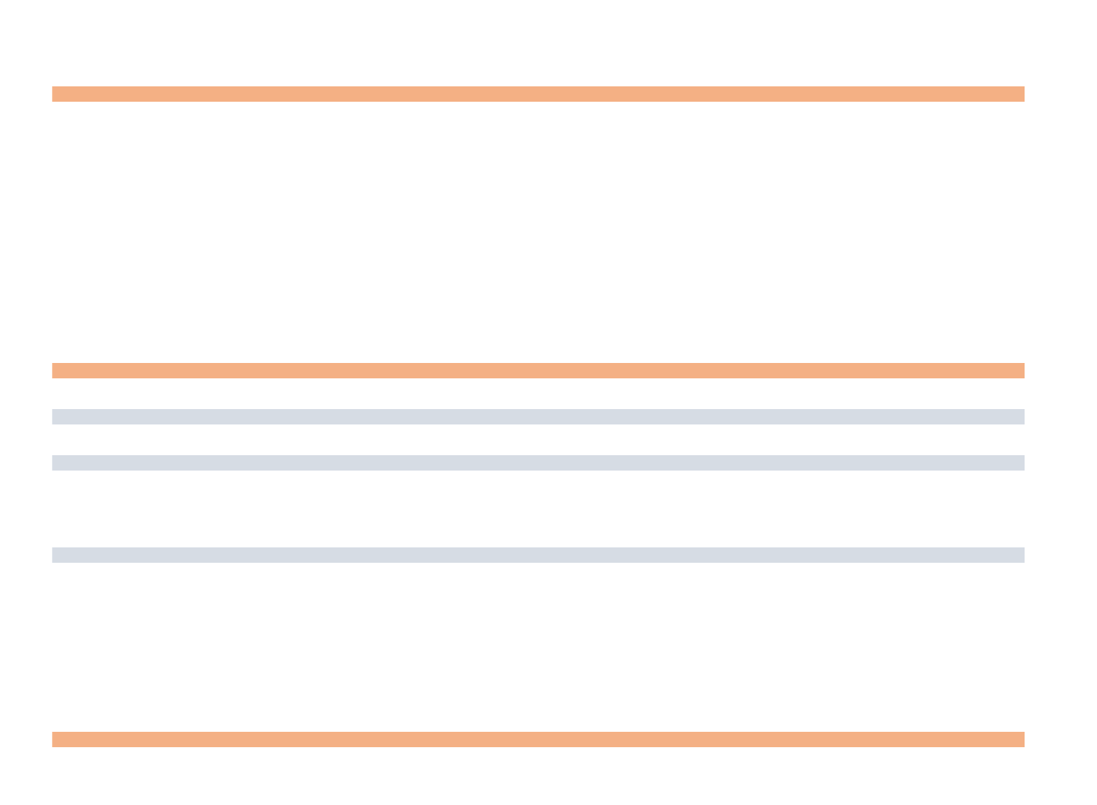the control of the control of the control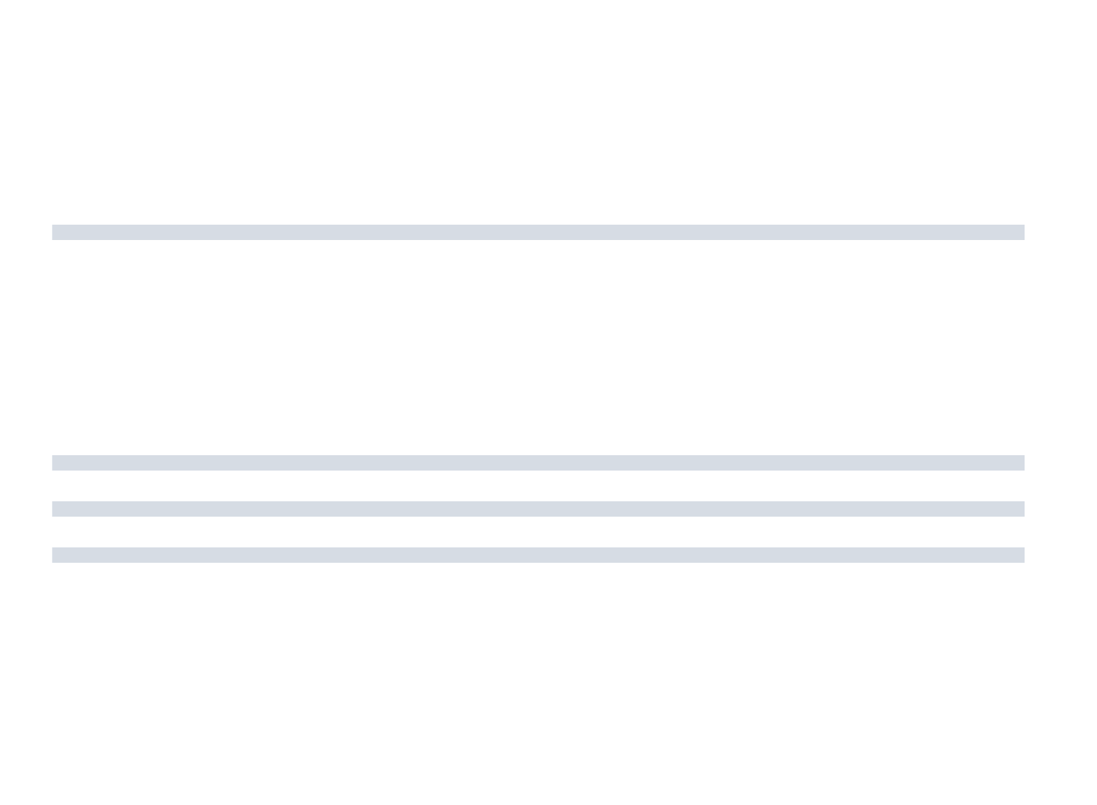and the state of the state of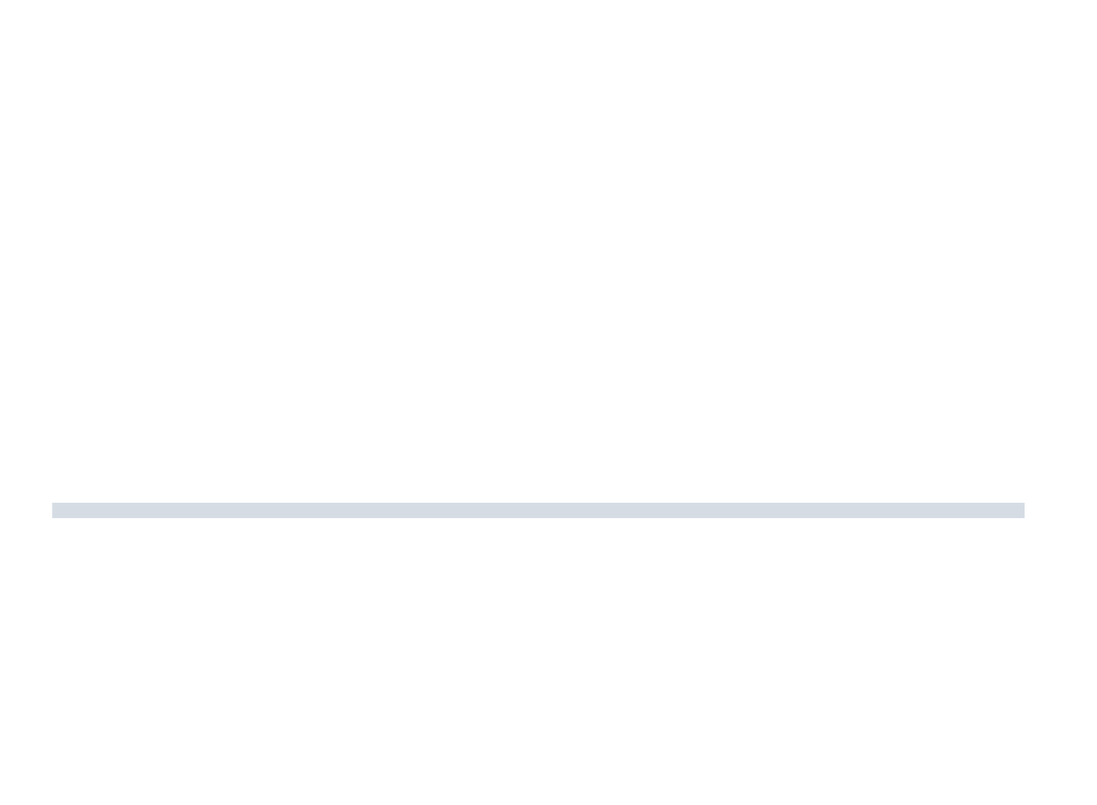**Contract Contract Contract Contract**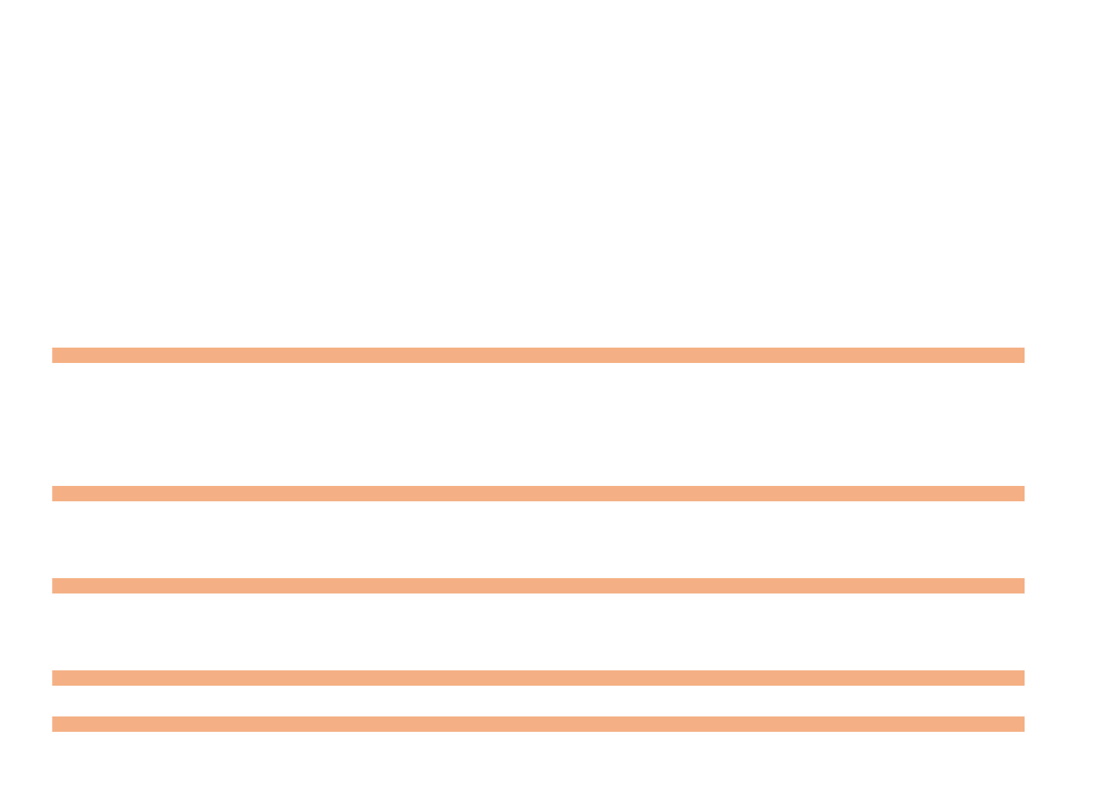$\mathcal{L}(\mathcal{L}(\mathcal{L}))$  and the set of  $\mathcal{L}(\mathcal{L})$  and  $\mathcal{L}(\mathcal{L})$  and  $\mathcal{L}(\mathcal{L})$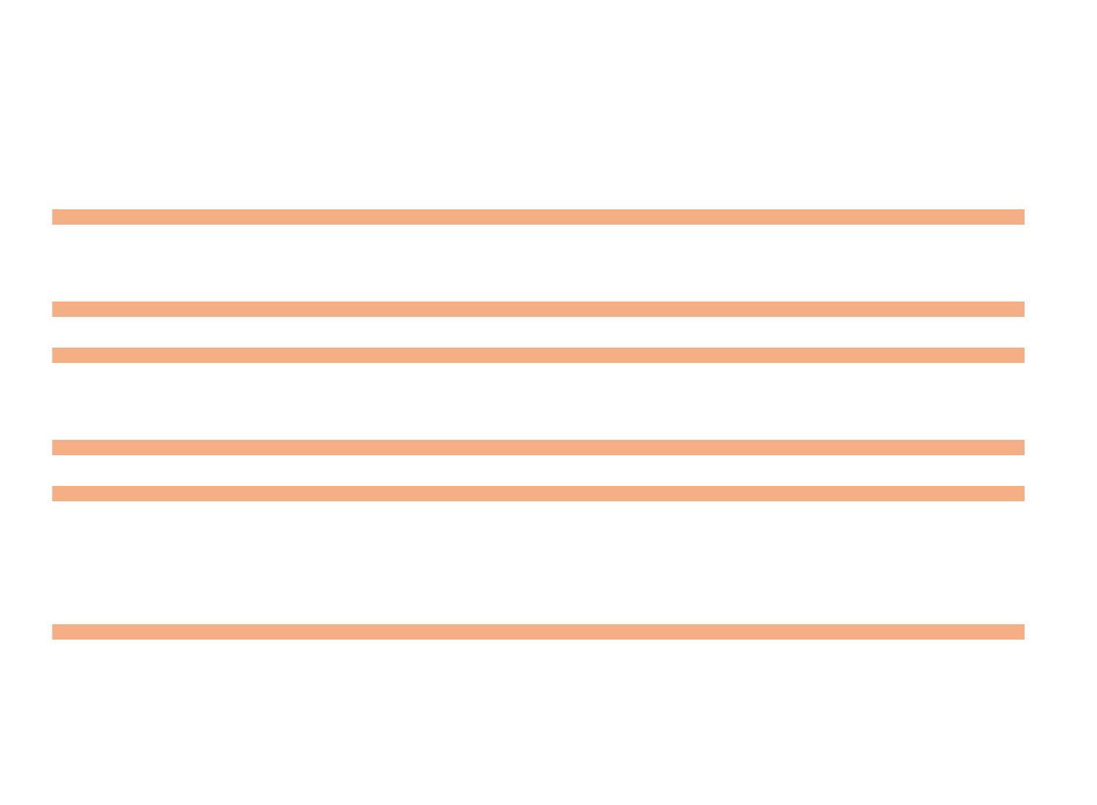| <b>Service Service</b>                                                                                                                                        |  |  |
|---------------------------------------------------------------------------------------------------------------------------------------------------------------|--|--|
|                                                                                                                                                               |  |  |
|                                                                                                                                                               |  |  |
| $\mathcal{L}(\mathcal{L}(\mathcal{L}))$ is a set of $\mathcal{L}(\mathcal{L})$ . The set of $\mathcal{L}(\mathcal{L})$ is a set of $\mathcal{L}(\mathcal{L})$ |  |  |
|                                                                                                                                                               |  |  |
|                                                                                                                                                               |  |  |
|                                                                                                                                                               |  |  |
|                                                                                                                                                               |  |  |
|                                                                                                                                                               |  |  |
|                                                                                                                                                               |  |  |
|                                                                                                                                                               |  |  |
|                                                                                                                                                               |  |  |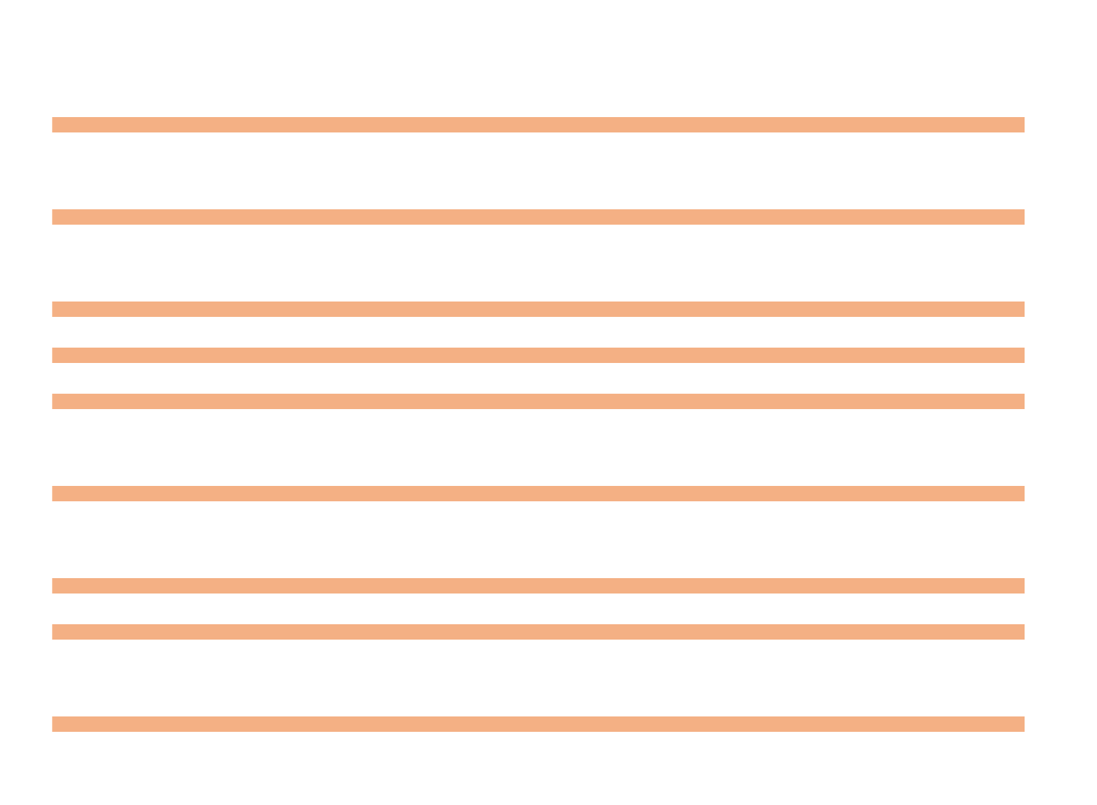| ,一个人的人都是一个人的人,而且,他们的人都是一个人的人,而且,他们的人都是不是一个人的人,而且,他们的人都是不是一个人的人,而且,他们的人都是不是一个人的人,<br>第151章 我们的人,我们的人都是不是一个人的人,我们的人都是不是一个人的人,我们的人都是不是一个人的人,我们的人都是不是一个人的人,我们的人都是不是一个人的人 |
|----------------------------------------------------------------------------------------------------------------------------------------------------------------------|
|                                                                                                                                                                      |
|                                                                                                                                                                      |
| a sa kacamatan ing Kabupatèn Kabupatèn Ing Kabupatèn Kabupatèn Kabupatèn Kabupatèn Kabupatèn Kabupatèn Kabupatè                                                      |
|                                                                                                                                                                      |
|                                                                                                                                                                      |
|                                                                                                                                                                      |
|                                                                                                                                                                      |
|                                                                                                                                                                      |
|                                                                                                                                                                      |
|                                                                                                                                                                      |
|                                                                                                                                                                      |
|                                                                                                                                                                      |
|                                                                                                                                                                      |
|                                                                                                                                                                      |
|                                                                                                                                                                      |
|                                                                                                                                                                      |
|                                                                                                                                                                      |
|                                                                                                                                                                      |
|                                                                                                                                                                      |
|                                                                                                                                                                      |
|                                                                                                                                                                      |
|                                                                                                                                                                      |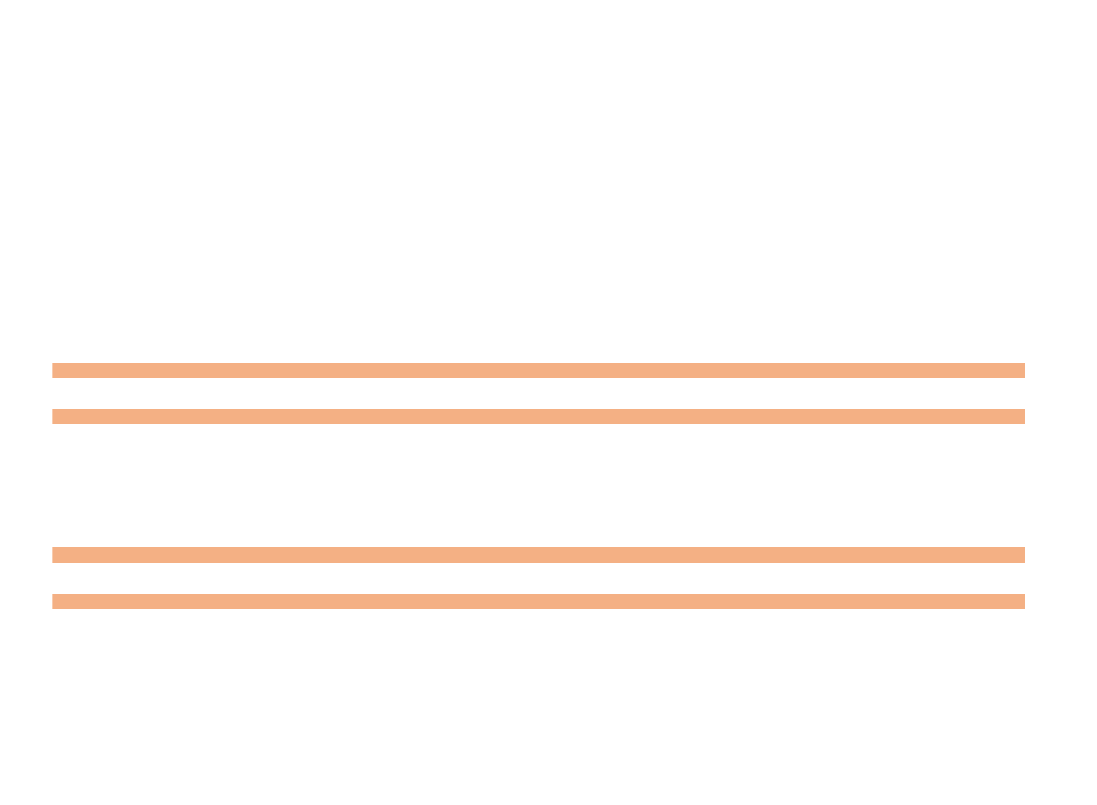a sa mga bangayon ng mga bangayon ng mga bangayon ng mga bangayon ng mga bangayon ng mga bangayon ng mga banga<br>Mga bangayon ng mga bangayon ng mga bangayon ng mga bangayon ng mga bangayon ng mga bangayon ng mga bangayon n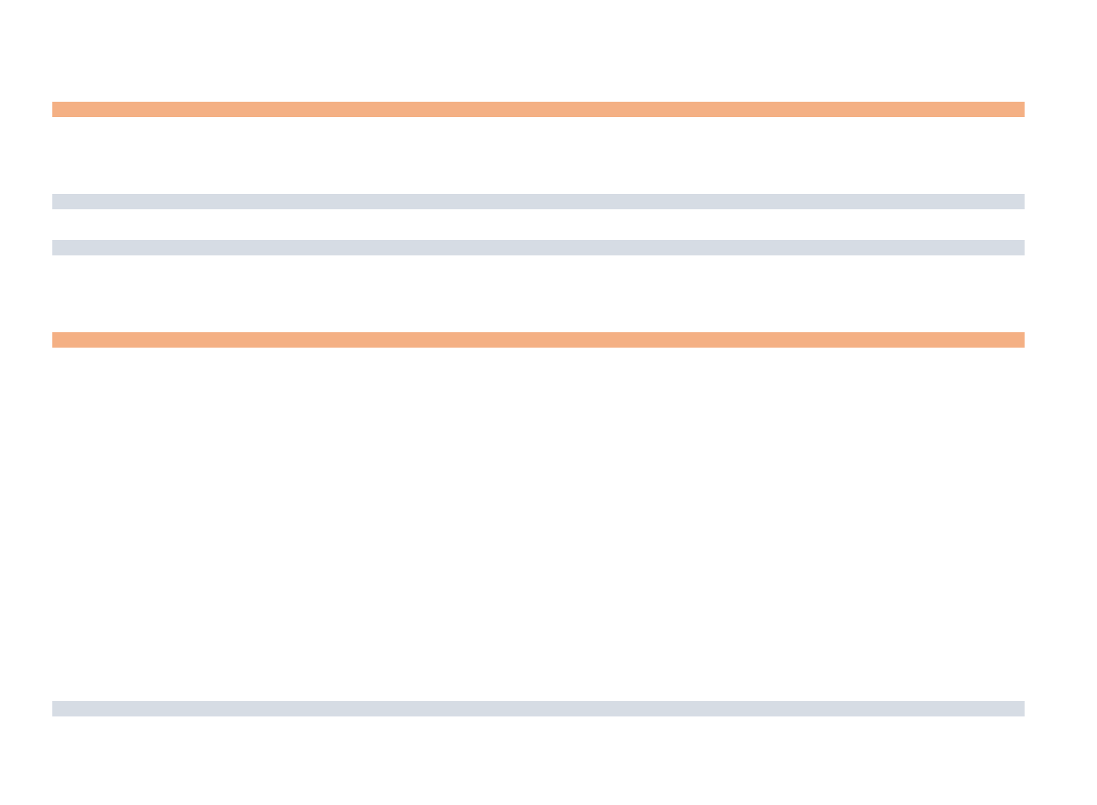**Contract Contract Contract**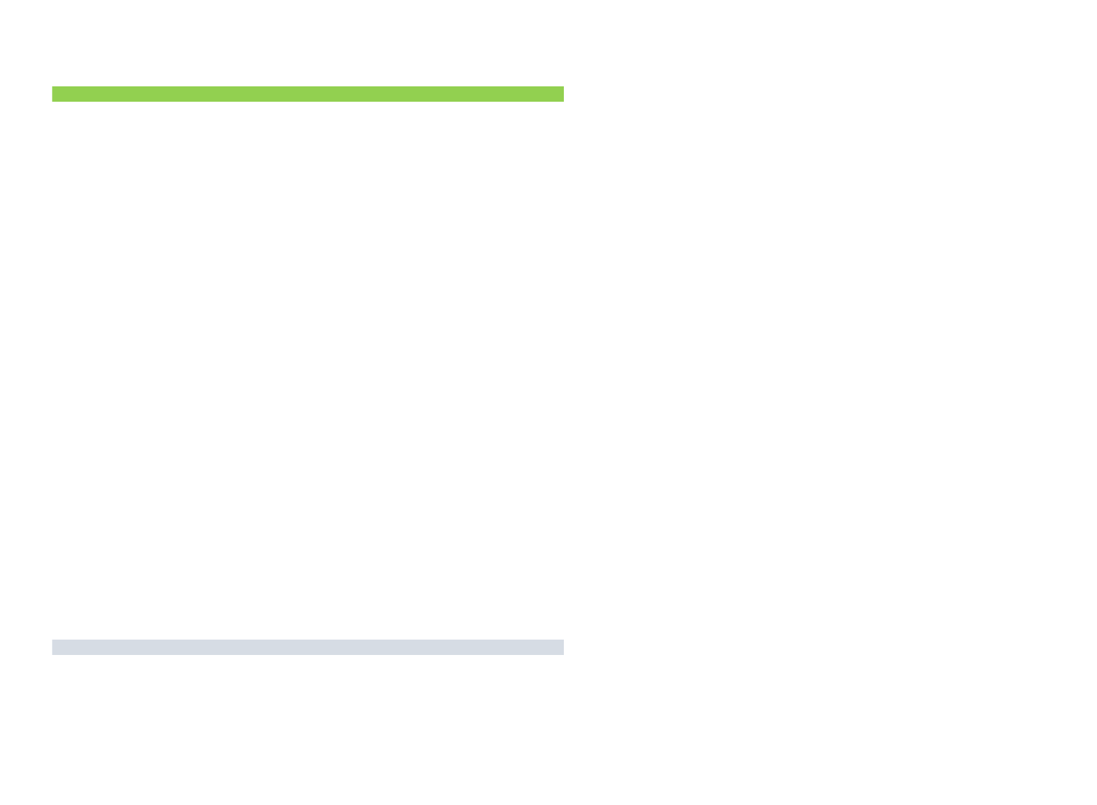$\mathcal{L}(\mathcal{L}(\mathcal{L}))$  is a set of  $\mathcal{L}(\mathcal{L})$  . The set of  $\mathcal{L}(\mathcal{L})$  is a set of  $\mathcal{L}(\mathcal{L})$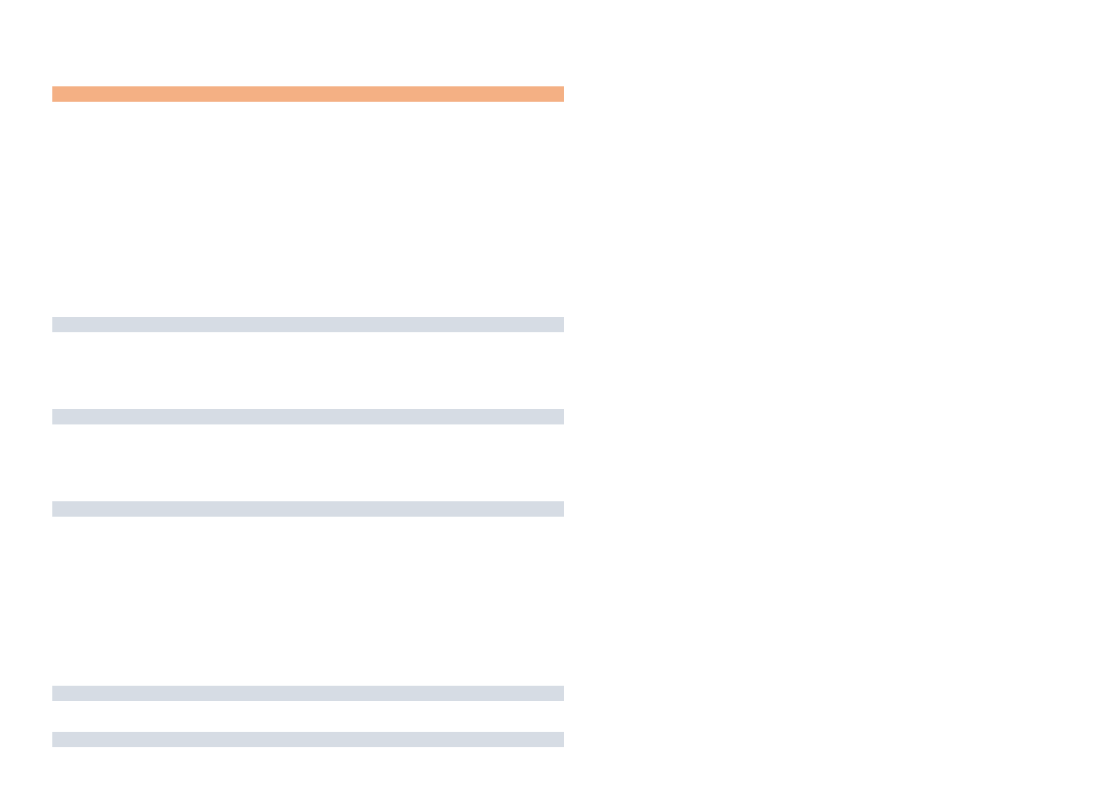$\mathcal{L}(\mathcal{L}(\mathcal{L}))$  is a set of  $\mathcal{L}(\mathcal{L})$  . The set of  $\mathcal{L}(\mathcal{L})$  is a set of  $\mathcal{L}(\mathcal{L})$ the control of the control of the control of the control of the control of the control of the control of the control of the control of the control of the control of the control of the control of the control of the control and the state of the state of the state of the state of the state of the state of the state of the state of th a series and the series of the series of the series of the series of the series of the series of the series of and the control of the control of the control of the control of the control of the control of the control of the and the second control of the second control of the second control of the second control of the second control of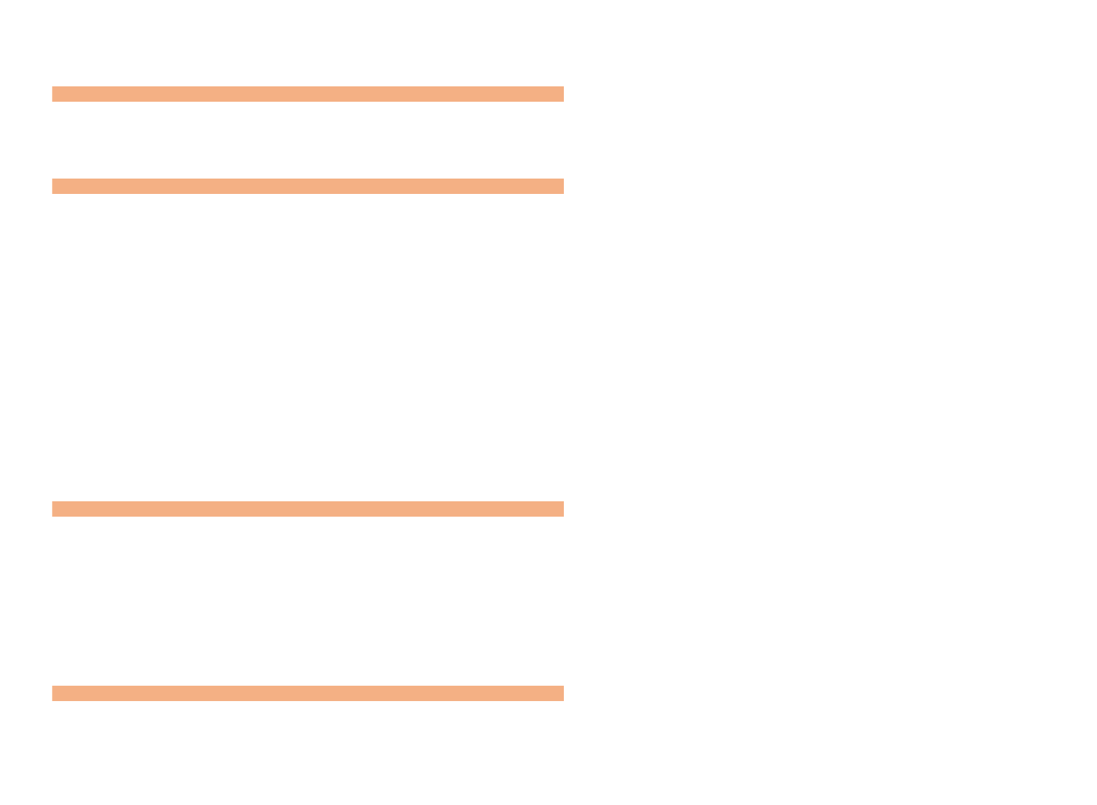a sa karang sa kabupatèn Kabupatèn Bangung Kabupatèn Kabupatèn Kabupatèn Kabupatèn Kabupatèn Kabupatèn Kabupat

a de la construcción de la construcción de la construcción de la construcción de la construcción de la constru<br>En 1930, el construcción de la construcción de la construcción de la construcción de la construcción de la con

a sa mga bayang sa pag-agang sa pag-agang sa pag-agang sa pag-agang sa pag-agang sa pag-agang sa pag-agang sa

a sa karang sa kabupatèn Kabupatèn Bangung Kabupatèn Kabupatèn Kabupatèn Kabupatèn Kabupatèn Kabupatèn Kabupat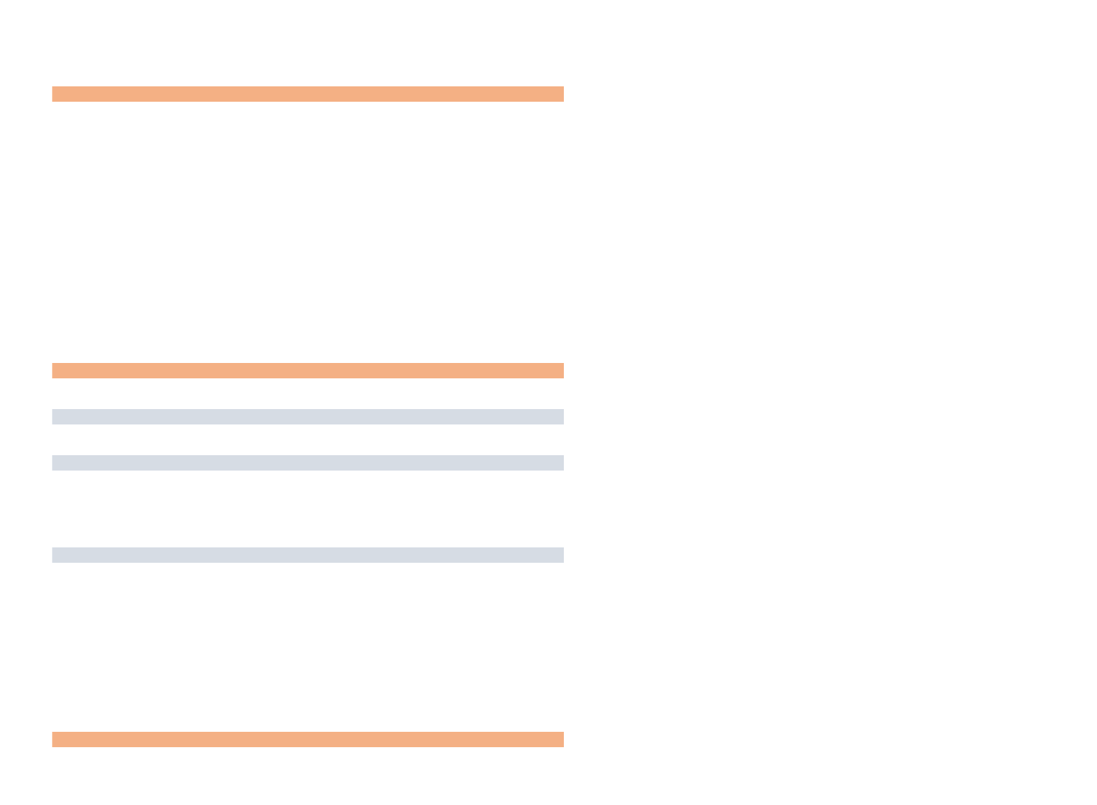# and the control of the control of the control of the control of the control of the control of the control of the and the control of the control of the control of the control of the control of the control of the control of the

a series and the series of the series of the series of the series of the series of the series of the series of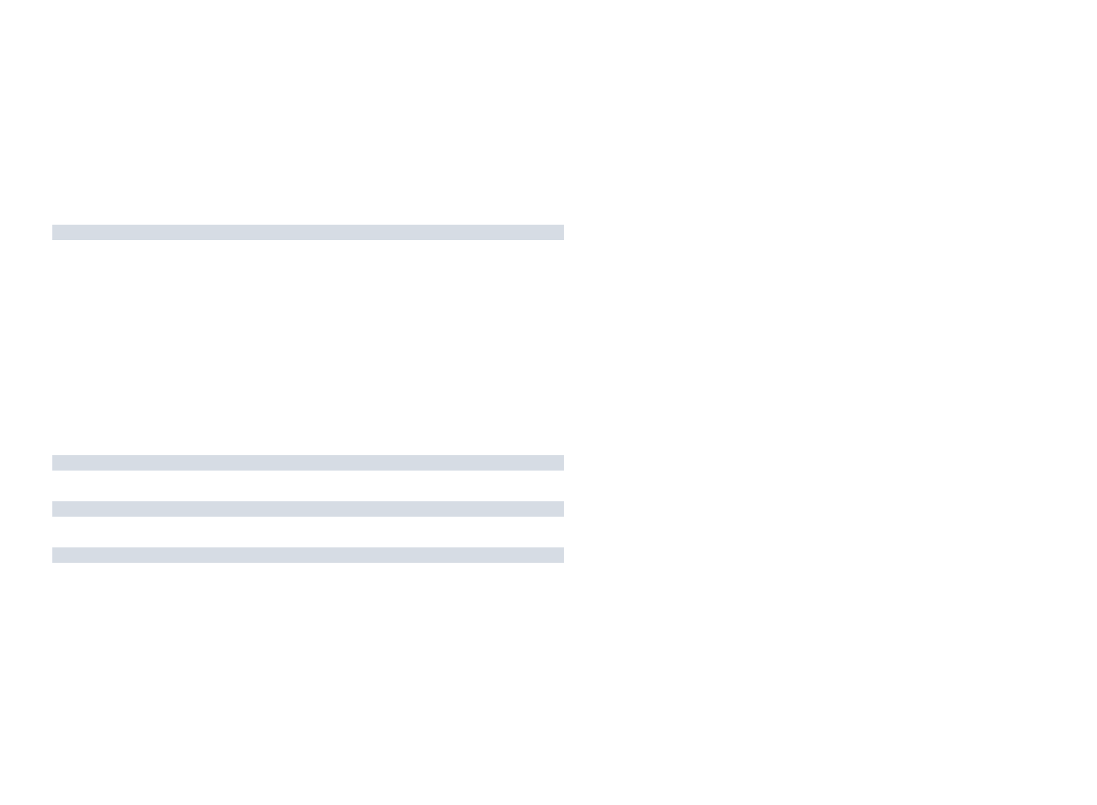and the state of the state of the state of the state of the state of the state of the state of the state of th the control of the control of the control of the control of the control of

the control of the control of the control of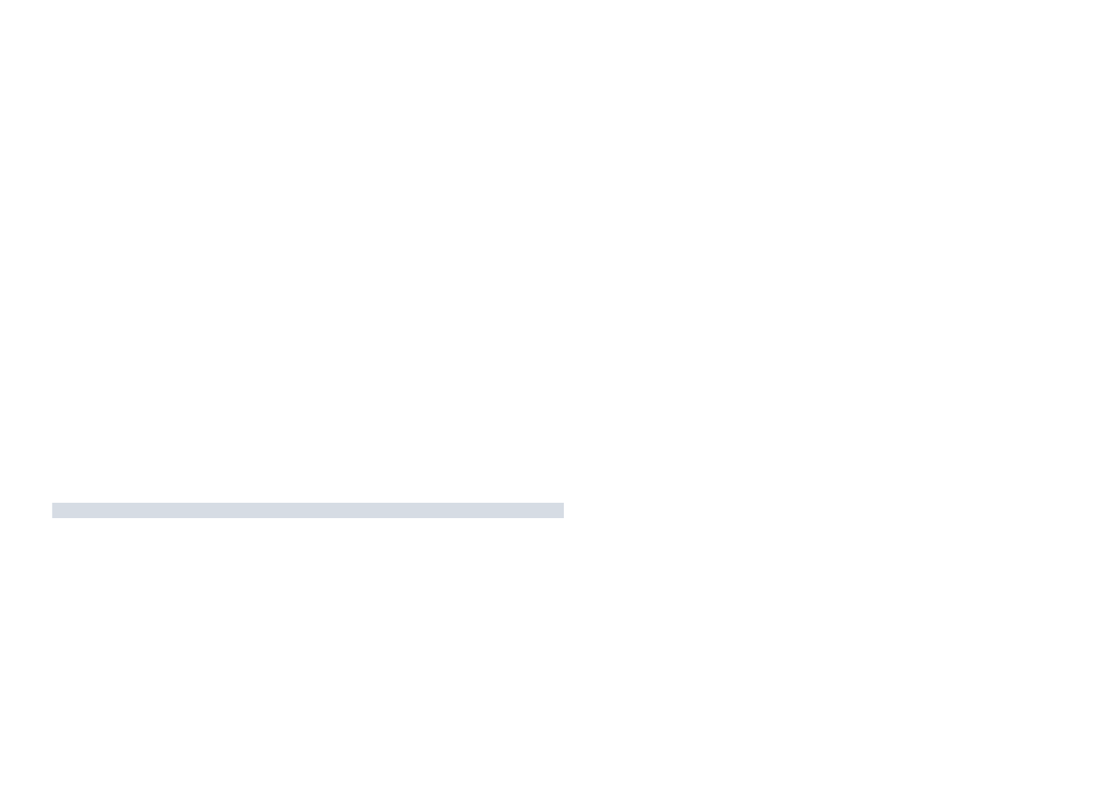a se provincia de la construcción de la construcción de la construcción de la construcción de la construcción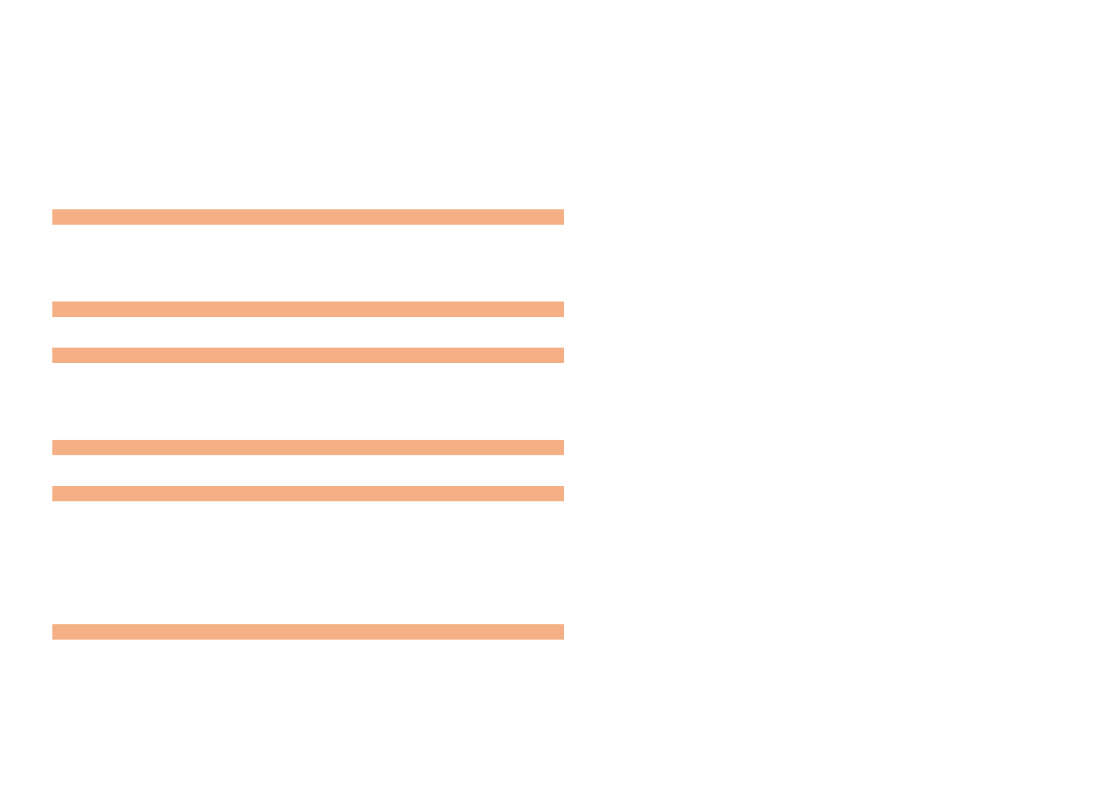| $\mathcal{L}^{\text{max}}_{\text{max}}$ and $\mathcal{L}^{\text{max}}_{\text{max}}$ and $\mathcal{L}^{\text{max}}_{\text{max}}$ |  |
|---------------------------------------------------------------------------------------------------------------------------------|--|
|                                                                                                                                 |  |
|                                                                                                                                 |  |
|                                                                                                                                 |  |

a sa mga bayang sa mga bayang sa mga bayang sa mga bayang sa mga bayang sa mga bayang sa mga bayang sa mga bay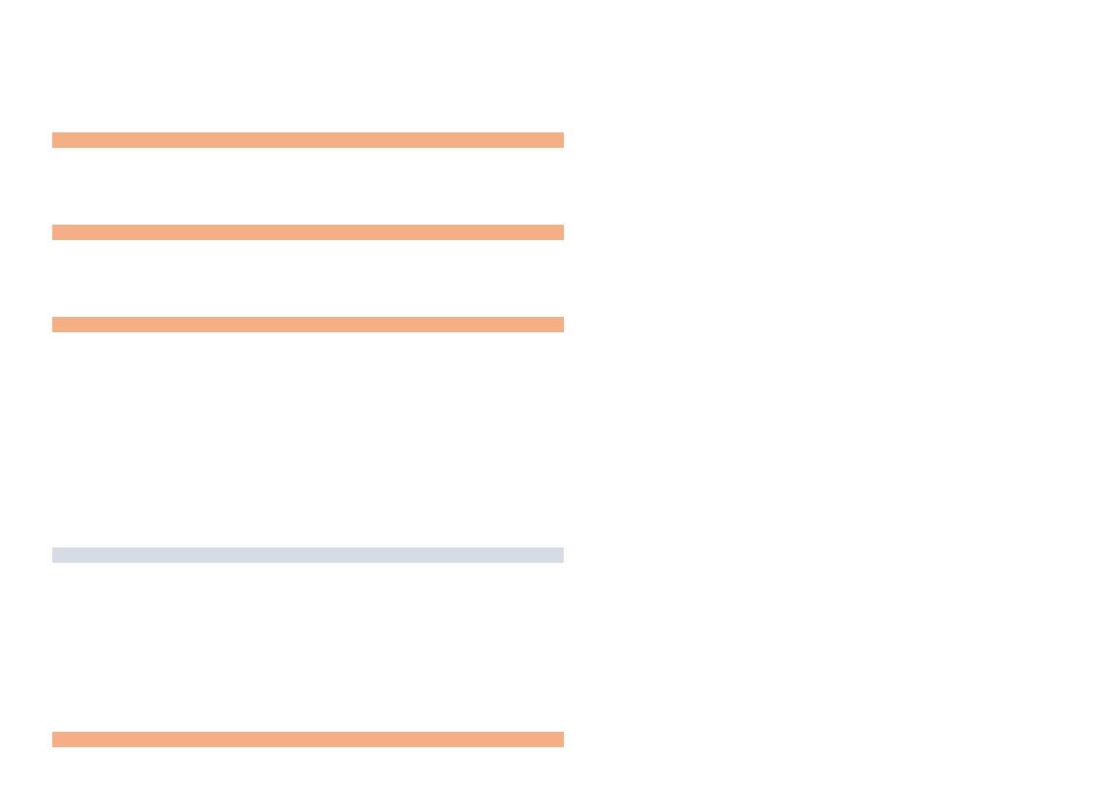a series and the series of the series of the series of the series of the series of the series of the series of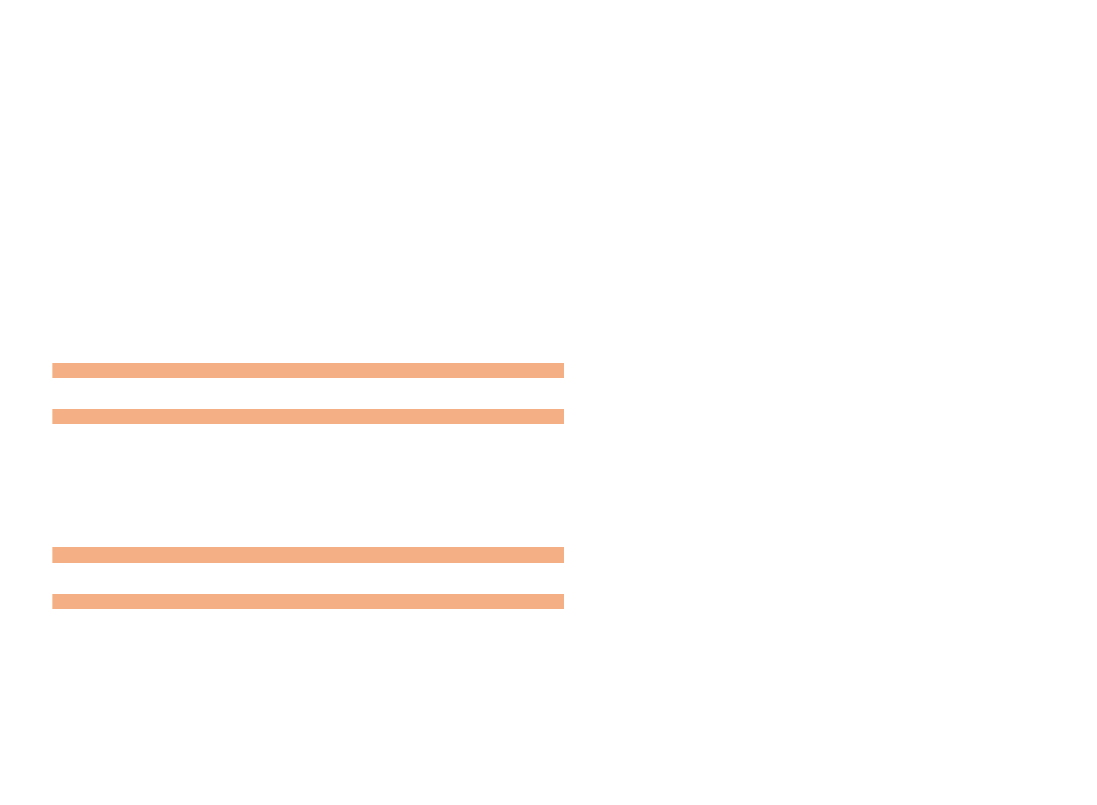a sa kabilang pangalang pangalang pangalang na pangalang na pangalang na pangalang na pangalang na pangalang n<br>Pangalang na pangalang na pangalang na pangalang na pangalang na pangalang na pangalang na pangalang na pangal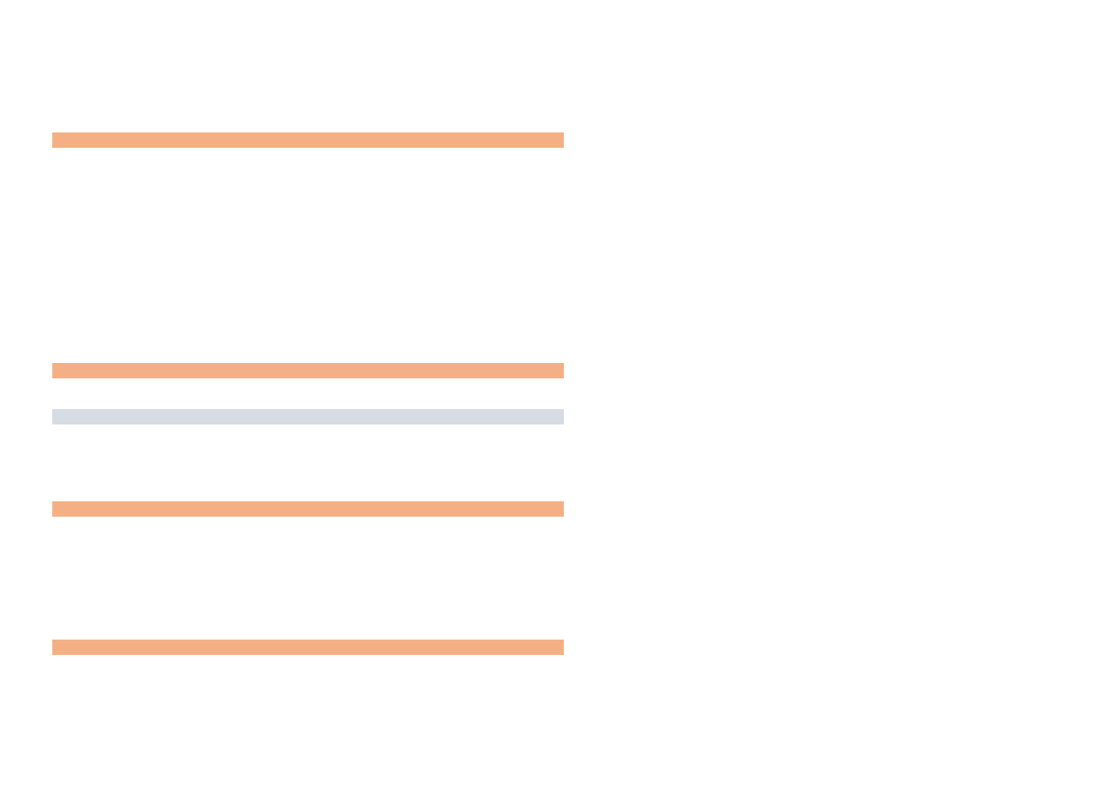and the control of the control of the control of the control of the control of the control of the control of the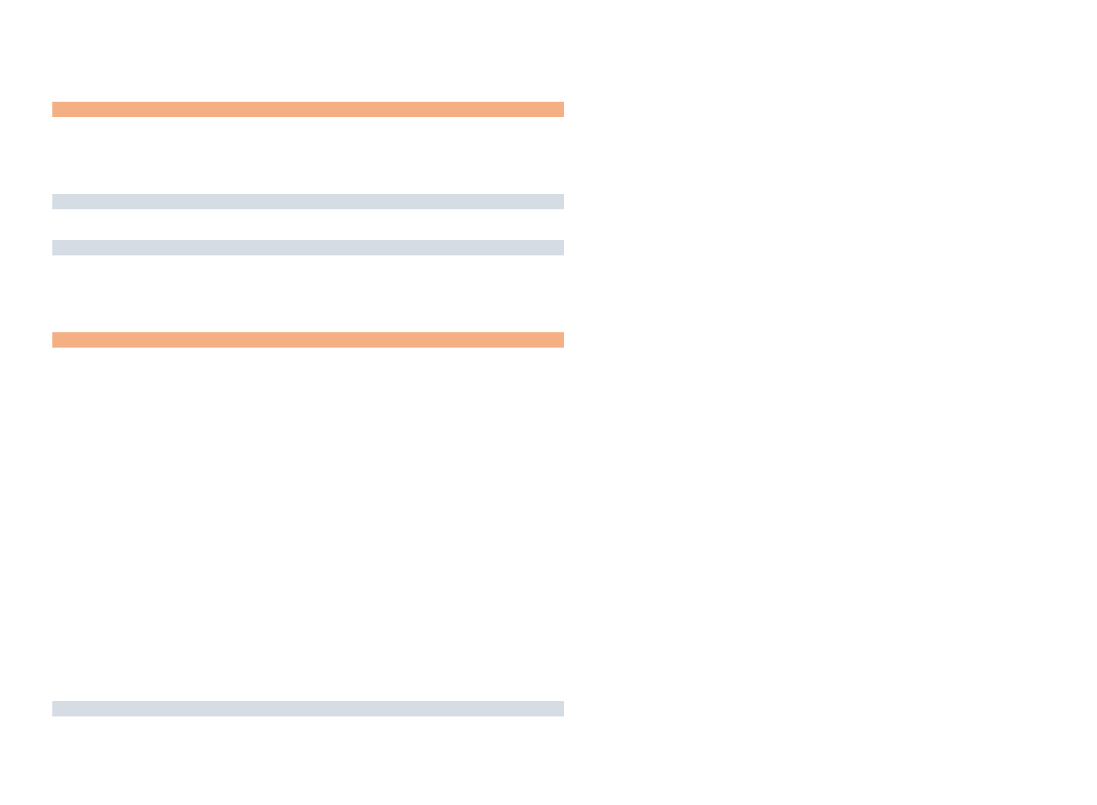the control of the control of the control of